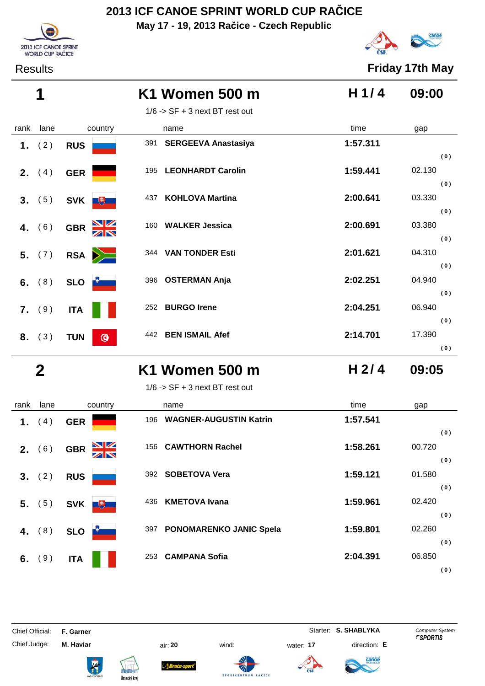**May 17 - 19, 2013 Račice - Czech Republic**





Results **Friday 17th May**

|      | 1               |                         | K1 Women 500 m                   | H1/4     | 09:00                |
|------|-----------------|-------------------------|----------------------------------|----------|----------------------|
|      |                 |                         | $1/6$ -> SF + 3 next BT rest out |          |                      |
| rank | lane            | country                 | name                             | time     | gap                  |
|      | 1. $(2)$        | <b>RUS</b>              | 391 SERGEEVA Anastasiya          | 1:57.311 |                      |
|      | <b>2.</b> $(4)$ | <b>GER</b>              | 195 LEONHARDT Carolin            | 1:59.441 | (0)<br>02.130<br>(0) |
|      | 3. (5)          | <b>SVK</b><br>$+$       | <b>KOHLOVA Martina</b><br>437    | 2:00.641 | 03.330<br>(0)        |
|      | 4. $(6)$        | GBR XX                  | 160 WALKER Jessica               | 2:00.691 | 03.380               |
|      | 5. (7)          | RSA <b>D</b>            | 344 VAN TONDER Esti              | 2:01.621 | (0)<br>04.310        |
|      | 6. $(8)$        | <b>SLO</b>              | 396 OSTERMAN Anja                | 2:02.251 | (0)<br>04.940        |
|      | 7. (9)          | <b>ITA</b>              | 252<br><b>BURGO Irene</b>        | 2:04.251 | (0)<br>06.940<br>(0) |
|      | 8. (3)          | <b>TUN</b><br>$\bullet$ | <b>BEN ISMAIL Afef</b><br>442    | 2:14.701 | 17.390<br>(0)        |

### **2 K1 Women 500 m 09:05**  $1/6$  -> SF + 3 next BT rest out

**H 2/ 4**

|  | rank lane    | country                                    | name            |
|--|--------------|--------------------------------------------|-----------------|
|  | 1. (4) GER   |                                            | 196 WAGN        |
|  |              | 2. (6) GBR                                 | 156 <b>CAWT</b> |
|  |              | $3. (2)$ RUS                               | 392 SOBE        |
|  |              | <b>5.</b> (5) <b>SVK</b><br>$\overline{+}$ | 436 <b>KMET</b> |
|  |              | 4. (8) SLO                                 | 397 <b>PONO</b> |
|  | 6. $(9)$ ITA |                                            | 253 <b>CAMP</b> |

| rank | lane     | country                     | name                                  | time     | gap    |
|------|----------|-----------------------------|---------------------------------------|----------|--------|
| 1.   | 4)       | <b>GER</b>                  | <b>WAGNER-AUGUSTIN Katrin</b><br>196  | 1:57.541 |        |
|      |          |                             |                                       |          | (0)    |
| 2.   | (6)      | $\frac{N}{N}$<br><b>GBR</b> | 156 CAWTHORN Rachel                   | 1:58.261 | 00.720 |
|      |          |                             |                                       |          | (0)    |
| 3.   | (2)      | <b>RUS</b>                  | <b>SOBETOVA Vera</b><br>392           | 1:59.121 | 01.580 |
|      |          |                             |                                       |          | (0)    |
|      | $5.$ (5) | <b>SVK</b><br>$+$           | <b>KMETOVA Ivana</b><br>436           | 1:59.961 | 02.420 |
|      |          |                             |                                       |          | (0)    |
| 4.   | (8)      | <b>SLO</b>                  | <b>PONOMARENKO JANIC Spela</b><br>397 | 1:59.801 | 02.260 |
|      |          |                             |                                       |          | (0)    |
| 6.   | (9)      | <b>ITA</b>                  | <b>CAMPANA Sofia</b><br>253           | 2:04.391 | 06.850 |
|      |          |                             |                                       |          | (0)    |

Chief Judge: **M. Haviar** air: **20** wind: water: **17** direction: **E**

ł



*Braća-s* 

Chief Official: **F. Garner** System **Starter: S. SHABLYKA** Computer System







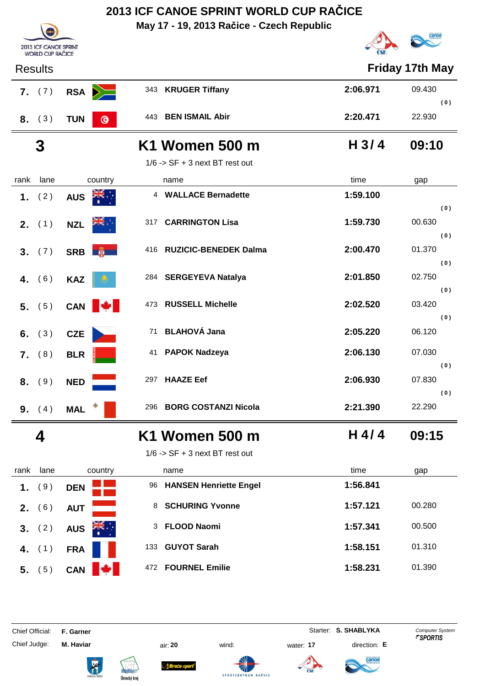**May 17 - 19, 2013 Račice - Czech Republic**



|      |                                                                                                                                           |                                                                                                                                                            |                                                                                                                                                                                                                                                                                                                                                                                                                                                      | $\sim$                                       |
|------|-------------------------------------------------------------------------------------------------------------------------------------------|------------------------------------------------------------------------------------------------------------------------------------------------------------|------------------------------------------------------------------------------------------------------------------------------------------------------------------------------------------------------------------------------------------------------------------------------------------------------------------------------------------------------------------------------------------------------------------------------------------------------|----------------------------------------------|
|      |                                                                                                                                           |                                                                                                                                                            |                                                                                                                                                                                                                                                                                                                                                                                                                                                      | <b>Friday 17th May</b>                       |
|      |                                                                                                                                           | 343                                                                                                                                                        | 2:06.971                                                                                                                                                                                                                                                                                                                                                                                                                                             | 09.430                                       |
|      | <b>TUN</b><br>$\bullet$                                                                                                                   |                                                                                                                                                            | 2:20.471                                                                                                                                                                                                                                                                                                                                                                                                                                             | (0)<br>22.930                                |
| 3    |                                                                                                                                           |                                                                                                                                                            | H <sub>3/4</sub>                                                                                                                                                                                                                                                                                                                                                                                                                                     | 09:10                                        |
|      |                                                                                                                                           |                                                                                                                                                            |                                                                                                                                                                                                                                                                                                                                                                                                                                                      |                                              |
| lane | country                                                                                                                                   | name                                                                                                                                                       | time                                                                                                                                                                                                                                                                                                                                                                                                                                                 | gap                                          |
| (2)  | <b>ZIR</b><br><b>AUS</b>                                                                                                                  |                                                                                                                                                            | 1:59.100                                                                                                                                                                                                                                                                                                                                                                                                                                             |                                              |
|      |                                                                                                                                           |                                                                                                                                                            |                                                                                                                                                                                                                                                                                                                                                                                                                                                      | (0)                                          |
|      | <b>NZL</b>                                                                                                                                |                                                                                                                                                            |                                                                                                                                                                                                                                                                                                                                                                                                                                                      | 00.630                                       |
|      |                                                                                                                                           |                                                                                                                                                            |                                                                                                                                                                                                                                                                                                                                                                                                                                                      | (0)<br>01.370                                |
|      |                                                                                                                                           |                                                                                                                                                            |                                                                                                                                                                                                                                                                                                                                                                                                                                                      | (0)                                          |
|      |                                                                                                                                           |                                                                                                                                                            | 2:01.850                                                                                                                                                                                                                                                                                                                                                                                                                                             | 02.750                                       |
|      |                                                                                                                                           |                                                                                                                                                            |                                                                                                                                                                                                                                                                                                                                                                                                                                                      | (0)                                          |
|      | CAN                                                                                                                                       |                                                                                                                                                            | 2:02.520                                                                                                                                                                                                                                                                                                                                                                                                                                             | 03.420                                       |
|      |                                                                                                                                           |                                                                                                                                                            |                                                                                                                                                                                                                                                                                                                                                                                                                                                      | (0)                                          |
|      |                                                                                                                                           |                                                                                                                                                            |                                                                                                                                                                                                                                                                                                                                                                                                                                                      | 06.120                                       |
|      | <b>BLR</b>                                                                                                                                |                                                                                                                                                            | 2:06.130                                                                                                                                                                                                                                                                                                                                                                                                                                             | 07.030                                       |
|      |                                                                                                                                           |                                                                                                                                                            |                                                                                                                                                                                                                                                                                                                                                                                                                                                      | (0)                                          |
|      |                                                                                                                                           |                                                                                                                                                            |                                                                                                                                                                                                                                                                                                                                                                                                                                                      | 07.830<br>(0)                                |
|      | <b>MAL</b>                                                                                                                                | 296                                                                                                                                                        | 2:21.390                                                                                                                                                                                                                                                                                                                                                                                                                                             | 22.290                                       |
| 4    |                                                                                                                                           |                                                                                                                                                            | H 4/4                                                                                                                                                                                                                                                                                                                                                                                                                                                | 09:15                                        |
|      |                                                                                                                                           |                                                                                                                                                            |                                                                                                                                                                                                                                                                                                                                                                                                                                                      |                                              |
| lane | country                                                                                                                                   | name                                                                                                                                                       | time                                                                                                                                                                                                                                                                                                                                                                                                                                                 | gap                                          |
| (9)  | <b>DEN</b>                                                                                                                                |                                                                                                                                                            | 1:56.841                                                                                                                                                                                                                                                                                                                                                                                                                                             |                                              |
|      |                                                                                                                                           | 8                                                                                                                                                          | 1:57.121                                                                                                                                                                                                                                                                                                                                                                                                                                             | 00.280                                       |
|      |                                                                                                                                           |                                                                                                                                                            | 1:57.341                                                                                                                                                                                                                                                                                                                                                                                                                                             | 00.500                                       |
|      | <b>Results</b><br>7. (7)<br>8. (3)<br><b>2.</b> $(1)$<br>(7)<br>(6)<br>5. (5)<br>(3)<br>(8)<br>8. (9)<br><b>9.</b> $(4)$<br>(6)<br>3. (2) | 2013 ICF CANOE SPRINT<br><b>WORLD CUP RAČICE</b><br>RSA <b>D</b><br>SRB <b>B</b><br><b>KAZ</b><br><b>CZE</b><br><b>NED</b><br><b>AUT</b><br>AUS <b>AK.</b> | <b>KRUGER Tiffany</b><br>443 BEN ISMAIL Abir<br>K1 Women 500 m<br>$1/6$ -> SF + 3 next BT rest out<br>4 WALLACE Bernadette<br>317 CARRINGTON Lisa<br>416 RUZICIC-BENEDEK Dalma<br>284 SERGEYEVA Natalya<br>473 RUSSELL Michelle<br>71 BLAHOVÁ Jana<br>41 PAPOK Nadzeya<br>297 HAAZE Eef<br><b>BORG COSTANZI Nicola</b><br>K1 Women 500 m<br>$1/6$ -> SF + 3 next BT rest out<br>96 HANSEN Henriette Engel<br><b>SCHURING Yvonne</b><br>3 FLOOD Naomi | 1:59.730<br>2:00.470<br>2:05.220<br>2:06.930 |

Chief Judge: **M. Haviar** air: **20** wind: water: **17** direction: **E**

Chief Official: **F. Garner** System **Starter: S. SHABLYKA** Computer System









 **4.** (1) **FRA**<sup>1</sup> **1**:58.151 01.310

**5.** (5) **CAN**  $\frac{1}{4}$  472 **FOURNEL Emilie 1:58.231** 01.390



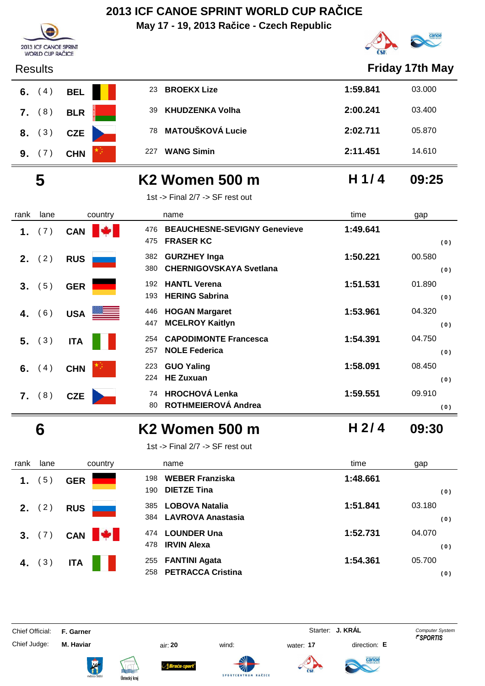**May 17 - 19, 2013 Račice - Czech Republic**



|      | <b>Results</b>  |              |                                                                       |                  | <b>Friday 17th May</b> |
|------|-----------------|--------------|-----------------------------------------------------------------------|------------------|------------------------|
| 6.   | (4)             | <b>BEL</b>   | <b>BROEKX Lize</b><br>23                                              | 1:59.841         | 03.000                 |
| 7.   | (8)             | <b>BLR</b>   | <b>KHUDZENKA Volha</b><br>39                                          | 2:00.241         | 03.400                 |
| 8.   | (3)             | <b>CZE</b>   | <b>MATOUŠKOVÁ Lucie</b><br>78                                         | 2:02.711         | 05.870                 |
|      | 9. (7)          | <b>CHN</b>   | <b>WANG Simin</b><br>227                                              | 2:11.451         | 14.610                 |
|      | 5               |              | <b>K2 Women 500 m</b>                                                 | H $1/4$          | 09:25                  |
|      |                 |              | 1st -> Final 2/7 -> SF rest out                                       |                  |                        |
| rank | lane            | country      | name                                                                  | time             | gap                    |
| 1.   | (7)             | <b>CAN</b>   | <b>BEAUCHESNE-SEVIGNY Genevieve</b><br>476<br><b>FRASER KC</b><br>475 | 1:49.641         | (0)                    |
| 2.   | (2)             | <b>RUS</b>   | <b>GURZHEY Inga</b><br>382<br><b>CHERNIGOVSKAYA Svetlana</b><br>380   | 1:50.221         | 00.580<br>(0)          |
| 3.   | (5)             | <b>GER</b>   | <b>HANTL Verena</b><br>192<br><b>HERING Sabrina</b><br>193            | 1:51.531         | 01.890<br>(0)          |
| 4.   | (6)             | USA          | <b>HOGAN Margaret</b><br>446<br><b>MCELROY Kaitlyn</b><br>447         | 1:53.961         | 04.320<br>(0)          |
| 5.   | (3)             | <b>ITA</b>   | <b>CAPODIMONTE Francesca</b><br>254<br><b>NOLE Federica</b><br>257    | 1:54.391         | 04.750<br>(0)          |
| 6.   | (4)             | <b>CHN</b>   | <b>GUO Yaling</b><br>223<br><b>HE Zuxuan</b><br>224                   | 1:58.091         | 08.450<br>(0)          |
|      | 7. (8)          | <b>CZE</b>   | <b>HROCHOVÁ Lenka</b><br>74<br>ROTHMEIEROVÁ Andrea<br>80              | 1:59.551         | 09.910<br>(0)          |
|      | b               |              | K2 Women 500 m                                                        | H <sub>2/4</sub> | 09:30                  |
|      |                 |              | 1st -> Final 2/7 -> SF rest out                                       |                  |                        |
| rank | lane            | country      | name                                                                  | time             | gap                    |
| 1.   | (5)             | <b>GER</b>   | <b>WEBER Franziska</b><br>198<br><b>DIETZE Tina</b><br>190            | 1:48.661         | (0)                    |
|      | <b>2.</b> $(2)$ | <b>RUS</b>   | <b>LOBOVA Natalia</b><br>385<br><b>LAVROVA Anastasia</b><br>384       | 1:51.841         | 03.180<br>(0)          |
| 3.   | (7)             | CAN <b>W</b> | <b>LOUNDER Una</b><br>474<br><b>IRVIN Alexa</b><br>478                | 1:52.731         | 04.070<br>(0)          |

2013 ICF CANOE SPRINT<br>WORLD CUP RAČICE

Chief Judge: **M. Haviar** air: **20** wind: water: **17** direction: **E**

 **4.** (3) ITA **I 174** 255 **FANTINI Agata I 1:54.361** 05.700

Chief Official: **F. Garner** System **F. Garner** System **Starter: <b>J. KRÁL** Computer System Computer System **Computer System** 

**PETRACCA Cristina** 258 **( 0 )**













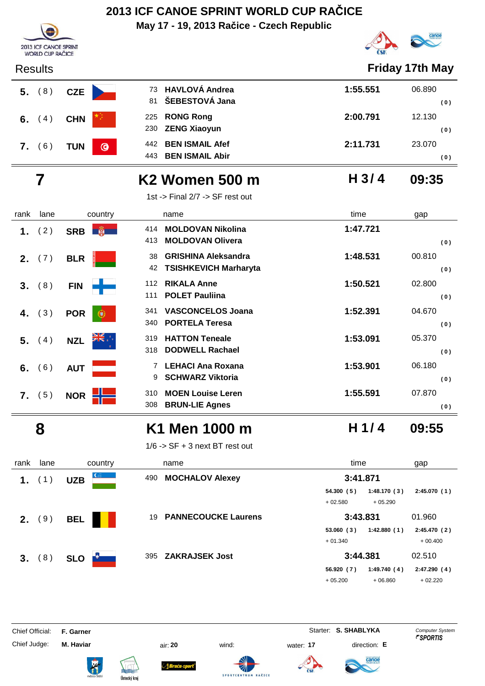**May 17 - 19, 2013 Račice - Czech Republic**



| <b>Results</b> |                       |                                                                |          | <b>Friday 17th May</b> |
|----------------|-----------------------|----------------------------------------------------------------|----------|------------------------|
| 5. (8)         | <b>CZE</b>            | 73 HAVLOVÁ Andrea<br>ŠEBESTOVÁ Jana<br>81                      | 1:55.551 | 06.890<br>(0)          |
| 6.<br>4)       | <b>CHN</b>            | 225 RONG Rong<br>230 ZENG Xiaoyun                              | 2:00.791 | 12.130<br>(0)          |
| (6)<br>7.      | $\odot$<br><b>TUN</b> | <b>BEN ISMAIL Afef</b><br>442<br><b>BEN ISMAIL Abir</b><br>443 | 2:11.731 | 23,070<br>(0)          |

2013 ICF CANOE SPRINT WORLD CUP RAČICE

|      |            |                                           |                                                                            |                       | .             |
|------|------------|-------------------------------------------|----------------------------------------------------------------------------|-----------------------|---------------|
|      | $5.$ (8)   | <b>CZE</b>                                | 73 HAVLOVÁ Andrea<br>ŠEBESTOVÁ Jana<br>81                                  | 1:55.551              | 06.890<br>(0) |
| 6.   | (4)        | <b>CHN</b>                                | <b>RONG Rong</b><br>225<br><b>ZENG Xiaoyun</b><br>230                      | 2:00.791              | 12.130<br>(0) |
|      | 7. (6)     | <b>TUN</b><br>$\bullet$                   | <b>BEN ISMAIL Afef</b><br>442<br><b>BEN ISMAIL Abir</b><br>443             | 2:11.731              | 23.070<br>(0) |
|      | 7          |                                           | K <sub>2</sub> Women 500 m                                                 | H <sub>3/4</sub>      | 09:35         |
|      |            |                                           | 1st -> Final 2/7 -> SF rest out                                            |                       |               |
| rank | lane       | country                                   | name                                                                       | time                  | gap           |
| 1.   | (2)        | SRB <b>No. 1988</b>                       | 414 MOLDOVAN Nikolina<br><b>MOLDOVAN Olivera</b><br>413                    | 1:47.721              | (0)           |
| 2.   | (7)        | <b>BLR</b>                                | <b>GRISHINA Aleksandra</b><br>38<br><b>TSISHKEVICH Marharyta</b><br>42     | 1:48.531              | 00.810<br>(0) |
| 3.   | (8)        | <b>FIN</b>                                | <b>RIKALA Anne</b><br>112<br><b>POLET Pauliina</b><br>111                  | 1:50.521              | 02.800<br>(0) |
| 4.   | (3)        | <b>POR</b><br>Œ                           | <b>VASCONCELOS Joana</b><br>341<br><b>PORTELA Teresa</b><br>340            | 1:52.391              | 04.670<br>(0) |
| 5.   | (4)        | <b>NZL</b>                                | <b>HATTON Teneale</b><br>319<br><b>DODWELL Rachael</b><br>318              | 1:53.091              | 05.370<br>(0) |
| 6.   | (6)        | <b>AUT</b>                                | <b>LEHACI Ana Roxana</b><br>$\overline{7}$<br><b>SCHWARZ Viktoria</b><br>9 | 1:53.901              | 06.180<br>(0) |
|      | 7. (5)     | <b>NOR</b><br>i z                         | <b>MOEN Louise Leren</b><br>310<br><b>BRUN-LIE Agnes</b><br>308            | 1:55.591              | 07.870<br>(0) |
|      | 8          |                                           | K1 Men 1000 m                                                              | H $1/4$               | 09:55         |
|      |            |                                           | $1/6$ -> SF + 3 next BT rest out                                           |                       |               |
|      | ممما يلممه | $\sim$ $\sim$ $\sim$ $\sim$ $\sim$ $\sim$ | $n \sim n$                                                                 | $\lim_{n \to \infty}$ | $\sim$ $\sim$ |

| rank | lane | country                        | name                             | time                     | gap          |
|------|------|--------------------------------|----------------------------------|--------------------------|--------------|
| 1.   |      | $C_{\text{eff}}$<br><b>UZB</b> | <b>MOCHALOV Alexey</b><br>490    | 3:41.871                 |              |
|      |      |                                |                                  | 1:48.170(3)<br>54.300(5) | 2:45.070(1)  |
|      |      |                                |                                  | $+02.580$<br>$+05.290$   |              |
| 2.   | 9)   | <b>BEL</b>                     | <b>PANNECOUCKE Laurens</b><br>19 | 3:43.831                 | 01.960       |
|      |      |                                |                                  | 53.060(3)<br>1:42.880(1) | 2:45.470 (2) |
|      |      |                                |                                  | $+01.340$                | $+00.400$    |
| 3.   | 8)   | <b>SLO</b>                     | <b>ZAKRAJSEK Jost</b><br>395     | 3:44.381                 | 02.510       |
|      |      |                                |                                  | 56.920(7)<br>1:49.740(4) | 2:47.290(4)  |
|      |      |                                |                                  | $+05.200$<br>$+06.860$   | $+02.220$    |

Chief Official: **F. Garner** System **Starter: S. SHABLYKA** Computer System

Chief Judge: **M. Haviar** air: **20** wind: water: **17** direction: **E**

ł







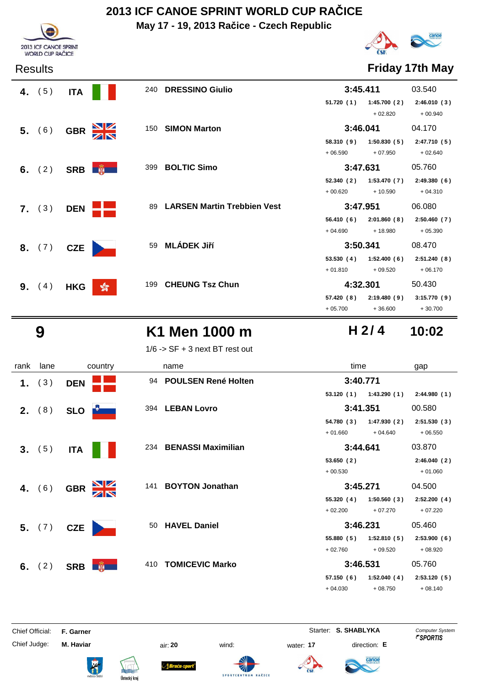**May 17 - 19, 2013 Račice - Czech Republic**



2013 ICF CANOE SPRINT<br>WORLD CUP RAČICE

### Results **Friday 17th May**

| 4. $(5)$        | <b>ITA</b> |                                        | 240 DRESSINO Giulio                | 3:45.411                |                          | 03.540                   |
|-----------------|------------|----------------------------------------|------------------------------------|-------------------------|--------------------------|--------------------------|
|                 |            |                                        |                                    | 51.720 (1)              | 1:45.700(2)<br>$+02.820$ | 2:46.010(3)<br>$+00.940$ |
| 5. (6)          | <b>GBR</b> | $\frac{\mathbf{N}}{\mathbf{N}}$<br>150 | <b>SIMON Marton</b>                | 3:46.041                |                          | 04.170                   |
|                 |            |                                        |                                    | 58.310 (9)<br>$+06.590$ | 1:50.830(5)<br>$+07.950$ | 2:47.710(5)<br>$+02.640$ |
| 6. $(2)$        |            | 399<br>SRB <b>No. 1</b>                | <b>BOLTIC Simo</b>                 | 3:47.631                |                          | 05.760                   |
|                 |            |                                        |                                    | 52.340(2)               | 1:53.470(7)              | 2:49.380(6)              |
|                 |            |                                        |                                    | $+00.620$               | $+10.590$                | $+04.310$                |
| 7. (3)          | <b>DEN</b> | 89                                     | <b>LARSEN Martin Trebbien Vest</b> | 3:47.951                |                          | 06.080                   |
|                 |            |                                        |                                    |                         |                          |                          |
|                 |            |                                        |                                    | 56.410 (6)              | 2:01.860(8)              | 2:50.460(7)              |
|                 |            |                                        |                                    | $+04.690$               | $+18.980$                | $+05.390$                |
| 8. (7)          | <b>CZE</b> | 59                                     | <b>MLÁDEK Jiří</b>                 | 3:50.341                |                          | 08.470                   |
|                 |            |                                        |                                    | 53.530(4)               | 1:52.400(6)              | 2:51.240(8)              |
|                 |            |                                        |                                    | $+01.810$               | $+09.520$                | $+06.170$                |
| <b>9.</b> $(4)$ | <b>HKG</b> | 199                                    | <b>CHEUNG Tsz Chun</b>             | 4:32.301                |                          | 50.430                   |
|                 |            | $\frac{1}{200}$                        |                                    | 57.420 (8)              | 2:19.480(9)              | 3:15.770(9)              |

## **9 K1 Men 1000 m 10:02**

 $1/6$  ->  $SF + 3$  next BT rest out

| rank | lane            | country                                | name                             | time                      | gap         |
|------|-----------------|----------------------------------------|----------------------------------|---------------------------|-------------|
| 1.   | (3)             | <b>DEN</b>                             | <b>POULSEN René Holten</b><br>94 | 3:40.771                  |             |
|      |                 |                                        |                                  | 1:43.290(1)<br>53.120 (1) | 2:44.980(1) |
|      | <b>2.</b> $(8)$ | <b>SLO</b>                             | 394 LEBAN Lovro                  | 3:41.351                  | 00.580      |
|      |                 |                                        |                                  | 1:47.930(2)<br>54.780 (3) | 2:51.530(3) |
|      |                 |                                        |                                  | $+01.660$<br>$+04.640$    | $+06.550$   |
|      | 3. (5)          | <b>ITA</b>                             | 234 BENASSI Maximilian           | 3:44.641                  | 03.870      |
|      |                 |                                        |                                  | 53.650(2)                 | 2:46.040(2) |
|      |                 |                                        |                                  | $+00.530$                 | $+01.060$   |
|      | 4. $(6)$        | XK<br>X<br><b>GBR</b>                  | <b>BOYTON Jonathan</b><br>141    | 3:45.271                  | 04.500      |
|      |                 |                                        |                                  | 1:50.560(3)<br>55.320 (4) | 2:52.200(4) |
|      |                 |                                        |                                  | $+02.200$<br>$+07.270$    | $+07.220$   |
|      | 5. (7)          | <b>CZE</b>                             | <b>HAVEL Daniel</b><br>50        | 3:46.231                  | 05.460      |
|      |                 |                                        |                                  | 1:52.810(5)<br>55.880(5)  | 2:53.900(6) |
|      |                 |                                        |                                  | $+02.760$<br>$+09.520$    | $+08.920$   |
| 6.   | (2)             | <b>PERSONAL PROPERTY</b><br><b>SRB</b> | <b>TOMICEVIC Marko</b><br>410    | 3:46.531                  | 05.760      |
|      |                 |                                        |                                  | 57.150(6)<br>1:52.040(4)  | 2:53.120(5) |
|      |                 |                                        |                                  | $+04.030$<br>$+08.750$    | $+08.140$   |

Chief Official: **F. Garner** System **Starter: S. SHABLYKA** Computer System

Chief Judge: **M. Haviar** air: **20** wind: water: **17** direction: **E**











**H 2/ 4**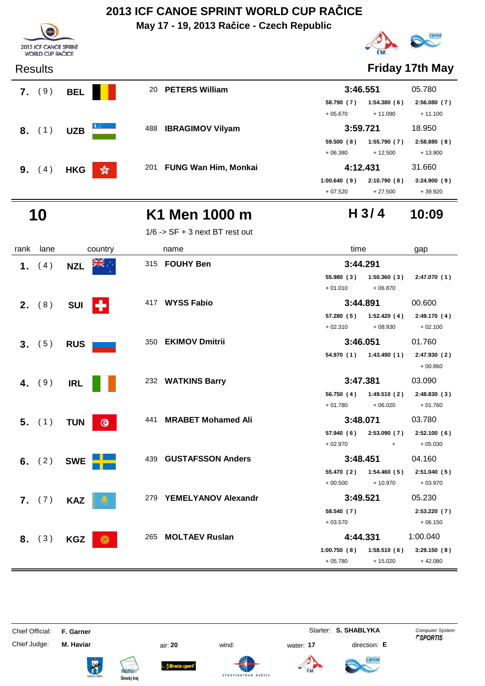**May 17 - 19, 2013 Račice - Czech Republic**



# canoe

### Results **Friday 17th May**

| 9)<br>7. | <b>BEL</b> |                 |     |                             |                   |             | 05.780                           |
|----------|------------|-----------------|-----|-----------------------------|-------------------|-------------|----------------------------------|
|          |            |                 |     |                             | 58.790 (7)        | 1:54.380(6) | 2:56.080(7)                      |
|          |            |                 |     |                             | $+05.670$         | $+11.090$   | $+11.100$                        |
| $8.$ (1) | <b>UZB</b> | $\epsilon$      | 488 | <b>IBRAGIMOV Vilyam</b>     |                   |             | 18.950                           |
|          |            |                 |     |                             | 59.500(8)         | 1:55.790(7) | 2:58.880(8)                      |
|          |            |                 |     |                             | $+06.380$         | $+12.500$   | $+13.900$                        |
| (4)      | <b>HKG</b> | $\frac{1}{200}$ | 201 | <b>FUNG Wan Him, Monkai</b> |                   |             | 31.660                           |
|          |            |                 |     |                             | 1:00.640(9)       | 2:10.790(8) | 3:24.900(9)                      |
|          |            |                 |     |                             | 20 PETERS William |             | 3:46.551<br>3:59.721<br>4:12.431 |

## **10 K1 Men 1000 m 10:09**

1/6 -> SF + 3 next BT rest out

| rank | lane            | country               | name                             | time                       | gap         |
|------|-----------------|-----------------------|----------------------------------|----------------------------|-------------|
| 1.   | (4)             | ▓▓<br><b>NZL</b>      | 315 FOUHY Ben                    | 3:44.291                   |             |
|      |                 |                       |                                  | 55.980(3)<br>1:50.360(3)   | 2:47.070(1) |
|      |                 |                       |                                  | $+01.010$<br>$+06.870$     |             |
|      | <b>2.</b> $(8)$ | H.<br><b>SUI</b>      | 417 WYSS Fabio                   | 3:44.891                   | 00.600      |
|      |                 |                       |                                  | $57.280(5)$ $1:52.420(4)$  | 2:49.170(4) |
|      |                 |                       |                                  | $+08.930$<br>$+02.310$     | $+02.100$   |
|      | 3. (5)          | <b>RUS</b>            | 350 EKIMOV Dmitrii               | 3:46.051                   | 01.760      |
|      |                 |                       |                                  | $54.970(1)$ $1:43.490(1)$  | 2:47.930(2) |
|      |                 |                       |                                  |                            | $+00.860$   |
|      | 4. (9)          | <b>IRL</b>            | 232 WATKINS Barry                | 3:47.381                   | 03.090      |
|      |                 |                       |                                  | 56.750 (4) 1:49.510 (2)    | 2:48.830(3) |
|      |                 |                       |                                  | $+06.020$<br>$+01.780$     | $+01.760$   |
|      | $5.$ (1)        | <b>TUN</b><br>$\odot$ | <b>MRABET Mohamed Ali</b><br>441 | 3:48.071                   | 03.780      |
|      |                 |                       |                                  | 2:53.090(7)<br>57.940 (6)  | 2:52.100(6) |
|      |                 |                       |                                  | $+02.970$<br>$+$           | $+05.030$   |
|      | 6. $(2)$        | <b>SWE</b>            | <b>GUSTAFSSON Anders</b><br>439  | 3:48.451                   | 04.160      |
|      |                 |                       |                                  | 1:54.460(5)<br>55.470 (2)  | 2:51.040(5) |
|      |                 |                       |                                  | $+00.500$<br>$+10.970$     | $+03.970$   |
|      | <b>7.</b> $(7)$ | <b>KAZ</b>            | 279 YEMELYANOV Alexandr          | 3:49.521                   | 05.230      |
|      |                 |                       |                                  | 58.540 (7)                 | 2:53.220(7) |
|      |                 |                       |                                  | $+03.570$                  | $+06.150$   |
|      | 8. (3)          | <b>KGZ</b><br>$\odot$ | <b>MOLTAEV Ruslan</b><br>265     | 4:44.331                   | 1:00.040    |
|      |                 |                       |                                  | 1:00.750(8)<br>1:58.510(6) | 3:29.150(8) |
|      |                 |                       |                                  | $+05.780$<br>$+15.020$     | $+42.080$   |

Chief Official: **F. Garner** System **Starter: S. SHABLYKA** Computer System

Chief Judge: **M. Haviar** air: **20** wind: water: **17** direction: **E**

ł















+ 07.520 + 27.500 + 39.920

**H 3/ 4**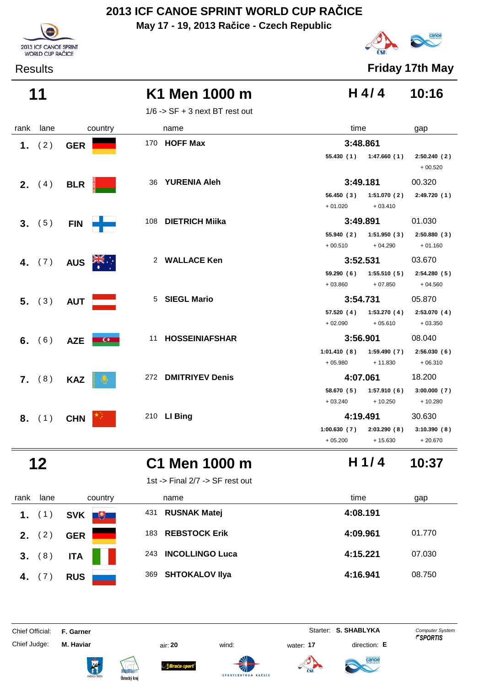**May 17 - 19, 2013 Račice - Czech Republic**





Results **Friday 17th May**

| K1 Men 1000 m<br>11 | H 4/4 10:16 |  |
|---------------------|-------------|--|
|---------------------|-------------|--|

 $1/6$  -> SF + 3 next BT rest out

| rank | lane            | country               | name               |                     | time                                              | gap                      |
|------|-----------------|-----------------------|--------------------|---------------------|---------------------------------------------------|--------------------------|
|      | 1. $(2)$        | <b>GER</b>            | 170 HOFF Max       |                     | 3:48.861                                          |                          |
|      |                 |                       |                    |                     | $55.430(1)$ 1:47.660(1)                           | 2:50.240(2)<br>$+00.520$ |
|      | <b>2.</b> $(4)$ | <b>BLR</b>            | 36 YURENIA Aleh    |                     | 3:49.181                                          | 00.320                   |
|      |                 |                       |                    |                     | 56.450 (3) 1:51.070 (2)                           | 2:49.720 (1)             |
|      |                 |                       |                    |                     | $+01.020$<br>$+03.410$                            |                          |
|      | 3. (5)          | <b>FIN</b>            | 108 DIETRICH Miika |                     | 3:49.891                                          | 01.030                   |
|      |                 |                       |                    |                     | $55.940(2)$ 1:51.950(3)<br>$+00.510$<br>$+04.290$ | 2:50.880(3)<br>$+01.160$ |
|      | 4. $(7)$        | AUS <b>ZIS</b>        |                    | 2 WALLACE Ken       | 3:52.531                                          | 03.670                   |
|      |                 |                       |                    |                     | $59.290(6)$ 1:55.510(5)<br>$+03.860$<br>$+07.850$ | 2:54.280(5)<br>$+04.560$ |
|      | 5. (3)          | AUT L                 | 5 SIEGL Mario      |                     | 3:54.731                                          | 05.870                   |
|      |                 |                       |                    |                     | 57.520 (4) 1:53.270 (4)<br>$+05.610$<br>$+02.090$ | 2:53.070(4)<br>$+03.350$ |
|      | 6. $(6)$        | AZE  <br>$\mathbf{G}$ |                    | 11 HOSSEINIAFSHAR   | 3:56.901                                          | 08.040                   |
|      |                 |                       |                    |                     | 1:59.490 (7)<br>1:01.410(8)                       | 2:56.030(6)              |
|      |                 |                       |                    |                     | $+05.980$<br>$+11.830$                            | $+06.310$                |
|      | 7. (8)          | <b>KAZ</b>            |                    | 272 DMITRIYEV Denis | 4:07.061                                          | 18.200                   |
|      |                 |                       |                    |                     | 58.670 (5) 1:57.910 (6)                           | 3:00.000(7)              |
|      |                 |                       |                    |                     | $+10.250$<br>$+03.240$                            | $+10.280$                |
|      | 8. (1)          | <b>CHN</b>            | 210 LI Bing        |                     | 4:19.491                                          | 30.630                   |
|      |                 |                       |                    |                     | 1:00.630(7)<br>2:03.290(8)                        | 3:10.390(8)              |
|      |                 |                       |                    |                     | $+05.200$<br>$+15.630$                            | $+20.670$                |

## **12 C1 Men 1000 m 10:37**

1st -> Final 2/7 -> SF rest out



ł

|  |  | 51 -> 1 111 a1 4 / 1 -> 31 1 1 c51 0 u1 |
|--|--|-----------------------------------------|
|  |  |                                         |
|  |  |                                         |

| rank     | lane | country           | name                          | time<br>gap        |  |
|----------|------|-------------------|-------------------------------|--------------------|--|
| 1. $(1)$ |      | $+$<br><b>SVK</b> | <b>RUSNAK Matej</b><br>431    | 4:08.191           |  |
| 2.       | (2)  | <b>GER</b>        | <b>REBSTOCK Erik</b><br>183   | 4:09.961<br>01.770 |  |
| 3. (8)   |      | <b>ITA</b>        | <b>INCOLLINGO Luca</b><br>243 | 4:15.221<br>07.030 |  |
| 4.       |      | <b>RUS</b>        | <b>SHTOKALOV IIya</b><br>369  | 4:16.941<br>08.750 |  |

Chief Judge: **M. Haviar** air: **20** wind: water: **17** direction: **E**







**SPORTCENTRUM** 

RAČICE





**H 1/ 4**

Chief Official: **F. Garner** System **Starter: S. SHABLYKA** Computer System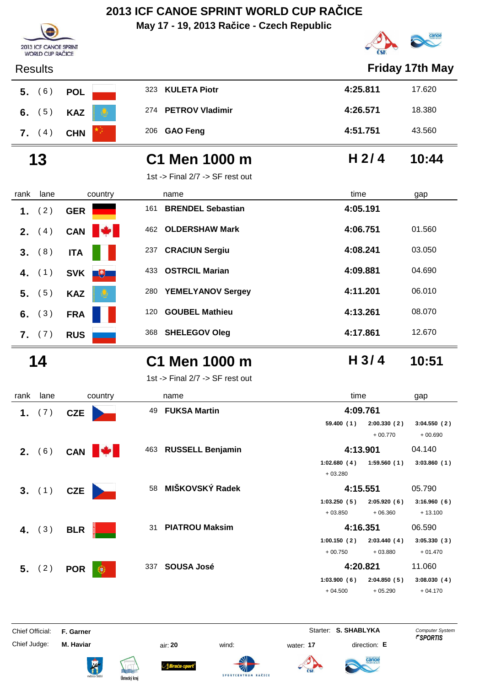**May 17 - 19, 2013 Račice - Czech Republic**



| <b>Friday 17th May</b><br><b>Results</b><br><b>KULETA Piotr</b><br>4:25.811<br>323<br>17.620<br>(6)<br><b>POL</b><br>5.<br>274 PETROV Vladimir<br>4:26.571<br>18.380<br>(5)<br>6.<br><b>KAZ</b><br>4:51.751<br>43.560<br><b>GAO Feng</b><br>206<br><b>7.</b> $(4)$<br><b>CHN</b><br>H 2/4<br>13<br>10:44<br>C1 Men 1000 m<br>1st -> Final 2/7 -> SF rest out<br>lane<br>time<br>rank<br>country<br>name<br>gap<br><b>BRENDEL Sebastian</b><br>4:05.191<br>161<br>(2)<br>1.<br><b>GER</b><br><b>OLDERSHAW Mark</b><br>4:06.751<br>01.560<br>462<br><b>CAN</b><br>(4)<br>2.<br>4:08.241<br>03.050<br><b>CRACIUN Sergiu</b><br>237<br>(8)<br>3.<br><b>ITA</b><br><b>OSTRCIL Marian</b><br>4:09.881<br>04.690<br>433<br>(1)<br><b>SVK</b><br>4.<br>$+$<br>4:11.201<br>06.010<br><b>YEMELYANOV Sergey</b><br>280<br>(5)<br>5.<br><b>KAZ</b><br>4:13.261<br>08.070<br><b>GOUBEL Mathieu</b><br>120<br>(3)<br>6.<br><b>FRA</b><br>4:17.861<br>12.670<br><b>SHELEGOV Oleg</b><br>368<br>7. (7)<br><b>RUS</b><br>H <sub>3/4</sub><br>C1 Men 1000 m<br>14<br>10:51<br>1st -> Final $2/7$ -> SF rest out<br>lane<br>time<br>rank<br>country<br>name<br>gap<br>49 FUKSA Martin<br>4:09.761<br>1. $(7)$<br><b>CZE</b><br>59.400(1)<br>2:00.330(2)<br>3:04.550(2)<br>$+00.770$<br>$+00.690$<br>463 RUSSELL Benjamin<br>4:13.901<br>2. (6) CAN<br>04.140<br>1:02.680(4)<br>1:59.560(1)<br>3:03.860(1)<br>$+03.280$<br>58 MIŠKOVSKÝ Radek<br>05.790<br>4:15.551<br>3. $(1)$ CZE<br>1:03.250(5)<br>2:05.920(6)<br>3:16.960(6)<br>$+03.850$<br>$+06.360$<br>$+13.100$<br>31 PIATROU Maksim<br>4:16.351<br>06.590<br>4. $(3)$<br><b>BLR</b><br>1:00.150(2)<br>2:03.440(4)<br>3:05.330(3)<br>$+00.750$<br>$+03.880$<br>$+01.470$<br>4:20.821<br>11.060<br>337 SOUSA José<br><b>5.</b> (2) <b>POR</b><br>$_{\odot}$<br>2:04.850(5)<br>1:03.900(6)<br>3:08.030(4)<br>$+05.290$<br>$+04.500$<br>$+04.170$ | 2013 ICF CANOE SPRINT<br><b>WORLD CUP RAČICE</b> |  |                      | $\sim$                 |
|------------------------------------------------------------------------------------------------------------------------------------------------------------------------------------------------------------------------------------------------------------------------------------------------------------------------------------------------------------------------------------------------------------------------------------------------------------------------------------------------------------------------------------------------------------------------------------------------------------------------------------------------------------------------------------------------------------------------------------------------------------------------------------------------------------------------------------------------------------------------------------------------------------------------------------------------------------------------------------------------------------------------------------------------------------------------------------------------------------------------------------------------------------------------------------------------------------------------------------------------------------------------------------------------------------------------------------------------------------------------------------------------------------------------------------------------------------------------------------------------------------------------------------------------------------------------------------------------------------------------------------------------------------------------------------------------------------------------------------------------------------------------------------------------------------------------------------------------------------------------------------|--------------------------------------------------|--|----------------------|------------------------|
|                                                                                                                                                                                                                                                                                                                                                                                                                                                                                                                                                                                                                                                                                                                                                                                                                                                                                                                                                                                                                                                                                                                                                                                                                                                                                                                                                                                                                                                                                                                                                                                                                                                                                                                                                                                                                                                                                    |                                                  |  |                      |                        |
|                                                                                                                                                                                                                                                                                                                                                                                                                                                                                                                                                                                                                                                                                                                                                                                                                                                                                                                                                                                                                                                                                                                                                                                                                                                                                                                                                                                                                                                                                                                                                                                                                                                                                                                                                                                                                                                                                    |                                                  |  |                      |                        |
|                                                                                                                                                                                                                                                                                                                                                                                                                                                                                                                                                                                                                                                                                                                                                                                                                                                                                                                                                                                                                                                                                                                                                                                                                                                                                                                                                                                                                                                                                                                                                                                                                                                                                                                                                                                                                                                                                    |                                                  |  |                      |                        |
|                                                                                                                                                                                                                                                                                                                                                                                                                                                                                                                                                                                                                                                                                                                                                                                                                                                                                                                                                                                                                                                                                                                                                                                                                                                                                                                                                                                                                                                                                                                                                                                                                                                                                                                                                                                                                                                                                    |                                                  |  |                      |                        |
|                                                                                                                                                                                                                                                                                                                                                                                                                                                                                                                                                                                                                                                                                                                                                                                                                                                                                                                                                                                                                                                                                                                                                                                                                                                                                                                                                                                                                                                                                                                                                                                                                                                                                                                                                                                                                                                                                    |                                                  |  |                      |                        |
|                                                                                                                                                                                                                                                                                                                                                                                                                                                                                                                                                                                                                                                                                                                                                                                                                                                                                                                                                                                                                                                                                                                                                                                                                                                                                                                                                                                                                                                                                                                                                                                                                                                                                                                                                                                                                                                                                    |                                                  |  |                      |                        |
|                                                                                                                                                                                                                                                                                                                                                                                                                                                                                                                                                                                                                                                                                                                                                                                                                                                                                                                                                                                                                                                                                                                                                                                                                                                                                                                                                                                                                                                                                                                                                                                                                                                                                                                                                                                                                                                                                    |                                                  |  |                      |                        |
|                                                                                                                                                                                                                                                                                                                                                                                                                                                                                                                                                                                                                                                                                                                                                                                                                                                                                                                                                                                                                                                                                                                                                                                                                                                                                                                                                                                                                                                                                                                                                                                                                                                                                                                                                                                                                                                                                    |                                                  |  |                      |                        |
|                                                                                                                                                                                                                                                                                                                                                                                                                                                                                                                                                                                                                                                                                                                                                                                                                                                                                                                                                                                                                                                                                                                                                                                                                                                                                                                                                                                                                                                                                                                                                                                                                                                                                                                                                                                                                                                                                    |                                                  |  |                      |                        |
|                                                                                                                                                                                                                                                                                                                                                                                                                                                                                                                                                                                                                                                                                                                                                                                                                                                                                                                                                                                                                                                                                                                                                                                                                                                                                                                                                                                                                                                                                                                                                                                                                                                                                                                                                                                                                                                                                    |                                                  |  |                      |                        |
|                                                                                                                                                                                                                                                                                                                                                                                                                                                                                                                                                                                                                                                                                                                                                                                                                                                                                                                                                                                                                                                                                                                                                                                                                                                                                                                                                                                                                                                                                                                                                                                                                                                                                                                                                                                                                                                                                    |                                                  |  |                      |                        |
|                                                                                                                                                                                                                                                                                                                                                                                                                                                                                                                                                                                                                                                                                                                                                                                                                                                                                                                                                                                                                                                                                                                                                                                                                                                                                                                                                                                                                                                                                                                                                                                                                                                                                                                                                                                                                                                                                    |                                                  |  |                      |                        |
|                                                                                                                                                                                                                                                                                                                                                                                                                                                                                                                                                                                                                                                                                                                                                                                                                                                                                                                                                                                                                                                                                                                                                                                                                                                                                                                                                                                                                                                                                                                                                                                                                                                                                                                                                                                                                                                                                    |                                                  |  |                      |                        |
|                                                                                                                                                                                                                                                                                                                                                                                                                                                                                                                                                                                                                                                                                                                                                                                                                                                                                                                                                                                                                                                                                                                                                                                                                                                                                                                                                                                                                                                                                                                                                                                                                                                                                                                                                                                                                                                                                    |                                                  |  |                      |                        |
|                                                                                                                                                                                                                                                                                                                                                                                                                                                                                                                                                                                                                                                                                                                                                                                                                                                                                                                                                                                                                                                                                                                                                                                                                                                                                                                                                                                                                                                                                                                                                                                                                                                                                                                                                                                                                                                                                    |                                                  |  |                      |                        |
|                                                                                                                                                                                                                                                                                                                                                                                                                                                                                                                                                                                                                                                                                                                                                                                                                                                                                                                                                                                                                                                                                                                                                                                                                                                                                                                                                                                                                                                                                                                                                                                                                                                                                                                                                                                                                                                                                    |                                                  |  |                      |                        |
|                                                                                                                                                                                                                                                                                                                                                                                                                                                                                                                                                                                                                                                                                                                                                                                                                                                                                                                                                                                                                                                                                                                                                                                                                                                                                                                                                                                                                                                                                                                                                                                                                                                                                                                                                                                                                                                                                    |                                                  |  |                      |                        |
|                                                                                                                                                                                                                                                                                                                                                                                                                                                                                                                                                                                                                                                                                                                                                                                                                                                                                                                                                                                                                                                                                                                                                                                                                                                                                                                                                                                                                                                                                                                                                                                                                                                                                                                                                                                                                                                                                    |                                                  |  |                      |                        |
|                                                                                                                                                                                                                                                                                                                                                                                                                                                                                                                                                                                                                                                                                                                                                                                                                                                                                                                                                                                                                                                                                                                                                                                                                                                                                                                                                                                                                                                                                                                                                                                                                                                                                                                                                                                                                                                                                    |                                                  |  |                      |                        |
|                                                                                                                                                                                                                                                                                                                                                                                                                                                                                                                                                                                                                                                                                                                                                                                                                                                                                                                                                                                                                                                                                                                                                                                                                                                                                                                                                                                                                                                                                                                                                                                                                                                                                                                                                                                                                                                                                    |                                                  |  |                      |                        |
|                                                                                                                                                                                                                                                                                                                                                                                                                                                                                                                                                                                                                                                                                                                                                                                                                                                                                                                                                                                                                                                                                                                                                                                                                                                                                                                                                                                                                                                                                                                                                                                                                                                                                                                                                                                                                                                                                    |                                                  |  |                      |                        |
|                                                                                                                                                                                                                                                                                                                                                                                                                                                                                                                                                                                                                                                                                                                                                                                                                                                                                                                                                                                                                                                                                                                                                                                                                                                                                                                                                                                                                                                                                                                                                                                                                                                                                                                                                                                                                                                                                    |                                                  |  |                      |                        |
|                                                                                                                                                                                                                                                                                                                                                                                                                                                                                                                                                                                                                                                                                                                                                                                                                                                                                                                                                                                                                                                                                                                                                                                                                                                                                                                                                                                                                                                                                                                                                                                                                                                                                                                                                                                                                                                                                    |                                                  |  |                      |                        |
|                                                                                                                                                                                                                                                                                                                                                                                                                                                                                                                                                                                                                                                                                                                                                                                                                                                                                                                                                                                                                                                                                                                                                                                                                                                                                                                                                                                                                                                                                                                                                                                                                                                                                                                                                                                                                                                                                    |                                                  |  |                      |                        |
|                                                                                                                                                                                                                                                                                                                                                                                                                                                                                                                                                                                                                                                                                                                                                                                                                                                                                                                                                                                                                                                                                                                                                                                                                                                                                                                                                                                                                                                                                                                                                                                                                                                                                                                                                                                                                                                                                    |                                                  |  |                      |                        |
|                                                                                                                                                                                                                                                                                                                                                                                                                                                                                                                                                                                                                                                                                                                                                                                                                                                                                                                                                                                                                                                                                                                                                                                                                                                                                                                                                                                                                                                                                                                                                                                                                                                                                                                                                                                                                                                                                    |                                                  |  |                      |                        |
|                                                                                                                                                                                                                                                                                                                                                                                                                                                                                                                                                                                                                                                                                                                                                                                                                                                                                                                                                                                                                                                                                                                                                                                                                                                                                                                                                                                                                                                                                                                                                                                                                                                                                                                                                                                                                                                                                    |                                                  |  |                      |                        |
| Chief Official:<br>F. Garner<br><b>ECDOPTIC</b>                                                                                                                                                                                                                                                                                                                                                                                                                                                                                                                                                                                                                                                                                                                                                                                                                                                                                                                                                                                                                                                                                                                                                                                                                                                                                                                                                                                                                                                                                                                                                                                                                                                                                                                                                                                                                                    |                                                  |  | Starter: S. SHABLYKA | <b>Computer System</b> |

Chief Judge: **M. Haviar air: 20** wind: water: **17** direction: **E** 

Ústecký kraj

H









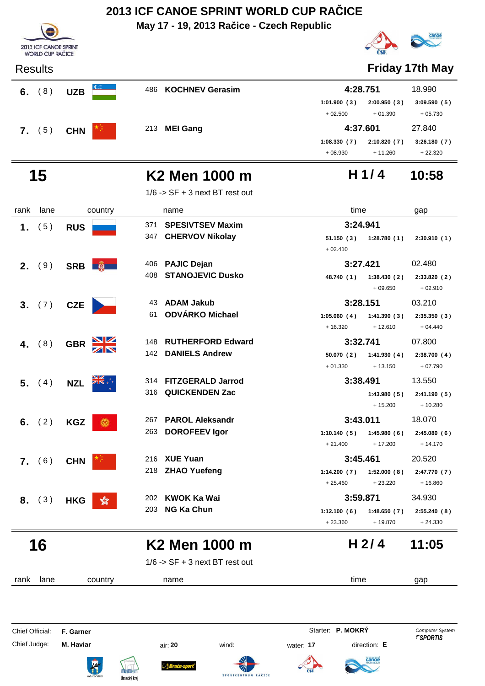|                |                                                  |                             | May 17 - 19, 2013 Račice - Czech Republic |                                                      |                           |
|----------------|--------------------------------------------------|-----------------------------|-------------------------------------------|------------------------------------------------------|---------------------------|
|                | 2013 ICF CANOE SPRINT<br><b>WORLD CUP RAČICE</b> |                             |                                           |                                                      |                           |
| <b>Results</b> |                                                  |                             |                                           |                                                      | <b>Friday 17th May</b>    |
|                | 6. $(8)$                                         | <b>UZB</b>                  | 486 KOCHNEV Gerasim                       | 4:28.751                                             | 18.990                    |
|                |                                                  |                             |                                           | 2:00.950(3)<br>1:01.900(3)<br>$+01.390$<br>$+02.500$ | 3:09.590(5)<br>$+05.730$  |
|                | 7. (5)                                           | <b>CHN</b>                  | 213 MEI Gang                              | 4:37.601                                             | 27.840                    |
|                |                                                  |                             |                                           | 2:10.820(7)<br>1:08.330(7)<br>$+08.930$<br>$+11.260$ | 3:26.180(7)<br>$+22.320$  |
|                | 15                                               |                             | K2 Men 1000 m                             | H $1/4$                                              | 10:58                     |
|                |                                                  |                             | $1/6$ -> SF + 3 next BT rest out          |                                                      |                           |
| rank           | lane                                             | country                     | name                                      | time                                                 | gap                       |
| 1.             | (5)                                              | <b>RUS</b>                  | <b>SPESIVTSEV Maxim</b><br>371            | 3:24.941                                             |                           |
|                |                                                  |                             | <b>CHERVOV Nikolay</b><br>347             | 51.150(3)<br>1:28.780(1)<br>$+02.410$                | 2:30.910(1)               |
| 2.             | (9)                                              | SRB <b>蘭</b>                | <b>PAJIC Dejan</b><br>406                 | 3:27.421                                             | 02.480                    |
|                |                                                  |                             | <b>STANOJEVIC Dusko</b><br>408            | 48.740 (1)<br>1:38.430(2)<br>$+09.650$               | 2:33.820 (2)<br>$+02.910$ |
| 3 <sub>1</sub> | (7)                                              | <b>CZE</b>                  | <b>ADAM Jakub</b><br>43                   | 3:28.151                                             | 03.210                    |
|                |                                                  |                             | <b>ODVÁRKO Michael</b><br>61              | 1:05.060(4)<br>1:41.390(3)<br>$+16.320$<br>$+12.610$ | 2:35.350(3)<br>$+04.440$  |
| 4.             | (8)                                              | <b>GBR</b>                  | <b>RUTHERFORD Edward</b><br>148           | 3:32.741                                             | 07.800                    |
|                |                                                  |                             | <b>DANIELS Andrew</b><br>142              | 50.070(2)<br>1:41.930(4)<br>$+01.330$<br>$+13.150$   | 2:38.700(4)<br>$+07.790$  |
| 5.             | (4)                                              | <b>NZI</b>                  | 314 FITZGERALD Jarrod                     | 3:38.491                                             | 13.550                    |
|                |                                                  |                             | 316 QUICKENDEN Zac                        | 1:43.980(5)<br>$+15.200$                             | 2:41.190(5)<br>$+10.280$  |
|                | 6. $(2)$                                         | <b>KGZ</b><br>$\bigcirc$    | <b>PAROL Aleksandr</b><br>267             | 3:43.011                                             | 18.070                    |
|                |                                                  |                             | <b>DOROFEEV Igor</b><br>263               | 1:10.140(5)<br>1:45.980(6)<br>$+17.200$<br>$+21.400$ | 2:45.080(6)<br>$+14.170$  |
|                | 7. (6)                                           | <b>CHN</b>                  | 216 XUE Yuan                              | 3:45.461                                             | 20.520                    |
|                |                                                  |                             | 218 ZHAO Yuefeng                          | 1:14.200(7)<br>1:52.000(8)<br>$+25.460$<br>$+23.220$ | 2:47.770 (7)<br>$+16.860$ |
| 8.             | (3)                                              | <b>HKG</b><br>$\sqrt[6]{3}$ | 202 KWOK Ka Wai                           | 3:59.871                                             | 34.930                    |
|                |                                                  |                             | 203 NG Ka Chun                            | 1:12.100(6)<br>1:48.650(7)<br>$+23.360$<br>+ 19.870  | 2:55.240 (8)<br>$+24.330$ |
|                | 16                                               |                             | K2 Men 1000 m                             | H <sub>2/4</sub>                                     | 11:05                     |
|                |                                                  |                             | $1/6$ -> SF + 3 next BT rest out          |                                                      |                           |
| rank           | lane                                             | country                     | name                                      | time                                                 | gap                       |
|                |                                                  |                             |                                           |                                                      |                           |

Chief Official: **F. Garner** System **F. Garner** System **P. MOKRY** Computer System

Chief Judge: **M. Haviar** air: **20** wind: water: **17** direction: **E**

R













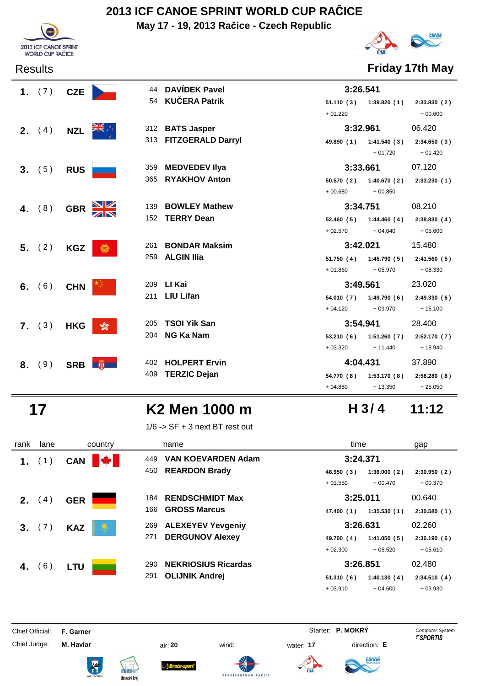**May 17 - 19, 2013 Račice - Czech Republic**





Results **Friday 17th May**

|    | 1. $(7)$ | <b>CZE</b> |                       | 44 DAVÍDEK Pavel      | 3:26.541   |                           |             |
|----|----------|------------|-----------------------|-----------------------|------------|---------------------------|-------------|
|    |          |            |                       | 54 KUČERA Patrik      |            | $51.110(3)$ $1:39.820(1)$ | 2:33.830(2) |
|    |          |            |                       |                       | $+01.220$  |                           | $+00.600$   |
|    | 2. (4)   | <b>NZL</b> | त्रँह⊹                | 312 BATS Jasper       | 3:32.961   |                           | 06.420      |
|    |          |            |                       | 313 FITZGERALD Darryl |            | 49.890 (1) 1:41.540 (3)   | 2:34.650(3) |
|    |          |            |                       |                       |            | $+01.720$                 | $+01.420$   |
|    | 3. (5)   | <b>RUS</b> |                       | 359 MEDVEDEV Ilya     | 3:33.661   |                           | 07.120      |
|    |          |            |                       | 365 RYAKHOV Anton     | 50.570 (2) | 1:40.670(2)               | 2:33.230(1) |
|    |          |            |                       |                       | $+00.680$  | $+00.850$                 |             |
| 4. | (8)      | <b>GBR</b> | 139                   | <b>BOWLEY Mathew</b>  | 3:34.751   |                           | 08.210      |
|    |          |            |                       | 152 TERRY Dean        | 52.460 (5) | 1:44.460(4)               | 2:38.830(4) |
|    |          |            |                       |                       | $+02.570$  | $+04.640$                 | $+05.600$   |
|    |          |            |                       |                       |            |                           |             |
|    |          |            | 261                   | <b>BONDAR Maksim</b>  | 3:42.021   |                           | 15.480      |
|    | 5. (2)   | <b>KGZ</b> | ۵                     | 259 ALGIN Ilia        |            | $51.750(4)$ $1:45.790(5)$ | 2:41.560(5) |
|    |          |            |                       |                       | $+01.860$  | $+05.970$                 | $+08.330$   |
|    |          |            |                       | 209 LI Kai            | 3:49.561   |                           | 23.020      |
|    | 6. $(6)$ | <b>CHN</b> |                       | 211 LIU Lifan         |            | 54.010 (7) 1:49.790 (6)   | 2:49.330(6) |
|    |          |            |                       |                       | $+04.120$  | $+09.970$                 | $+16.100$   |
|    |          |            | 205                   | <b>TSOI Yik San</b>   | 3:54.941   |                           | 28.400      |
|    | 7. (3)   | <b>HKG</b> | $\sqrt[6]{3}$<br>204  | <b>NG Ka Nam</b>      | 53.210(6)  | 1:51.260(7)               | 2:52.170(7) |
|    |          |            |                       |                       | $+03.320$  | $+ 11.440$                | $+18.940$   |
| 8. |          |            |                       | 402 HOLPERT Ervin     | 4:04.431   |                           | 37.890      |
|    | (9)      |            | SRB <b>NEW</b><br>409 | <b>TERZIC Dejan</b>   |            | 54.770 (8) 1:53.170 (8)   | 2:58.280(8) |

## **17 K2 Men 1000 m 11:12**

1/6 -> SF + 3 next BT rest out

| rank | lane           | country         | name                              | time                      | gap         |
|------|----------------|-----------------|-----------------------------------|---------------------------|-------------|
|      | (1)            | M<br><b>CAN</b> | <b>VAN KOEVARDEN Adam</b><br>449  | 3:24.371                  |             |
|      |                |                 | <b>REARDON Brady</b><br>450       | 48.950 (3)<br>1:36.000(2) | 2:30.950(2) |
|      |                |                 |                                   | $+01.550$<br>$+00.470$    | $+00.370$   |
| 2.   | 4)             | <b>GER</b>      | <b>RENDSCHMIDT Max</b><br>184     | 3:25.011                  | 00.640      |
|      |                |                 | <b>GROSS Marcus</b><br>166        | 1:35.530(1)<br>47.400 (1) | 2:30.580(1) |
| 3.   | (7)            | <b>KAZ</b>      | <b>ALEXEYEV Yevgeniy</b><br>269   | 3:26.631                  | 02.260      |
|      |                |                 | <b>DERGUNOV Alexey</b><br>271     | 1:41.050(5)<br>49.700 (4) | 2:36.190(6) |
|      |                |                 |                                   | $+02.300$<br>$+05.520$    | $+05.610$   |
| 4.   | <sup>6</sup> ) | LTU             | <b>NEKRIOSIUS Ricardas</b><br>290 | 3:26.851                  | 02.480      |
|      |                |                 | <b>OLIJNIK Andrej</b><br>291      | 51.310(6)<br>1:40.130(4)  | 2:34.510(4) |
|      |                |                 |                                   | $+03.910$<br>$+04.600$    | $+03.930$   |

Chief Official: **F. Garner** System **F. Garner** System **P. MOKRY** Computer System

Chief Judge: **M. Haviar** air: **20** wind: water: **17** direction: **E**

ł

**Bruću-s** 







**H 3/ 4**

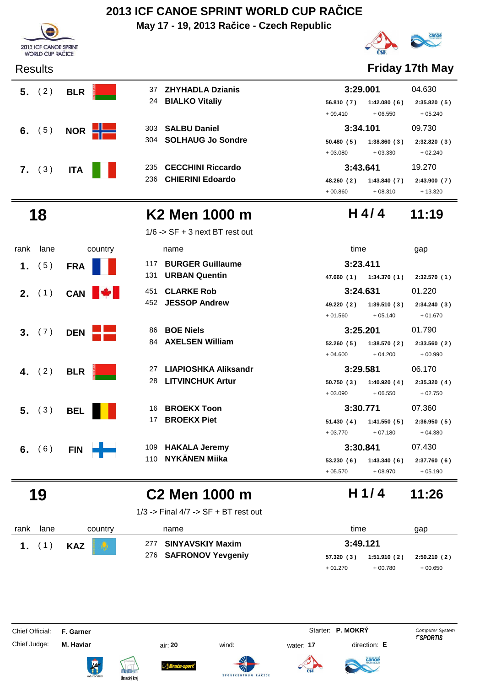**May 17 - 19, 2013 Račice - Czech Republic**





| 24  | <b>BIALKO Vitaliy</b>   | 56.810(7) | 1:42.080(6) | 2:35.820(5) |
|-----|-------------------------|-----------|-------------|-------------|
|     |                         | $+09.410$ | $+06.550$   | $+05.240$   |
|     | 303 SALBU Daniel        | 3:34.101  |             | 09.730      |
|     | 304 SOLHAUG Jo Sondre   | 50.480(5) | 1:38.860(3) | 2:32.820(3) |
|     |                         | $+03.080$ | $+03.330$   | $+02.240$   |
|     | 235 CECCHINI Riccardo   | 3:43.641  |             | 19.270      |
| 236 | <b>CHIERINI Edoardo</b> | 48.260(2) | 1:43.840(7) | 2:43.900(7) |

# canoe

### Results **Friday 17th May**

| 3:29.001   | 04.630                    |             |
|------------|---------------------------|-------------|
|            | 56.810 (7) 1:42.080 (6)   | 2:35.820(5) |
| $+09.410$  | + 06.550                  | $+05.240$   |
| 3:34.101   |                           | 09.730      |
|            | $50.480(5)$ $1:38.860(3)$ | 2:32.820(3) |
| $+03.080$  | $+03.330$                 | $+02.240$   |
| 3:43.641   |                           | 19.270      |
| 48.260 (2) | 1:43.840(7)               | 2:43.900(7) |
| $+00.860$  | $+08.310$                 | $+13.320$   |

### **18 K2 Men 1000 m 11:19 H 4/ 4**

1/6 -> SF + 3 next BT rest out

| rank | lane   | country    |     | name                    | time       |             | gap         |
|------|--------|------------|-----|-------------------------|------------|-------------|-------------|
| 1.   | (5)    | <b>FRA</b> | 117 | <b>BURGER Guillaume</b> |            | 3:23.411    |             |
|      |        |            | 131 | <b>URBAN Quentin</b>    | 47.660 (1) | 1:34.370(1) | 2:32.570(1) |
|      | 2. (1) | <b>CAN</b> | 451 | <b>CLARKE Rob</b>       |            | 3:24.631    | 01.220      |
|      |        |            | 452 | <b>JESSOP Andrew</b>    | 49.220 (2) | 1:39.510(3) | 2:34.240(3) |
|      |        |            |     |                         | $+01.560$  | $+05.140$   | $+01.670$   |
|      | 3. (7) | <b>DEN</b> | 86  | <b>BOE Niels</b>        |            | 3:25.201    | 01.790      |
|      |        |            | 84  | <b>AXELSEN William</b>  | 52.260(5)  | 1:38.570(2) | 2:33.560(2) |
|      |        |            |     |                         | $+04.600$  | $+04.200$   | $+00.990$   |
| 4.   | (2)    | <b>BLR</b> | 27  | LIAPIOSHKA Aliksandr    |            | 3:29.581    | 06.170      |
|      |        |            | 28  | <b>LITVINCHUK Artur</b> | 50.750(3)  | 1:40.920(4) | 2:35.320(4) |
|      |        |            |     |                         | $+03.090$  | $+06.550$   | $+02.750$   |
| 5.   | (3)    | <b>BEL</b> | 16  | <b>BROEKX Toon</b>      |            | 3:30.771    | 07.360      |
|      |        |            | 17  | <b>BROEKX Piet</b>      | 51.430(4)  | 1:41.550(5) | 2:36.950(5) |
|      |        |            |     |                         | $+03.770$  | $+07.180$   | $+04.380$   |
| 6.   | (6)    | <b>FIN</b> | 109 | <b>HAKALA Jeremy</b>    |            | 3:30.841    | 07.430      |
|      |        |            | 110 | <b>NYKÄNEN Miika</b>    | 53.230(6)  | 1:43.340(6) | 2:37.760(6) |
|      |        |            |     |                         | $+05.570$  | $+08.970$   | $+05.190$   |

## **19 C2 Men 1000 m 11:26**

1/3 -> Final 4/7 -> SF + BT rest out

| rank | lane     |            | country      | name                  |            | time     |                | gap          |
|------|----------|------------|--------------|-----------------------|------------|----------|----------------|--------------|
|      | 1. $(1)$ | <b>KAZ</b> | $\mathbf{Q}$ | 277 SINYAVSKIY Maxim  |            | 3:49.121 |                |              |
|      |          |            |              | 276 SAFRONOV Yevgeniy | 57.320 (3) |          | 1:51.910 ( 2 ) | 2:50.210 (2) |
|      |          |            |              |                       | $+01.270$  |          | $+00.780$      | $+00.650$    |

Chief Official: **F. Garner** System **F. Garner** System **P. MOKRY** Computer System

Chief Judge: **M. Haviar** air: **20** wind: water: **17** direction: **E**















**H 1/ 4**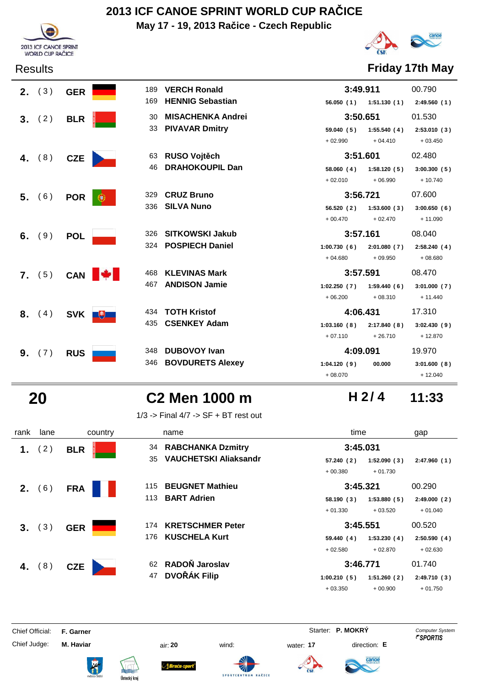**May 17 - 19, 2013 Račice - Czech Republic**





### Results **Friday 17th May**

|    | 2. (3) | <b>GER</b> |       | 189 VERCH Ronald        | 3:49.911                             | 00.790      |
|----|--------|------------|-------|-------------------------|--------------------------------------|-------------|
|    |        |            |       | 169 HENNIG Sebastian    | 56.050 (1) 1:51.130 (1) 2:49.560 (1) |             |
| 3. | (2)    | <b>BLR</b> |       | 30 MISACHENKA Andrei    | 3:50.651                             | 01.530      |
|    |        |            |       | 33 PIVAVAR Dmitry       | 59.040(5)<br>1:55.540(4)             | 2:53.010(3) |
|    |        |            |       |                         | $+04.410$<br>$+02.990$               | $+03.450$   |
| 4. | (8)    | <b>CZE</b> |       | 63 RUSO Vojtěch         | 3:51.601                             | 02.480      |
|    |        |            |       | 46 DRAHOKOUPIL Dan      | 58.060(4)<br>1:58.120(5)             | 3:00.300(5) |
|    |        |            |       |                         | $+06.990$<br>$+02.010$               | $+10.740$   |
|    | 5. (6) | <b>POR</b> | €     | 329 CRUZ Bruno          | 3:56.721                             | 07.600      |
|    |        |            |       | 336 SILVA Nuno          | 1:53.600(3)<br>56.520 (2)            | 3:00.650(6) |
|    |        |            |       |                         | $+02.470$<br>$+00.470$               | $+11.090$   |
| 6. | (9)    | <b>POL</b> |       | 326 SITKOWSKI Jakub     | 3:57.161                             | 08.040      |
|    |        |            |       | 324 POSPIECH Daniel     | 1:00.730(6)<br>2:01.080(7)           | 2:58.240(4) |
|    |        |            |       |                         | $+04.680$<br>$+09.950$               | $+08.680$   |
|    | 7. (5) | CAN        |       | 468 KLEVINAS Mark       | 3:57.591                             | 08.470      |
|    |        |            |       | 467 ANDISON Jamie       | 1:02.250(7)<br>1:59.440(6)           | 3:01.000(7) |
|    |        |            |       |                         | $+08.310$<br>$+06.200$               | $+ 11.440$  |
| 8. | (4)    |            | SVK + | 434 TOTH Kristof        | 4:06.431                             | 17.310      |
|    |        |            |       | 435 CSENKEY Adam        | 1:03.160(8)<br>2:17.840(8)           | 3:02.430(9) |
|    |        |            |       |                         | $+26.710$<br>$+07.110$               | $+12.870$   |
| 9. | (7)    | <b>RUS</b> |       | 348 DUBOVOY Ivan        | 4:09.091                             | 19.970      |
|    |        |            | 346   | <b>BOVDURETS Alexey</b> | 1:04.120(9)<br>00.000                | 3:01.600(8) |
|    |        |            |       |                         | $+08.070$                            | $+12.040$   |

## **20 C2 Men 1000 m 11:33**

1/3 -> Final 4/7 -> SF + BT rest out

| rank | lane     | country    | name                               | time                       | gap          |
|------|----------|------------|------------------------------------|----------------------------|--------------|
| 1.   | (2)      | <b>BLR</b> | 34 RABCHANKA Dzmitry               | 3:45.031                   |              |
|      |          |            | <b>VAUCHETSKI Aliaksandr</b><br>35 | 57.240 (2)<br>1:52.090(3)  | 2:47.960(1)  |
|      |          |            |                                    | $+00.380$<br>$+01.730$     |              |
| 2.   | (6)      | <b>FRA</b> | <b>BEUGNET Mathieu</b><br>115      | 3:45.321                   | 00.290       |
|      |          |            | <b>BART Adrien</b><br>113          | 58.190(3)<br>1:53.880(5)   | 2:49.000(2)  |
|      |          |            |                                    | $+01.330$<br>$+03.520$     | $+01.040$    |
| 3.   | (3)      | <b>GER</b> | <b>KRETSCHMER Peter</b><br>174     | 3:45.551                   | 00.520       |
|      |          |            | <b>KUSCHELA Kurt</b><br>176        | 59.440 (4)<br>1:53.230(4)  | 2:50.590(4)  |
|      |          |            |                                    | $+02.580$<br>$+02.870$     | $+02.630$    |
|      | 4. $(8)$ | <b>CZE</b> | RADOŇ Jaroslav<br>62               | 3:46.771                   | 01.740       |
|      |          |            | <b>DVOŘÁK Filip</b><br>47          | 1:00.210(5)<br>1:51.260(2) | 2:49.710 (3) |
|      |          |            |                                    | $+03.350$<br>$+00.900$     | $+01.750$    |

Chief Official: **F. Garner** System **F. Garner** System **P. MOKRY** Computer System

Chief Judge: **M. Haviar** air: **20** wind: water: **17** direction: **E**

ł













**H 2/ 4**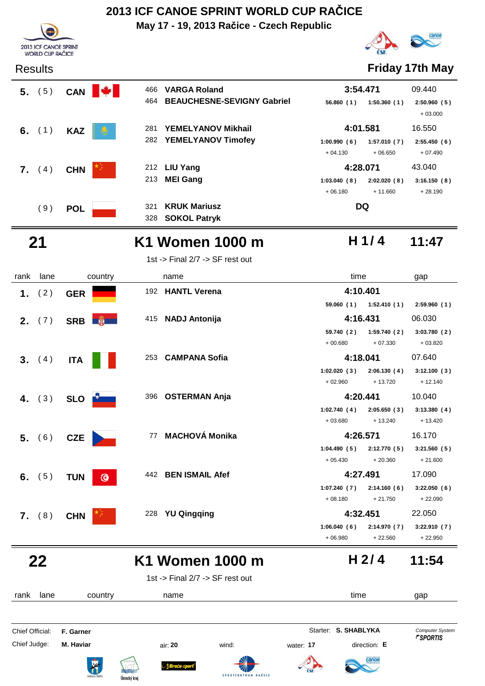**May 17 - 19, 2013 Račice - Czech Republic**





**H 1/ 4**

### Results **Friday 17th May**

| 5.               | (5)      | <b>CAN</b> | $\mathbf{v}$ | 466 | <b>VARGA Roland</b>               | 3:54.471    |             | 09.440                   |
|------------------|----------|------------|--------------|-----|-----------------------------------|-------------|-------------|--------------------------|
|                  |          |            |              | 464 | <b>BEAUCHESNE-SEVIGNY Gabriel</b> | 56.860(1)   | 1:50.360(1) | 2:50.960(5)<br>$+03.000$ |
|                  | 6. $(1)$ | <b>KAZ</b> |              | 281 | <b>YEMELYANOV Mikhail</b>         | 4:01.581    |             | 16.550                   |
|                  |          |            |              | 282 | <b>YEMELYANOV Timofey</b>         | 1:00.990(6) | 1:57.010(7) | 2:55.450(6)              |
|                  |          |            |              |     |                                   | $+04.130$   | $+06.650$   | $+07.490$                |
| $\mathbf{7}_{-}$ | (4)      | <b>CHN</b> |              |     | 212 LIU Yang                      | 4:28.071    |             | 43.040                   |
|                  |          |            |              | 213 | <b>MEI Gang</b>                   | 1:03.040(8) | 2:02.020(8) | 3:16.150(8)              |
|                  |          |            |              |     |                                   | $+06.180$   | $+11.660$   | $+28.190$                |
|                  | ′9)      | <b>POL</b> | 321          |     | <b>KRUK Mariusz</b>               | DQ          |             |                          |
|                  |          |            |              | 328 | <b>SOKOL Patryk</b>               |             |             |                          |



## **21 K1 Women 1000 m 11:47**

1st -> Final 2/7 -> SF rest out

| rank | lane                   | country                 | name |                                   |             | time                  |             |
|------|------------------------|-------------------------|------|-----------------------------------|-------------|-----------------------|-------------|
|      | 1. $(2)$               | <b>GER</b>              |      | 192 HANTL Verena                  | 4:10.401    |                       |             |
|      |                        |                         |      |                                   |             | 59.060(1) 1:52.410(1) | 2:59.960(1) |
|      | 2. (7)<br>SRB <b>W</b> |                         |      | 415 NADJ Antonija                 | 4:16.431    |                       | 06.030      |
|      |                        |                         |      |                                   | 59.740 (2)  | 1:59.740(2)           | 3:03.780(2) |
|      |                        |                         |      |                                   | $+00.680$   | $+07.330$             | $+03.820$   |
|      | 3. (4)                 | <b>ITA</b>              |      | 253 CAMPANA Sofia                 | 4:18.041    |                       | 07.640      |
|      |                        |                         |      |                                   | 1:02.020(3) | 2:06.130(4)           | 3:12.100(3) |
|      |                        |                         |      |                                   | $+02.960$   | $+13.720$             | $+12.140$   |
|      | 4. $(3)$               | SLO <b>Port</b>         |      | 396 OSTERMAN Anja                 | 4:20.441    |                       | 10.040      |
|      |                        |                         |      |                                   | 1:02.740(4) | 2:05.650(3)           | 3:13.380(4) |
|      |                        |                         |      |                                   | $+03.680$   | $+13.240$             | $+13.420$   |
|      | 5. (6)                 | <b>CZE</b>              |      | 77 MACHOVÁ Monika                 | 4:26.571    |                       | 16.170      |
|      |                        |                         |      |                                   | 1:04.490(5) | 2:12.770(5)           | 3:21.560(5) |
|      |                        |                         |      |                                   | $+05.430$   | $+20.360$             | $+21.600$   |
|      | 6. $(5)$               | <b>TUN</b><br>$\bullet$ |      | 442 BEN ISMAIL Afef               | 4:27.491    |                       | 17.090      |
|      |                        |                         |      |                                   | 1:07.240(7) | 2:14.160(6)           | 3:22.050(6) |
|      |                        |                         |      |                                   | $+08.180$   | $+21.750$             | $+22.090$   |
|      | $7.$ (8)               | <b>CHN</b>              | 228  | <b>YU Qingqing</b>                | 4:32.451    |                       | 22.050      |
|      |                        |                         |      |                                   | 1:06.040(6) | 2:14.970(7)           | 3:22.910(7) |
|      |                        |                         |      |                                   | $+06.980$   | $+22.560$             | $+22.950$   |
|      | 22                     |                         |      | K1 Women 1000 m                   |             | H <sub>2/4</sub>      | 11:54       |
|      |                        |                         |      | 1st -> Final $2/7$ -> SF rest out |             |                       |             |
| rank | lane                   | country                 | name |                                   | time        |                       | gap         |

Chief Official: **F. Garner** System **Starter: S. SHABLYKA** Computer System Chief Judge: **M. Haviar** air: **20** wind: water: **17** direction: **E** anoe **Bruću-s** ł **SPORTCENT**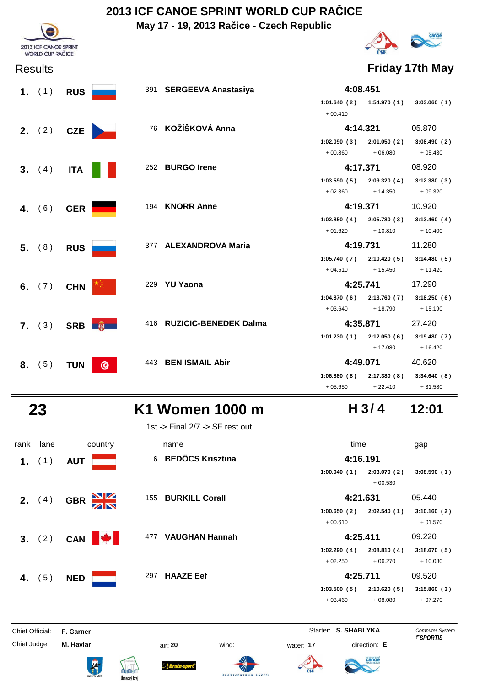**May 17 - 19, 2013 Račice - Czech Republic**



# canoe

Results **Friday 17th May**

| 1. $(1)$        | <b>RUS</b>      |                | 391 SERGEEVA Anastasiya   | 4:08.451    |                             |             |
|-----------------|-----------------|----------------|---------------------------|-------------|-----------------------------|-------------|
|                 |                 |                |                           | $+00.410$   | $1:01.640(2)$ $1:54.970(1)$ | 3:03.060(1) |
| <b>2.</b> $(2)$ | <b>CZE</b>      |                | 76 KOŽÍŠKOVÁ Anna         | 4:14.321    |                             | 05.870      |
|                 |                 |                |                           | 1:02.090(3) | 2:01.050(2)                 | 3:08.490(2) |
|                 |                 |                |                           | $+00.860$   | $+06.080$                   | $+05.430$   |
| 3. (4)          | <b>ITA</b>      |                | 252 BURGO Irene           | 4:17.371    |                             | 08.920      |
|                 |                 |                |                           | 1:03.590(5) | 2:09.320(4)                 | 3:12.380(3) |
|                 |                 |                |                           | $+02.360$   | $+14.350$                   | $+09.320$   |
| 4. $(6)$        | <b>GER</b>      |                | 194 KNORR Anne            | 4:19.371    |                             | 10.920      |
|                 |                 |                |                           | 1:02.850(4) | 2:05.780(3)                 | 3:13.460(4) |
|                 |                 |                |                           | $+01.620$   | $+10.810$                   | $+10.400$   |
| 5. (8)          | <b>RUS</b>      |                | 377 ALEXANDROVA Maria     | 4:19.731    |                             | 11.280      |
|                 |                 |                |                           | 1:05.740(7) | 2:10.420(5)                 | 3:14.480(5) |
|                 |                 |                |                           | $+04.510$   | $+15.450$                   | $+11.420$   |
| 6. $(7)$        | <b>CHN</b>      |                | 229 YU Yaona              | 4:25.741    |                             | 17.290      |
|                 |                 |                |                           |             | $1:04.870(6)$ $2:13.760(7)$ | 3:18.250(6) |
|                 |                 |                |                           | $+03.640$   | $+18.790$                   | $+15.190$   |
| 7. (3)          | SRB <b>Fig.</b> |                | 416 RUZICIC-BENEDEK Dalma | 4:35.871    |                             | 27.420      |
|                 |                 |                |                           | 1:01.230(1) | 2:12.050(6)                 | 3:19.480(7) |
|                 |                 |                |                           |             | $+17.080$                   | $+16.420$   |
| 8. (5)          | <b>TUN</b>      | $\circledcirc$ | 443 BEN ISMAIL Abir       | 4:49.071    |                             | 40.620      |
|                 |                 |                |                           | 1:06.880(8) | 2:17.380(8)                 | 3:34.640(8) |
|                 |                 |                |                           | $+05.650$   | $+22.410$                   | $+31.580$   |

## **23 K1 Women 1000 m 12:01**

1st -> Final 2/7 -> SF rest out

| rank | lane            | country                                       | name                         | time                       | gap         |
|------|-----------------|-----------------------------------------------|------------------------------|----------------------------|-------------|
| 1.   | (1)             | <b>AUT</b>                                    | <b>BEDÖCS Krisztina</b><br>6 | 4:16.191                   |             |
|      |                 |                                               |                              | 1:00.040(1)<br>2:03.070(2) | 3:08.590(1) |
|      |                 |                                               |                              | $+00.530$                  |             |
|      | <b>2.</b> $(4)$ | $\frac{\mathbf{N}}{\mathbf{N}}$<br><b>GBR</b> | 155 BURKILL Corall           | 4:21.631                   | 05.440      |
|      |                 |                                               |                              | 1:00.650(2)<br>2:02.540(1) | 3:10.160(2) |
|      |                 |                                               |                              | $+00.610$                  | $+01.570$   |
|      | 3. (2)          | CAN <b>W</b>                                  | <b>VAUGHAN Hannah</b><br>477 | 4:25.411                   | 09.220      |
|      |                 |                                               |                              | 1:02.290(4)<br>2:08.810(4) | 3:18.670(5) |
|      |                 |                                               |                              | $+02.250$<br>$+06.270$     | $+10.080$   |
|      | 4. $(5)$        | <b>NED</b>                                    | <b>HAAZE Eef</b><br>297      | 4:25.711                   | 09.520      |
|      |                 |                                               |                              | 1:03.500(5)<br>2:10.620(5) | 3:15.860(3) |
|      |                 |                                               |                              | $+03.460$<br>$+08.080$     | $+07.270$   |
|      |                 |                                               |                              |                            |             |

Chief Official: **F. Garner** System **Starter: S. SHABLYKA** Computer System

Chief Judge: **M. Haviar** air: **20** wind: water: **17** direction: **E**

ł











**H 3/ 4**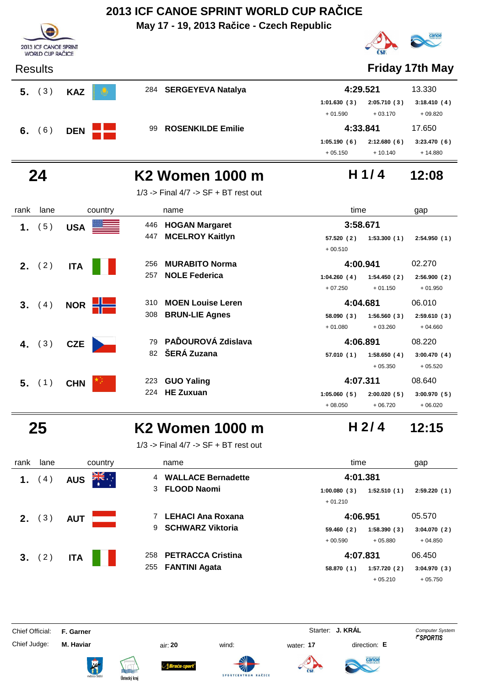

**3.** (4) **NOR MOEN Louise Leren 4:04.681** 06.010

 **4.** ( 3 ) **CZE PAĎOUROVÁ Zdislava** ( 3 ) **4:06.891** 08.220

**5.** (1) CHN **GUO Yaling** 223 **GUO Yaling** 223 **4:07.311** 08.640

**BRUN-LIE Agnes** 308 **58.090 1:56.560 2:59.610 ( 3 ) ( 3 ) ( 3 )**

82 **SERÁ Zuzana** 57.010 (1) 1:58.650 (4) 3:00.470 (4)

**HE Zuxuan** 224 **1:05.060 2:00.020 3:00.970 ( 5 ) ( 5 ) ( 5 )**

### **25 K2 Women 1000 m 12:15**

1/3 -> Final 4/7 -> SF + BT rest out

| rank    | lane              | country                                                                      | name                            | time                       | gap         |
|---------|-------------------|------------------------------------------------------------------------------|---------------------------------|----------------------------|-------------|
| 1.      | $\vert 4 \rangle$ | $\sum_{k=1}^{N}$<br>4:01.381<br><b>WALLACE Bernadette</b><br>4<br><b>AUS</b> |                                 |                            |             |
|         |                   |                                                                              | <b>FLOOD Naomi</b><br>3         | 1:52.510(1)<br>1:00.080(3) | 2:59.220(1) |
|         |                   |                                                                              |                                 | $+01.210$                  |             |
| $2_{-}$ | $\left(3\right)$  | <b>AUT</b>                                                                   | <b>LEHACI Ana Roxana</b>        | 4:06.951                   | 05.570      |
|         |                   |                                                                              | <b>SCHWARZ Viktoria</b><br>9    | 1:58.390(3)<br>59.460 (2)  | 3:04.070(2) |
|         |                   |                                                                              |                                 | $+05.880$<br>$+00.590$     | $+04.850$   |
|         | 3. (2)            | <b>ITA</b>                                                                   | <b>PETRACCA Cristina</b><br>258 | 4:07.831                   | 06.450      |
|         |                   |                                                                              | <b>FANTINI Agata</b><br>255     | 1:57.720(2)<br>58.870 (1)  | 3:04.970(3) |
|         |                   |                                                                              |                                 | $+05.210$                  | $+05.750$   |

Chief Official: **F. Garner** System **F. Garner** Starter: **J. KRÁL** Computer System

Chief Judge: **M. Haviar** air: **20** wind: water: **17** direction: **E**

















 $+ 05.350 + 05.520$ 

+ 01.080 + 03.260 + 04.660

+ 08.050 + 06.720 + 06.020

**H 2/ 4**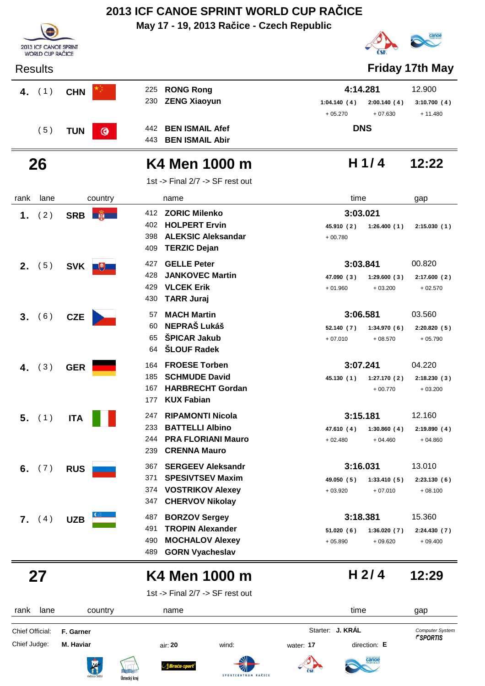## **May 17 - 19, 2013 Račice - Czech Republic 2013 ICF CANOE SPRINT WORLD CUP RAČICE**



## **26 K4 Men 1000 m 12:22**

| rank           | lane            | country      |                                 | name                                                                                                          | time                                |                          | gap                                 |
|----------------|-----------------|--------------|---------------------------------|---------------------------------------------------------------------------------------------------------------|-------------------------------------|--------------------------|-------------------------------------|
| 1.             | (2)             | SRB <b>N</b> | 412<br>398                      | <b>ZORIC Milenko</b><br>402 HOLPERT Ervin<br><b>ALEKSIC Aleksandar</b>                                        | 3:03.021<br>45.910 (2)<br>$+00.780$ | 1:26.400(1)              | 2:15.030(1)                         |
| 2.             | (5)             | SVK U        | 409<br>427<br>428<br>429<br>430 | <b>TERZIC Dejan</b><br><b>GELLE Peter</b><br><b>JANKOVEC Martin</b><br><b>VLCEK Erik</b><br><b>TARR Juraj</b> | 3:03.841<br>47.090 (3)<br>$+01.960$ | 1:29.600(3)<br>$+03.200$ | 00.820<br>2:17.600(2)<br>$+02.570$  |
| 3.             | (6)             | <b>CZE</b>   | 57<br>60<br>65<br>64            | <b>MACH Martin</b><br><b>NEPRAŠ Lukáš</b><br><b>ŠPICAR Jakub</b><br><b>ŠLOUF Radek</b>                        | 3:06.581<br>52.140 (7)<br>$+07.010$ | 1:34.970(6)<br>$+08.570$ | 03.560<br>2:20.820(5)<br>$+05.790$  |
| 4.             | (3)             | <b>GER</b>   | 164<br>185<br>167<br>177        | <b>FROESE Torben</b><br><b>SCHMUDE David</b><br><b>HARBRECHT Gordan</b><br><b>KUX Fabian</b>                  | 3:07.241<br>45.130 (1)              | 1:27.170(2)<br>$+00.770$ | 04.220<br>2:18.230(3)<br>$+03.200$  |
| 5 <sub>1</sub> | (1)             | <b>ITA</b>   | 247<br>233<br>244<br>239        | <b>RIPAMONTI Nicola</b><br><b>BATTELLI Albino</b><br><b>PRA FLORIANI Mauro</b><br><b>CRENNA Mauro</b>         | 3:15.181<br>47.610 (4)<br>$+02.480$ | 1:30.860(4)<br>$+04.460$ | 12.160<br>2:19.890(4)<br>$+04.860$  |
| 6.             | (7)             | <b>RUS</b>   | 367<br>371<br>374<br>347        | <b>SERGEEV Aleksandr</b><br><b>SPESIVTSEV Maxim</b><br><b>VOSTRIKOV Alexey</b><br><b>CHERVOV Nikolay</b>      | 3:16.031<br>49.050 (5)<br>$+03.920$ | 1:33.410(5)<br>$+07.010$ | 13.010<br>2:23.130(6)<br>$+08.100$  |
|                | <b>7.</b> $(4)$ | <b>UZB</b>   | 487<br>491<br>490<br>489        | <b>BORZOV Sergey</b><br><b>TROPIN Alexander</b><br><b>MOCHALOV Alexey</b><br><b>GORN Vyacheslav</b>           | 3:18.381<br>51.020(6)<br>$+05.890$  | 1:36.020(7)<br>$+09.620$ | 15.360<br>2:24.430 (7)<br>$+09.400$ |

## **27 K4 Men 1000 m 12:29**

1st -> Final 2/7 -> SF rest out

**H 2/ 4**

**H 1/ 4**

canoe



**SPORTCENT**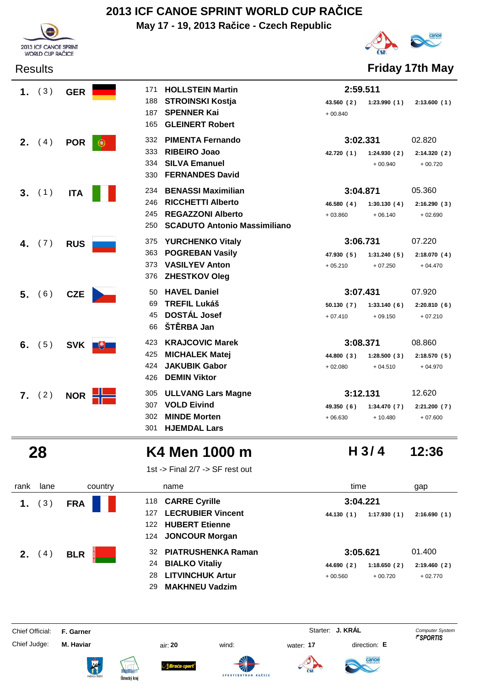

**May 17 - 19, 2013 Račice - Czech Republic**



Results **Friday 17th May**

|         | 1. $(3)$ | <b>GER</b> | 171        | <b>HOLLSTEIN Martin</b>                         | 2:59.511                |                          |                          |
|---------|----------|------------|------------|-------------------------------------------------|-------------------------|--------------------------|--------------------------|
|         |          |            | 188        | <b>STROINSKI Kostja</b>                         | 43.560 (2)              | 1:23.990(1)              | 2:13.600(1)              |
|         |          |            | 187<br>165 | <b>SPENNER Kai</b><br><b>GLEINERT Robert</b>    | $+00.840$               |                          |                          |
|         |          |            | 332        | <b>PIMENTA Fernando</b>                         | 3:02.331                |                          | 02.820                   |
| $2_{-}$ | (4)      | <b>POR</b> | æ.<br>333  | <b>RIBEIRO Joao</b>                             | 42.720 (1)              | 1:24.930(2)              | 2:14.320(2)              |
|         |          |            | 334        | <b>SILVA Emanuel</b>                            |                         | $+00.940$                | $+00.720$                |
|         |          |            | 330        | <b>FERNANDES David</b>                          |                         |                          |                          |
|         | 3. (1)   | <b>ITA</b> | 234        | <b>BENASSI Maximilian</b>                       | 3:04.871                |                          | 05.360                   |
|         |          |            | 246        | <b>RICCHETTI Alberto</b>                        | 46.580(4)               | 1:30.130(4)              | 2:16.290(3)              |
|         |          |            | 245        | <b>REGAZZONI Alberto</b>                        | $+03.860$               | $+06.140$                | $+02.690$                |
|         |          |            | 250        | <b>SCADUTO Antonio Massimiliano</b>             |                         |                          |                          |
|         | 4. $(7)$ | <b>RUS</b> | 375        | <b>YURCHENKO Vitaly</b>                         | 3:06.731                |                          | 07.220                   |
|         |          |            | 363        | <b>POGREBAN Vasily</b>                          | 47.930 (5)              | 1:31.240(5)              | 2:18.070(4)              |
|         |          |            | 373        | <b>VASILYEV Anton</b>                           | $+05.210$               | $+07.250$                | $+04.470$                |
|         |          |            | 376        | <b>ZHESTKOV Oleg</b>                            |                         |                          |                          |
| 5.      | (6)      | <b>CZE</b> | 50         | <b>HAVEL Daniel</b>                             | 3:07.431                |                          | 07.920                   |
|         |          |            | 69<br>45   | <b>TREFIL Lukáš</b><br><b>DOSTÁL Josef</b>      | 50.130(7)               | 1:33.140(6)              | 2:20.810(6)              |
|         |          |            | 66         | ŠTĚRBA Jan                                      | $+07.410$               | $+09.150$                | $+07.210$                |
|         |          |            | 423        |                                                 | 3:08.371                |                          | 08.860                   |
|         | 6. $(5)$ | <b>SVK</b> | $+$<br>425 | <b>KRAJCOVIC Marek</b><br><b>MICHALEK Matej</b> |                         |                          |                          |
|         |          |            | 424        | <b>JAKUBIK Gabor</b>                            | 44.800 (3)<br>$+02.080$ | 1:28.500(3)<br>$+04.510$ | 2:18.570(5)<br>$+04.970$ |
|         |          |            | 426        | <b>DEMIN Viktor</b>                             |                         |                          |                          |
|         | 7. (2)   | <b>NOR</b> | 305        | <b>ULLVANG Lars Magne</b>                       | 3:12.131                |                          | 12.620                   |
|         |          |            | 307        | <b>VOLD Eivind</b>                              | 49.350 (6)              | 1:34.470(7)              | 2:21.200(7)              |
|         |          |            | 302        | <b>MINDE Morten</b>                             | $+06.630$               | $+10.480$                | $+07.600$                |
|         |          |            | 301        | <b>HJEMDAL Lars</b>                             |                         |                          |                          |

## **28 K4 Men 1000 m 12:36**

1st -> Final 2/7 -> SF rest out

| rank | lane | country    | name                                                                                                                            | time                                                            | gap                                |
|------|------|------------|---------------------------------------------------------------------------------------------------------------------------------|-----------------------------------------------------------------|------------------------------------|
|      | 3)   | <b>FRA</b> | 118 CARRE Cyrille<br><b>LECRUBIER Vincent</b><br>127<br>122 HUBERT Etienne<br>124 JONCOUR Morgan                                | 3:04.221<br>1:17.930(1)<br>44.130 (1)                           | 2:16.690(1)                        |
| 2.   | 4)   | <b>BLR</b> | <b>PIATRUSHENKA Raman</b><br>32<br><b>BIALKO Vitaliy</b><br>24<br><b>LITVINCHUK Artur</b><br>28.<br><b>MAKHNEU Vadzim</b><br>29 | 3:05.621<br>1:18.650(2)<br>44.690 (2)<br>$+00.560$<br>$+00.720$ | 01.400<br>2:19.460(2)<br>$+02.770$ |

Chief Official: **F. Garner** System **F. Garner** System **Starter: <b>J. KRÁL** Computer System Computer System **Computer System** 

Chief Judge: **M. Haviar** air: **20** wind: water: **17** direction: **E**













**H 3/ 4**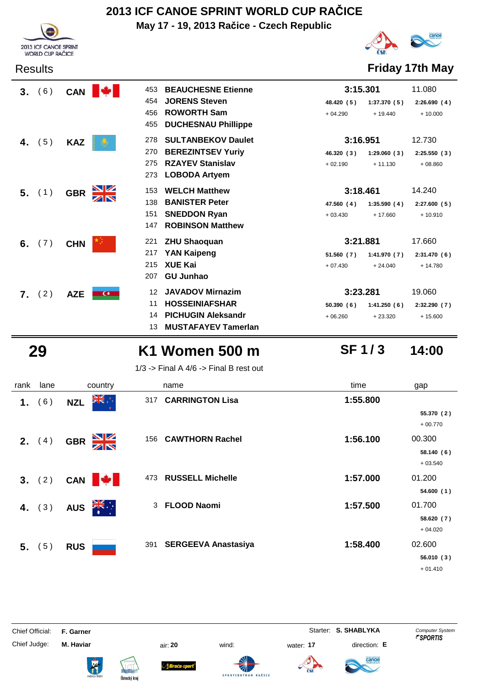**May 17 - 19, 2013 Račice - Czech Republic**





Results **Friday 17th May**

| 3. | (6)      | <b>CAN</b> | 453         | <b>BEAUCHESNE Etienne</b>  | 3:15.301   |             | 11.080       |
|----|----------|------------|-------------|----------------------------|------------|-------------|--------------|
|    |          |            | 454         | <b>JORENS Steven</b>       | 48.420 (5) | 1:37.370(5) | 2:26.690(4)  |
|    |          |            | 456         | <b>ROWORTH Sam</b>         | $+04.290$  | $+19.440$   | $+10.000$    |
|    |          |            | 455         | <b>DUCHESNAU Phillippe</b> |            |             |              |
|    | (5)      | <b>KAZ</b> | 278         | <b>SULTANBEKOV Daulet</b>  | 3:16.951   |             | 12.730       |
|    |          |            | 270         | <b>BEREZINTSEV Yuriy</b>   | 46.320 (3) | 1:29.060(3) | 2:25.550(3)  |
|    |          |            | 275         | <b>RZAYEV Stanislav</b>    | $+02.190$  | $+11.130$   | $+08.860$    |
|    |          |            | 273         | <b>LOBODA Artyem</b>       |            |             |              |
|    | $5.$ (1) | <b>GBR</b> | 153         | <b>WELCH Matthew</b>       | 3:18.461   |             | 14.240       |
|    |          |            | 138         | <b>BANISTER Peter</b>      | 47.560 (4) | 1:35.590(4) | 2:27.600(5)  |
|    |          |            | 151         | <b>SNEDDON Ryan</b>        | $+03.430$  | $+17.660$   | $+10.910$    |
|    |          |            | 147         | <b>ROBINSON Matthew</b>    |            |             |              |
| 6. | (7)      | <b>CHN</b> | 221         | <b>ZHU Shaoquan</b>        | 3:21.881   |             | 17.660       |
|    |          |            | 217         | <b>YAN Kaipeng</b>         | 51.560(7)  | 1:41.970(7) | 2:31.470(6)  |
|    |          |            | 215         | <b>XUE Kai</b>             | $+07.430$  | $+24.040$   | $+14.780$    |
|    |          |            | 207         | <b>GU Junhao</b>           |            |             |              |
| 7. | (2)      | <b>AZE</b> | 12<br>$C^*$ | <b>JAVADOV Mirnazim</b>    | 3:23.281   |             | 19.060       |
|    |          |            | 11          | <b>HOSSEINIAFSHAR</b>      | 50.390(6)  | 1:41.250(6) | 2:32.290 (7) |
|    |          |            | 14          | <b>PICHUGIN Aleksandr</b>  | $+06.260$  | $+23.320$   | $+15.600$    |
|    |          |            | 13          | <b>MUSTAFAYEV Tamerlan</b> |            |             |              |

## **29 K1 Women 500 m 14:00**

### **SF 1 / 3**

1/3 -> Final A  $4/6$  -> Final B rest out

| rank | lane            | country                        | name                           | time     | gap                     |
|------|-----------------|--------------------------------|--------------------------------|----------|-------------------------|
| 1.   | (6)             | ▓€⋰<br><b>NZL</b>              | <b>CARRINGTON Lisa</b><br>317  | 1:55.800 |                         |
|      |                 |                                |                                |          | 55.370 (2)<br>$+00.770$ |
|      | <b>2.</b> $(4)$ | $\frac{N}{N}$<br><b>GBR</b>    | 156 CAWTHORN Rachel            | 1:56.100 | 00.300                  |
|      |                 |                                |                                |          | 58.140(6)               |
|      |                 |                                |                                |          | $+03.540$               |
|      | 3. (2)          | CAN <b>+</b>                   | <b>RUSSELL Michelle</b><br>473 | 1:57.000 | 01.200                  |
|      |                 |                                |                                |          | 54.600(1)               |
|      | 4. $(3)$        | $\sum_{k=1}^{N}$<br><b>AUS</b> | <b>FLOOD Naomi</b><br>3        | 1:57.500 | 01.700                  |
|      |                 |                                |                                |          | 58.620 (7)              |
|      |                 |                                |                                |          | $+04.020$               |
|      | 5. (5)          | <b>RUS</b>                     | 391 SERGEEVA Anastasiya        | 1:58.400 | 02.600                  |
|      |                 |                                |                                |          | 56.010(3)               |
|      |                 |                                |                                |          | $+01.410$               |

Chief Official: **F. Garner** System **Starter: S. SHABLYKA** Computer System

Chief Judge: **M. Haviar** air: **20** wind: water: **17** direction: **E**

**Bruću-s** 

**SPORTCENT** 







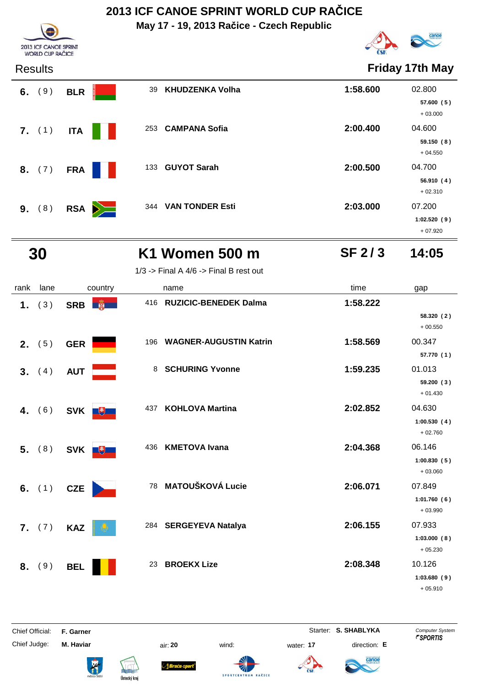**May 17 - 19, 2013 Račice - Czech Republic**



**Friday 17th May** 

**57.600 ( 5 )** + 03.000

**59.150 ( 8 )** + 04.550

**56.910 ( 4 )** + 02.310



| <b>Results</b> |              |                             | Friday 17th N |         |
|----------------|--------------|-----------------------------|---------------|---------|
| 6. $(9)$       | <b>BLR</b>   | 39 KHUDZENKA Volha          | 1:58.600      | 02.800  |
|                |              |                             |               | 57.600  |
|                |              |                             |               | $+03.0$ |
| 7. (1)         | <b>ITA</b>   | <b>CAMPANA Sofia</b><br>253 | 2:00.400      | 04.600  |
|                |              |                             |               | 59.150  |
|                |              |                             |               | $+04.5$ |
| 8. (7)         | <b>FRA</b>   | 133 GUYOT Sarah             | 2:00.500      | 04.700  |
|                |              |                             |               | 56.910  |
|                |              |                             |               | $+02.3$ |
| 9. (8)         | $RSA$ $\geq$ | 344 VAN TONDER Esti         | 2:03.000      | 07.200  |
|                |              |                             |               |         |

**1:02.520 ( 9 )** + 07.920

## **30 K1 Women 500 m 14:05**

1/3 -> Final A  $4/6$  -> Final B rest out

**SF 2 / 3**

| rank | lane            | country      | name                                 | time     | gap                      |
|------|-----------------|--------------|--------------------------------------|----------|--------------------------|
| 1.   | (3)             | SRB <b>蘭</b> | <b>RUZICIC-BENEDEK Dalma</b><br>416  | 1:58.222 |                          |
|      |                 |              |                                      |          | 58.320 (2)<br>$+00.550$  |
|      | <b>2.</b> $(5)$ | <b>GER</b>   | <b>WAGNER-AUGUSTIN Katrin</b><br>196 | 1:58.569 | 00.347                   |
|      |                 |              |                                      |          | 57.770 (1)               |
|      | 3. (4)          | <b>AUT</b>   | <b>SCHURING Yvonne</b><br>8          | 1:59.235 | 01.013                   |
|      |                 |              |                                      |          | 59.200 (3)<br>$+01.430$  |
| 4.   | (6)             | SVK +        | <b>KOHLOVA Martina</b><br>437        | 2:02.852 | 04.630                   |
|      |                 |              |                                      |          | 1:00.530(4)<br>$+02.760$ |
| 5.   | (8)             | SVK +        | <b>KMETOVA Ivana</b><br>436          | 2:04.368 | 06.146                   |
|      |                 |              |                                      |          | 1:00.830(5)              |
|      |                 |              |                                      |          | $+03.060$                |
|      | 6. $(1)$        | <b>CZE</b>   | 78 MATOUŠKOVÁ Lucie                  | 2:06.071 | 07.849                   |
|      |                 |              |                                      |          | 1:01.760(6)<br>$+03.990$ |
|      | 7. (7)          | <b>KAZ</b>   | 284 SERGEYEVA Natalya                | 2:06.155 | 07.933                   |
|      |                 |              |                                      |          | 1:03.000(8)<br>$+05.230$ |
| 8.   | (9)             | <b>BEL</b>   | <b>BROEKX Lize</b><br>23             | 2:08.348 | 10.126                   |
|      |                 |              |                                      |          | 1:03.680(9)<br>$+05.910$ |

Chief Judge: **M. Haviar** air: **20** wind: water: **17** direction: **E**

**Sraća-s** 

**SPORTCENT** 

**A** 

Chief Official: **F. Garner** System **Starter: S. SHABLYKA** Computer System

anoe

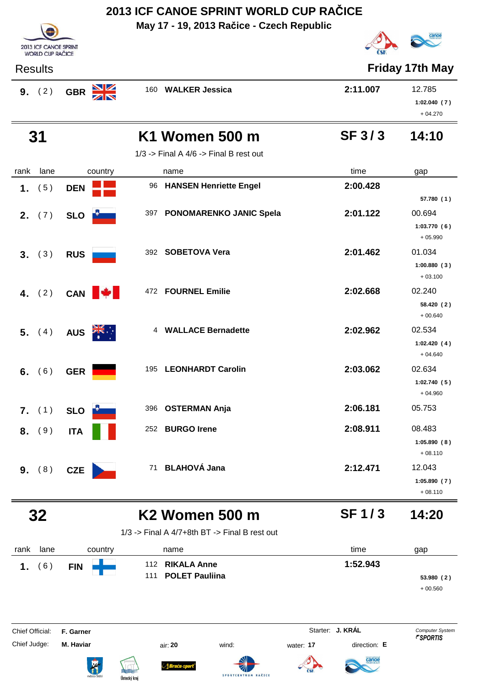**May 17 - 19, 2013 Račice - Czech Republic**

Results **Friday 17th May**





|                                 | 9. (2)   | <b>GBR</b>             |            | 160 WALKER Jessica                              |           | 2:11.007                         | 12.785<br>1:02.040(7)<br>$+04.270$              |
|---------------------------------|----------|------------------------|------------|-------------------------------------------------|-----------|----------------------------------|-------------------------------------------------|
|                                 | 31       |                        |            | K1 Women 500 m                                  |           | <b>SF 3/3</b>                    | 14:10                                           |
|                                 |          |                        |            | $1/3$ -> Final A $4/6$ -> Final B rest out      |           |                                  |                                                 |
| rank                            | lane     | country                |            | name                                            |           | time                             | gap                                             |
|                                 | 1. $(5)$ | <b>DEN</b>             |            | 96 HANSEN Henriette Engel                       |           | 2:00.428                         |                                                 |
|                                 | 2. (7)   | SLO <b>P</b>           |            | 397 PONOMARENKO JANIC Spela                     |           | 2:01.122                         | 57.780 (1)<br>00.694<br>1:03.770(6)             |
|                                 | 3. (3)   | <b>RUS</b>             |            | 392 SOBETOVA Vera                               |           | 2:01.462                         | $+05.990$<br>01.034<br>1:00.880(3)<br>$+03.100$ |
|                                 | 4. $(2)$ | CAN <b>W</b>           |            | 472 FOURNEL Emilie                              |           | 2:02.668                         | 02.240<br>58.420 (2)<br>$+00.640$               |
|                                 | 5. (4)   | AUS <b>ZIS</b>         |            | 4 WALLACE Bernadette                            |           | 2:02.962                         | 02.534<br>1:02.420(4)<br>$+04.640$              |
|                                 | 6. $(6)$ | <b>GER</b>             |            | 195 LEONHARDT Carolin                           |           | 2:03.062                         | 02.634<br>1:02.740(5)<br>$+04.960$              |
|                                 | 7. (1)   | SLO <b>Li</b>          | 396        | <b>OSTERMAN Anja</b>                            |           | 2:06.181                         | 05.753                                          |
|                                 | 8. (9)   | <b>ITA</b>             | 252        | <b>BURGO Irene</b>                              |           | 2:08.911                         | 08.483<br>1:05.890(8)<br>$+08.110$              |
|                                 | 9. (8)   | <b>CZE</b>             |            | 71 BLAHOVÁ Jana                                 |           | 2:12.471                         | 12.043<br>1:05.890(7)<br>$+08.110$              |
|                                 | 32       |                        |            | <b>K2 Women 500 m</b>                           |           | <b>SF1/3</b>                     | 14:20                                           |
|                                 |          |                        |            | $1/3$ -> Final A 4/7+8th BT -> Final B rest out |           |                                  |                                                 |
| rank                            | lane     | country                |            | name                                            |           | time                             | gap                                             |
| 1.                              | (6)      | <b>FIN</b>             | 112<br>111 | <b>RIKALA Anne</b><br><b>POLET Pauliina</b>     |           | 1:52.943                         | 53.980 (2)<br>$+00.560$                         |
| Chief Official:<br>Chief Judge: |          | F. Garner<br>M. Haviar |            | wind:<br>air: 20<br>SPORTCENTRUM RAČICI         | water: 17 | Starter: J. KRÁL<br>direction: E | Computer System<br><b><i>FSPORTIS</i></b>       |

Ústecký kraj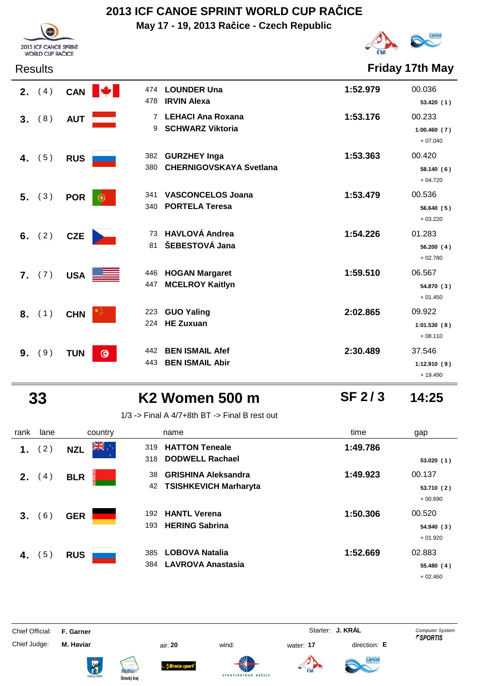**May 17 - 19, 2013 Račice - Czech Republic**



Results **Friday 17th May**

|    | <b>2.</b> $(4)$ | <b>CAN</b> | 474<br>478                     | <b>LOUNDER Una</b><br><b>IRVIN Alexa</b>              | 1:52.979 | 00.036<br>53.420(1)                |
|----|-----------------|------------|--------------------------------|-------------------------------------------------------|----------|------------------------------------|
| 3. | (8)             | <b>AUT</b> | 7<br>9                         | <b>LEHACI Ana Roxana</b><br><b>SCHWARZ Viktoria</b>   | 1:53.176 | 00.233<br>1:00.460(7)<br>$+07.040$ |
| 4. | (5)             | <b>RUS</b> | 382<br>380                     | <b>GURZHEY Inga</b><br><b>CHERNIGOVSKAYA Svetlana</b> | 1:53.363 | 00.420<br>58.140(6)<br>$+04.720$   |
| 5. | (3)             | <b>POR</b> | 341<br>œ<br>340                | <b>VASCONCELOS Joana</b><br><b>PORTELA Teresa</b>     | 1:53.479 | 00.536<br>56.640 (5)<br>$+03.220$  |
|    | 6. $(2)$        | <b>CZE</b> | 73<br>81                       | <b>HAVLOVÁ Andrea</b><br>ŠEBESTOVÁ Jana               | 1:54.226 | 01.283<br>56.200(4)<br>$+02.780$   |
|    | 7. (7)          | <b>USA</b> | 446<br><u> 1998 - J</u><br>447 | <b>HOGAN Margaret</b><br><b>MCELROY Kaitlyn</b>       | 1:59.510 | 06.567<br>54.870 (3)<br>$+01.450$  |
| 8. | (1)             | <b>CHN</b> | 223<br>224                     | <b>GUO Yaling</b><br><b>HE Zuxuan</b>                 | 2:02.865 | 09.922<br>1:01.530(8)<br>$+08.110$ |
| 9. | (9)             | <b>TUN</b> | 442<br>$\odot$<br>443          | <b>BEN ISMAIL Afef</b><br><b>BEN ISMAIL Abir</b>      | 2:30.489 | 37.546<br>1:12.910(9)              |

2013 ICF CANOE SPRINT WORLD CUP RAČICE

 **33 K2 Women 500 m 14:25**

**SF 2 / 3**

+ 19.490

1/3 -> Final A 4/7+8th BT -> Final B rest out

| rank | lane | country             | name                                                                   | time     | gap                               |
|------|------|---------------------|------------------------------------------------------------------------|----------|-----------------------------------|
| 1.   | (2)  | ** AK<br><b>NZL</b> | 319 HATTON Teneale<br>318 DODWELL Rachael                              | 1:49.786 | 53.020(1)                         |
| 2.   | (4)  | <b>BLR</b>          | <b>GRISHINA Aleksandra</b><br>38<br><b>TSISHKEVICH Marharyta</b><br>42 | 1:49.923 | 00.137<br>53.710 (2)<br>$+00.690$ |
| 3.   | (6)  | <b>GER</b>          | <b>HANTL Verena</b><br>192<br><b>HERING Sabrina</b><br>193             | 1:50.306 | 00.520<br>54.940(3)<br>$+01.920$  |
| 4.   | 5)   | <b>RUS</b>          | <b>LOBOVA Natalia</b><br>385<br><b>LAVROVA Anastasia</b><br>384        | 1:52.669 | 02.883<br>55.480(4)<br>$+02.460$  |

Chief Official: **F. Garner** System **F. Garner** System **Starter: <b>J. KRÁL** Computer System Computer System **Computer System** 

ł

Chief Judge: **M. Haviar** air: **20** wind: water: **17** direction: **E**













anod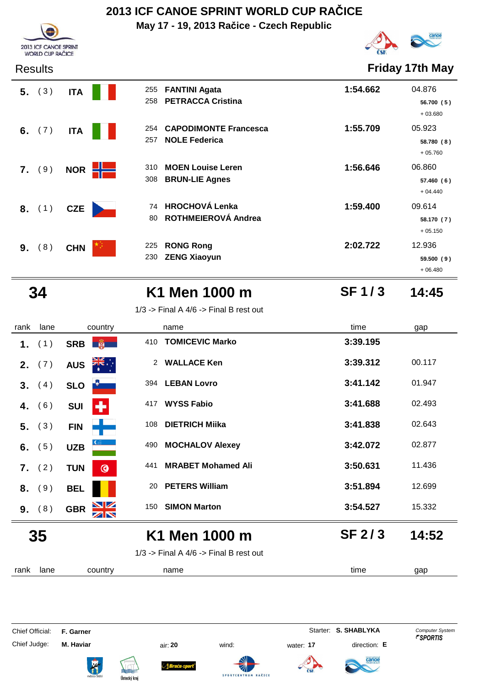**May 17 - 19, 2013 Račice - Czech Republic**



Results **Friday 17th May**

+ 06.480

**SF 1 / 3**

| RESUILS   |                 |                                                                    | <b>FINAY ITULIVIAY</b>                        |
|-----------|-----------------|--------------------------------------------------------------------|-----------------------------------------------|
| $5.$ (3)  | <b>ITA</b>      | <b>FANTINI Agata</b><br>255<br><b>PETRACCA Cristina</b><br>258     | 1:54.662<br>04.876<br>56.700 (5)<br>$+03.680$ |
| 6. $(7)$  | <b>ITA</b>      | <b>CAPODIMONTE Francesca</b><br>254<br><b>NOLE Federica</b><br>257 | 1:55.709<br>05.923<br>58.780 (8)<br>$+05.760$ |
| 7. (9)    | NOR <b>HIME</b> | <b>MOEN Louise Leren</b><br>310<br><b>BRUN-LIE Agnes</b><br>308    | 1:56.646<br>06.860<br>57.460(6)<br>$+04.440$  |
| 8. (1)    | <b>CZE</b>      | <b>HROCHOVÁ Lenka</b><br>74<br>ROTHMEIEROVÁ Andrea<br>80           | 1:59.400<br>09.614<br>58.170 (7)<br>$+05.150$ |
| (8)<br>9. | <b>CHN</b>      | <b>RONG Rong</b><br>225<br><b>ZENG Xiaoyun</b><br>230              | 2:02.722<br>12.936<br>59.500(9)               |

2013 ICF CANOE SPRINT WORLD CUP RAČICE

## **34 K1 Men 1000 m 14:45**

1/3 -> Final A  $4/6$  -> Final B rest out

| rank | lane            | country                       | name                                       | time          | gap    |
|------|-----------------|-------------------------------|--------------------------------------------|---------------|--------|
| 1.   | (1)             | SRB <b>B</b>                  | <b>TOMICEVIC Marko</b><br>410              | 3:39.195      |        |
|      | <b>2.</b> $(7)$ | <b>AUS</b>                    | 2 WALLACE Ken                              | 3:39.312      | 00.117 |
|      | 3. (4)          | <b>SLO</b>                    | 394 LEBAN Lovro                            | 3:41.142      | 01.947 |
| 4.   | (6)             | +<br><b>SUI</b>               | <b>WYSS Fabio</b><br>417                   | 3:41.688      | 02.493 |
| 5.   | (3)             | <b>FIN</b>                    | <b>DIETRICH Miika</b><br>108               | 3:41.838      | 02.643 |
| 6.   | (5)             | <b>UZB</b>                    | <b>MOCHALOV Alexey</b><br>490              | 3:42.072      | 02.877 |
|      | 7. (2)          | <b>TUN</b><br>$\bullet$       | <b>MRABET Mohamed Ali</b><br>441           | 3:50.631      | 11.436 |
| 8.   | (9)             | <b>BEL</b>                    | <b>PETERS William</b><br>20                | 3:51.894      | 12.699 |
|      | 9. (8)          | <b>NZ</b><br><b>GBR</b><br>ZN | 150 SIMON Marton                           | 3:54.527      | 15.332 |
| 35   |                 |                               | K1 Men 1000 m                              | <b>SF 2/3</b> | 14:52  |
|      |                 |                               | $1/3$ -> Final A $4/6$ -> Final B rest out |               |        |
| rank | lane            | country                       | name                                       | time          | gap    |

Chief Official: **F. Garner** System **Starter: S. SHABLYKA** Computer System Chief Judge: **M. Haviar** air: **20** wind: water: **17** direction: **E**











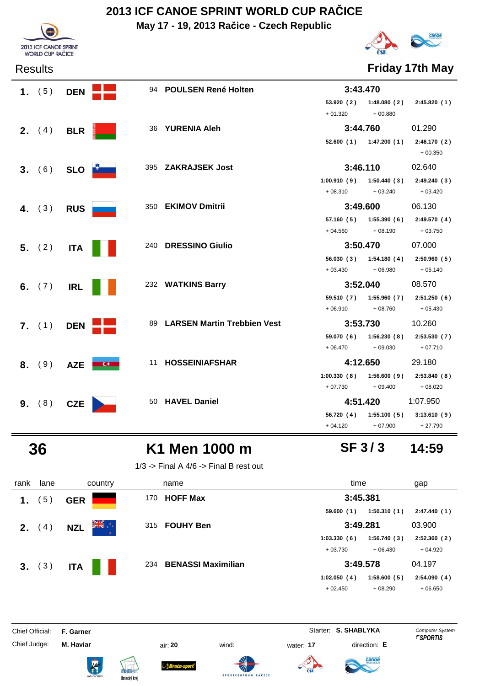**May 17 - 19, 2013 Račice - Czech Republic**



Results **Friday 17th May**

| 2013 ICF CANOE SPRINT<br><b>WORLD CUP RAČICE</b> |
|--------------------------------------------------|

| 1. $(5)$        | <b>DEN</b>               |                        | 94 POULSEN René Holten         |                     | 3:43.470                    |                                                   |
|-----------------|--------------------------|------------------------|--------------------------------|---------------------|-----------------------------|---------------------------------------------------|
|                 |                          |                        |                                | 53.920 (2)          |                             | $1:48.080(2)$ $2:45.820(1)$                       |
|                 |                          |                        |                                | $+01.320$           | $+00.880$                   |                                                   |
| <b>2.</b> $(4)$ | <b>BLR</b>               |                        | 36 YURENIA Aleh                |                     | 3:44.760                    | 01.290                                            |
|                 |                          |                        |                                |                     |                             | 52.600 (1) 1:47.200 (1) 2:46.170 (2)<br>$+00.350$ |
| 3. (6)          |                          | SLO <b>Designation</b> | 395 ZAKRAJSEK Jost             |                     | 3:46.110                    | 02.640                                            |
|                 |                          |                        |                                |                     |                             | $1:00.910(9)$ $1:50.440(3)$ $2:49.240(3)$         |
|                 |                          |                        |                                |                     | $+08.310 + 03.240 + 03.420$ |                                                   |
| 4. $(3)$        | <b>RUS</b>               |                        | 350 EKIMOV Dmitrii             |                     | 3:49.600                    | 06.130                                            |
|                 |                          |                        |                                |                     |                             | 57.160 (5) 1:55.390 (6) 2:49.570 (4)              |
|                 |                          |                        |                                |                     | $+04.560$ $+08.190$         | $+03.750$                                         |
| 5. (2)          | <b>ITA</b>               |                        | 240 DRESSINO Giulio            |                     | 3:50.470                    | 07.000                                            |
|                 |                          |                        |                                |                     |                             | 56.030 (3) 1:54.180 (4) 2:50.960 (5)              |
|                 |                          |                        |                                | $+03.430$ $+06.980$ |                             | $+05.140$                                         |
| 6. $(7)$        | <b>IRL</b>               |                        | 232 WATKINS Barry              |                     | 3:52.040                    | 08.570                                            |
|                 |                          |                        |                                |                     |                             | 59.510 (7) 1:55.960 (7) 2:51.250 (6)              |
|                 |                          |                        |                                |                     | $+06.910 +08.760$           | $+05.430$                                         |
| $7.$ (1)        | <b>DEN</b>               |                        | 89 LARSEN Martin Trebbien Vest |                     | 3:53.730                    | 10.260                                            |
|                 |                          |                        |                                |                     |                             | 59.070 (6) 1:56.230 (8) 2:53.530 (7)              |
|                 |                          |                        |                                | $+06.470$ $+09.030$ |                             | $+07.710$                                         |
|                 | <b>8.</b> (9) <b>AZE</b> | $\blacksquare$         | 11 HOSSEINIAFSHAR              |                     | 4:12.650                    | 29.180                                            |
|                 |                          |                        |                                |                     |                             | $1:00.330(8)$ $1:56.600(9)$ $2:53.840(8)$         |
|                 |                          |                        |                                |                     | $+07.730$ $+09.400$         | $+08.020$                                         |
| 9. (8)          | <b>CZE</b>               |                        | 50 HAVEL Daniel                |                     | 4:51.420                    | 1:07.950                                          |
|                 |                          |                        |                                |                     |                             | 56.720 (4) 1:55.100 (5) 3:13.610 (9)              |
|                 |                          |                        |                                |                     | $+04.120 +07.900 +27.790$   |                                                   |

## **36 K1 Men 1000 m 14:59**

1/3 -> Final A  $4/6$  -> Final B rest out

| rank | lane   | country                        | name                   | time                       | gap         |
|------|--------|--------------------------------|------------------------|----------------------------|-------------|
| 1.   | 5)     | <b>GER</b>                     | <b>HOFF Max</b><br>170 | 3:45.381                   |             |
|      |        |                                |                        | 1:50.310(1)<br>59.600(1)   | 2:47.440(1) |
| 2.   | 4)     | ÷, <del>XK</del><br><b>NZL</b> | 315 FOUHY Ben          | 3:49.281                   | 03.900      |
|      |        |                                |                        | 1:03.330(6)<br>1:56.740(3) | 2:52.360(2) |
|      |        |                                |                        | $+03.730$<br>$+06.430$     | $+04.920$   |
|      | 3. (3) | <b>ITA</b>                     | 234 BENASSI Maximilian | 3:49.578                   | 04.197      |
|      |        |                                |                        | 1:02.050(4)<br>1:58.600(5) | 2:54.090(4) |
|      |        |                                |                        | $+08.290$<br>$+02.450$     | $+06.650$   |

Chief Official: **F. Garner** System **Starter: S. SHABLYKA** Computer System

Chief Judge: **M. Haviar** air: **20** wind: water: **17** direction: **E**

ł







**SPORTCENT** 





**SF 3 / 3**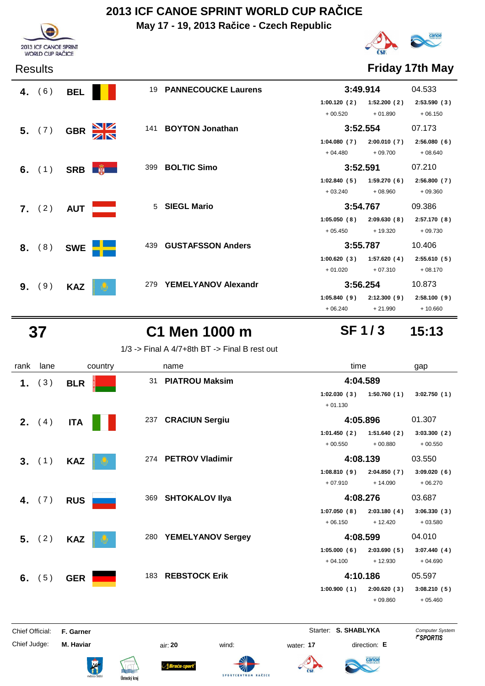**May 17 - 19, 2013 Račice - Czech Republic**



Results **Friday 17th May**

|    | 4. $(6)$ | <b>BEL</b> | 19                                     | <b>PANNECOUCKE Laurens</b> |             | 3:49.914    | 04.533      |
|----|----------|------------|----------------------------------------|----------------------------|-------------|-------------|-------------|
|    |          |            |                                        |                            | 1:00.120(2) | 1:52.200(2) | 2:53.590(3) |
|    |          |            |                                        |                            | $+00.520$   | $+01.890$   | $+06.150$   |
|    | 5. (7)   | <b>GBR</b> | $\frac{\mathbf{N}}{\mathbf{N}}$<br>141 | <b>BOYTON Jonathan</b>     |             | 3:52.554    | 07.173      |
|    |          |            |                                        |                            | 1:04.080(7) | 2:00.010(7) | 2:56.080(6) |
|    |          |            |                                        |                            | $+04.480$   | $+09.700$   | $+08.640$   |
|    | 6. $(1)$ |            | 399<br>$SRB$ $\frac{1}{2}$             | <b>BOLTIC Simo</b>         | 3:52.591    |             | 07.210      |
|    |          |            |                                        |                            | 1:02.840(5) | 1:59.270(6) | 2:56.800(7) |
|    |          |            |                                        |                            | $+03.240$   | $+08.960$   | $+09.360$   |
|    | 7. (2)   | <b>AUT</b> | 5                                      | <b>SIEGL Mario</b>         |             | 3:54.767    | 09.386      |
|    |          |            |                                        |                            | 1:05.050(8) | 2:09.630(8) | 2:57.170(8) |
|    |          |            |                                        |                            | $+05.450$   | $+19.320$   | $+09.730$   |
| 8. | (8)      | <b>SWE</b> | 439                                    | <b>GUSTAFSSON Anders</b>   |             | 3:55.787    | 10.406      |
|    |          |            |                                        |                            | 1:00.620(3) | 1:57.620(4) | 2:55.610(5) |
|    |          |            |                                        |                            | $+01.020$   | $+07.310$   | $+08.170$   |
| 9. | (9)      | <b>KAZ</b> | 279                                    | <b>YEMELYANOV Alexandr</b> |             | 3:56.254    | 10.873      |
|    |          |            |                                        |                            | 1:05.840(9) | 2:12.300(9) | 2:58.100(9) |
|    |          |            |                                        |                            | $+06.240$   | $+21.990$   | $+10.660$   |

2013 ICF CANOE SPRINT<br>WORLD CUP RAČICE

 **37 C1 Men 1000 m 15:13**

1/3 -> Final A 4/7+8th BT -> Final B rest out

| rank            | lane            | country    | name                            | time                                                 | gap                                              |
|-----------------|-----------------|------------|---------------------------------|------------------------------------------------------|--------------------------------------------------|
| 1.              | (3)             | <b>BLR</b> | <b>PIATROU Maksim</b><br>31     | 4:04.589                                             |                                                  |
|                 |                 |            |                                 | 1:50.760(1)<br>1:02.030(3)<br>$+01.130$              | 3:02.750(1)                                      |
|                 | <b>2.</b> $(4)$ | <b>ITA</b> | 237 CRACIUN Sergiu              | 4:05.896                                             | 01.307                                           |
|                 |                 |            |                                 | 1:01.450(2)<br>1:51.640(2)<br>$+00.550$<br>$+00.880$ | 3:03.300(2)<br>$+00.550$                         |
|                 | 3. (1)          | <b>KAZ</b> | 274 PETROV Vladimir             | 4:08.139                                             | 03.550                                           |
|                 |                 |            |                                 | 1:08.810(9)<br>2:04.850(7)<br>$+07.910$<br>$+14.090$ | 3:09.020(6)<br>$+06.270$                         |
|                 | 4. $(7)$        | <b>RUS</b> | 369 SHTOKALOV IIya              | 4:08.276                                             | 03.687                                           |
|                 |                 |            |                                 | 1:07.050(8)<br>2:03.180(4)<br>$+06.150$<br>$+12.420$ | 3:06.330(3)<br>$+03.580$                         |
|                 | 5. (2)          | <b>KAZ</b> | <b>YEMELYANOV Sergey</b><br>280 | 4:08.599                                             | 04.010                                           |
|                 |                 |            |                                 | 1:05.000(6)<br>2:03.690(5)<br>$+04.100$<br>$+12.930$ | 3:07.440(4)<br>$+04.690$                         |
| 6.              | (5)             | <b>GER</b> | 183 REBSTOCK Erik               | 4:10.186                                             | 05.597                                           |
|                 |                 |            |                                 | 1:00.900(1)<br>2:00.620(3)<br>$+09.860$              | 3:08.210(5)<br>$+05.460$                         |
| Chief Official: |                 | F. Garner  |                                 | Starter: S. SHABLYKA                                 | <b>Computer System</b><br><b><i>FSPORTIS</i></b> |

Chief Judge: **M. Haviar** air: **20** wind: water: **17** direction: **E**











**SF 1 / 3**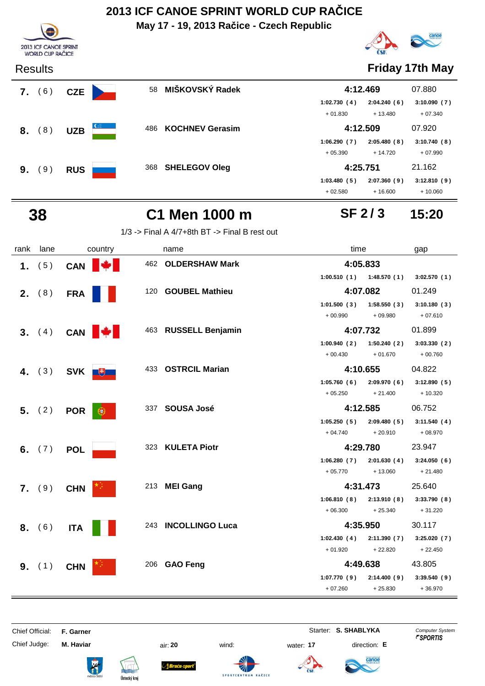**May 17 - 19, 2013 Račice - Czech Republic**





### Results **Friday 17th May**

| 6)<br>7. | <b>CZE</b> | 58                  | MIŠKOVSKÝ Radek        | 4:12.469    |             | 07.880      |
|----------|------------|---------------------|------------------------|-------------|-------------|-------------|
|          |            |                     |                        | 1:02.730(4) | 2:04.240(6) | 3:10.090(7) |
|          |            |                     |                        | $+01.830$   | $+13.480$   | $+07.340$   |
| 8)<br>8. | <b>UZB</b> | $\mathbf{C}$<br>486 | <b>KOCHNEV Gerasim</b> | 4:12.509    |             | 07.920      |
|          |            |                     |                        | 1:06.290(7) | 2:05.480(8) | 3:10.740(8) |
|          |            |                     |                        | $+05.390$   | $+14.720$   | $+07.990$   |
| 9)<br>9. | <b>RUS</b> |                     | 368 SHELEGOV Oleg      | 4:25.751    |             | 21.162      |
|          |            |                     |                        | 1:03.480(5) | 2:07.360(9) | 3:12.810(9) |
|          |            |                     |                        | $+02.580$   | $+16.600$   | $+10.060$   |

### **SF 2 / 3**

## **38 C1 Men 1000 m 15:20**

1/3 -> Final A 4/7+8th BT -> Final B rest out

| rank | lane     | country         | name                 | time                        | gap         |
|------|----------|-----------------|----------------------|-----------------------------|-------------|
|      | 1. $(5)$ | CAN             | 462 OLDERSHAW Mark   | 4:05.833                    |             |
|      |          |                 |                      | $1:00.510(1)$ $1:48.570(1)$ | 3:02.570(1) |
|      | 2. (8)   | <b>FRA</b>      | 120 GOUBEL Mathieu   | 4:07.082                    | 01.249      |
|      |          |                 |                      | 1:01.500(3)<br>1:58.550(3)  | 3:10.180(3) |
|      |          |                 |                      | $+09.980$<br>$+00.990$      | $+07.610$   |
|      | 3. (4)   | <b>CAN</b>      | 463 RUSSELL Benjamin | 4:07.732                    | 01.899      |
|      |          |                 |                      | 1:50.240(2)<br>1:00.940(2)  | 3:03.330(2) |
|      |          |                 |                      | $+00.430$<br>$+01.670$      | $+00.760$   |
|      | 4. $(3)$ | SVK <b>U</b>    | 433 OSTRCIL Marian   | 4:10.655                    | 04.822      |
|      |          |                 |                      | 1:05.760(6)<br>2:09.970 (6) | 3:12.890(5) |
|      |          |                 |                      | $+05.250$<br>$+21.400$      | $+10.320$   |
|      | 5. (2)   | <b>POR</b><br>ω | 337 SOUSA José       | 4:12.585                    | 06.752      |
|      |          |                 |                      | 1:05.250(5)<br>2:09.480(5)  | 3:11.540(4) |
|      |          |                 |                      | $+04.740$<br>$+20.910$      | $+08.970$   |
|      | 6. $(7)$ | <b>POL</b>      | 323 KULETA Piotr     | 4:29.780                    | 23.947      |
|      |          |                 |                      | 2:01.630(4)<br>1:06.280(7)  | 3:24.050(6) |
|      |          |                 |                      | $+05.770$<br>$+13.060$      | $+21.480$   |
|      | 7. (9)   | <b>CHN</b>      | 213 MEI Gang         | 4:31.473                    | 25.640      |
|      |          |                 |                      | 2:13.910(8)<br>1:06.810(8)  | 3:33.790(8) |
|      |          |                 |                      | $+06.300$<br>$+25.340$      | $+31.220$   |
|      | 8. (6)   | <b>ITA</b>      | 243 INCOLLINGO Luca  | 4:35.950                    | 30.117      |
|      |          |                 |                      | 1:02.430(4)<br>2:11.390 (7) | 3:25.020(7) |
|      |          |                 |                      | $+22.820$<br>$+01.920$      | $+22.450$   |
|      | 9. (1)   | <b>CHN</b>      | 206 GAO Feng         | 4:49.638                    | 43.805      |
|      |          |                 |                      | 1:07.770(9)<br>2:14.400(9)  | 3:39.540(9) |
|      |          |                 |                      | $+07.260$<br>$+25.830$      | $+36.970$   |

Chief Official: **F. Garner** System **Starter: S. SHABLYKA** Computer System

Chief Judge: **M. Haviar** air: **20** wind: water: **17** direction: **E**











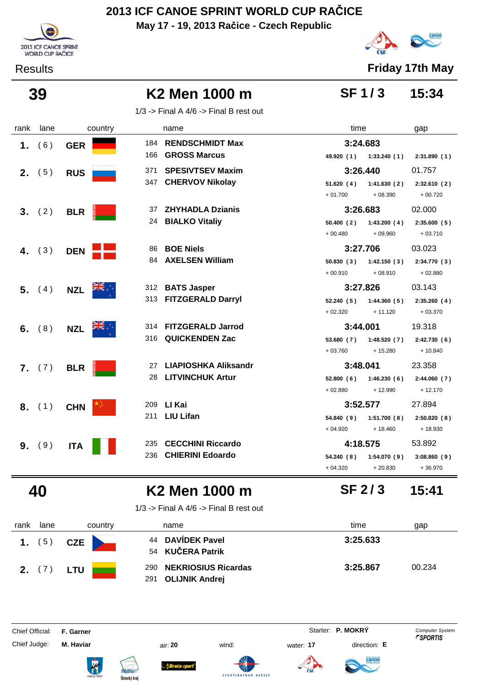**May 17 - 19, 2013 Račice - Czech Republic**





Results **Friday 17th May**

### **SF 1 / 3**

### **39 K2 Men 1000 m 15:34**

1/3 -> Final A  $4/6$  -> Final B rest out

| rank | lane     |            | country |     | name                     | time       |                         | gap         |
|------|----------|------------|---------|-----|--------------------------|------------|-------------------------|-------------|
| 1.   | (6)      | <b>GER</b> |         |     | 184 RENDSCHMIDT Max      | 3:24.683   |                         |             |
|      |          |            |         | 166 | <b>GROSS Marcus</b>      |            | 49.920 (1) 1:33.240 (1) | 2:31.890(1) |
| 2.   | (5)      | <b>RUS</b> |         | 371 | <b>SPESIVTSEV Maxim</b>  |            | 3:26.440                | 01.757      |
|      |          |            |         |     | 347 CHERVOV Nikolay      | 51.620(4)  | 1:41.630(2)             | 2:32.610(2) |
|      |          |            |         |     |                          | $+01.700$  | $+08.390$               | $+00.720$   |
|      | 3. (2)   | <b>BLR</b> |         | 37  | <b>ZHYHADLA Dzianis</b>  |            | 3:26.683                | 02.000      |
|      |          |            |         |     | 24 BIALKO Vitaliy        | 50.400(2)  | 1:43.200(4)             | 2:35.600(5) |
|      |          |            |         |     |                          | $+00.480$  | $+09.960$               | $+03.710$   |
|      | 4. $(3)$ | <b>DEN</b> |         | 86  | <b>BOE Niels</b>         | 3:27.706   |                         | 03.023      |
|      |          |            |         | 84  | <b>AXELSEN William</b>   | 50.830(3)  | 1:42.150(3)             | 2:34.770(3) |
|      |          |            |         |     |                          | $+00.910$  | $+08.910$               | $+02.880$   |
|      | 5. (4)   | <b>NZL</b> |         |     | 312 BATS Jasper          |            | 3:27.826                | 03.143      |
|      |          |            |         |     | 313 FITZGERALD Darryl    | 52.240(5)  | 1:44.360(5)             | 2:35.260(4) |
|      |          |            |         |     |                          | $+02.320$  | $+11.120$               | $+03.370$   |
|      | 6. $(8)$ | <b>NZL</b> |         |     | 314 FITZGERALD Jarrod    | 3:44.001   |                         | 19.318      |
|      |          |            |         |     | 316 QUICKENDEN Zac       | 53.680 (7) | 1:48.520(7)             | 2:42.730(6) |
|      |          |            |         |     |                          | $+03.760$  | $+15.280$               | $+10.840$   |
|      | 7. (7)   | <b>BLR</b> |         | 27  | LIAPIOSHKA Aliksandr     | 3:48.041   |                         | 23.358      |
|      |          |            |         |     | 28 LITVINCHUK Artur      | 52.800(6)  | 1:46.230(6)             | 2:44.060(7) |
|      |          |            |         |     |                          | $+02.880$  | $+12.990$               | $+12.170$   |
|      | 8. (1)   | <b>CHN</b> |         |     | 209 LI Kai               |            | 3:52.577                | 27.894      |
|      |          |            |         |     | 211 LIU Lifan            | 54.840(9)  | 1:51.700(8)             | 2:50.820(8) |
|      |          |            |         |     |                          | $+04.920$  | $+18.460$               | $+18.930$   |
| 9.   | (9)      | <b>ITA</b> |         | 235 | <b>CECCHINI Riccardo</b> | 4:18.575   |                         | 53.892      |
|      |          |            |         | 236 | <b>CHIERINI Edoardo</b>  | 54.240 (8) | 1:54.070(9)             | 3:08.860(9) |
|      |          |            |         |     |                          | $+04.320$  | $+20.830$               | $+36.970$   |

## **40 K2 Men 1000 m 15:41**

1/3 -> Final A  $4/6$  -> Final B rest out

| rank | lane | country | name                                                    | time<br>gap        |
|------|------|---------|---------------------------------------------------------|--------------------|
|      | (5)  | CZE     | 44 DAVÍDEK Pavel<br>54 KUČERA Patrik                    | 3:25.633           |
| 2.   |      | LTU     | 290 NEKRIOSIUS Ricardas<br><b>OLIJNIK Andrej</b><br>291 | 3:25.867<br>00.234 |

Chief Official: **F. Garner** System **F. Garner** System **P. MOKRY** Computer System

Chief Judge: **M. Haviar** air: **20** wind: water: **17** direction: **E**











**SF 2 / 3**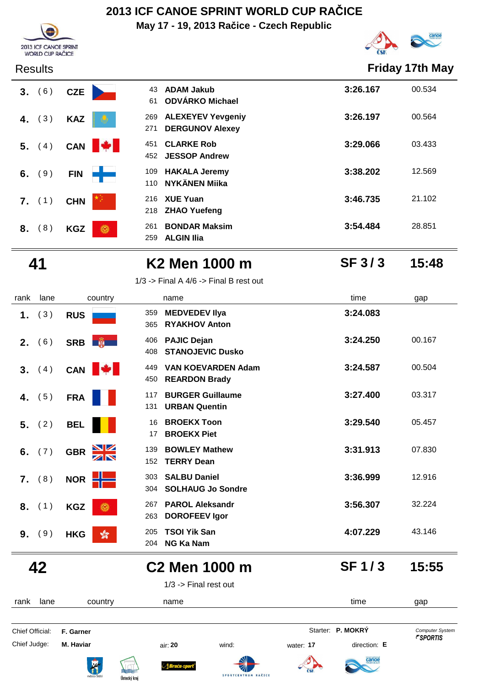**May 17 - 19, 2013 Račice - Czech Republic**





Results **Friday 17th May**

| (6)<br>3. | <b>CZE</b>       | <b>ADAM Jakub</b><br>43<br>ODVÁRKO Michael<br>61                 | 3:26.167 | 00.534 |
|-----------|------------------|------------------------------------------------------------------|----------|--------|
| (3)<br>4. | <b>KAZ</b>       | <b>ALEXEYEV Yevgeniy</b><br>269<br><b>DERGUNOV Alexey</b><br>271 | 3:26.197 | 00.564 |
| 5.<br>(4) | M.<br><b>CAN</b> | <b>CLARKE Rob</b><br>451<br><b>JESSOP Andrew</b><br>452          | 3:29.066 | 03.433 |
| (9)<br>6. | <b>FIN</b>       | <b>HAKALA Jeremy</b><br>109<br><b>NYKÄNEN Miika</b><br>110       | 3:38.202 | 12.569 |
| (1)<br>7. | <b>CHN</b>       | <b>XUE Yuan</b><br>216<br><b>ZHAO Yuefeng</b><br>218             | 3:46.735 | 21.102 |
| 8)<br>8.  | Ö<br><b>KGZ</b>  | <b>BONDAR Maksim</b><br>261<br><b>ALGIN Ilia</b><br>259          | 3:54.484 | 28.851 |

 **41 K2 Men 1000 m 15:48**

**SF 3 / 3**

|  | $1/3$ -> Final A $4/6$ -> Final B rest out |
|--|--------------------------------------------|
|--|--------------------------------------------|

|         |      |                                       | <b>NG Ka Nam</b><br>204                                      |          |        |
|---------|------|---------------------------------------|--------------------------------------------------------------|----------|--------|
| 9.      | (9)  | <b>HKG</b><br>$\sqrt[6]{3}$           | <b>TSOI Yik San</b><br>205                                   | 4:07.229 | 43.146 |
| 8.      | (1)  | <b>KGZ</b><br>۱                       | <b>PAROL Aleksandr</b><br>267<br><b>DOROFEEV Igor</b><br>263 | 3:56.307 | 32.224 |
|         |      |                                       | <b>SOLHAUG Jo Sondre</b><br>304                              |          |        |
| 7.      | (8)  | NOR <b>HIME</b>                       | <b>SALBU Daniel</b><br>303                                   | 3:36.999 | 12.916 |
| 6.      | (7)  | $\frac{\sum x}{\sum x}$<br><b>GBR</b> | <b>TERRY Dean</b><br>152                                     |          |        |
|         |      |                                       | <b>BOWLEY Mathew</b><br>139                                  | 3:31.913 | 07.830 |
| 5.      | (2)  | <b>BEL</b>                            | <b>BROEKX Toon</b><br>16<br><b>BROEKX Piet</b><br>17         | 3:29.540 | 05.457 |
|         |      |                                       | <b>URBAN Quentin</b><br>131                                  |          |        |
| 4.      | (5)  | <b>FRA</b>                            | <b>BURGER Guillaume</b><br>117                               | 3:27.400 | 03.317 |
|         |      |                                       | <b>REARDON Brady</b><br>450                                  |          |        |
| 3.      | (4)  | CAN <b>W</b>                          | <b>VAN KOEVARDEN Adam</b><br>449                             | 3:24.587 | 00.504 |
| $2_{-}$ | (6)  | SRB <b>B</b>                          | <b>PAJIC Dejan</b><br>406<br><b>STANOJEVIC Dusko</b><br>408  | 3:24.250 | 00.167 |
|         |      |                                       | <b>RYAKHOV Anton</b><br>365                                  |          |        |
| 1.      | (3)  | <b>RUS</b>                            | <b>MEDVEDEV IIya</b><br>359                                  | 3:24.083 |        |
| rank    | lane | country                               | name                                                         | time     | gap    |

1/3 -> Final rest out

| lane<br>rank    | country          |                                      | name        |                     |            | time              | gap                    |
|-----------------|------------------|--------------------------------------|-------------|---------------------|------------|-------------------|------------------------|
| Chief Official: | F. Garner        |                                      |             |                     |            | Starter: P. MOKRÝ | <b>Computer System</b> |
| Chief Judge:    | M. Haviar        |                                      | air: 20     | wind:               | water: 17  | direction: E      | <i><b>FSPORTIS</b></i> |
|                 | <b>The State</b> | nnnnn<br><b>REAL</b><br>Ústecký kraj | Braća-sport | SPORTCENTRUM RAČICE | <b>ČSK</b> | <b>Canoe</b>      |                        |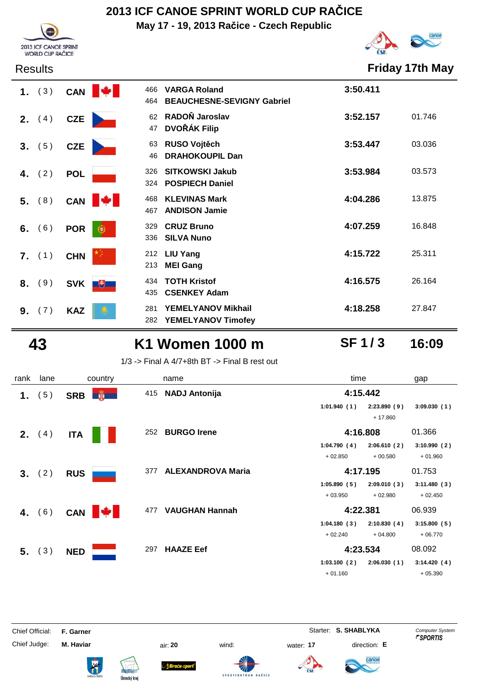**May 17 - 19, 2013 Račice - Czech Republic**



# canoe



| 1. (3)    | CAN             | <b>VARGA Roland</b><br>466<br><b>BEAUCHESNE-SEVIGNY Gabriel</b><br>464 | 3:50.411 |        |
|-----------|-----------------|------------------------------------------------------------------------|----------|--------|
| (4)<br>2. | <b>CZE</b>      | RADOŇ Jaroslav<br>62<br><b>DVOŘÁK Filip</b><br>47                      | 3:52.157 | 01.746 |
| (5)<br>3. | <b>CZE</b>      | RUSO Vojtěch<br>63<br><b>DRAHOKOUPIL Dan</b><br>46                     | 3:53.447 | 03.036 |
| (2)<br>4. | <b>POL</b>      | <b>SITKOWSKI Jakub</b><br>326<br><b>POSPIECH Daniel</b><br>324         | 3:53.984 | 03.573 |
| 5. (8)    | <b>CAN</b>      | <b>KLEVINAS Mark</b><br>468<br><b>ANDISON Jamie</b><br>467             | 4:04.286 | 13.875 |
| (6)<br>6. | <b>POR</b><br>œ | <b>CRUZ Bruno</b><br>329<br>336<br><b>SILVA Nuno</b>                   | 4:07.259 | 16.848 |
| $7.$ (1)  | <b>CHN</b>      | 212 LIU Yang<br><b>MEI Gang</b><br>213                                 | 4:15.722 | 25.311 |
| (9)<br>8. | SVK  <br>电      | <b>TOTH Kristof</b><br>434<br><b>CSENKEY Adam</b><br>435               | 4:16.575 | 26.164 |
| (7)<br>9. | <b>KAZ</b>      | YEMELYANOV Mikhail<br>281<br>282<br><b>YEMELYANOV Timofey</b>          | 4:18.258 | 27.847 |

## **43 K1 Women 1000 m 16:09**

**SF 1 / 3**

1/3 -> Final A 4/7+8th BT -> Final B rest out

| rank | lane     | country      | time<br>name                    |                            | gap         |
|------|----------|--------------|---------------------------------|----------------------------|-------------|
| 1.   | 5)       | <b>SRB</b>   | 415 NADJ Antonija               | 4:15.442                   |             |
|      |          |              |                                 | 1:01.940(1)<br>2:23.890(9) | 3:09.030(1) |
|      |          |              |                                 | $+17.860$                  |             |
| 2.   | (4)      | <b>ITA</b>   | <b>BURGO Irene</b><br>252       | 4:16.808                   | 01.366      |
|      |          |              |                                 | 1:04.790(4)<br>2:06.610(2) | 3:10.990(2) |
|      |          |              |                                 | $+02.850$<br>$+00.580$     | $+01.960$   |
|      | 3. (2)   | <b>RUS</b>   | <b>ALEXANDROVA Maria</b><br>377 | 4:17.195                   | 01.753      |
|      |          |              |                                 | 1:05.890(5)<br>2:09.010(3) | 3:11.480(3) |
|      |          |              |                                 | $+03.950$<br>$+02.980$     | $+02.450$   |
|      | 4. $(6)$ | CAN <b>W</b> | <b>VAUGHAN Hannah</b><br>477    | 4:22.381                   | 06.939      |
|      |          |              |                                 | 1:04.180(3)<br>2:10.830(4) | 3:15.800(5) |
|      |          |              |                                 | $+02.240$<br>$+04.800$     | $+06.770$   |
|      | 5. (3)   | <b>NED</b>   | <b>HAAZE Eef</b><br>297         | 4:23.534                   | 08.092      |
|      |          |              |                                 | 1:03.100(2)<br>2:06.030(1) | 3:14.420(4) |
|      |          |              |                                 | $+01.160$                  | $+05.390$   |

Chief Official: **F. Garner** System **Starter: S. SHABLYKA** Computer System

Chief Judge: **M. Haviar** air: **20** wind: water: **17** direction: **E**











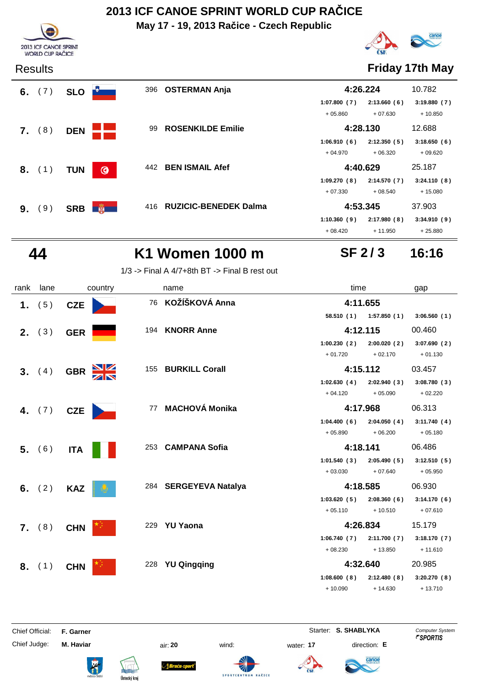**May 17 - 19, 2013 Račice - Czech Republic**



### Results **Friday 17th May**

**SF 2 / 3**

|    | 6. $(7)$ | <b>SLO</b> |         | 396 | <b>OSTERMAN Anja</b>         | 4:26.224    |             | 10.782      |
|----|----------|------------|---------|-----|------------------------------|-------------|-------------|-------------|
|    |          |            |         |     |                              | 1:07.800(7) | 2:13.660(6) | 3:19.880(7) |
|    |          |            |         |     |                              | $+05.860$   | $+07.630$   | $+10.850$   |
| 7. | (8)      | <b>DEN</b> |         | 99  | <b>ROSENKILDE Emilie</b>     | 4:28.130    |             | 12.688      |
|    |          |            |         |     |                              | 1:06.910(6) | 2:12.350(5) | 3:18.650(6) |
|    |          |            |         |     |                              | $+04.970$   | $+06.320$   | $+09.620$   |
|    | $8.$ (1) | <b>TUN</b> | $\odot$ | 442 | <b>BEN ISMAIL Afef</b>       | 4:40.629    |             | 25.187      |
|    |          |            |         |     |                              | 1:09.270(8) | 2:14.570(7) | 3:24.110(8) |
|    |          |            |         |     |                              | $+07.330$   | $+08.540$   | $+15.080$   |
| 9. | (9)      | <b>SRB</b> | 第一      | 416 | <b>RUZICIC-BENEDEK Dalma</b> | 4:53.345    |             | 37.903      |
|    |          |            |         |     |                              | 1:10.360(9) | 2:17.980(8) | 3:34.910(9) |
|    |          |            |         |     |                              | $+08.420$   | $+11.950$   | $+25.880$   |



2013 ICF CANOE SPRINT WORLD CUP RAČICE

### **44 K1 Women 1000 m 16:16**

1/3 -> Final A 4/7+8th BT -> Final B rest out

| rank | lane            | country                               | name                  | time                        | gap         |
|------|-----------------|---------------------------------------|-----------------------|-----------------------------|-------------|
|      | 1. $(5)$        | <b>CZE</b>                            | 76 KOŽÍŠKOVÁ Anna     | 4:11.655                    |             |
|      |                 |                                       |                       | 58.510 (1) 1:57.850 (1)     | 3:06.560(1) |
|      | <b>2.</b> $(3)$ | <b>GER</b>                            | 194 KNORR Anne        | 4:12.115                    | 00.460      |
|      |                 |                                       |                       | 1:00.230(2)<br>2:00.020(2)  | 3:07.690(2) |
|      |                 |                                       |                       | $+01.720$<br>$+02.170$      | $+01.130$   |
|      | 3. (4)          | $\frac{\Delta}{\Delta}$<br><b>GBR</b> | 155 BURKILL Corall    | 4:15.112                    | 03.457      |
|      |                 |                                       |                       | 1:02.630(4)<br>2:02.940(3)  | 3:08.780(3) |
|      |                 |                                       |                       | $+05.090$<br>$+04.120$      | $+02.220$   |
|      | 4. $(7)$        | <b>CZE</b>                            | 77 MACHOVÁ Monika     | 4:17.968                    | 06.313      |
|      |                 |                                       |                       | 1:04.400(6)<br>2:04.050(4)  | 3:11.740(4) |
|      |                 |                                       |                       | $+05.890$<br>$+06.200$      | $+05.180$   |
|      | 5. (6)          | <b>ITA</b>                            | 253 CAMPANA Sofia     | 4:18.141                    | 06.486      |
|      |                 |                                       |                       | 1:01.540(3)<br>2:05.490(5)  | 3:12.510(5) |
|      |                 |                                       |                       | $+03.030$<br>$+07.640$      | $+05.950$   |
|      | 6. $(2)$        | <b>KAZ</b>                            | 284 SERGEYEVA Natalya | 4:18.585                    | 06.930      |
|      |                 |                                       |                       | 1:03.620(5)<br>2:08.360(6)  | 3:14.170(6) |
|      |                 |                                       |                       | $+05.110$<br>$+10.510$      | $+07.610$   |
|      | 7. (8)          | <b>CHN</b>                            | 229 YU Yaona          | 4:26.834                    | 15.179      |
|      |                 |                                       |                       | 1:06.740(7)<br>2:11.700 (7) | 3:18.170(7) |
|      |                 |                                       |                       | $+08.230$<br>$+13.850$      | $+11.610$   |
|      | 8. (1)          | <b>CHN</b>                            | 228 YU Qingqing       | 4:32.640                    | 20.985      |
|      |                 |                                       |                       | 1:08.600(8)<br>2:12.480 (8) | 3:20.270(8) |
|      |                 |                                       |                       | $+10.090$<br>$+14.630$      | $+13.710$   |
|      |                 |                                       |                       |                             |             |

Chief Official: **F. Garner** System **Starter: S. SHABLYKA** Computer System Chief Judge: **M. Haviar** air: **20** wind: water: **17** direction: **E**



ł











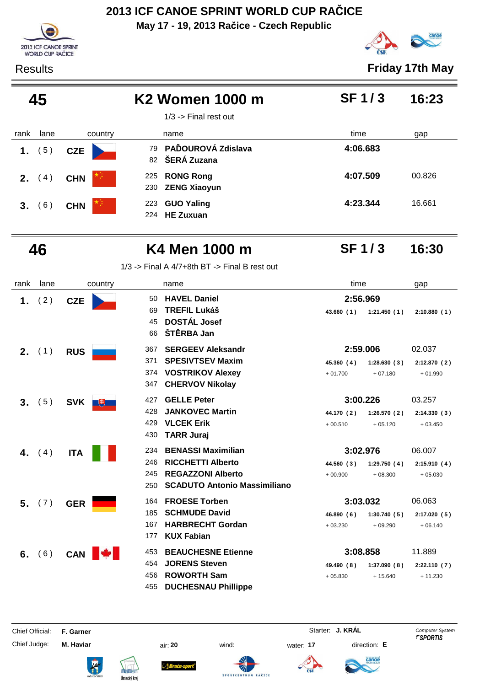**May 17 - 19, 2013 Račice - Czech Republic**



Results **Friday 17th May**

| 45   |      |            | K <sub>2</sub> Women 1000 m<br>$1/3$ -> Final rest out | <b>SF1/3</b> | 16:23  |
|------|------|------------|--------------------------------------------------------|--------------|--------|
| rank | lane | country    | name                                                   | time         | gap    |
| 1.   | (5)  | <b>CZE</b> | 79 PAĎOUROVÁ Zdislava<br>82 ŠERÁ Zuzana                | 4:06.683     |        |
| 2.   | (4)  | <b>CHN</b> | <b>RONG Rong</b><br>225<br><b>ZENG Xiaoyun</b><br>230  | 4:07.509     | 00.826 |
| 3.   | (6)  | <b>CHN</b> | <b>GUO Yaling</b><br>223<br><b>HE Zuxuan</b><br>224    | 4:23.344     | 16.661 |

| _ | . .<br>×<br>۰,<br>$\sim$ |
|---|--------------------------|
|---|--------------------------|

2013 ICF CANOE SPRINT WORLD CUP RAČICE

### **K4 Men 1000 m 16:30**

**SF 1 / 3**

1/3 -> Final A 4/7+8th BT -> Final B rest out

| rank | lane     | country         | name                                                                                                                                                 | time                                                            | gap                                |
|------|----------|-----------------|------------------------------------------------------------------------------------------------------------------------------------------------------|-----------------------------------------------------------------|------------------------------------|
|      | 1. $(2)$ | <b>CZE</b>      | <b>HAVEL Daniel</b><br>50.<br><b>TREFIL Lukáš</b><br>69<br><b>DOSTÁL Josef</b><br>45                                                                 | 2:56.969<br>43.660(1)<br>1:21.450(1)                            | 2:10.880(1)                        |
|      | $2.$ (1) | <b>RUS</b>      | ŠTĚRBA Jan<br>66<br><b>SERGEEV Aleksandr</b><br>367                                                                                                  | 2:59.006                                                        | 02.037                             |
|      |          |                 | <b>SPESIVTSEV Maxim</b><br>371<br><b>VOSTRIKOV Alexey</b><br>374<br><b>CHERVOV Nikolay</b><br>347                                                    | 45.360(4)<br>1:28.630(3)<br>$+01.700$<br>$+07.180$              | 2:12.870(2)<br>$+01.990$           |
| 3.   | (5)      | <b>SVK</b><br>Ŀ | <b>GELLE Peter</b><br>427<br><b>JANKOVEC Martin</b><br>428<br><b>VLCEK Erik</b><br>429<br><b>TARR Juraj</b><br>430                                   | 3:00.226<br>44.170 (2)<br>1:26.570(2)<br>$+00.510$<br>$+05.120$ | 03.257<br>2:14.330(3)<br>$+03.450$ |
|      | 4. $(4)$ | <b>ITA</b>      | <b>BENASSI Maximilian</b><br>234<br><b>RICCHETTI Alberto</b><br>246<br><b>REGAZZONI Alberto</b><br>245<br><b>SCADUTO Antonio Massimiliano</b><br>250 | 3:02.976<br>44.560 (3)<br>1:29.750(4)<br>$+00.900$<br>$+08.300$ | 06.007<br>2:15.910(4)<br>$+05.030$ |
|      | 5. (7)   | <b>GER</b>      | <b>FROESE Torben</b><br>164<br><b>SCHMUDE David</b><br>185<br><b>HARBRECHT Gordan</b><br>167<br><b>KUX Fabian</b><br>177                             | 3:03.032<br>1:30.740(5)<br>46.890 (6)<br>$+03.230$<br>$+09.290$ | 06.063<br>2:17.020(5)<br>$+06.140$ |
|      | 6. $(6)$ | CAN <b>W</b>    | <b>BEAUCHESNE Etienne</b><br>453<br><b>JORENS Steven</b><br>454<br><b>ROWORTH Sam</b><br>456<br><b>DUCHESNAU Phillippe</b><br>455                    | 3:08.858<br>49.490 (8)<br>1:37.090(8)<br>$+05.830$<br>$+15.640$ | 11.889<br>2:22.110(7)<br>$+11.230$ |

Chief Judge: **M. Haviar** air: **20** wind: water: **17** direction: **E**







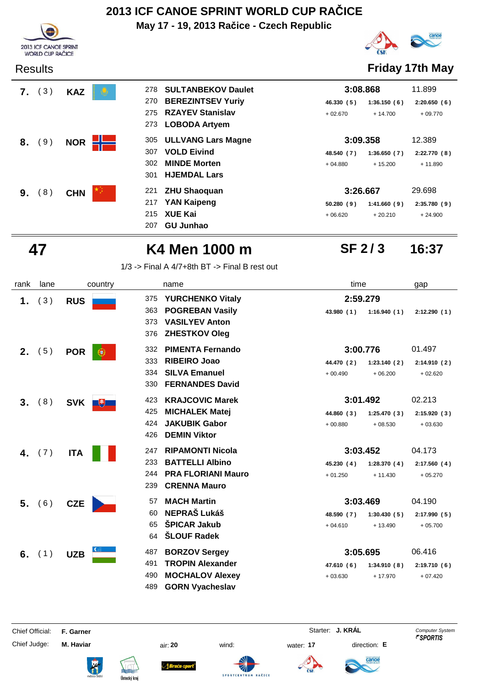**May 17 - 19, 2013 Račice - Czech Republic**





**SF 2 / 3**

Results **Friday 17th May**

| 7. | (3) | <b>KAZ</b> | 278 | <b>SULTANBEKOV Daulet</b> | 3:08.868                  | 11.899      |
|----|-----|------------|-----|---------------------------|---------------------------|-------------|
|    |     |            | 270 | <b>BEREZINTSEV Yuriy</b>  | 46.330 (5)<br>1:36.150(6) | 2:20.650(6) |
|    |     |            | 275 | <b>RZAYEV Stanislav</b>   | $+02.670$<br>$+14.700$    | $+09.770$   |
|    |     |            | 273 | <b>LOBODA Artyem</b>      |                           |             |
| 8. | 9)  | <b>NOR</b> | 305 | <b>ULLVANG Lars Magne</b> | 3:09.358                  | 12.389      |
|    |     |            | 307 | <b>VOLD Eivind</b>        | 1:36.650(7)<br>48.540 (7) | 2:22.770(8) |
|    |     |            | 302 | <b>MINDE Morten</b>       | $+04.880$<br>$+15.200$    | $+11.890$   |
|    |     |            | 301 | <b>HJEMDAL Lars</b>       |                           |             |
| 9. | 8)  | <b>CHN</b> | 221 | <b>ZHU Shaoquan</b>       | 3:26.667                  | 29.698      |
|    |     |            | 217 | <b>YAN Kaipeng</b>        | 50.280(9)<br>1:41.660(9)  | 2:35.780(9) |
|    |     |            | 215 | <b>XUE Kai</b>            | $+06.620$<br>$+20.210$    | $+24.900$   |
|    |     |            | 207 | <b>GU Junhao</b>          |                           |             |



## **47 K4 Men 1000 m 16:37**

1/3 -> Final A 4/7+8th BT -> Final B rest out

| rank    | lane            | country           | name                                | time                      | gap         |
|---------|-----------------|-------------------|-------------------------------------|---------------------------|-------------|
| 1.      | (3)             | <b>RUS</b>        | <b>YURCHENKO Vitaly</b><br>375      | 2:59.279                  |             |
|         |                 |                   | <b>POGREBAN Vasily</b><br>363       | 43.980(1)<br>1:16.940(1)  | 2:12.290(1) |
|         |                 |                   | <b>VASILYEV Anton</b><br>373<br>376 |                           |             |
|         |                 |                   | <b>ZHESTKOV Oleg</b>                |                           |             |
|         | <b>2.</b> $(5)$ | <b>POR</b><br>l e | <b>PIMENTA Fernando</b><br>332      | 3:00.776                  | 01.497      |
|         |                 |                   | 333<br><b>RIBEIRO Joao</b>          | 1:23.140(2)<br>44.470 (2) | 2:14.910(2) |
|         |                 |                   | <b>SILVA Emanuel</b><br>334         | $+00.490$<br>$+06.200$    | $+02.620$   |
|         |                 |                   | <b>FERNANDES David</b><br>330       |                           |             |
| $3_{-}$ | (8)             | SVK <b>FULL</b>   | <b>KRAJCOVIC Marek</b><br>423       | 3:01.492                  | 02.213      |
|         |                 |                   | 425<br><b>MICHALEK Matej</b>        | 44.860 (3)<br>1:25.470(3) | 2:15.920(3) |
|         |                 |                   | <b>JAKUBIK Gabor</b><br>424         | $+00.880$<br>$+08.530$    | $+03.630$   |
|         |                 |                   | <b>DEMIN Viktor</b><br>426          |                           |             |
|         | 4. $(7)$        | <b>ITA</b>        | <b>RIPAMONTI Nicola</b><br>247      | 3:03.452                  | 04.173      |
|         |                 |                   | <b>BATTELLI Albino</b><br>233       | 45.230 (4)<br>1:28.370(4) | 2:17.560(4) |
|         |                 |                   | <b>PRA FLORIANI Mauro</b><br>244    | $+01.250$<br>$+11.430$    | $+05.270$   |
|         |                 |                   | <b>CRENNA Mauro</b><br>239          |                           |             |
|         | 5. (6)          | <b>CZE</b>        | <b>MACH Martin</b><br>57            | 3:03.469                  | 04.190      |
|         |                 |                   | <b>NEPRAŠ Lukáš</b><br>60           | 48.590 (7)<br>1:30.430(5) | 2:17.990(5) |
|         |                 |                   | <b>ŠPICAR Jakub</b><br>65           | $+04.610$<br>$+13.490$    | $+05.700$   |
|         |                 |                   | <b>ŠLOUF Radek</b><br>64            |                           |             |
|         | 6. $(1)$        | <b>UZB</b>        | <b>BORZOV Sergey</b><br>487         | 3:05.695                  | 06.416      |
|         |                 |                   | <b>TROPIN Alexander</b><br>491      | 47.610 (6)<br>1:34.910(8) | 2:19.710(6) |
|         |                 |                   | <b>MOCHALOV Alexey</b><br>490       | $+17.970$<br>$+03.630$    | $+07.420$   |
|         |                 |                   | <b>GORN Vyacheslav</b><br>489       |                           |             |

Chief Judge: **M. Haviar** air: **20** wind: water: **17** direction: **E**

anoe











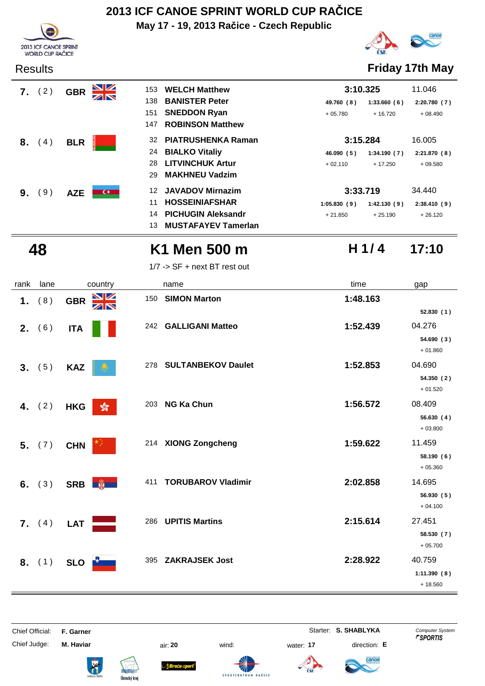**May 17 - 19, 2013 Račice - Czech Republic**







**H 1/ 4**

Results **Friday 17th May**

| 7. | (2) | <b>GBR</b> | <u>NZ</u>     | 153 | <b>WELCH Matthew</b>      | 3:10.325    |             | 11.046      |
|----|-----|------------|---------------|-----|---------------------------|-------------|-------------|-------------|
|    |     |            | ZN            | 138 | <b>BANISTER Peter</b>     | 49.760 (8)  | 1:33.660(6) | 2:20.780(7) |
|    |     |            |               | 151 | <b>SNEDDON Ryan</b>       | $+05.780$   | $+16.720$   | $+08.490$   |
|    |     |            |               | 147 | <b>ROBINSON Matthew</b>   |             |             |             |
| 8. | (4) | <b>BLR</b> |               | 32  | <b>PIATRUSHENKA Raman</b> | 3:15.284    |             | 16.005      |
|    |     |            |               | 24  | <b>BIALKO Vitaliy</b>     | 46.090 (5)  | 1:34.190(7) | 2:21.870(8) |
|    |     |            |               | 28  | <b>LITVINCHUK Artur</b>   | $+02.110$   | $+17.250$   | $+09.580$   |
|    |     |            |               | 29  | <b>MAKHNEU Vadzim</b>     |             |             |             |
| 9. | 9)  | <b>AZE</b> | $\frac{1}{2}$ | 12  | <b>JAVADOV Mirnazim</b>   | 3:33.719    |             | 34.440      |
|    |     |            |               | 11  | <b>HOSSEINIAFSHAR</b>     | 1:05.830(9) | 1:42.130(9) | 2:38.410(9) |
|    |     |            |               | 14  | <b>PICHUGIN Aleksandr</b> | $+21.850$   | $+25.190$   | $+26.120$   |

## **48 K1 Men 500 m 17:10**

**MUSTAFAYEV Tamerlan** 13

1/7 -> SF + next BT rest out

| rank | lane            | country                     | name                             | time     | gap         |
|------|-----------------|-----------------------------|----------------------------------|----------|-------------|
| 1.   | (8)             | VZ<br><b>GBR</b>            | <b>SIMON Marton</b><br>150       | 1:48.163 |             |
|      |                 | ZN                          |                                  |          | 52.830(1)   |
|      | 2. (6)          | <b>ITA</b>                  | 242 GALLIGANI Matteo             | 1:52.439 | 04.276      |
|      |                 |                             |                                  |          | 54.690 (3)  |
|      |                 |                             |                                  |          | $+01.860$   |
|      | 3. (5)          | <b>KAZ</b>                  | 278 SULTANBEKOV Daulet           | 1:52.853 | 04.690      |
|      |                 |                             |                                  |          | 54.350 (2)  |
|      |                 |                             |                                  |          | $+01.520$   |
|      | 4. $(2)$        | <b>HKG</b><br>$\sqrt[6]{3}$ | <b>NG Ka Chun</b><br>203         | 1:56.572 | 08.409      |
|      |                 |                             |                                  |          | 56.630(4)   |
|      |                 |                             |                                  |          | $+03.800$   |
|      | 5. (7)          | <b>CHN</b>                  | 214 XIONG Zongcheng              | 1:59.622 | 11.459      |
|      |                 |                             |                                  |          | 58.190(6)   |
|      |                 |                             |                                  |          | $+05.360$   |
|      | 6. $(3)$        | SRB <b>南</b>                | <b>TORUBAROV Vladimir</b><br>411 | 2:02.858 | 14.695      |
|      |                 |                             |                                  |          | 56.930(5)   |
|      |                 |                             |                                  |          | $+04.100$   |
|      | <b>7.</b> $(4)$ | <b>LAT</b>                  | <b>UPITIS Martins</b><br>286     | 2:15.614 | 27.451      |
|      |                 |                             |                                  |          | 58.530 (7)  |
|      |                 |                             |                                  |          | $+05.700$   |
|      | 8. (1)          | <b>SLO</b>                  | <b>ZAKRAJSEK Jost</b><br>395     | 2:28.922 | 40.759      |
|      |                 |                             |                                  |          | 1:11.390(8) |
|      |                 |                             |                                  |          | $+18.560$   |

| Chief Official: | F. Garner        |                                      |                                      |           | Starter: S. SHABLYKA | <b>Computer System</b><br><i><b>FSPORTIS</b></i> |
|-----------------|------------------|--------------------------------------|--------------------------------------|-----------|----------------------|--------------------------------------------------|
| Chief Judge:    | M. Haviar        | air: 20                              | wind:                                | water: 17 | direction: E         |                                                  |
|                 | <b>The State</b> | phnnnn<br>Bruću-sport<br><b>REAL</b> | $\mathscr{A}$<br>SPORTCENTRUM RAČICE |           | <b>Canoe</b>         |                                                  |

Ústecký kraj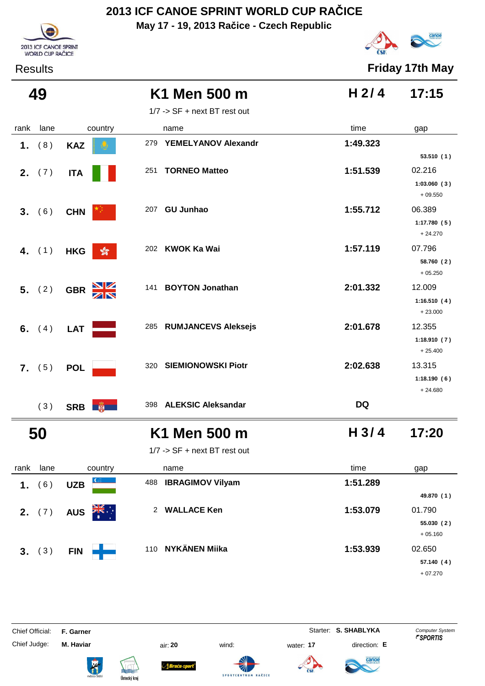**May 17 - 19, 2013 Račice - Czech Republic**





Results **Friday 17th May**

| 49              |                                       | K1 Men 500 m                                 | H <sub>2/4</sub> | 17:15                              |
|-----------------|---------------------------------------|----------------------------------------------|------------------|------------------------------------|
|                 |                                       | 1/7 -> SF + next BT rest out                 |                  |                                    |
| lane<br>rank    | country                               | name                                         | time             | gap                                |
| (8)<br>1.       | <b>KAZ</b>                            | 279<br>YEMELYANOV Alexandr                   | 1:49.323         | 53.510 (1)                         |
| <b>2.</b> $(7)$ | <b>ITA</b>                            | <b>TORNEO Matteo</b><br>251                  | 1:51.539         | 02.216<br>1:03.060(3)<br>$+09.550$ |
| 3. (6)          | <b>CHN</b>                            | <b>GU Junhao</b><br>207                      | 1:55.712         | 06.389<br>1:17.780(5)<br>$+24.270$ |
| 4. $(1)$        | $\frac{1}{200}$<br><b>HKG</b>         | 202 KWOK Ka Wai                              | 1:57.119         | 07.796<br>58.760 (2)<br>$+05.250$  |
| 5. (2)          | $\frac{\Delta}{\Delta}$<br><b>GBR</b> | <b>BOYTON Jonathan</b><br>141                | 2:01.332         | 12.009<br>1:16.510(4)<br>$+23.000$ |
| 6. $(4)$        | <b>LAT</b>                            | <b>RUMJANCEVS Aleksejs</b><br>285            | 2:01.678         | 12.355<br>1:18.910(7)<br>$+25.400$ |
| 7. (5)          | <b>POL</b>                            | <b>SIEMIONOWSKI Piotr</b><br>320             | 2:02.638         | 13.315<br>1:18.190(6)<br>$+24.680$ |
| (3)             | SRB <b>B</b>                          | 398 ALEKSIC Aleksandar                       | <b>DQ</b>        |                                    |
| 50              |                                       | K1 Men 500 m<br>1/7 -> SF + next BT rest out | H <sub>3/4</sub> | 17:20                              |
| lane<br>rank    | country                               | name                                         | time             | gap                                |
| (6)<br>1.       | <b>UZB</b>                            | <b>IBRAGIMOV Vilyam</b><br>488               | 1:51.289         |                                    |
|                 |                                       |                                              |                  | 49.870 (1)                         |
| 2. (7)          | $\frac{1}{\sqrt{N}}$<br><b>AUS</b>    | 2 WALLACE Ken                                | 1:53.079         | 01.790<br>55.030(2)<br>$+05.160$   |
| (3)<br>3.       | <b>FIN</b>                            | 110 NYKÄNEN Miika                            | 1:53.939         | 02.650<br>57.140 (4)<br>$+07.270$  |

Chief Judge: **M. Haviar** air: **20** wind: water: **17** direction: **E**

Chief Official: **F. Garner** System **Starter: S. SHABLYKA** Computer System

**temationa** 









ł

Sraća-sport





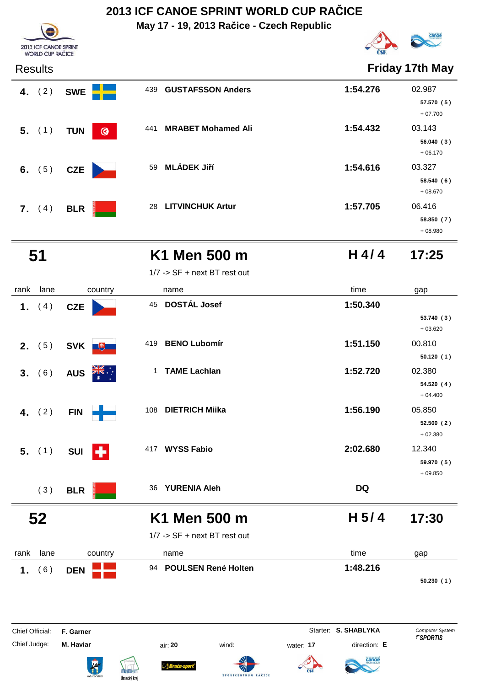**May 17 - 19, 2013 Račice - Czech Republic**





| <b>Results</b>  |                       |                                  |          | <b>Friday 17th May</b>            |
|-----------------|-----------------------|----------------------------------|----------|-----------------------------------|
| 4. $(2)$        | <b>SWE</b>            | <b>GUSTAFSSON Anders</b><br>439  | 1:54.276 | 02.987<br>57.570 (5)<br>$+07.700$ |
| $5.$ (1)        | $\odot$<br><b>TUN</b> | <b>MRABET Mohamed Ali</b><br>441 | 1:54.432 | 03.143<br>56.040(3)<br>$+06.170$  |
| 6. $(5)$        | <b>CZE</b>            | <b>MLÁDEK Jiří</b><br>59         | 1:54.616 | 03.327<br>58.540(6)<br>$+08.670$  |
| <b>7.</b> $(4)$ | <b>BLR</b>            | <b>LITVINCHUK Artur</b><br>28    | 1:57.705 | 06.416<br>58.850 (7)<br>$+08.980$ |

### **51 K1 Men 500 m 17:25**

**H 4/ 4**

|                                        |                        | 1/7 -> SF + next BT rest out                 |                                                   |                                                  |
|----------------------------------------|------------------------|----------------------------------------------|---------------------------------------------------|--------------------------------------------------|
| rank<br>lane                           | country                | name                                         | time                                              | gap                                              |
| (4)<br>1.                              | <b>CZE</b>             | 45 DOSTÁL Josef                              | 1:50.340                                          | 53.740(3)<br>$+03.620$                           |
| (5)<br>2.                              | SVK <sup>#</sup>       | 419<br><b>BENO Lubomír</b>                   | 1:51.150                                          | 00.810<br>50.120(1)                              |
| (6)<br>3.                              | <b>AUS</b>             | <b>TAME Lachlan</b><br>$\mathbf{1}$          | 1:52.720                                          | 02.380<br>54.520(4)<br>$+04.400$                 |
| (2)<br>4.                              | <b>FIN</b>             | <b>DIETRICH Miika</b><br>108                 | 1:56.190                                          | 05.850<br>52.500 (2)<br>$+02.380$                |
| $5.$ (1)                               | Н<br><b>SUI</b>        | 417 WYSS Fabio                               | 2:02.680                                          | 12.340<br>59.970 (5)<br>$+09.850$                |
| (3)                                    | <b>BLR</b>             | <b>YURENIA Aleh</b><br>36                    | <b>DQ</b>                                         |                                                  |
| 52                                     |                        | K1 Men 500 m<br>1/7 -> SF + next BT rest out | H <sub>5/4</sub>                                  | 17:30                                            |
| lane<br>rank                           | country                | name                                         | time                                              | gap                                              |
| (6)<br>1.                              | <b>DEN</b>             | 94 POULSEN René Holten                       | 1:48.216                                          | 50.230(1)                                        |
| <b>Chief Official:</b><br>Chief Judge: | F. Garner<br>M. Haviar | air: 20<br>wind:                             | Starter: S. SHABLYKA<br>direction: E<br>water: 17 | <b>Computer System</b><br><i><b>"SPORTIS</b></i> |











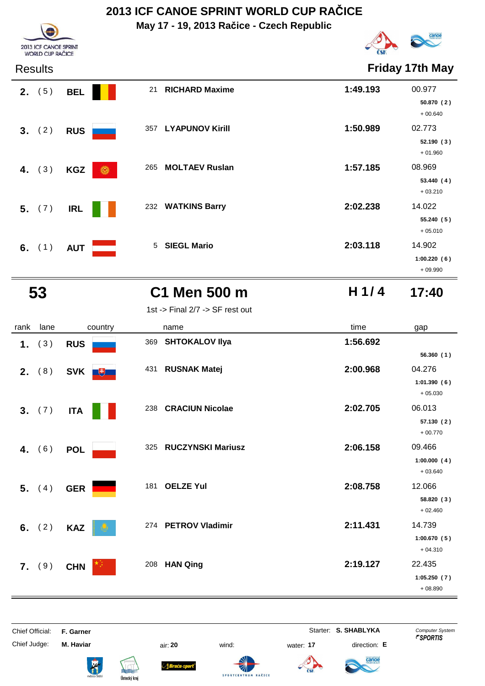**May 17 - 19, 2013 Račice - Czech Republic**



**H 1/ 4**

**Friday 17th May** 

| 2013 ICF CANOE SPRINT<br><b>ORLD CUP RAC</b> |
|----------------------------------------------|

| Results |
|---------|
|---------|

| wuuw            |                 |                                   |          |                                    |
|-----------------|-----------------|-----------------------------------|----------|------------------------------------|
| <b>2.</b> $(5)$ | <b>BEL</b>      | <b>RICHARD Maxime</b><br>21       | 1:49.193 | 00.977<br>50.870(2)<br>$+00.640$   |
| 3. (2)          | <b>RUS</b>      | 357 LYAPUNOV Kirill               | 1:50.989 | 02.773<br>52.190(3)<br>$+01.960$   |
| 4. $(3)$        | 6<br><b>KGZ</b> | 265 MOLTAEV Ruslan                | 1:57.185 | 08.969<br>53.440(4)<br>$+03.210$   |
| 5. (7)          | <b>IRL</b>      | <b>WATKINS Barry</b><br>232       | 2:02.238 | 14.022<br>55.240 (5)<br>$+05.010$  |
| 6. $(1)$        | <b>AUT</b>      | <b>SIEGL Mario</b><br>$5^{\circ}$ | 2:03.118 | 14.902<br>1:00.220(6)<br>$+09.990$ |

| - 3 |               |
|-----|---------------|
| ۰,  | ۰,            |
| ٠   |               |
| .,  | $\frac{1}{2}$ |
| ۰.  | ۰.            |
|     |               |

## **53 C1 Men 500 m 17:40**

1st -> Final 2/7 -> SF rest out

| rank | lane     | country           | name                            | time     | gap                      |
|------|----------|-------------------|---------------------------------|----------|--------------------------|
| 1.   | (3)      | <b>RUS</b>        | <b>SHTOKALOV IIya</b><br>369    | 1:56.692 |                          |
|      |          |                   |                                 |          | 56.360(1)                |
| 2.   | (8)      | <b>SVK</b><br>$+$ | 431<br><b>RUSNAK Matej</b>      | 2:00.968 | 04.276                   |
|      |          |                   |                                 |          | 1:01.390(6)<br>$+05.030$ |
|      | 3. (7)   | <b>ITA</b>        | 238 CRACIUN Nicolae             | 2:02.705 | 06.013                   |
|      |          |                   |                                 |          | 57.130(2)<br>$+00.770$   |
| 4.   | (6)      | <b>POL</b>        | <b>RUCZYNSKI Mariusz</b><br>325 | 2:06.158 | 09.466                   |
|      |          |                   |                                 |          | 1:00.000(4)<br>$+03.640$ |
|      | 5. $(4)$ | <b>GER</b>        | <b>OELZE Yul</b><br>181         | 2:08.758 | 12.066                   |
|      |          |                   |                                 |          | 58.820 (3)               |
|      |          |                   |                                 |          | $+02.460$                |
|      | 6. $(2)$ | <b>KAZ</b>        | 274 PETROV Vladimir             | 2:11.431 | 14.739                   |
|      |          |                   |                                 |          | 1:00.670(5)<br>$+04.310$ |
|      | 7. (9)   | <b>CHN</b>        | <b>HAN Qing</b><br>208          | 2:19.127 | 22.435                   |
|      |          |                   |                                 |          | 1:05.250(7)              |
|      |          |                   |                                 |          | $+08.890$                |

| Chief Official: | F. Garner                     |                                                                      |               |                     |           |     | Starter: S. SHABLYKA | <b>Computer System</b><br><i><b>"SPORTIS</b></i> |
|-----------------|-------------------------------|----------------------------------------------------------------------|---------------|---------------------|-----------|-----|----------------------|--------------------------------------------------|
| Chief Judge:    | M. Haviar                     |                                                                      | air: 20       | wind:               | water: 17 |     | direction: E         |                                                  |
|                 | R <sup>2</sup><br>město Štěti | <b><i><u><u>philipping</u></u></i></b><br><b>REAL</b><br>$A = 111.1$ | ∆ Bruću-sport | SPORTCENTRUM RAČICE |           | ČSK | canoe<br>federation  |                                                  |

Ústecký kraj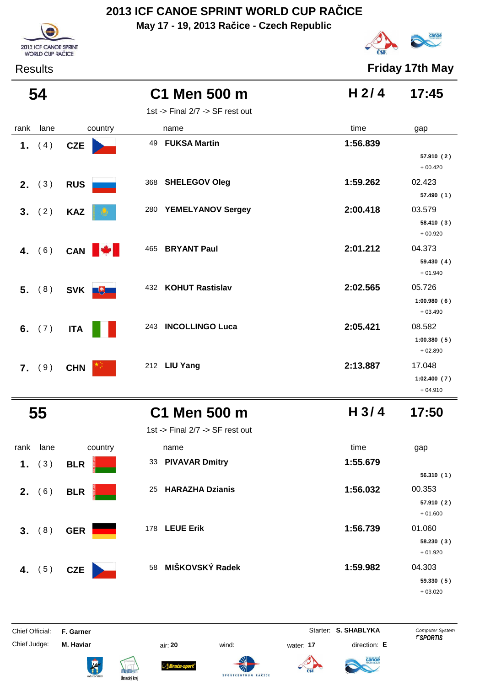**May 17 - 19, 2013 Račice - Czech Republic**



# canoe

Results **Friday 17th May**

|      | 54       |                  | C1 Men 500 m                    | H $2/4$          | 17:45                              |
|------|----------|------------------|---------------------------------|------------------|------------------------------------|
|      |          |                  | 1st -> Final 2/7 -> SF rest out |                  |                                    |
| rank | lane     | country          | name                            | time             | gap                                |
|      | 1. $(4)$ | <b>CZE</b>       | <b>FUKSA Martin</b><br>49       | 1:56.839         | 57.910 (2)<br>$+00.420$            |
|      | 2. (3)   | <b>RUS</b>       | <b>SHELEGOV Oleg</b><br>368     | 1:59.262         | 02.423<br>57.490 (1)               |
|      | 3. (2)   | <b>KAZ</b>       | <b>YEMELYANOV Sergey</b><br>280 | 2:00.418         | 03.579<br>58.410 (3)<br>$+00.920$  |
|      | 4. $(6)$ | CAN <b>W</b>     | <b>BRYANT Paul</b><br>465       | 2:01.212         | 04.373<br>59.430 (4)<br>$+01.940$  |
|      | 5. (8)   | SVK <sup>#</sup> | 432 KOHUT Rastislav             | 2:02.565         | 05.726<br>1:00.980(6)<br>$+03.490$ |
|      | 6. $(7)$ | <b>ITA</b>       | <b>INCOLLINGO Luca</b><br>243   | 2:05.421         | 08.582<br>1:00.380(5)<br>$+02.890$ |
|      | 7. (9)   | <b>CHN</b>       | 212 LIU Yang                    | 2:13.887         | 17.048<br>1:02.400(7)<br>$+04.910$ |
|      | 55       |                  | C1 Men 500 m                    | H <sub>3/4</sub> | 17:50                              |

1st -> Final 2/7 -> SF rest out

| rank<br>lane | country    | name                         | time     | gap        |
|--------------|------------|------------------------------|----------|------------|
| (3)<br>1.    | <b>BLR</b> | 33 PIVAVAR Dmitry            | 1:55.679 |            |
|              |            |                              |          | 56.310(1)  |
| (6)<br>2.    | <b>BLR</b> | <b>HARAZHA Dzianis</b><br>25 | 1:56.032 | 00.353     |
|              |            |                              |          | 57.910 (2) |
|              |            |                              |          | $+01.600$  |
| 3.<br>(8)    | <b>GER</b> | <b>LEUE Erik</b><br>178      | 1:56.739 | 01.060     |
|              |            |                              |          | 58.230(3)  |
|              |            |                              |          | $+01.920$  |
| 4. $(5)$     | <b>CZE</b> | 58 MIŠKOVSKÝ Radek           | 1:59.982 | 04.303     |
|              |            |                              |          | 59.330(5)  |
|              |            |                              |          | $+03.020$  |

Chief Official: **F. Garner** System **Starter: S. SHABLYKA** Computer System Chief Judge: **M. Haviar** air: **20** wind: water: **17** direction: **E**

ł

Braća-s





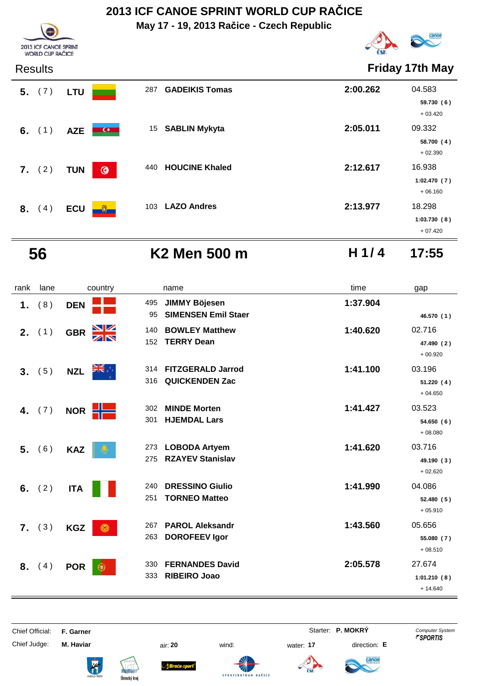**May 17 - 19, 2013 Račice - Czech Republic**



Results **Friday 17th May**

| ngsulls  |            |                         |                       |          | <b>1 1144 YO 17 GO 1814</b>        |
|----------|------------|-------------------------|-----------------------|----------|------------------------------------|
| 5. (7)   | <b>LTU</b> | 287                     | <b>GADEIKIS Tomas</b> | 2:00.262 | 04.583<br>59.730(6)<br>$+03.420$   |
| 6. $(1)$ | <b>AZE</b> | $\alpha$                | 15 SABLIN Mykyta      | 2:05.011 | 09.332<br>58.700(4)<br>$+02.390$   |
| 7. (2)   | <b>TUN</b> | 440<br>$\odot$          | <b>HOUCINE Khaled</b> | 2:12.617 | 16.938<br>1:02.470(7)<br>$+06.160$ |
| 8. (4)   | <b>ECU</b> | 103<br>$\mathfrak{v}_-$ | <b>LAZO Andres</b>    | 2:13.977 | 18.298<br>1:03.730(8)<br>$+07.420$ |

2013 ICF CANOE SPRINT WORLD CUP RAČICE

 **56 K2 Men 500 m H 1/ 4 17:55**

| rank | lane   | country                | name                                                            | time     | gap                                |
|------|--------|------------------------|-----------------------------------------------------------------|----------|------------------------------------|
| 1.   | (8)    | <b>DEN</b>             | <b>JIMMY Böjesen</b><br>495<br><b>SIMENSEN Emil Staer</b><br>95 | 1:37.904 | 46.570 (1)                         |
|      | 2. (1) | NK<br>ZR<br><b>GBR</b> | <b>BOWLEY Matthew</b><br>140<br><b>TERRY Dean</b><br>152        | 1:40.620 | 02.716<br>47.490 (2)<br>$+00.920$  |
| 3.   | (5)    | <b>NZL</b>             | <b>FITZGERALD Jarrod</b><br>314<br>316<br><b>QUICKENDEN Zac</b> | 1:41.100 | 03.196<br>51.220(4)<br>$+04.650$   |
| 4.   | (7)    | 늘<br><b>NOR</b>        | <b>MINDE Morten</b><br>302<br><b>HJEMDAL Lars</b><br>301        | 1:41.427 | 03.523<br>54.650(6)<br>$+08.080$   |
| 5.   | (6)    | <b>KAZ</b>             | <b>LOBODA Artyem</b><br>273<br><b>RZAYEV Stanislav</b><br>275   | 1:41.620 | 03.716<br>49.190 (3)<br>$+02.620$  |
| 6.   | (2)    | <b>ITA</b>             | <b>DRESSINO Giulio</b><br>240<br><b>TORNEO Matteo</b><br>251    | 1:41.990 | 04.086<br>52.480 (5)<br>$+05.910$  |
|      | 7. (3) | <b>KGZ</b><br>6        | <b>PAROL Aleksandr</b><br>267<br><b>DOROFEEV Igor</b><br>263    | 1:43.560 | 05.656<br>55.080 (7)<br>$+08.510$  |
| 8.   | (4)    | <b>POR</b><br>œ        | <b>FERNANDES David</b><br>330<br><b>RIBEIRO Joao</b><br>333     | 2:05.578 | 27.674<br>1:01.210(8)<br>$+14.640$ |

Chief Judge: **M. Haviar** air: **20** wind: water: **17** direction: **E**

Chief Official: **F. Garner** System **F. Garner** System **P. MOKRY** Computer System



ł











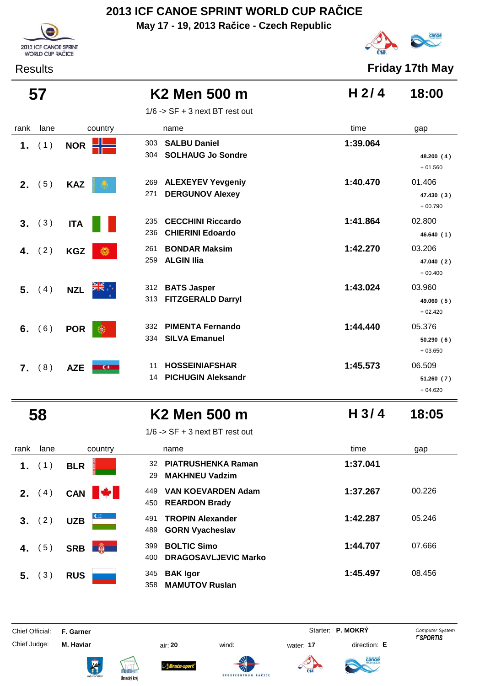**May 17 - 19, 2013 Račice - Czech Republic**





Results **Friday 17th May**

| 57             |      |                              | K2 Men 500 m                                                      | H <sub>2/4</sub> | 18:00                             |
|----------------|------|------------------------------|-------------------------------------------------------------------|------------------|-----------------------------------|
|                |      |                              | $1/6$ -> SF + 3 next BT rest out                                  |                  |                                   |
| rank           | lane | country                      | name                                                              | time             | gap                               |
| 1.             | (1)  | NOR <b>H</b>                 | <b>SALBU Daniel</b><br>303<br><b>SOLHAUG Jo Sondre</b><br>304     | 1:39.064         | 48.200 (4)<br>$+01.560$           |
| 2. (5)         |      | <b>KAZ</b>                   | <b>ALEXEYEV Yevgeniy</b><br>269<br><b>DERGUNOV Alexey</b><br>271  | 1:40.470         | 01.406<br>47.430 (3)<br>$+00.790$ |
| 3.             | (3)  | <b>ITA</b>                   | <b>CECCHINI Riccardo</b><br>235<br><b>CHIERINI Edoardo</b><br>236 | 1:41.864         | 02.800<br>46.640 (1)              |
| 4.             | (2)  | <b>KGZ</b><br>o.             | <b>BONDAR Maksim</b><br>261<br><b>ALGIN Ilia</b><br>259           | 1:42.270         | 03.206<br>47.040 (2)<br>$+00.400$ |
| 5.             | (4)  | <b>NZL</b>                   | <b>BATS Jasper</b><br>312<br><b>FITZGERALD Darryl</b><br>313      | 1:43.024         | 03.960<br>49.060 (5)<br>$+02.420$ |
| 6.             | (6)  | <b>POR</b>                   | <b>PIMENTA Fernando</b><br>332<br><b>SILVA Emanuel</b><br>334     | 1:44.440         | 05.376<br>50.290(6)<br>$+03.650$  |
| $\mathbf{7}$ . | (8)  | $\overline{C}$<br><b>AZE</b> | <b>HOSSEINIAFSHAR</b><br>11<br><b>PICHUGIN Aleksandr</b><br>14    | 1:45.573         | 06.509<br>51.260(7)               |

### **58 K2 Men 500 m 18:05**

1/6 -> SF + 3 next BT rest out

| rank    | lane             | country                     | name                                                            | time     | gap    |
|---------|------------------|-----------------------------|-----------------------------------------------------------------|----------|--------|
| 1.      | (1)              | <b>BLR</b>                  | <b>PIATRUSHENKA Raman</b><br>32<br><b>MAKHNEU Vadzim</b><br>29  | 1:37.041 |        |
| 2.      | (4)              | <b>M</b><br><b>CAN</b>      | <b>VAN KOEVARDEN Adam</b><br>449<br><b>REARDON Brady</b><br>450 | 1:37.267 | 00.226 |
| $3_{-}$ | 〔2〕              | $\epsilon$<br><b>UZB</b>    | <b>TROPIN Alexander</b><br>491<br><b>GORN Vyacheslav</b><br>489 | 1:42.287 | 05.246 |
| 4.      | 5)               | $\frac{1}{2}$<br><b>SRB</b> | <b>BOLTIC Simo</b><br>399<br><b>DRAGOSAVLJEVIC Marko</b><br>400 | 1:44.707 | 07.666 |
| 5.      | $\left(3\right)$ | <b>RUS</b>                  | <b>BAK</b> Igor<br>345<br><b>MAMUTOV Ruslan</b><br>358          | 1:45.497 | 08.456 |

**SPORTCENTRU** 

RAČICE

Chief Official: **F. Garner** System **F. Garner** System **P. MOKRY** Computer System

Chief Judge: **M. Haviar** air: **20** wind: water: **17** direction: **E**

ł







tanoe

**H 3/ 4**

+ 04.620

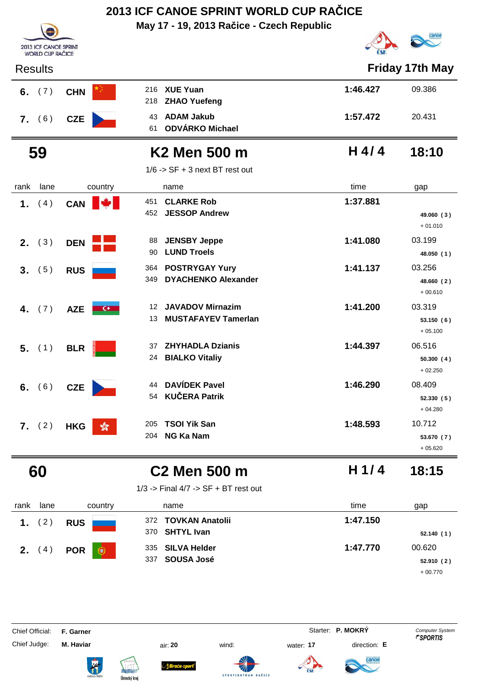**May 17 - 19, 2013 Račice - Czech Republic**



| <b>Results</b>        |                             |                                                                   |          | <b>Friday 17th May</b>            |
|-----------------------|-----------------------------|-------------------------------------------------------------------|----------|-----------------------------------|
| (7)<br>6.             | <b>CHN</b>                  | <b>XUE Yuan</b><br>216<br>218<br><b>ZHAO Yuefeng</b>              | 1:46.427 | 09.386                            |
| 7. (6)                | <b>CZE</b>                  | <b>ADAM Jakub</b><br>43<br><b>ODVÁRKO Michael</b><br>61           | 1:57.472 | 20.431                            |
| 59                    |                             | K <sub>2</sub> Men 500 m                                          | $H$ 4/4  | 18:10                             |
|                       |                             | $1/6$ -> SF + 3 next BT rest out                                  |          |                                   |
| rank<br>lane          | country                     | name                                                              | time     | gap                               |
| (4)<br>1.             | <b>CAN</b>                  | 451<br><b>CLARKE Rob</b><br>452<br><b>JESSOP Andrew</b>           | 1:37.881 | 49.060 (3)<br>$+01.010$           |
| (3)<br>2.             | <b>DEN</b>                  | <b>JENSBY Jeppe</b><br>88<br><b>LUND Troels</b><br>90             | 1:41.080 | 03.199<br>48.050 (1)              |
| (5)<br>3 <sub>1</sub> | <b>RUS</b>                  | <b>POSTRYGAY Yury</b><br>364<br><b>DYACHENKO Alexander</b><br>349 | 1:41.137 | 03.256<br>48.660 (2)<br>$+00.610$ |
| (7)<br>4.             | <b>AZE</b><br>$\epsilon$    | <b>JAVADOV Mirnazim</b><br>12<br><b>MUSTAFAYEV Tamerlan</b><br>13 | 1:41.200 | 03.319<br>53.150 (6)<br>$+05.100$ |
| $5.$ (1)              | <b>BLR</b>                  | <b>ZHYHADLA Dzianis</b><br>37<br>24<br><b>BIALKO Vitaliy</b>      | 1:44.397 | 06.516<br>50.300(4)<br>$+02.250$  |
| (6)<br>6.             | <b>CZE</b>                  | <b>DAVÍDEK Pavel</b><br>44<br><b>KUČERA Patrik</b><br>54          | 1:46.290 | 08.409<br>52.330(5)<br>$+04.280$  |
| 7. (2)                | <b>HKG</b><br>$\mathcal{E}$ | <b>TSOI Yik San</b><br>205<br><b>NG Ka Nam</b><br>204             | 1:48.593 | 10.712<br>53.670 (7)<br>$+05.620$ |

2013 ICF CANOE SPRINT<br>WORLD CUP RAČICE

# **60 C2 Men 500 m 18:15**

**H 1/ 4**

1/3 -> Final 4/7 -> SF + BT rest out

| rank | lane         | country                    | name                     | time     | gap       |
|------|--------------|----------------------------|--------------------------|----------|-----------|
|      | $2^{\prime}$ | <b>RUS</b>                 | 372 TOVKAN Anatolii      | 1:47.150 |           |
|      |              |                            | 370 SHTYL Ivan           |          | 52.140(1) |
| 2.   | (4)          | <b>POR</b><br>$\mathbf{C}$ | 335 SILVA Helder         | 1:47.770 | 00.620    |
|      |              |                            | <b>SOUSA José</b><br>337 |          | 52.910(2) |
|      |              |                            |                          |          | $+00.770$ |

**SPORTCENTRU** 

Chief Official: **F. Garner** System **F. Garner** System **P. MOKRY** Computer System

Chief Judge: **M. Haviar** air: **20** wind: water: **17** direction: **E**

ł







AČICE



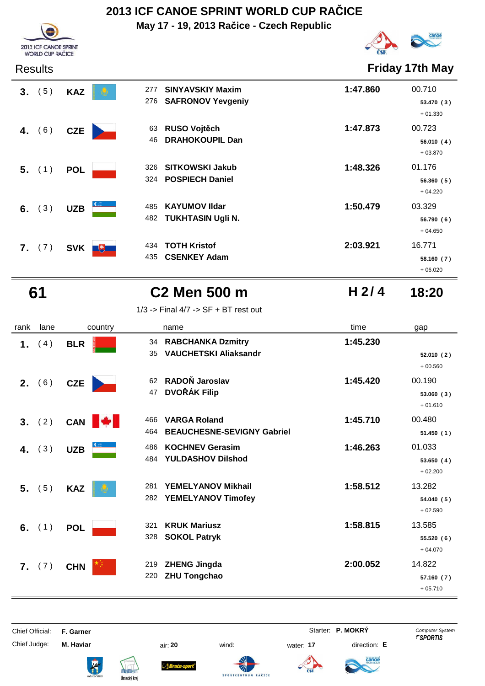**May 17 - 19, 2013 Račice - Czech Republic**



Results **Friday 17th May**

+ 06.020

**H 2/ 4**

| 3 <sub>1</sub> | (5) | <b>KAZ</b>        | <b>SINYAVSKIY Maxim</b><br>277<br>276 SAFRONOV Yevgeniy        | 1:47.860 | 00.710<br>53.470 (3)<br>$+01.330$ |
|----------------|-----|-------------------|----------------------------------------------------------------|----------|-----------------------------------|
| 4.             | (6) | <b>CZE</b>        | RUSO Vojtěch<br>63<br><b>DRAHOKOUPIL Dan</b><br>46             | 1:47.873 | 00.723<br>56.010 (4)<br>$+03.870$ |
| $5.$ (1)       |     | <b>POL</b>        | <b>SITKOWSKI Jakub</b><br>326<br><b>POSPIECH Daniel</b><br>324 | 1:48.326 | 01.176<br>56.360(5)<br>$+04.220$  |
| 6. $(3)$       |     | <b>UZB</b>        | <b>KAYUMOV IIdar</b><br>485<br><b>TUKHTASIN Ugli N.</b><br>482 | 1:50.479 | 03.329<br>56.790 (6)<br>$+04.650$ |
| 7. (7)         |     | <b>SVK</b><br>$+$ | <b>TOTH Kristof</b><br>434<br><b>CSENKEY Adam</b><br>435       | 2:03.921 | 16.771<br>58.160 (7)              |

2013 ICF CANOE SPRINT<br>WORLD CUP RAČICE

# **61 C2 Men 500 m 18:20**

1/3 -> Final 4/7 -> SF + BT rest out

| rank | lane     | country                | name                                                                   | time     | gap                               |
|------|----------|------------------------|------------------------------------------------------------------------|----------|-----------------------------------|
| 1.   | (4)      | <b>BLR</b>             | <b>RABCHANKA Dzmitry</b><br>34<br><b>VAUCHETSKI Aliaksandr</b><br>35   | 1:45.230 | 52.010(2)<br>$+00.560$            |
|      | 2. (6)   | <b>CZE</b>             | RADOŇ Jaroslav<br>62<br><b>DVOŘÁK Filip</b><br>47                      | 1:45.420 | 00.190<br>53.060(3)<br>$+01.610$  |
|      | 3. (2)   | <b>A</b><br><b>CAN</b> | <b>VARGA Roland</b><br>466<br><b>BEAUCHESNE-SEVIGNY Gabriel</b><br>464 | 1:45.710 | 00.480<br>51.450(1)               |
| 4.   | (3)      | <b>UZB</b>             | <b>KOCHNEV Gerasim</b><br>486<br><b>YULDASHOV Dilshod</b><br>484       | 1:46.263 | 01.033<br>53.650(4)<br>$+02.200$  |
|      | $5.$ (5) | <b>KAZ</b>             | <b>YEMELYANOV Mikhail</b><br>281<br>YEMELYANOV Timofey<br>282          | 1:58.512 | 13.282<br>54.040(5)<br>$+02.590$  |
|      | 6. $(1)$ | <b>POL</b>             | <b>KRUK Mariusz</b><br>321<br>328<br><b>SOKOL Patryk</b>               | 1:58.815 | 13.585<br>55.520 (6)<br>$+04.070$ |
| 7.   | (7)      | <b>CHN</b>             | <b>ZHENG Jingda</b><br>219<br><b>ZHU Tongchao</b><br>220               | 2:00.052 | 14.822<br>57.160 (7)<br>$+05.710$ |

Chief Official: **F. Garner** System **F. Garner** System **P. MOKRY** Computer System Chief Judge: **M. Haviar** air: **20** wind: water: **17** direction: **E**

ł





**SPORTCEN** 



anod

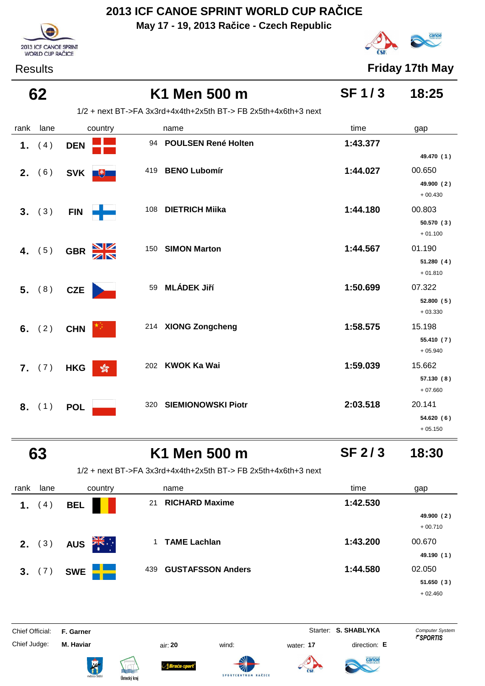**May 17 - 19, 2013 Račice - Czech Republic**



Results **Friday 17th May**

# 2013 ICF CANOE SPRINT WORLD CUP RAČICE

### **62 K1 Men 500 m 18:25 SF 1 / 3**

1/2 + next BT->FA 3x3rd+4x4th+2x5th BT-> FB 2x5th+4x6th+3 next

| rank | lane     | country                       | name                             | time     | gap                     |
|------|----------|-------------------------------|----------------------------------|----------|-------------------------|
|      | 1. $(4)$ | <b>DEN</b>                    | 94 POULSEN René Holten           | 1:43.377 |                         |
|      |          |                               |                                  |          | 49.470 (1)              |
|      | 2. (6)   | SVK <sup>+</sup>              | <b>BENO Lubomír</b><br>419       | 1:44.027 | 00.650                  |
|      |          |                               |                                  |          | 49.900 (2)              |
|      |          |                               |                                  |          | $+00.430$               |
|      | 3. (3)   | <b>FIN</b>                    | <b>DIETRICH Miika</b><br>108     | 1:44.180 | 00.803                  |
|      |          |                               |                                  |          | 50.570(3)<br>$+01.100$  |
|      | 4. $(5)$ | GBR X                         | <b>SIMON Marton</b><br>150       | 1:44.567 | 01.190                  |
|      |          |                               |                                  |          | 51.280(4)               |
|      |          |                               |                                  |          | $+01.810$               |
| 5.   | (8)      | <b>CZE</b>                    | <b>MLÁDEK Jiří</b><br>59         | 1:50.699 | 07.322                  |
|      |          |                               |                                  |          | 52.800 (5)              |
|      |          |                               |                                  |          | $+03.330$               |
|      | 6. $(2)$ | <b>CHN</b>                    | 214 XIONG Zongcheng              | 1:58.575 | 15.198                  |
|      |          |                               |                                  |          | 55.410 (7)<br>$+05.940$ |
|      |          |                               | <b>KWOK Ka Wai</b><br>202        | 1:59.039 | 15.662                  |
|      | 7. (7)   | $\frac{1}{200}$<br><b>HKG</b> |                                  |          | 57.130 (8)              |
|      |          |                               |                                  |          | $+07.660$               |
|      | 8. (1)   | <b>POL</b>                    | <b>SIEMIONOWSKI Piotr</b><br>320 | 2:03.518 | 20.141                  |
|      |          |                               |                                  |          | 54.620 (6)              |
|      |          |                               |                                  |          | $+05.150$               |

### **63 K1 Men 500 m 18:30 SF 2 / 3**

1/2 + next BT->FA 3x3rd+4x4th+2x5th BT-> FB 2x5th+4x6th+3 next

| rank | lane            | country                        | name                            | time     | gap        |
|------|-----------------|--------------------------------|---------------------------------|----------|------------|
| 1.   | 4)              | <b>BEL</b>                     | <b>RICHARD Maxime</b><br>21     | 1:42.530 |            |
|      |                 |                                |                                 |          | 49.900 (2) |
|      |                 |                                |                                 |          | $+00.710$  |
|      | <b>2.</b> $(3)$ | $\sum_{k=1}^{N}$<br><b>AUS</b> | <b>TAME Lachlan</b>             | 1:43.200 | 00.670     |
|      |                 |                                |                                 |          | 49.190(1)  |
|      | 3. (7)          | <b>SWE</b>                     | <b>GUSTAFSSON Anders</b><br>439 | 1:44.580 | 02.050     |
|      |                 |                                |                                 |          | 51.650(3)  |
|      |                 |                                |                                 |          | $+02.460$  |

**SPORTCEM** 

Chief Official: **F. Garner** System **Starter: S. SHABLYKA** Computer System Chief Judge: **M. Haviar** air: **20** wind: water: **17** direction: **E**











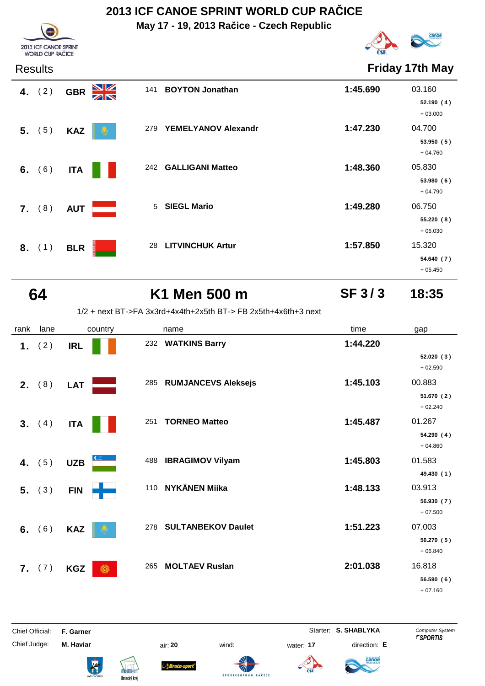**May 17 - 19, 2013 Račice - Czech Republic**



| <b>Results</b> |                                               | <b>Friday 17th May</b>        |                                              |
|----------------|-----------------------------------------------|-------------------------------|----------------------------------------------|
| 4. $(2)$       | $\frac{\mathbf{N}}{\mathbf{N}}$<br><b>GBR</b> | <b>BOYTON Jonathan</b><br>141 | 1:45.690<br>03.160<br>52.190(4)<br>$+03.000$ |
| $5.$ (5)       | <b>KAZ</b>                                    | YEMELYANOV Alexandr<br>279    | 1:47.230<br>04.700<br>53.950(5)<br>$+04.760$ |
| 6. $(6)$       | <b>ITA</b>                                    | 242 GALLIGANI Matteo          | 1:48.360<br>05.830<br>53.980(6)<br>$+04.790$ |
| 7. (8)         | <b>AUT</b>                                    | <b>SIEGL Mario</b><br>5       | 1:49.280<br>06.750<br>55.220(8)<br>$+06.030$ |
| 8. (1)         | <b>BLR</b>                                    | <b>LITVINCHUK Artur</b><br>28 | 1:57.850<br>15.320<br>54.640 (7)             |

2013 ICF CANOE SPRINT<br>WORLD CUP RAČICE

# **64 K1 Men 500 m 18:35**

**SF 3 / 3**

+ 05.450

1/2 + next BT->FA 3x3rd+4x4th+2x5th BT-> FB 2x5th+4x6th+3 next

| rank | lane     | country         | name                           | time     | gap                     |
|------|----------|-----------------|--------------------------------|----------|-------------------------|
| 1.   | (2)      | <b>IRL</b>      | 232 WATKINS Barry              | 1:44.220 |                         |
|      |          |                 |                                |          | 52.020(3)<br>$+02.590$  |
|      | 2. $(8)$ | <b>LAT</b>      | 285 RUMJANCEVS Aleksejs        | 1:45.103 | 00.883                  |
|      |          |                 |                                |          | 51.670 (2)<br>$+02.240$ |
|      | 3. (4)   | <b>ITA</b>      | <b>TORNEO Matteo</b><br>251    | 1:45.487 | 01.267                  |
|      |          |                 |                                |          | 54.290 (4)<br>$+04.860$ |
|      | 4. $(5)$ | <b>UZB</b>      | <b>IBRAGIMOV Vilyam</b><br>488 | 1:45.803 | 01.583                  |
|      |          |                 |                                |          | 49.430 (1)              |
| 5.   | (3)      | <b>FIN</b>      | 110 NYKÄNEN Miika              | 1:48.133 | 03.913                  |
|      |          |                 |                                |          | 56.930 (7)<br>$+07.500$ |
| 6.   | (6)      | <b>KAZ</b>      | 278 SULTANBEKOV Daulet         | 1:51.223 | 07.003                  |
|      |          |                 |                                |          | 56.270(5)<br>$+06.840$  |
| 7.   | (7)      | <b>KGZ</b><br>Ô | 265<br><b>MOLTAEV Ruslan</b>   | 2:01.038 | 16.818                  |
|      |          |                 |                                |          | 56.590 (6)              |
|      |          |                 |                                |          | $+07.160$               |

Chief Judge: **M. Haviar** air: **20** wind: water: **17** direction: **E**

**Bruću-s** 

**SPORTCEN** 

Chief Official: **F. Garner** System **Starter: S. SHABLYKA** Computer System

anoe



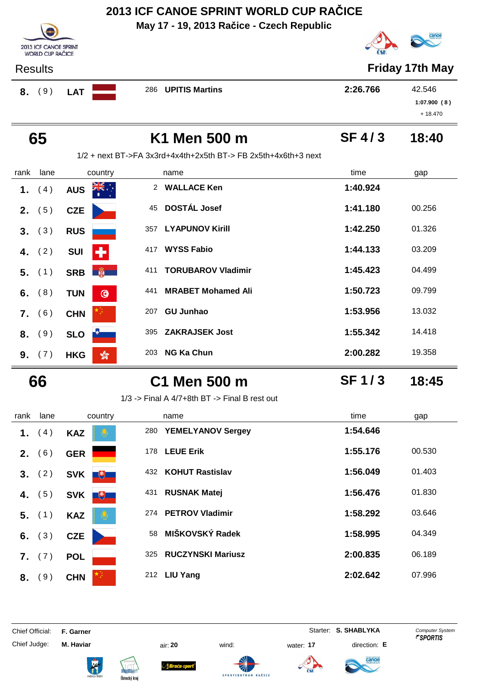**May 17 - 19, 2013 Račice - Czech Republic**



|        | <b>WORLD CUP RACICE</b> |  |  |
|--------|-------------------------|--|--|
| esults |                         |  |  |

2013 ICF CANOE SPRINT

Results **Friday 17th May**

| 8. | , 9ີ | <b>LAT</b> |  | 286 UPITIS Martins | 2:26.766 | 42.546      |
|----|------|------------|--|--------------------|----------|-------------|
|    |      |            |  |                    |          | 1:07.900(8) |
|    |      |            |  |                    |          | $+18.470$   |

|                  | 65              |                               |               | K1 Men 500 m                                                     | $SF$ 4/3 | 18:40  |
|------------------|-----------------|-------------------------------|---------------|------------------------------------------------------------------|----------|--------|
|                  |                 |                               |               | $1/2$ + next BT->FA 3x3rd+4x4th+2x5th BT-> FB 2x5th+4x6th+3 next |          |        |
| rank             | lane            | country                       |               | name                                                             | time     | gap    |
| 1.               | (4)             | <b>AUS</b>                    | $\mathcal{P}$ | <b>WALLACE Ken</b>                                               | 1:40.924 |        |
| 2.               | (5)             | <b>CZE</b>                    | 45            | <b>DOSTÁL Josef</b>                                              | 1:41.180 | 00.256 |
| 3.               | (3)             | <b>RUS</b>                    | 357           | <b>LYAPUNOV Kirill</b>                                           | 1:42.250 | 01.326 |
| 4.               | (2)             | <b>SUI</b><br>÷               | 417           | <b>WYSS Fabio</b>                                                | 1:44.133 | 03.209 |
| 5.               | (1)             | <b>Pillips</b><br><b>SRB</b>  | 411           | <b>TORUBAROV Vladimir</b>                                        | 1:45.423 | 04.499 |
| 6.               | (8)             | $\odot$<br><b>TUN</b>         | 441           | <b>MRABET Mohamed Ali</b>                                        | 1:50.723 | 09.799 |
| $\mathbf{7}_{-}$ | (6)             | <b>CHN</b>                    | 207           | <b>GU Junhao</b>                                                 | 1:53.956 | 13.032 |
| 8.               | (9)             | <b>SLO</b>                    | 395           | <b>ZAKRAJSEK Jost</b>                                            | 1:55.342 | 14.418 |
|                  | <b>9.</b> $(7)$ | $\frac{1}{200}$<br><b>HKG</b> | 203           | <b>NG Ka Chun</b>                                                | 2:00.282 | 19.358 |

# **66 C1 Men 500 m 18:45**

1/3 -> Final A 4/7+8th BT -> Final B rest out

| rank | lane     | country                                                                          | name                            | time<br>gap        |
|------|----------|----------------------------------------------------------------------------------|---------------------------------|--------------------|
| 1.   | (4)      | <b>KAZ</b>                                                                       | <b>YEMELYANOV Sergey</b><br>280 | 1:54.646           |
| 2.   | (6)      | <b>GER</b>                                                                       | <b>LEUE Erik</b><br>178         | 1:55.176<br>00.530 |
| 3.   | (2)      | <b>SVK</b><br>电                                                                  | <b>KOHUT Rastislav</b><br>432   | 1:56.049<br>01.403 |
| 4.   | (5)      | <b>SVK</b><br>$\begin{array}{c} \hline \begin{array}{c} \end{array} \end{array}$ | <b>RUSNAK Matej</b><br>431      | 1:56.476<br>01.830 |
|      | $5.$ (1) | <b>KAZ</b>                                                                       | <b>PETROV Vladimir</b><br>274   | 1:58.292<br>03.646 |
| 6.   | (3)      | <b>CZE</b>                                                                       | MIŠKOVSKÝ Radek<br>58           | 1:58.995<br>04.349 |
| 7.   | (7)      | <b>POL</b>                                                                       | <b>RUCZYNSKI Mariusz</b><br>325 | 2:00.835<br>06.189 |
| 8.   | (9)      | <b>CHN</b>                                                                       | <b>LIU Yang</b><br>212          | 2:02.642<br>07.996 |

SPORTCENTRUM

RAČICE

Chief Official: **F. Garner** System **Starter: S. SHABLYKA** Computer System



ł









anoe

**SF 1 / 3**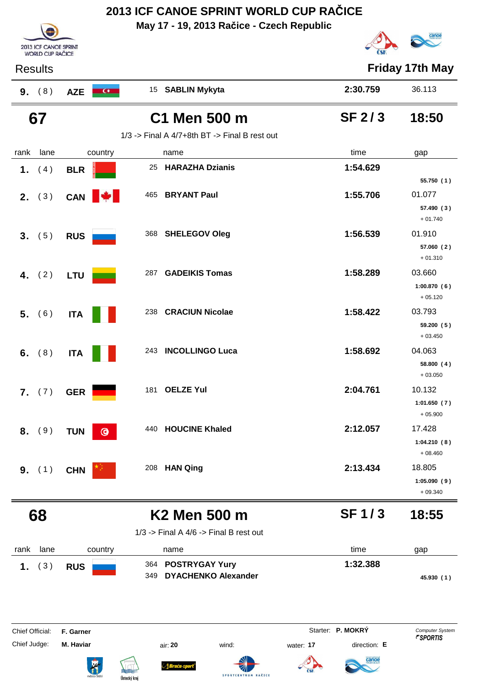|                                 |                                                  |                            |                         | May 17 - 19, 2013 Račice - Czech Republic          |           |                                   |                                                 |
|---------------------------------|--------------------------------------------------|----------------------------|-------------------------|----------------------------------------------------|-----------|-----------------------------------|-------------------------------------------------|
|                                 | 2013 ICF CANOE SPRINT<br><b>WORLD CUP RAČICE</b> |                            |                         |                                                    |           |                                   |                                                 |
| <b>Results</b>                  |                                                  |                            |                         |                                                    |           |                                   | <b>Friday 17th May</b>                          |
| 9. (8)                          |                                                  | <b>AZE</b><br>$\mathbf{C}$ |                         | 15 SABLIN Mykyta                                   |           | 2:30.759                          | 36.113                                          |
| 67                              |                                                  |                            |                         | C1 Men 500 m                                       |           | <b>SF 2/3</b>                     | 18:50                                           |
|                                 |                                                  |                            |                         | $1/3$ -> Final A $4/7+8$ th BT -> Final B rest out |           |                                   |                                                 |
| rank                            | lane                                             | country                    | name                    |                                                    |           | time                              | gap                                             |
| (4)<br>1.                       |                                                  | <b>BLR</b>                 | 25                      | <b>HARAZHA Dzianis</b>                             |           | 1:54.629                          |                                                 |
|                                 |                                                  |                            |                         |                                                    |           |                                   | 55.750 (1)                                      |
| <b>2.</b> $(3)$                 |                                                  | CAN                        |                         | 465 BRYANT Paul                                    |           | 1:55.706                          | 01.077<br>57.490 (3)<br>$+01.740$               |
| 3. (5)                          |                                                  | <b>RUS</b>                 |                         | 368 SHELEGOV Oleg                                  |           | 1:56.539                          | 01.910<br>57.060(2)                             |
| 4. $(2)$                        |                                                  | LTU                        |                         | 287 GADEIKIS Tomas                                 |           | 1:58.289                          | $+01.310$<br>03.660<br>1:00.870(6)<br>$+05.120$ |
| 5. (6)                          |                                                  | <b>ITA</b>                 | 238                     | <b>CRACIUN Nicolae</b>                             |           | 1:58.422                          | 03.793<br>59.200 (5)<br>$+03.450$               |
| (8)<br>6.                       |                                                  | <b>ITA</b>                 | 243                     | <b>INCOLLINGO Luca</b>                             |           | 1:58.692                          | 04.063<br>58.800 (4)<br>$+03.050$               |
| 7. (7)                          |                                                  | <b>GER</b>                 | 181 OELZE Yul           |                                                    |           | 2:04.761                          | 10.132<br>1:01.650(7)<br>$+05.900$              |
| (9)<br>8.                       |                                                  | <b>TUN</b><br>$\bullet$    | 440                     | <b>HOUCINE Khaled</b>                              |           | 2:12.057                          | 17.428<br>1:04.210(8)<br>$+08.460$              |
| (1)<br>9.                       |                                                  | <b>CHN</b>                 | 208                     | <b>HAN Qing</b>                                    |           | 2:13.434                          | 18.805<br>1:05.090(9)<br>$+09.340$              |
| 68                              |                                                  |                            |                         | <b>K2 Men 500 m</b>                                |           | <b>SF1/3</b>                      | 18:55                                           |
|                                 |                                                  |                            |                         | $1/3$ -> Final A $4/6$ -> Final B rest out         |           |                                   |                                                 |
| rank                            | lane                                             | country                    | name                    |                                                    |           | time                              | gap                                             |
| (3)<br>1.                       |                                                  | <b>RUS</b>                 | 364                     | <b>POSTRYGAY Yury</b>                              |           | 1:32.388                          |                                                 |
|                                 |                                                  |                            | 349                     | <b>DYACHENKO Alexander</b>                         |           |                                   | 45.930 (1)                                      |
| Chief Official:<br>Chief Judge: |                                                  | F. Garner<br>M. Haviar     | air: 20                 | wind:                                              | water: 17 | Starter: P. MOKRY<br>direction: E | Computer System<br><i><b>FSPORTIS</b></i>       |
|                                 |                                                  | K                          | Braca s<br>Ústecký kraj | SPORTCENTRUM RAČICE                                |           |                                   |                                                 |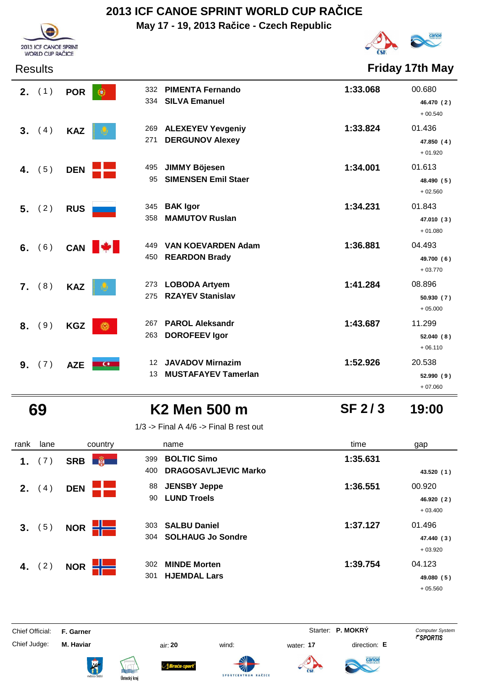**May 17 - 19, 2013 Račice - Czech Republic**



Results **Friday 17th May**

|    | <b>2.</b> $(1)$ | <b>POR</b> | 332<br>334              | <b>PIMENTA Fernando</b><br><b>SILVA Emanuel</b>       | 1:33.068 | 00.680<br>46.470 (2)<br>$+00.540$ |
|----|-----------------|------------|-------------------------|-------------------------------------------------------|----------|-----------------------------------|
| 3. | (4)             | <b>KAZ</b> | 269<br>271              | <b>ALEXEYEV Yevgeniy</b><br><b>DERGUNOV Alexey</b>    | 1:33.824 | 01.436<br>47.850 (4)<br>$+01.920$ |
| 4. | (5)             | <b>DEN</b> | 495<br>95               | <b>JIMMY Böjesen</b><br><b>SIMENSEN Emil Staer</b>    | 1:34.001 | 01.613<br>48.490 (5)<br>$+02.560$ |
| 5. | (2)             | <b>RUS</b> | 345<br>358              | <b>BAK</b> Igor<br><b>MAMUTOV Ruslan</b>              | 1:34.231 | 01.843<br>47.010 (3)<br>$+01.080$ |
| 6. | (6)             | CAN        | 449<br><b>MA</b><br>450 | <b>VAN KOEVARDEN Adam</b><br><b>REARDON Brady</b>     | 1:36.881 | 04.493<br>49.700 (6)<br>$+03.770$ |
|    | 7. (8)          | <b>KAZ</b> | 273<br>275              | <b>LOBODA Artyem</b><br><b>RZAYEV Stanislav</b>       | 1:41.284 | 08.896<br>50.930(7)<br>$+05.000$  |
| 8. | (9)             | <b>KGZ</b> | 267<br>6<br>263         | <b>PAROL Aleksandr</b><br><b>DOROFEEV Igor</b>        | 1:43.687 | 11.299<br>52.040(8)<br>$+06.110$  |
| 9. | (7)             | <b>AZE</b> | 12<br>$C^*$<br>13       | <b>JAVADOV Mirnazim</b><br><b>MUSTAFAYEV Tamerlan</b> | 1:52.926 | 20.538<br>52.990(9)               |

2013 ICF CANOE SPRINT WORLD CUP RAČICE

### **69 K2 Men 500 m 19:00**

1/3 -> Final A  $4/6$  -> Final B rest out

| rank | lane     | country                     | name                                                            | time     | gap                               |
|------|----------|-----------------------------|-----------------------------------------------------------------|----------|-----------------------------------|
| 1.   | (7)      | $\frac{1}{2}$<br><b>SRB</b> | <b>BOLTIC Simo</b><br>399<br><b>DRAGOSAVLJEVIC Marko</b><br>400 | 1:35.631 | 43.520 (1)                        |
| 2.   | (4)      | <b>DEN</b>                  | <b>JENSBY Jeppe</b><br>88<br><b>LUND Troels</b><br>90           | 1:36.551 | 00.920<br>46.920 (2)<br>$+03.400$ |
| 3.   | (5)      | <b>NOR</b>                  | <b>SALBU Daniel</b><br>303<br><b>SOLHAUG Jo Sondre</b><br>304   | 1:37.127 | 01.496<br>47.440 (3)<br>$+03.920$ |
|      | 4. $(2)$ | <b>NOR</b>                  | <b>MINDE Morten</b><br>302<br><b>HJEMDAL Lars</b><br>301        | 1:39.754 | 04.123<br>49.080 (5)<br>$+05.560$ |

Chief Judge: **M. Haviar** air: **20** wind: water: **17** direction: **E**

Chief Official: **F. Garner** System **F. Garner** System **P. MOKRY** Computer System



anoe

**SF 2 / 3**

+ 07.060



ł





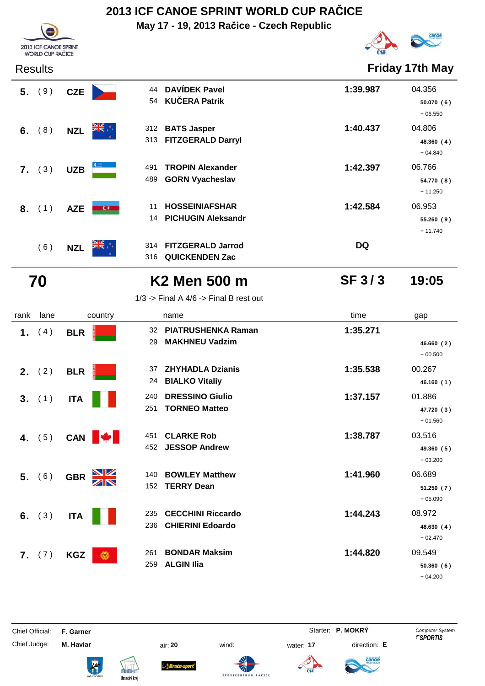**May 17 - 19, 2013 Račice - Czech Republic**



+ 06.550

+ 04.840

+ 11.250

+ 11.740



**SF 3 / 3**

| $1/3$ -> Final A $4/6$ -> Final B rest out |  |  |  |
|--------------------------------------------|--|--|--|
|                                            |  |  |  |

| rank | lane            | country                                       | name                                                              | time     | gap                               |
|------|-----------------|-----------------------------------------------|-------------------------------------------------------------------|----------|-----------------------------------|
| 1.   | (4)             | <b>BLR</b>                                    | <b>PIATRUSHENKA Raman</b><br>32<br><b>MAKHNEU Vadzim</b><br>29    | 1:35.271 | 46.660(2)<br>$+00.500$            |
|      | <b>2.</b> $(2)$ | <b>BLR</b>                                    | <b>ZHYHADLA Dzianis</b><br>37<br><b>BIALKO Vitaliy</b><br>24      | 1:35.538 | 00.267<br>46.160(1)               |
|      | 3. (1)          | <b>ITA</b>                                    | <b>DRESSINO Giulio</b><br>240<br><b>TORNEO Matteo</b><br>251      | 1:37.157 | 01.886<br>47.720 (3)<br>$+01.560$ |
| 4.   | (5)             | CAN <b>W</b>                                  | <b>CLARKE Rob</b><br>451<br><b>JESSOP Andrew</b><br>452           | 1:38.787 | 03.516<br>49.360 (5)<br>$+03.200$ |
|      | 5. (6)          | $\frac{\mathbf{N}}{\mathbf{N}}$<br><b>GBR</b> | <b>BOWLEY Matthew</b><br>140<br><b>TERRY Dean</b><br>152          | 1:41.960 | 06.689<br>51.250(7)<br>$+05.090$  |
| 6.   | (3)             | <b>ITA</b>                                    | <b>CECCHINI Riccardo</b><br>235<br><b>CHIERINI Edoardo</b><br>236 | 1:44.243 | 08.972<br>48.630 (4)<br>$+02.470$ |
| 7.   | (7)             | <b>KGZ</b><br>Ô                               | <b>BONDAR Maksim</b><br>261<br><b>ALGIN IIia</b><br>259           | 1:44.820 | 09.549<br>50.360(6)<br>$+04.200$  |

Chief Official: **F. Garner** System **F. Garner** System **P. MOKRY** Computer System

2013 ICF CANOE SPRINT

Chief Judge: **M. Haviar** air: **20** wind: water: **17** direction: **E**









**SPORTCENT** 



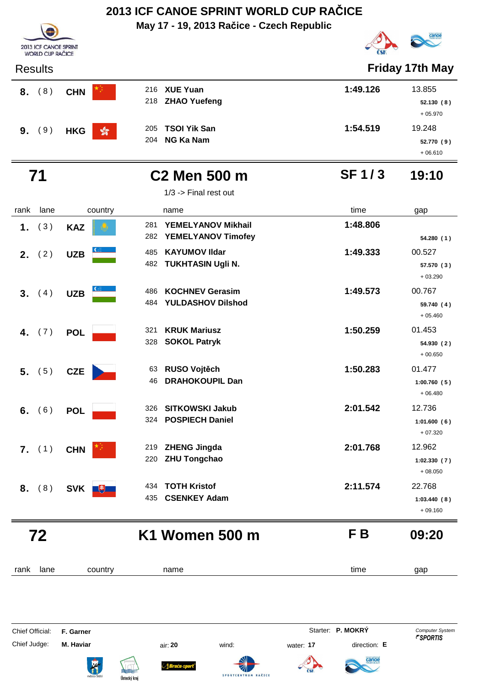**May 17 - 19, 2013 Račice - Czech Republic**





| <b>Results</b> |                              |                                                |              | <b>Friday 17th May</b>            |
|----------------|------------------------------|------------------------------------------------|--------------|-----------------------------------|
| 8. (8)         | <b>CHN</b>                   | 216 XUE Yuan<br>218 ZHAO Yuefeng               | 1:49.126     | 13.855<br>52.130(8)<br>$+05.970$  |
| (9)<br>9.      | $\frac{1}{20}$<br><b>HKG</b> | <b>TSOI Yik San</b><br>205<br>NG Ka Nam<br>204 | 1:54.519     | 19.248<br>52.770 (9)<br>$+06.610$ |
| 71             |                              | <b>C2 Men 500 m</b><br>$1/3$ -> Final rest out | <b>SF1/3</b> | 19:10                             |
| lane<br>rank   | country                      | name                                           | time         | gap                               |

|                | 72              |                  | K1 Women 500 m                                                   | F B      | 09:20                              |
|----------------|-----------------|------------------|------------------------------------------------------------------|----------|------------------------------------|
| 8.             | (8)             | SVK +            | <b>TOTH Kristof</b><br>434<br><b>CSENKEY Adam</b><br>435         | 2:11.574 | 22.768<br>1:03.440(8)<br>$+09.160$ |
|                | $7.$ (1)        | <b>CHN</b>       | <b>ZHENG Jingda</b><br>219<br><b>ZHU Tongchao</b><br>220         | 2:01.768 | 12.962<br>1:02.330(7)<br>$+08.050$ |
| 6.             | (6)             | <b>POL</b>       | <b>SITKOWSKI Jakub</b><br>326<br><b>POSPIECH Daniel</b><br>324   | 2:01.542 | 12.736<br>1:01.600(6)<br>$+07.320$ |
|                | 5. (5)          | <b>CZE</b>       | <b>RUSO Vojtěch</b><br>63<br><b>DRAHOKOUPIL Dan</b><br>46        | 1:50.283 | 01.477<br>1:00.760(5)<br>$+06.480$ |
| 4.             | (7)             | <b>POL</b>       | <b>KRUK Mariusz</b><br>321<br><b>SOKOL Patryk</b><br>328         | 1:50.259 | 01.453<br>54.930 (2)<br>$+00.650$  |
| 3 <sub>1</sub> | (4)             | <b>UZB</b>       | <b>KOCHNEV Gerasim</b><br>486<br><b>YULDASHOV Dilshod</b><br>484 | 1:49.573 | 00.767<br>59.740 (4)<br>$+05.460$  |
|                | <b>2.</b> $(2)$ | <b>UZB</b>       | <b>KAYUMOV IIdar</b><br>485<br><b>TUKHTASIN Ugli N.</b><br>482   | 1:49.333 | 00.527<br>57.570 (3)<br>$+03.290$  |
| 1.             | (3)             | <b>KAZ</b>       | YEMELYANOV Mikhail<br>281<br>YEMELYANOV Timofey<br>282           | 1:48.806 | 54.280 (1)                         |
| ialik          | <b>Idile</b>    | <b>COUTILI</b> Y | $I$ idille                                                       | une      | yap                                |

rank lane country thame the name time time gap

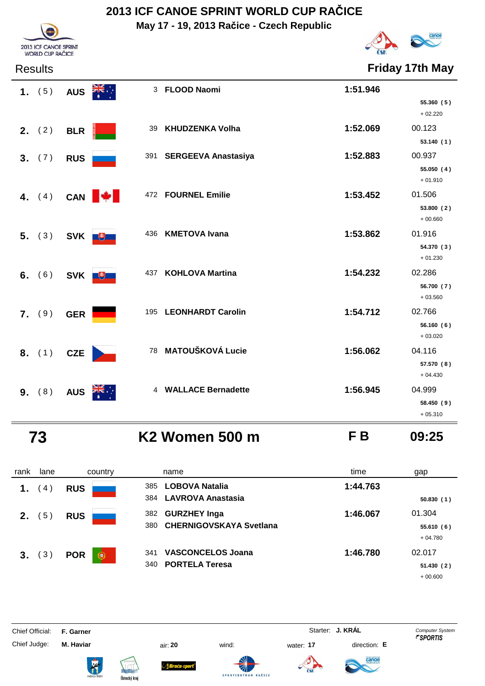**May 17 - 19, 2013 Račice - Czech Republic**



**Friday 17th May** 

| 2013 ICF CANOE SPRINT<br><b>WORLD CUP RAČICE</b> |
|--------------------------------------------------|

| 1. $(5)$                   |            | AUS <b>ZIS</b> | 3 FLOOD Naomi           | 1:51.946 | 55.360(5)<br>$+02.220$            |
|----------------------------|------------|----------------|-------------------------|----------|-----------------------------------|
| <b>2.</b> $(2)$            | <b>BLR</b> |                | 39 KHUDZENKA Volha      | 1:52.069 | 00.123<br>53.140(1)               |
| 3. (7)                     | <b>RUS</b> |                | 391 SERGEEVA Anastasiya | 1:52.883 | 00.937<br>55.050 (4)<br>$+01.910$ |
|                            |            | 4. $(4)$ CAN   | 472 FOURNEL Emilie      | 1:53.452 | 01.506<br>53.800 (2)<br>$+00.660$ |
| 5. $(3)$ SVK $\frac{1}{2}$ |            |                | 436 KMETOVA Ivana       | 1:53.862 | 01.916<br>54.370 (3)<br>$+01.230$ |
| 6. (6) SVK $+$             |            |                | 437 KOHLOVA Martina     | 1:54.232 | 02.286<br>56.700 (7)<br>$+03.560$ |
| 7. (9)                     | <b>GER</b> |                | 195 LEONHARDT Carolin   | 1:54.712 | 02.766<br>56.160(6)<br>$+03.020$  |
| 8. (1) CZE                 |            |                | 78 MATOUŠKOVÁ Lucie     | 1:56.062 | 04.116<br>57.570 (8)<br>$+04.430$ |
| 9. (8)                     | <b>AUS</b> |                | 4 WALLACE Bernadette    | 1:56.945 | 04.999<br>58.450 (9)<br>$+05.310$ |

 **73 K2 Women 500 m F B 09:25**

| rank           | lane           | country         | name                                                                | time     | gap                              |
|----------------|----------------|-----------------|---------------------------------------------------------------------|----------|----------------------------------|
| $\mathbf 1$    | 4              | <b>RUS</b>      | <b>LOBOVA Natalia</b><br>385<br>384 LAVROVA Anastasia               | 1:44.763 | 50.830(1)                        |
| 2 <sub>1</sub> | 5 <sup>2</sup> | <b>RUS</b>      | <b>GURZHEY Inga</b><br>382<br><b>CHERNIGOVSKAYA Svetlana</b><br>380 | 1:46.067 | 01.304<br>55.610(6)<br>$+04.780$ |
| 3.             | 3 <sup>2</sup> | <b>POR</b><br>€ | <b>VASCONCELOS Joana</b><br>341<br><b>PORTELA Teresa</b><br>340     | 1:46.780 | 02.017<br>51.430(2)<br>$+00.600$ |

Chief Official: **F. Garner** System **F. Garner** System **Starter: <b>J. KRÁL** Computer System Computer System **Computer System** 

Chief Judge: **M. Haviar** air: **20** wind: water: **17** direction: **E**

ł







**SPORTCENT** 



anod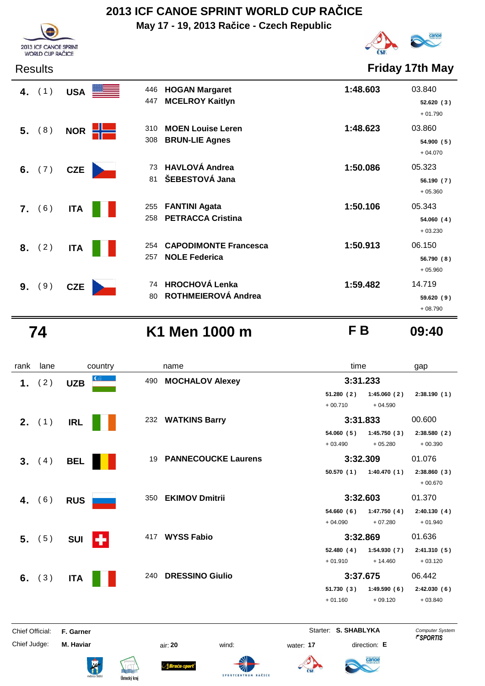**May 17 - 19, 2013 Račice - Czech Republic**



Results **Friday 17th May**

| 4. $(1)$  | USA             | <b>HOGAN Margaret</b><br>446<br>447<br><b>MCELROY Kaitlyn</b>      | 1:48.603 | 03.840<br>52.620(3)<br>$+01.790$  |
|-----------|-----------------|--------------------------------------------------------------------|----------|-----------------------------------|
| 5. (8)    | €<br><b>NOR</b> | <b>MOEN Louise Leren</b><br>310<br><b>BRUN-LIE Agnes</b><br>308    | 1:48.623 | 03.860<br>54.900(5)<br>$+04.070$  |
| 6. $(7)$  | <b>CZE</b>      | <b>HAVLOVÁ Andrea</b><br>73<br>ŠEBESTOVÁ Jana<br>81                | 1:50.086 | 05.323<br>56.190(7)<br>$+05.360$  |
| 7. (6)    | <b>ITA</b>      | <b>FANTINI Agata</b><br>255<br><b>PETRACCA Cristina</b><br>258     | 1:50.106 | 05.343<br>54.060 (4)<br>$+03.230$ |
| (2)<br>8. | <b>ITA</b>      | <b>CAPODIMONTE Francesca</b><br>254<br><b>NOLE Federica</b><br>257 | 1:50.913 | 06.150<br>56.790(8)<br>$+05.960$  |
| (9)<br>9. | <b>CZE</b>      | <b>HROCHOVÁ Lenka</b><br>74<br>ROTHMEIEROVÁ Andrea<br>80           | 1:59.482 | 14.719<br>59.620(9)<br>$+08.790$  |

2013 ICE CANOE SPRINT **WORLD CUP RAČICE** 

### **74 K1 Men 1000 m F B 09:40**

rank lane country thame country time gap **1.** (2) UZB 490 MOCHALOV Alexey 3:31.233 **51.280 1:45.060 2:38.190 ( 2 ) ( 2 ) ( 1 )**  $+ 00.710 + 04.590$ **2.** (1) IRL **III** 232 WATKINS Barry **12. 3:31.833** 00.600 **54.060 1:45.750 2:38.580 ( 5 ) ( 3 ) ( 2 )**  $+ 03.490 + 05.280 + 00.390$ **3.** (4) **BEL**<sup>1</sup> **19 PANNECOUCKE Laurens 3:32.309** 01.076 **50.570 1:40.470 2:38.860 ( 1 ) ( 1 ) ( 3 )** + 00.670  **4.** ( 6 ) **RUS**<sup>350</sup> **EKIMOV Dmitrii 3:32.603** 01.370 **54.660 1:47.750 2:40.130 ( 6 ) ( 4 ) ( 4 )** + 04.090 + 07.280 + 01.940  **5.** ( 5 ) **SUI**<sup>417</sup> **WYSS Fabio 3:32.869** 01.636 52.480 (4) 1:54.930 (7) 2:41.310 (5)  $+ 01.910 + 14.460 + 03.120$ **6.** (3) ITA **II** 240 DRESSINO Giulio **III 3:37.675** 06.442 **51.730 1:49.590 2:42.030 ( 3 ) ( 6 ) ( 6 )** + 01.160 + 09.120 + 03.840

Chief Official: **F. Garner** System **Starter: S. SHABLYKA** Computer System Chief Judge: **M. Haviar** air: **20** wind: water: **17** direction: **E**

Braća.







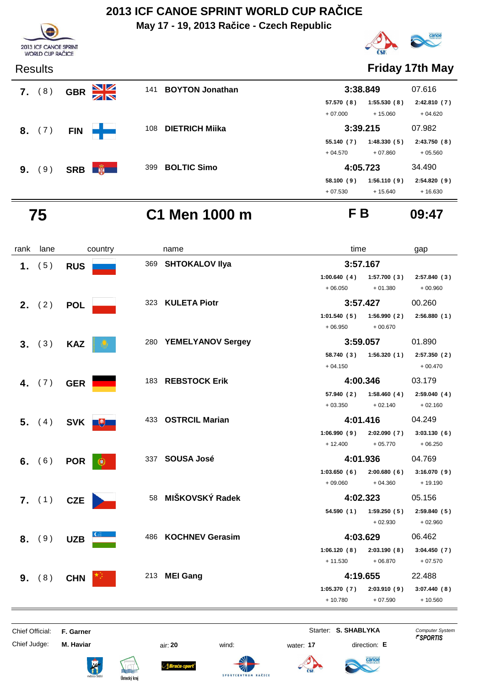**May 17 - 19, 2013 Račice - Czech Republic**



 **7.** (8) **GBR 3141 BOYTON Jonathan** 

**8.** (7) **FIN 108 DIETRICH Miika** 

**9.** (9) **SRB 4 4 4** 399 **BOLTIC Simo** 



### Results **Friday 17th May**

| 3:38.849                |                          | 07.616                   |
|-------------------------|--------------------------|--------------------------|
| 57.570 (8)<br>$+07.000$ | 1:55.530(8)<br>$+15.060$ | 2:42.810(7)<br>$+04.620$ |
| 3:39.215                |                          | 07.982                   |
| 55.140 (7)              | 1:48.330(5)              | 2:43.750(8)              |
| + 04.570                | $+07.860$                | $+05.560$                |
| 4:05.723                |                          | 34.490                   |
| 58.100 (9)              | 1:56.110(9)              | 2:54.820(9)              |
| $+07.530$               | $+15.640$                | $+16.630$                |

 **75 C1 Men 1000 m F B 09:47**

| rank | lane     |              | country | name                  |                          | time                                   |                           |
|------|----------|--------------|---------|-----------------------|--------------------------|----------------------------------------|---------------------------|
|      | 1. $(5)$ | <b>RUS</b>   |         | 369 SHTOKALOV IIya    |                          | 3:57.167                               |                           |
|      |          |              |         |                       | 1:00.640(4)<br>$+06.050$ | 1:57.700(3)<br>$+01.380$               | 2:57.840 (3)<br>$+00.960$ |
|      | 2, (2)   | <b>POL</b>   |         | 323 KULETA Piotr      |                          | 3:57.427                               | 00.260                    |
|      |          |              |         |                       | 1:01.540(5)<br>$+06.950$ | 1:56.990(2)<br>$+00.670$               | 2:56.880(1)               |
|      | 3. (3)   | <b>KAZ</b>   |         | 280 YEMELYANOV Sergey |                          | 3:59.057                               | 01.890                    |
|      |          |              |         |                       | $+04.150$                | 58.740 (3) 1:56.320 (1)                | 2:57.350(2)<br>$+00.470$  |
|      | 4. $(7)$ | <b>GER</b>   |         | 183 REBSTOCK Erik     |                          | 4:00.346                               | 03.179                    |
|      |          |              |         |                       | 57.940 (2)<br>$+03.350$  | 1:58.460(4)<br>$+02.140$               | 2:59.040(4)<br>$+02.160$  |
|      | 5. (4)   | SVK <b>+</b> |         | 433 OSTRCIL Marian    |                          | 4:01.416                               | 04.249                    |
|      |          |              |         |                       | 1:06.990(9)<br>$+12.400$ | 2:02.090(7)<br>$+05.770$               | 3:03.130(6)<br>$+06.250$  |
|      | 6. $(6)$ | <b>POR</b>   | le.     | 337 SOUSA José        |                          | 4:01.936                               | 04.769                    |
|      |          |              |         |                       | 1:03.650(6)<br>$+09.060$ | 2:00.680(6)<br>$+04.360$               | 3:16.070(9)<br>$+19.190$  |
|      | 7. (1)   | <b>CZE</b>   |         | 58 MIŠKOVSKÝ Radek    |                          | 4:02.323                               | 05.156                    |
|      |          |              |         |                       |                          | $54.590(1)$ $1:59.250(5)$<br>$+02.930$ | 2:59.840(5)<br>$+02.960$  |
|      | 8. (9)   | <b>UZB</b>   |         | 486 KOCHNEV Gerasim   |                          | 4:03.629                               | 06.462                    |
|      |          |              |         |                       | 1:06.120(8)<br>$+11.530$ | 2:03.190(8)<br>$+06.870$               | 3:04.450(7)<br>$+07.570$  |
|      | 9. (8)   | <b>CHN</b>   |         | 213 MEI Gang          |                          | 4:19.655                               | 22.488                    |
|      |          |              |         |                       | 1:05.370(7)<br>$+10.780$ | 2:03.910(9)<br>$+07.590$               | 3:07.440(8)<br>$+10.560$  |
|      |          |              |         |                       |                          |                                        |                           |

Chief Official: **F. Garner** System **Starter: S. SHABLYKA** Computer System

Chief Judge: **M. Haviar** air: **20** wind: water: **17** direction: **E**

ł

*Braća-s* 

**SPORTCENTRU** 

AČICE



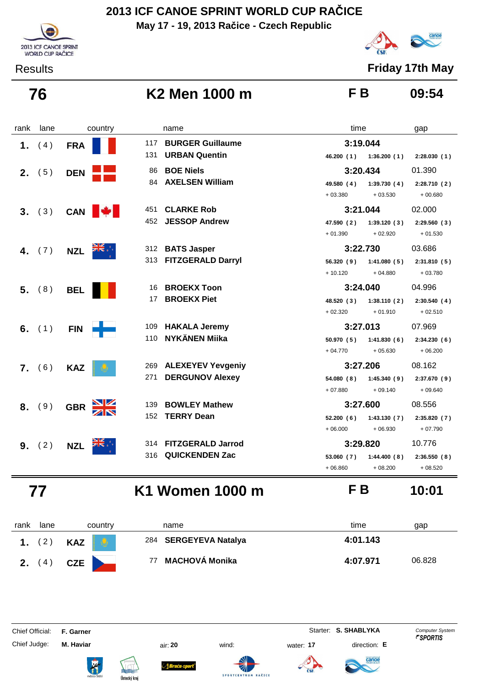**May 17 - 19, 2013 Račice - Czech Republic**



Results **Friday 17th May**

canoe

 **76 K2 Men 1000 m F B 09:54**

| <b>BURGER Guillaume</b><br>3:19.044<br>117<br>(4)<br><b>FRA</b><br>1.<br><b>URBAN Quentin</b><br>131<br>46.200 (1) 1:36.200 (1)<br>2:28.030(1)<br><b>BOE Niels</b><br>3:20.434<br>01.390<br>86<br><b>2.</b> $(5)$<br><b>DEN</b><br><b>AXELSEN William</b><br>84<br>49.580 (4)<br>1:39.730(4)<br>2:28.710(2)<br>$+03.380$<br>$+03.530$<br>$+00.680$<br>3:21.044<br>02.000<br><b>CLARKE Rob</b><br>451<br>CAN <b>W</b><br>3. (3)<br><b>JESSOP Andrew</b><br>452<br>47.590 (2)<br>1:39.120(3)<br>2:29.560(3)<br>$+01.390$<br>$+02.920$<br>$+01.530$<br>3:22.730<br>03.686<br>312 BATS Jasper<br>(7)<br><b>NZL</b><br>4.<br>313 FITZGERALD Darryl<br>56.320(9)<br>1:41.080(5)<br>2:31.810(5)<br>$+10.120$<br>$+04.880$<br>$+03.780$<br><b>BROEKX Toon</b><br>3:24.040<br>04.996<br>16<br>$5.$ (8)<br><b>BEL</b><br><b>BROEKX Piet</b><br>17<br>48.520 (3)<br>1:38.110(2)<br>2:30.540(4)<br>$+02.320$<br>$+01.910$<br>$+02.510$<br>109 HAKALA Jeremy<br>3:27.013<br>07.969<br>6. $(1)$<br><b>FIN</b><br>110 NYKÄNEN Miika<br>1:41.830(6)<br>50.970 (5)<br>2:34.230(6)<br>$+05.630$<br>$+04.770$<br>$+06.200$<br>3:27.206<br>08.162<br>269 ALEXEYEV Yevgeniy<br>7. (6)<br><b>KAZ</b><br><b>DERGUNOV Alexey</b><br>271<br>1:45.340(9)<br>54.080 (8)<br>2:37.670(9)<br>$+09.140$<br>$+07.880$<br>$+09.640$<br><b>BOWLEY Mathew</b><br>3:27.600<br>08.556<br>139.<br>(9)<br>8.<br><b>GBR</b><br><b>TERRY Dean</b><br>152<br>52.200(6)<br>1:43.130(7)<br>2:35.820(7)<br>$+06.930$<br>$+07.790$<br>$+06.000$<br>3:29.820<br>314 FITZGERALD Jarrod<br>10.776<br>(2)<br>9.<br><b>NZL</b><br><b>QUICKENDEN Zac</b><br>316<br>53.060(7)<br>1:44.400(8)<br>2:36.550(8) | rank | lane | country | name | time | gap |
|--------------------------------------------------------------------------------------------------------------------------------------------------------------------------------------------------------------------------------------------------------------------------------------------------------------------------------------------------------------------------------------------------------------------------------------------------------------------------------------------------------------------------------------------------------------------------------------------------------------------------------------------------------------------------------------------------------------------------------------------------------------------------------------------------------------------------------------------------------------------------------------------------------------------------------------------------------------------------------------------------------------------------------------------------------------------------------------------------------------------------------------------------------------------------------------------------------------------------------------------------------------------------------------------------------------------------------------------------------------------------------------------------------------------------------------------------------------------------------------------------------------------------------------------------------------------------------------------------------------------------------------------------------|------|------|---------|------|------|-----|
|                                                                                                                                                                                                                                                                                                                                                                                                                                                                                                                                                                                                                                                                                                                                                                                                                                                                                                                                                                                                                                                                                                                                                                                                                                                                                                                                                                                                                                                                                                                                                                                                                                                        |      |      |         |      |      |     |
|                                                                                                                                                                                                                                                                                                                                                                                                                                                                                                                                                                                                                                                                                                                                                                                                                                                                                                                                                                                                                                                                                                                                                                                                                                                                                                                                                                                                                                                                                                                                                                                                                                                        |      |      |         |      |      |     |
|                                                                                                                                                                                                                                                                                                                                                                                                                                                                                                                                                                                                                                                                                                                                                                                                                                                                                                                                                                                                                                                                                                                                                                                                                                                                                                                                                                                                                                                                                                                                                                                                                                                        |      |      |         |      |      |     |
|                                                                                                                                                                                                                                                                                                                                                                                                                                                                                                                                                                                                                                                                                                                                                                                                                                                                                                                                                                                                                                                                                                                                                                                                                                                                                                                                                                                                                                                                                                                                                                                                                                                        |      |      |         |      |      |     |
|                                                                                                                                                                                                                                                                                                                                                                                                                                                                                                                                                                                                                                                                                                                                                                                                                                                                                                                                                                                                                                                                                                                                                                                                                                                                                                                                                                                                                                                                                                                                                                                                                                                        |      |      |         |      |      |     |
|                                                                                                                                                                                                                                                                                                                                                                                                                                                                                                                                                                                                                                                                                                                                                                                                                                                                                                                                                                                                                                                                                                                                                                                                                                                                                                                                                                                                                                                                                                                                                                                                                                                        |      |      |         |      |      |     |
|                                                                                                                                                                                                                                                                                                                                                                                                                                                                                                                                                                                                                                                                                                                                                                                                                                                                                                                                                                                                                                                                                                                                                                                                                                                                                                                                                                                                                                                                                                                                                                                                                                                        |      |      |         |      |      |     |
|                                                                                                                                                                                                                                                                                                                                                                                                                                                                                                                                                                                                                                                                                                                                                                                                                                                                                                                                                                                                                                                                                                                                                                                                                                                                                                                                                                                                                                                                                                                                                                                                                                                        |      |      |         |      |      |     |
|                                                                                                                                                                                                                                                                                                                                                                                                                                                                                                                                                                                                                                                                                                                                                                                                                                                                                                                                                                                                                                                                                                                                                                                                                                                                                                                                                                                                                                                                                                                                                                                                                                                        |      |      |         |      |      |     |
|                                                                                                                                                                                                                                                                                                                                                                                                                                                                                                                                                                                                                                                                                                                                                                                                                                                                                                                                                                                                                                                                                                                                                                                                                                                                                                                                                                                                                                                                                                                                                                                                                                                        |      |      |         |      |      |     |
|                                                                                                                                                                                                                                                                                                                                                                                                                                                                                                                                                                                                                                                                                                                                                                                                                                                                                                                                                                                                                                                                                                                                                                                                                                                                                                                                                                                                                                                                                                                                                                                                                                                        |      |      |         |      |      |     |
|                                                                                                                                                                                                                                                                                                                                                                                                                                                                                                                                                                                                                                                                                                                                                                                                                                                                                                                                                                                                                                                                                                                                                                                                                                                                                                                                                                                                                                                                                                                                                                                                                                                        |      |      |         |      |      |     |
|                                                                                                                                                                                                                                                                                                                                                                                                                                                                                                                                                                                                                                                                                                                                                                                                                                                                                                                                                                                                                                                                                                                                                                                                                                                                                                                                                                                                                                                                                                                                                                                                                                                        |      |      |         |      |      |     |
|                                                                                                                                                                                                                                                                                                                                                                                                                                                                                                                                                                                                                                                                                                                                                                                                                                                                                                                                                                                                                                                                                                                                                                                                                                                                                                                                                                                                                                                                                                                                                                                                                                                        |      |      |         |      |      |     |
|                                                                                                                                                                                                                                                                                                                                                                                                                                                                                                                                                                                                                                                                                                                                                                                                                                                                                                                                                                                                                                                                                                                                                                                                                                                                                                                                                                                                                                                                                                                                                                                                                                                        |      |      |         |      |      |     |
|                                                                                                                                                                                                                                                                                                                                                                                                                                                                                                                                                                                                                                                                                                                                                                                                                                                                                                                                                                                                                                                                                                                                                                                                                                                                                                                                                                                                                                                                                                                                                                                                                                                        |      |      |         |      |      |     |
| $+06.860$<br>$+08.200$<br>$+08.520$                                                                                                                                                                                                                                                                                                                                                                                                                                                                                                                                                                                                                                                                                                                                                                                                                                                                                                                                                                                                                                                                                                                                                                                                                                                                                                                                                                                                                                                                                                                                                                                                                    |      |      |         |      |      |     |

## **77 K1 Women 1000 m F B 10:01**

| rank | lane           | country          | name                  | time<br>gap        |
|------|----------------|------------------|-----------------------|--------------------|
|      | $^{\circ}$ 2,  | <b>KAZ</b><br>Q. | 284 SERGEYEVA Natalya | 4:01.143           |
|      | $^{\prime}$ 4, | <b>CZE</b>       | MACHOVÁ Monika<br>77  | 06.828<br>4:07.971 |

Chief Judge: **M. Haviar** air: **20** wind: water: **17** direction: **E**

ł











Chief Official: **F. Garner** System **Starter: S. SHABLYKA** Computer System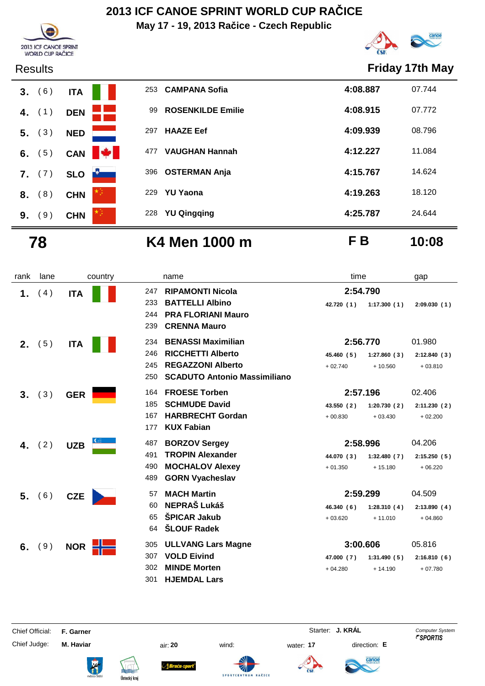**May 17 - 19, 2013 Račice - Czech Republic**





### Results **Friday 17th May**



### **78 K4 Men 1000 m F B 10:08**

| rank | lane   | country    | name                                       | time                      | gap         |
|------|--------|------------|--------------------------------------------|---------------------------|-------------|
| 1.   | (4)    | <b>ITA</b> | <b>RIPAMONTI Nicola</b><br>247.            | 2:54.790                  |             |
|      |        |            | <b>BATTELLI Albino</b><br>233              | 1:17.300(1)<br>42.720 (1) | 2:09.030(1) |
|      |        |            | <b>PRA FLORIANI Mauro</b><br>244           |                           |             |
|      |        |            | <b>CRENNA Mauro</b><br>239                 |                           |             |
| 2.   | (5)    | <b>ITA</b> | <b>BENASSI Maximilian</b><br>234           | 2:56.770                  | 01.980      |
|      |        |            | <b>RICCHETTI Alberto</b><br>246            | 1:27.860(3)<br>45.460 (5) | 2:12.840(3) |
|      |        |            | <b>REGAZZONI Alberto</b><br>245            | $+02.740$<br>$+10.560$    | $+03.810$   |
|      |        |            | <b>SCADUTO Antonio Massimiliano</b><br>250 |                           |             |
| 3.   | (3)    | <b>GER</b> | <b>FROESE Torben</b><br>164                | 2:57.196                  | 02.406      |
|      |        |            | <b>SCHMUDE David</b><br>185                | 1:20.730(2)<br>43.550 (2) | 2:11.230(2) |
|      |        |            | <b>HARBRECHT Gordan</b><br>167             | $+00.830$<br>$+03.430$    | $+02.200$   |
|      |        |            | <b>KUX Fabian</b><br>177                   |                           |             |
|      | (2)    | <b>UZB</b> | 487<br><b>BORZOV Sergey</b>                | 2:58.996                  | 04.206      |
|      |        |            | <b>TROPIN Alexander</b><br>491             | 44.070 (3)<br>1:32.480(7) | 2:15.250(5) |
|      |        |            | <b>MOCHALOV Alexey</b><br>490              | $+01.350$<br>$+15.180$    | $+06.220$   |
|      |        |            | <b>GORN Vyacheslav</b><br>489              |                           |             |
|      | 5. (6) | <b>CZE</b> | <b>MACH Martin</b><br>57                   | 2:59.299                  | 04.509      |
|      |        |            | <b>NEPRAŠ Lukáš</b><br>60                  | 46.340 (6)<br>1:28.310(4) | 2:13.890(4) |
|      |        |            | <b>ŠPICAR Jakub</b><br>65                  | $+11.010$<br>$+03.620$    | $+04.860$   |
|      |        |            | <b>ŠLOUF Radek</b><br>64                   |                           |             |
| 6.   | (9)    | <b>NOR</b> | <b>ULLVANG Lars Magne</b><br>305           | 3:00.606                  | 05.816      |
|      |        |            | <b>VOLD Eivind</b><br>307                  | 47.000 (7)<br>1:31.490(5) | 2:16.810(6) |
|      |        |            | <b>MINDE Morten</b><br>302                 | $+04.280$<br>$+14.190$    | $+07.780$   |
|      |        |            | <b>HJEMDAL Lars</b><br>301                 |                           |             |

Chief Official: **F. Garner** System **F. Garner** Starter: **J. KRÁL** Computer System

Chief Judge: **M. Haviar** air: **20** wind: water: **17** direction: **E**















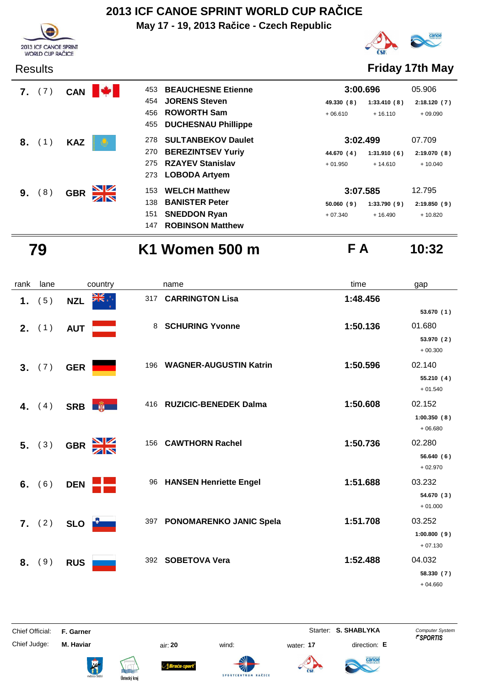**May 17 - 19, 2013 Račice - Czech Republic**





Results **Friday 17th May**

|    | $7.$ (7)         | <b>CAN</b> | 453              | <b>BEAUCHESNE Etienne</b>  | 3:00.696   |             | 05.906      |
|----|------------------|------------|------------------|----------------------------|------------|-------------|-------------|
|    |                  |            | 454              | <b>JORENS Steven</b>       | 49.330 (8) | 1:33.410(8) | 2:18.120(7) |
|    |                  |            | 456              | <b>ROWORTH Sam</b>         | $+06.610$  | $+16.110$   | $+09.090$   |
|    |                  |            | 455              | <b>DUCHESNAU Phillippe</b> |            |             |             |
| 8. | (1)              | <b>KAZ</b> | 278              | <b>SULTANBEKOV Daulet</b>  | 3:02.499   |             | 07.709      |
|    |                  |            | 270              | <b>BEREZINTSEV Yuriy</b>   | 44.670 (4) | 1:31.910(6) | 2:19.070(8) |
|    |                  |            | 275              | <b>RZAYEV Stanislav</b>    | $+01.950$  | $+14.610$   | $+10.040$   |
|    |                  |            |                  | 273 LOBODA Artyem          |            |             |             |
| 9. | $\left(8\right)$ | <b>GBR</b> | <u>NZ</u><br>153 | <b>WELCH Matthew</b>       | 3:07.585   |             | 12.795      |
|    |                  |            | 138              | <b>BANISTER Peter</b>      | 50.060(9)  | 1:33.790(9) | 2:19.850(9) |
|    |                  |            | 151              | <b>SNEDDON Ryan</b>        | $+07.340$  | $+16.490$   | $+10.820$   |
|    |                  |            | 147              | <b>ROBINSON Matthew</b>    |            |             |             |

# **79 K1 Women 500 m F A 10:32**

| rank | lane            | country                     | name                                 | time     | gap                     |
|------|-----------------|-----------------------------|--------------------------------------|----------|-------------------------|
| 1.   | (5)             | ▓€⋰<br><b>NZL</b>           | 317 CARRINGTON Lisa                  | 1:48.456 |                         |
|      |                 |                             |                                      |          | 53.670 (1)              |
|      | <b>2.</b> $(1)$ | <b>AUT</b>                  | <b>SCHURING Yvonne</b><br>8          | 1:50.136 | 01.680                  |
|      |                 |                             |                                      |          | 53.970 (2)              |
|      |                 |                             |                                      |          | $+00.300$               |
|      | 3. (7)          | <b>GER</b>                  | <b>WAGNER-AUGUSTIN Katrin</b><br>196 | 1:50.596 | 02.140                  |
|      |                 |                             |                                      |          | 55.210 (4)<br>$+01.540$ |
|      |                 |                             | <b>RUZICIC-BENEDEK Dalma</b><br>416  | 1:50.608 | 02.152                  |
|      | 4. $(4)$        | SRB <b>南</b>                |                                      |          | 1:00.350(8)             |
|      |                 |                             |                                      |          | $+06.680$               |
|      | 5. (3)          | $\frac{N}{N}$<br><b>GBR</b> | <b>CAWTHORN Rachel</b><br>156        | 1:50.736 | 02.280                  |
|      |                 |                             |                                      |          | 56.640(6)               |
|      |                 |                             |                                      |          | $+02.970$               |
|      | 6. $(6)$        | <b>DEN</b>                  | 96 HANSEN Henriette Engel            | 1:51.688 | 03.232                  |
|      |                 |                             |                                      |          | 54.670 (3)              |
|      |                 |                             |                                      |          | $+01.000$               |
|      | 7. (2)          | SLO <b>D</b>                | 397 PONOMARENKO JANIC Spela          | 1:51.708 | 03.252                  |
|      |                 |                             |                                      |          | 1:00.800(9)             |
|      |                 |                             |                                      |          | $+07.130$               |
| 8.   | (9)             | <b>RUS</b>                  | 392<br><b>SOBETOVA Vera</b>          | 1:52.488 | 04.032                  |
|      |                 |                             |                                      |          | 58.330 (7)<br>$+04.660$ |

Chief Judge: **M. Haviar** air: **20** wind: water: **17** direction: **E**

**AČICE** 

Chief Official: **F. Garner** System **Starter: S. SHABLYKA** Computer System















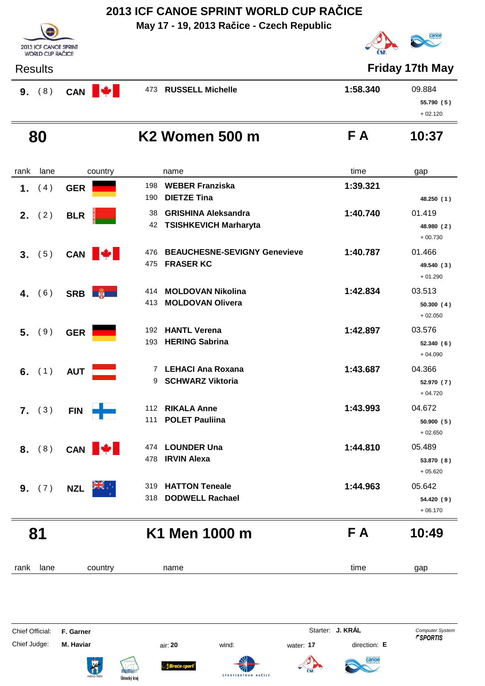**May 17 - 19, 2013 Račice - Czech Republic**



**2013 ICF CANOE SPRINT**<br>WORLD CUP RAČICE

**Friday 17th May** 

| (8)<br>9. | <b>I</b><br>CAN | 473 RUSSELL Michelle | 1:58.340 | 09.884     |
|-----------|-----------------|----------------------|----------|------------|
|           |                 |                      |          | 55.790 (5) |
|           |                 |                      |          | $+02.120$  |
|           |                 |                      |          |            |

## **80 K2 Women 500 m F**

| rank | lane     | country         | name                                                                   | time     | gap                               |
|------|----------|-----------------|------------------------------------------------------------------------|----------|-----------------------------------|
| 1.   | (4)      | <b>GER</b>      | <b>WEBER Franziska</b><br>198<br><b>DIETZE Tina</b><br>190             | 1:39.321 | 48.250 (1)                        |
| 2.   | (2)      | <b>BLR</b>      | <b>GRISHINA Aleksandra</b><br>38<br>42<br><b>TSISHKEVICH Marharyta</b> | 1:40.740 | 01.419<br>48.980 (2)<br>$+00.730$ |
| 3.   | (5)      | CAN <b> </b>    | <b>BEAUCHESNE-SEVIGNY Genevieve</b><br>476<br><b>FRASER KC</b><br>475  | 1:40.787 | 01.466<br>49.540 (3)<br>$+01.290$ |
| 4.   | (6)      | SRB <b>A</b>    | <b>MOLDOVAN Nikolina</b><br>414<br><b>MOLDOVAN Olivera</b><br>413      | 1:42.834 | 03.513<br>50.300(4)<br>$+02.050$  |
|      | 5. (9)   | <b>GER</b>      | 192 HANTL Verena<br><b>HERING Sabrina</b><br>193                       | 1:42.897 | 03.576<br>52.340(6)<br>$+04.090$  |
|      | 6. $(1)$ | <b>AUT</b>      | LEHACI Ana Roxana<br>7<br>9<br><b>SCHWARZ Viktoria</b>                 | 1:43.687 | 04.366<br>52.970 (7)<br>$+04.720$ |
|      | $7.$ (3) | ┿<br><b>FIN</b> | <b>RIKALA Anne</b><br>112<br><b>POLET Pauliina</b><br>111              | 1:43.993 | 04.672<br>50.900(5)<br>$+02.650$  |
| 8.   | (8)      | CAN <b>W</b>    | <b>LOUNDER Una</b><br>474<br><b>IRVIN Alexa</b><br>478                 | 1:44.810 | 05.489<br>53.870 (8)<br>$+05.620$ |
|      | 9. (7)   | <b>NZL</b>      | 319<br><b>HATTON Teneale</b><br><b>DODWELL Rachael</b><br>318          | 1:44.963 | 05.642<br>54.420 (9)<br>$+06.170$ |
|      | 81       |                 | K1 Men 1000 m                                                          | F A      | 10:49                             |
| rank | lane     | country         | name                                                                   | time     | gap                               |
|      |          |                 |                                                                        |          |                                   |

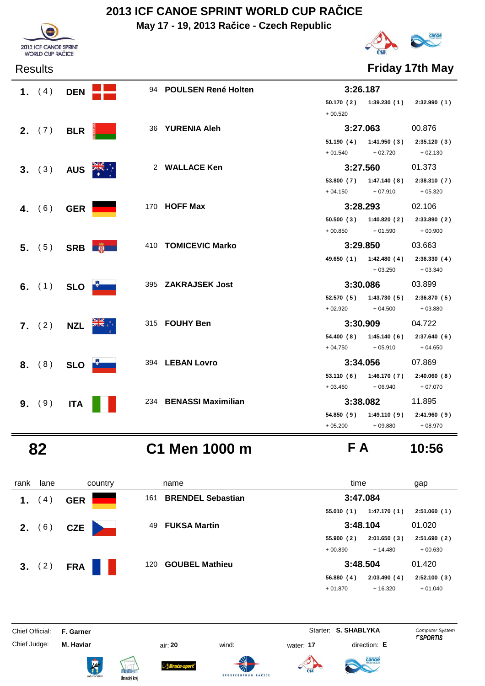**May 17 - 19, 2013 Račice - Czech Republic**





Results **Friday 17th May**

| 1. $(4)$        | <b>DEN</b>       |                              | 94 POULSEN René Holten | 3:26.187            |                                         |           |
|-----------------|------------------|------------------------------|------------------------|---------------------|-----------------------------------------|-----------|
|                 |                  |                              |                        |                     | $50.170(2)$ $1:39.230(1)$ $2:32.990(1)$ |           |
|                 |                  |                              |                        | $+00.520$           |                                         |           |
| 2. $(7)$ BLR    |                  |                              | 36 YURENIA Aleh        |                     | 3:27.063                                | 00.876    |
|                 |                  |                              |                        |                     | $51.190(4)$ $1:41.950(3)$ $2:35.120(3)$ |           |
|                 |                  |                              |                        |                     | $+ 01.540 + 02.720 + 02.130$            |           |
| 3. (3)          | AUS <b>AR</b>    |                              | 2 WALLACE Ken          |                     | 3:27.560                                | 01.373    |
|                 |                  |                              |                        |                     | 53.800 (7) 1:47.140 (8) 2:38.310 (7)    |           |
|                 |                  |                              |                        |                     | $+ 04.150 + 07.910 + 05.320$            |           |
| 4. $(6)$        | <b>GER</b>       |                              | 170 HOFF Max           |                     | 3:28.293                                | 02.106    |
|                 |                  |                              |                        |                     | 50.500 (3) 1:40.820 (2) 2:33.890 (2)    |           |
|                 |                  |                              |                        | $+00.850$           | $+01.590$                               | $+00.900$ |
|                 |                  | 5. $(5)$ SRB $\frac{20}{30}$ | 410 TOMICEVIC Marko    |                     | 3:29.850                                | 03.663    |
|                 |                  |                              |                        |                     | 49.650 (1) 1:42.480 (4) 2:36.330 (4)    |           |
|                 |                  |                              |                        |                     | $+03.250$ $+03.340$                     |           |
| 6. $(1)$        | SLO <b>DELLE</b> |                              | 395 ZAKRAJSEK Jost     |                     | 3:30.086                                | 03.899    |
|                 |                  |                              |                        |                     | 52.570 (5) 1:43.730 (5) 2:36.870 (5)    |           |
|                 |                  |                              |                        |                     | $+02.920 + 04.500$                      | + 03.880  |
| <b>7.</b> $(2)$ | <b>NZL</b>       |                              | 315 FOUHY Ben          |                     | 3:30.909                                | 04.722    |
|                 |                  |                              |                        |                     | 54.400 (8) 1:45.140 (6) 2:37.640 (6)    |           |
|                 |                  |                              |                        | $+04.750$ $+05.910$ |                                         | $+04.650$ |
| 8. (8)          | SLO <b>D</b>     |                              | 394 LEBAN Lovro        |                     | 3:34.056                                | 07.869    |
|                 |                  |                              |                        |                     | 53.110 (6) 1:46.170 (7) 2:40.060 (8)    |           |
|                 |                  |                              |                        |                     | $+03.460 +06.940$                       | $+07.070$ |
| 9. (9)          | <b>ITA</b>       |                              | 234 BENASSI Maximilian |                     | 3:38.082                                | 11.895    |
|                 |                  |                              |                        |                     | 54.850 (9) 1:49.110 (9) 2:41.960 (9)    |           |
|                 |                  |                              |                        | $+05.200$ $+09.880$ |                                         | + 08.970  |

 **82 C1 Men 1000 m F A 10:56**

| rank | lane   | country    | name                            | time                     | gap         |
|------|--------|------------|---------------------------------|--------------------------|-------------|
| 1.   | 4)     | <b>GER</b> | <b>BRENDEL Sebastian</b><br>161 | 3:47.084                 |             |
|      |        |            |                                 | 1:47.170(1)<br>55.010(1) | 2:51.060(1) |
| 2.   | (6)    | <b>CZE</b> | <b>FUKSA Martin</b><br>49       | 3:48.104                 | 01.020      |
|      |        |            |                                 | 55.900(2)<br>2:01.650(3) | 2:51.690(2) |
|      |        |            |                                 | $+00.890$<br>$+14.480$   | $+00.630$   |
|      | 3. (2) | <b>FRA</b> | <b>GOUBEL Mathieu</b><br>120    | 3:48.504                 | 01.420      |
|      |        |            |                                 | 56.880(4)<br>2:03.490(4) | 2:52.100(3) |
|      |        |            |                                 | $+16.320$<br>$+01.870$   | $+01.040$   |

Chief Official: **F. Garner** System **Starter: S. SHABLYKA** Computer System

Chief Judge: **M. Haviar** air: **20** wind: water: **17** direction: **E**

ł







**SPORTCENTRU** 



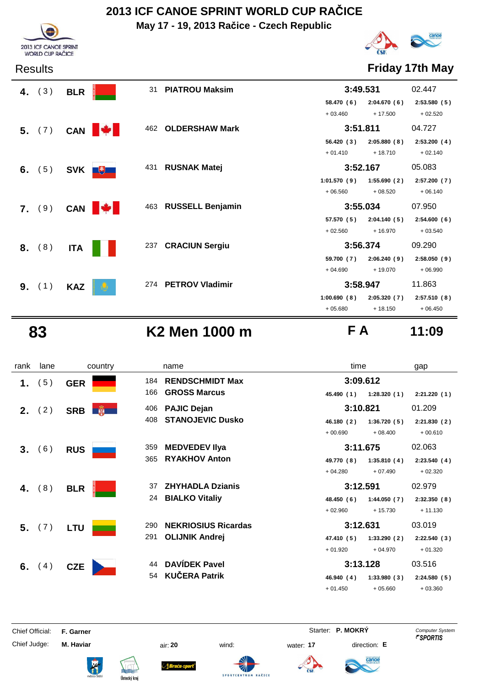**May 17 - 19, 2013 Račice - Czech Republic**



Results **Friday 17th May**

| 4. $(3)$ | <b>BLR</b> | 31                  | <b>PIATROU Maksim</b> | 3:49.531    |             | 02.447      |
|----------|------------|---------------------|-----------------------|-------------|-------------|-------------|
|          |            |                     |                       | 58.470 (6)  | 2:04.670(6) | 2:53.580(5) |
|          |            |                     |                       | $+03.460$   | $+17.500$   | $+02.520$   |
| 5. (7)   |            | 462<br>CAN <b>W</b> | <b>OLDERSHAW Mark</b> | 3:51.811    |             | 04.727      |
|          |            |                     |                       | 56.420(3)   | 2:05.880(8) | 2:53.200(4) |
|          |            |                     |                       | $+01.410$   | $+18.710$   | $+02.140$   |
| 6. $(5)$ | <b>SVK</b> | 431<br>$+$          | <b>RUSNAK Matej</b>   | 3:52.167    |             | 05.083      |
|          |            |                     |                       | 1:01.570(9) | 1:55.690(2) | 2:57.200(7) |
|          |            |                     |                       | $+06.560$   | $+08.520$   | $+06.140$   |
| 7. (9)   |            | CAN <b>W</b>        | 463 RUSSELL Benjamin  | 3:55.034    |             | 07.950      |
|          |            |                     |                       | 57.570 (5)  | 2:04.140(5) | 2:54.600(6) |
|          |            |                     |                       | $+02.560$   | $+16.970$   | $+03.540$   |
| 8. (8)   | <b>ITA</b> | 237                 | <b>CRACIUN Sergiu</b> | 3:56.374    |             | 09.290      |
|          |            |                     |                       | 59.700 (7)  | 2:06.240(9) | 2:58.050(9) |
|          |            |                     |                       | $+04.690$   | $+19.070$   | $+06.990$   |
| 9. (1)   | <b>KAZ</b> |                     | 274 PETROV Vladimir   | 3:58.947    |             | 11.863      |
|          |            |                     |                       | 1:00.690(8) | 2:05.320(7) | 2:57.510(8) |
|          |            |                     |                       | $+05.680$   | $+18.150$   | $+06.450$   |
|          |            |                     |                       |             |             |             |

2013 ICF CANOE SPRINT<br>WORLD CUP RAČICE

 **83 K2 Men 1000 m F A 11:09**

| rank | lane     | country    | name                              | time                      | gap         |
|------|----------|------------|-----------------------------------|---------------------------|-------------|
| 1.   | (5)      | <b>GER</b> | <b>RENDSCHMIDT Max</b><br>184     | 3:09.612                  |             |
|      |          |            | <b>GROSS Marcus</b><br>166        | 1:28.320(1)<br>45.490 (1) | 2:21.220(1) |
|      | 2. (2)   | <b>SRB</b> | <b>PAJIC Dejan</b><br>406         | 3:10.821                  | 01.209      |
|      |          |            | <b>STANOJEVIC Dusko</b><br>408    | 1:36.720(5)<br>46.180 (2) | 2:21.830(2) |
|      |          |            |                                   | $+00.690$<br>$+08.400$    | $+00.610$   |
|      | 3. (6)   | <b>RUS</b> | <b>MEDVEDEV IIya</b><br>359       | 3:11.675                  | 02.063      |
|      |          |            | <b>RYAKHOV Anton</b><br>365       | 49.770 (8)<br>1:35.810(4) | 2:23.540(4) |
|      |          |            |                                   | $+04.280$<br>$+07.490$    | $+02.320$   |
| 4.   | (8)      | <b>BLR</b> | <b>ZHYHADLA Dzianis</b><br>37     | 3:12.591                  | 02.979      |
|      |          |            | <b>BIALKO Vitaliy</b><br>24       | 48.450 (6)<br>1:44.050(7) | 2:32.350(8) |
|      |          |            |                                   | $+02.960$<br>$+15.730$    | $+11.130$   |
|      | 5. (7)   | <b>LTU</b> | <b>NEKRIOSIUS Ricardas</b><br>290 | 3:12.631                  | 03.019      |
|      |          |            | 291<br><b>OLIJNIK Andrej</b>      | 1:33.290(2)<br>47.410 (5) | 2:22.540(3) |
|      |          |            |                                   | $+01.920$<br>$+04.970$    | $+01.320$   |
|      | 6. $(4)$ | <b>CZE</b> | <b>DAVÍDEK Pavel</b><br>44        | 3:13.128                  | 03.516      |
|      |          |            | <b>KUČERA Patrik</b><br>54        | 1:33.980(3)<br>46.940 (4) | 2:24.580(5) |
|      |          |            |                                   | $+01.450$<br>$+05.660$    | $+03.360$   |

Chief Official: **F. Garner** System **F. Garner** System **P. MOKRY** Computer System

ł

Chief Judge: **M. Haviar** air: **20** wind: water: **17** direction: **E**





*Braća-s* 





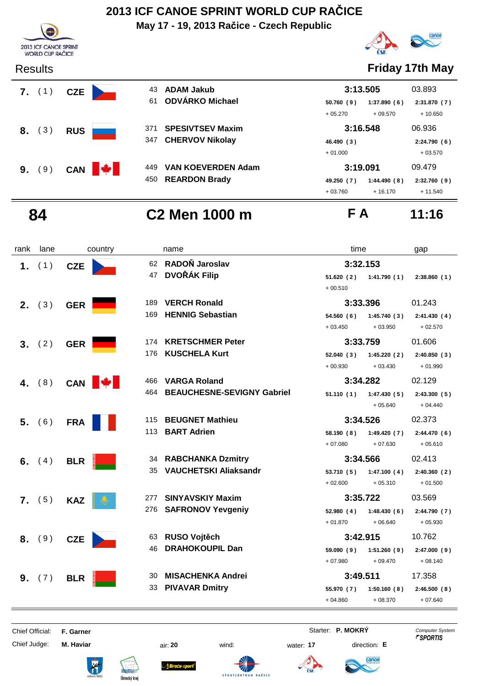**May 17 - 19, 2013 Račice - Czech Republic**





| 43  | <b>ADAM Jakub</b>         |            | 3:13.505    |          |  |
|-----|---------------------------|------------|-------------|----------|--|
| 61  | <b>ODVÁRKO Michael</b>    | 50.760(9)  | 1:37.890(6) | 2:31.870 |  |
|     |                           | $+05.270$  | $+09.570$   | $+10.6$  |  |
| 371 | <b>SPESIVTSEV Maxim</b>   |            | 3:16.548    | 06.936   |  |
| 347 | <b>CHERVOV Nikolay</b>    | 46.490 (3) |             | 2:24.790 |  |
|     |                           | $+01.000$  |             | $+03.5$  |  |
| 449 | <b>VAN KOEVERDEN Adam</b> | 3:19.091   |             | 09.479   |  |



### Results **Friday 17th May**

| 43  | ADAM Jakub              | 3:13.505                  | 03.893      |
|-----|-------------------------|---------------------------|-------------|
| 61  | <b>ODVÁRKO Michael</b>  | 1:37.890(6)<br>50.760(9)  | 2:31.870(7) |
|     |                         | $+05.270$<br>$+09.570$    | $+10.650$   |
| 371 | <b>SPESIVTSEV Maxim</b> | 3:16.548                  | 06.936      |
| 347 | <b>CHERVOV Nikolay</b>  | 46.490 (3)                | 2:24.790(6) |
|     |                         | $+01.000$                 | $+03.570$   |
| 449 | VAN KOEVERDEN Adam      | 3:19.091                  | 09.479      |
| 450 | <b>REARDON Brady</b>    | 1:44.490(8)<br>49.250 (7) | 2:32.760(9) |
|     |                         | $+16.170$<br>$+03.760$    | $+11.540$   |

# **84 C2 Men 1000 m F A 11:16**

| rank | lane     |              | country |     | name                              | time       |             | gap          |
|------|----------|--------------|---------|-----|-----------------------------------|------------|-------------|--------------|
|      | 1. $(1)$ | <b>CZE</b>   |         |     | 62 RADOŇ Jaroslav                 | 3:32.153   |             |              |
|      |          |              |         | 47  | <b>DVOŘÁK Filip</b>               | 51.620(2)  | 1:41.790(1) | 2:38.860(1)  |
|      |          |              |         |     |                                   | $+00.510$  |             |              |
|      | 2. (3)   | <b>GER</b>   |         | 189 | <b>VERCH Ronald</b>               | 3:33.396   |             | 01.243       |
|      |          |              |         | 169 | <b>HENNIG Sebastian</b>           | 54.560(6)  | 1:45.740(3) | 2:41.430(4)  |
|      |          |              |         |     |                                   | $+03.450$  | $+03.950$   | $+02.570$    |
|      | 3. (2)   | <b>GER</b>   |         |     | 174 KRETSCHMER Peter              | 3:33.759   |             | 01.606       |
|      |          |              |         | 176 | <b>KUSCHELA Kurt</b>              | 52.040(3)  | 1:45.220(2) | 2:40.850(3)  |
|      |          |              |         |     |                                   | $+00.930$  | $+03.430$   | $+01.990$    |
|      | 4. $(8)$ | CAN <b>W</b> |         | 466 | <b>VARGA Roland</b>               | 3:34.282   |             | 02.129       |
|      |          |              |         | 464 | <b>BEAUCHESNE-SEVIGNY Gabriel</b> | 51.110(1)  | 1:47.430(5) | 2:43.300(5)  |
|      |          |              |         |     |                                   |            | $+05.640$   | $+04.440$    |
|      | 5. (6)   | <b>FRA</b>   |         | 115 | <b>BEUGNET Mathieu</b>            | 3:34.526   |             | 02.373       |
|      |          |              |         | 113 | <b>BART Adrien</b>                | 58.190(8)  | 1:49.420(7) | 2:44.470(6)  |
|      |          |              |         |     |                                   | $+07.080$  | $+07.630$   | $+05.610$    |
|      | 6. $(4)$ | <b>BLR</b>   |         |     | 34 RABCHANKA Dzmitry              | 3:34.566   |             | 02.413       |
|      |          |              |         | 35  | <b>VAUCHETSKI Aliaksandr</b>      | 53.710(5)  | 1:47.100(4) | 2:40.360(2)  |
|      |          |              |         |     |                                   | $+02.600$  | $+05.310$   | $+01.500$    |
|      | $7.$ (5) | <b>KAZ</b>   |         | 277 | <b>SINYAVSKIY Maxim</b>           | 3:35.722   |             | 03.569       |
|      |          |              |         | 276 | <b>SAFRONOV Yevgeniy</b>          | 52.980(4)  | 1:48.430(6) | 2:44.790 (7) |
|      |          |              |         |     |                                   | $+01.870$  | $+06.640$   | $+05.930$    |
|      | 8. (9)   | <b>CZE</b>   |         | 63  | <b>RUSO Vojtěch</b>               | 3:42.915   |             | 10.762       |
|      |          |              |         | 46  | <b>DRAHOKOUPIL Dan</b>            | 59.090(9)  | 1:51.260(9) | 2:47.000(9)  |
|      |          |              |         |     |                                   | $+07.980$  | $+09.470$   | $+08.140$    |
|      | 9. (7)   | <b>BLR</b>   |         | 30  | <b>MISACHENKA Andrei</b>          | 3:49.511   |             | 17.358       |
|      |          |              |         | 33  | <b>PIVAVAR Dmitry</b>             | 55.970 (7) | 1:50.160(8) | 2:46.500(8)  |
|      |          |              |         |     |                                   | $+04.860$  | $+08.370$   | $+07.640$    |

Chief Official: **F. Garner** System **F. Garner** System **P. MOKRY** Computer System

Chief Judge: **M. Haviar** air: **20** wind: water: **17** direction: **E**

ł

Braća-s

RAČICE

SPORTCENTRUM

tanoe

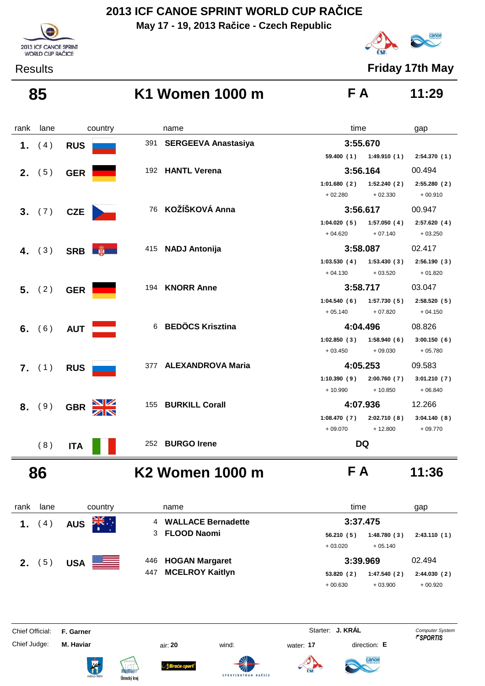**May 17 - 19, 2013 Račice - Czech Republic**



Results **Friday 17th May**

# 2013 ICF CANOE SPRINT WORLD CUP RAČICE

### **85 K1 Women 1000 m F A 11:29**

| rank | lane     | country      | name                    | time                                      | gap         |
|------|----------|--------------|-------------------------|-------------------------------------------|-------------|
|      | 1. $(4)$ | <b>RUS</b>   | 391 SERGEEVA Anastasiya | 3:55.670                                  |             |
|      |          |              |                         | 59.400 (1) 1:49.910 (1) 2:54.370 (1)      |             |
|      | 2. (5)   | <b>GER</b>   | 192 HANTL Verena        | 3:56.164                                  | 00.494      |
|      |          |              |                         | 1:52.240(2)<br>1:01.680(2)                | 2:55.280(2) |
|      |          |              |                         | $+02.280$<br>$+02.330$                    | $+00.910$   |
|      | 3. (7)   | <b>CZE</b>   | 76 KOŽÍŠKOVÁ Anna       | 3:56.617                                  | 00.947      |
|      |          |              |                         | $1:04.020(5)$ $1:57.050(4)$               | 2:57.620(4) |
|      |          |              |                         | $+04.620$<br>$+07.140$                    | $+03.250$   |
|      | 4. $(3)$ | SRB <b>B</b> | 415 NADJ Antonija       | 3:58.087                                  | 02.417      |
|      |          |              |                         | $1:03.530(4)$ $1:53.430(3)$               | 2:56.190(3) |
|      |          |              |                         | $+04.130$<br>$+03.520$                    | $+01.820$   |
|      | 5. (2)   | <b>GER</b>   | 194 KNORR Anne          | 3:58.717                                  | 03.047      |
|      |          |              |                         | $1:04.540(6)$ $1:57.730(5)$ $2:58.520(5)$ |             |
|      |          |              |                         | $+05.140$<br>$+07.820$                    | $+04.150$   |
|      | 6. $(6)$ | <b>AUT</b>   | 6 BEDÖCS Krisztina      | 4:04.496                                  | 08.826      |
|      |          |              |                         | $1:02.850(3)$ $1:58.940(6)$               | 3:00.150(6) |
|      |          |              |                         | $+03.450$<br>$+09.030$                    | + 05.780    |
|      | 7. (1)   | <b>RUS</b>   | 377 ALEXANDROVA Maria   | 4:05.253                                  | 09.583      |
|      |          |              |                         | 1:10.390(9)<br>2:00.760(7)                | 3:01.210(7) |
|      |          |              |                         | $+10.990$<br>$+10.850$                    | $+06.840$   |
|      | 8. (9)   | <b>GBR</b>   | 155 BURKILL Corall      | 4:07.936                                  | 12.266      |
|      |          |              |                         | $1:08.470(7)$ $2:02.710(8)$               | 3:04.140(8) |
|      |          |              |                         | $+09.070$<br>$+12.800$                    | $+09.770$   |
|      | (8)      | <b>ITA</b>   | 252 BURGO Irene         | <b>DQ</b>                                 |             |

### **86 K2 Women 1000 m F A 11:36**



| rank | lane | country                           |     | name                      | time      |             | gap         |
|------|------|-----------------------------------|-----|---------------------------|-----------|-------------|-------------|
|      | (4)  | ∵, <mark>≫</mark> k<br><b>AUS</b> | 4   | <b>WALLACE Bernadette</b> | 3:37.475  |             |             |
|      |      |                                   | 3   | <b>FLOOD Naomi</b>        | 56.210(5) | 1:48.780(3) | 2:43.110(1) |
|      |      |                                   |     |                           | $+03.020$ | $+05.140$   |             |
| 2.   | 5)   | $\equiv$<br><b>USA</b>            | 446 | <b>HOGAN Margaret</b>     | 3:39.969  |             | 02.494      |
|      |      |                                   | 447 | <b>MCELROY Kaitlyn</b>    | 53.820(2) | 1:47.540(2) | 2:44.030(2) |
|      |      |                                   |     |                           | $+00.630$ | $+03.900$   | $+00.920$   |

Chief Official: **F. Garner** System **F. Garner** System **Starter: <b>J. KRÁL** Computer System Computer System **Computer System** 

ł

Chief Judge: **M. Haviar** air: **20** wind: water: **17** direction: **E**







Sruću-sport

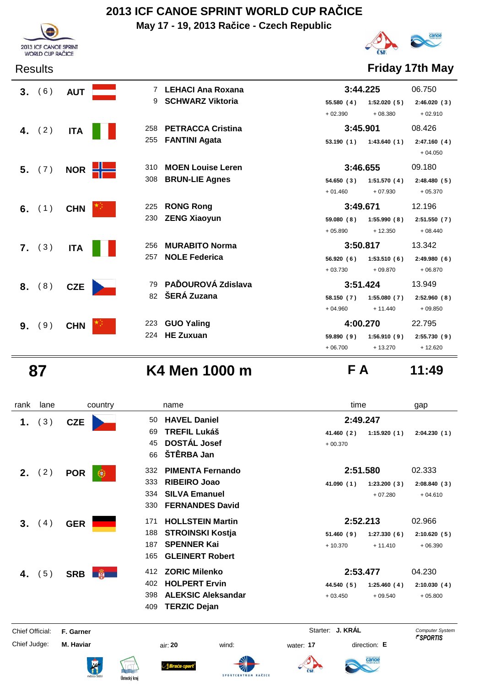**May 17 - 19, 2013 Račice - Czech Republic**





Results **Friday 17th May**

| 3. | (6)      | <b>AUT</b> |     | <b>LEHACI Ana Roxana</b> | 3:44.225  |             | 06.750      |
|----|----------|------------|-----|--------------------------|-----------|-------------|-------------|
|    |          |            | 9   | <b>SCHWARZ Viktoria</b>  | 55.580(4) | 1:52.020(5) | 2:46.020(3) |
|    |          |            |     |                          | $+02.390$ | $+08.380$   | $+02.910$   |
|    | 4. $(2)$ | <b>ITA</b> | 258 | <b>PETRACCA Cristina</b> | 3:45.901  |             | 08.426      |
|    |          |            | 255 | <b>FANTINI Agata</b>     | 53.190(1) | 1:43.640(1) | 2:47.160(4) |
|    |          |            |     |                          |           |             | $+04.050$   |
|    | 5. (7)   | <b>NOR</b> | 310 | <b>MOEN Louise Leren</b> | 3:46.655  |             | 09.180      |
|    |          |            | 308 | <b>BRUN-LIE Agnes</b>    | 54.650(3) | 1:51.570(4) | 2:48.480(5) |
|    |          |            |     |                          | $+01.460$ | $+07.930$   | $+05.370$   |
|    | 6. $(1)$ | <b>CHN</b> | 225 | <b>RONG Rong</b>         | 3:49.671  |             | 12.196      |
|    |          |            | 230 | <b>ZENG Xiaoyun</b>      | 59.080(8) | 1:55.990(8) | 2:51.550(7) |
|    |          |            |     |                          | $+05.890$ | $+12.350$   | $+08.440$   |
|    | 7. (3)   | <b>ITA</b> | 256 | <b>MURABITO Norma</b>    | 3:50.817  |             | 13.342      |
|    |          |            | 257 | <b>NOLE Federica</b>     | 56.920(6) | 1:53.510(6) | 2:49.980(6) |
|    |          |            |     |                          | $+03.730$ | $+09.870$   | $+06.870$   |
| 8. | (8)      | <b>CZE</b> |     | 79 PAĎOUROVÁ Zdislava    | 3:51.424  |             | 13.949      |
|    |          |            | 82  | ŠERÁ Zuzana              | 58.150(7) | 1:55.080(7) | 2:52.960(8) |
|    |          |            |     |                          | $+04.960$ | $+ 11.440$  | $+09.850$   |
| 9. | (9)      | <b>CHN</b> | 223 | <b>GUO Yaling</b>        | 4:00.270  |             | 22.795      |
|    |          |            | 224 | <b>HE Zuxuan</b>         | 59.890(9) | 1:56.910(9) | 2:55.730(9) |
|    |          |            |     |                          | $+06.700$ | $+13.270$   | $+12.620$   |

# **87 K4 Men 1000 m F A 11:49**

| rank            | lane   | country         | name                             |       |                  | time         | gap                    |
|-----------------|--------|-----------------|----------------------------------|-------|------------------|--------------|------------------------|
| 1.              | (3)    | <b>CZE</b>      | <b>HAVEL Daniel</b><br>50        |       |                  | 2:49.247     |                        |
|                 |        |                 | <b>TREFIL Lukáš</b><br>69        |       | 41.460 (2)       | 1:15.920(1)  | 2:04.230(1)            |
|                 |        |                 | <b>DOSTÁL Josef</b><br>45        |       | $+00.370$        |              |                        |
|                 |        |                 | ŠTĚRBA Jan<br>66                 |       |                  |              |                        |
|                 | 2. (2) | <b>POR</b><br>Œ | <b>PIMENTA Fernando</b><br>332   |       |                  | 2:51.580     | 02.333                 |
|                 |        |                 | <b>RIBEIRO Joao</b><br>333       |       | 41.090(1)        | 1:23.200(3)  | 2:08.840(3)            |
|                 |        |                 | <b>SILVA Emanuel</b><br>334      |       |                  | $+07.280$    | $+04.610$              |
|                 |        |                 | <b>FERNANDES David</b><br>330    |       |                  |              |                        |
| 3 <sub>1</sub>  | (4)    | <b>GER</b>      | <b>HOLLSTEIN Martin</b><br>171   |       |                  | 2:52.213     | 02.966                 |
|                 |        |                 | <b>STROINSKI Kostja</b><br>188   |       | 51.460(9)        | 1:27.330(6)  | 2:10.620(5)            |
|                 |        |                 | <b>SPENNER Kai</b><br>187        |       | $+10.370$        | $+11.410$    | $+06.390$              |
|                 |        |                 | <b>GLEINERT Robert</b><br>165    |       |                  |              |                        |
| 4.              | (5)    | SRB <b>B</b>    | <b>ZORIC Milenko</b><br>412      |       |                  | 2:53.477     | 04.230                 |
|                 |        |                 | <b>HOLPERT Ervin</b><br>402      |       | 44.540 (5)       | 1:25.460(4)  | 2:10.030(4)            |
|                 |        |                 | <b>ALEKSIC Aleksandar</b><br>398 |       | $+03.450$        | $+09.540$    | $+05.800$              |
|                 |        |                 | <b>TERZIC Dejan</b><br>409       |       |                  |              |                        |
| Chief Official: |        | F. Garner       |                                  |       | Starter: J. KRÁL |              | <b>Computer System</b> |
| Chief Judge:    |        | M. Haviar       | air: 20                          | wind: | water: 17        | direction: E | <i><b>FSPORTIS</b></i> |
|                 |        |                 |                                  |       |                  | canoe        |                        |

SPORTCENTRUM RAČICE

Ústecký kraj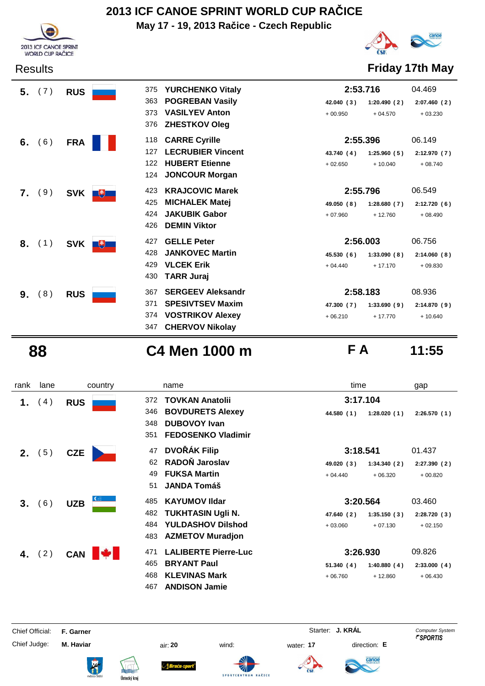**May 17 - 19, 2013 Račice - Czech Republic**





Results **Friday 17th May**

|    | 5. (7) | <b>RUS</b> | 375      | <b>YURCHENKO Vitaly</b>  | 2:53.716   |             | 04.469      |
|----|--------|------------|----------|--------------------------|------------|-------------|-------------|
|    |        |            | 363      | <b>POGREBAN Vasily</b>   | 42.040 (3) | 1:20.490(2) | 2:07.460(2) |
|    |        |            | 373      | <b>VASILYEV Anton</b>    | $+00.950$  | $+04.570$   | $+03.230$   |
|    |        |            | 376      | <b>ZHESTKOV Oleg</b>     |            |             |             |
| 6. | (6)    | <b>FRA</b> | 118      | <b>CARRE Cyrille</b>     | 2:55.396   |             | 06.149      |
|    |        |            | 127      | <b>LECRUBIER Vincent</b> | 43.740 (4) | 1:25.960(5) | 2:12.970(7) |
|    |        |            | 122      | <b>HUBERT Etienne</b>    | $+02.650$  | $+10.040$   | $+08.740$   |
|    |        |            | 124      | <b>JONCOUR Morgan</b>    |            |             |             |
|    | 7. (9) | <b>SVK</b> | 423<br>飞 | <b>KRAJCOVIC Marek</b>   | 2:55.796   |             | 06.549      |
|    |        |            | 425      | <b>MICHALEK Matej</b>    | 49.050 (8) | 1:28.680(7) | 2:12.720(6) |
|    |        |            | 424      | <b>JAKUBIK Gabor</b>     | $+07.960$  | $+12.760$   | $+08.490$   |
|    |        |            | 426      | <b>DEMIN Viktor</b>      |            |             |             |
| 8. | (1)    | <b>SVK</b> | 427<br>飞 | <b>GELLE Peter</b>       | 2:56.003   |             | 06.756      |
|    |        |            | 428      | <b>JANKOVEC Martin</b>   | 45.530 (6) | 1:33.090(8) | 2:14.060(8) |
|    |        |            | 429      | <b>VLCEK Erik</b>        | $+04.440$  | $+17.170$   | $+09.830$   |
|    |        |            | 430      | <b>TARR Juraj</b>        |            |             |             |
| 9. | (8)    | <b>RUS</b> | 367      | <b>SERGEEV Aleksandr</b> | 2:58.183   |             | 08.936      |
|    |        |            | 371      | <b>SPESIVTSEV Maxim</b>  | 47.300 (7) | 1:33.690(9) | 2:14.870(9) |
|    |        |            | 374      | <b>VOSTRIKOV Alexey</b>  | $+06.210$  | $+17.770$   | $+10.640$   |
|    |        |            | 347      | <b>CHERVOV Nikolay</b>   |            |             |             |

 **88 C4 Men 1000 m F A 11:55**

| lane | country          | name                                   | time                      | gap         |
|------|------------------|----------------------------------------|---------------------------|-------------|
| (4)  | <b>RUS</b>       | <b>TOVKAN Anatolii</b><br>372          | 3:17.104                  |             |
|      |                  | <b>BOVDURETS Alexey</b><br>346         | 1:28.020(1)<br>44.580 (1) | 2:26.570(1) |
|      |                  | <b>DUBOVOY Ivan</b><br>348             |                           |             |
|      |                  | <b>FEDOSENKO Vladimir</b><br>351       |                           |             |
|      |                  | <b>DVOŘÁK Filip</b><br>47              | 3:18.541                  | 01.437      |
|      |                  | RADOŇ Jaroslav<br>62                   | 49.020 (3)<br>1:34.340(2) | 2:27.390(2) |
|      |                  | <b>FUKSA Martin</b><br>49              | $+04.440$<br>$+06.320$    | $+00.820$   |
|      |                  | <b>JANDA Tomáš</b><br>51               |                           |             |
|      |                  | <b>KAYUMOV IIdar</b><br>485            | 3:20.564                  | 03.460      |
|      |                  | <b>TUKHTASIN Ugli N.</b><br>482        | 1:35.150(3)<br>47.640 (2) | 2:28.720(3) |
|      |                  | <b>YULDASHOV Dilshod</b><br>484        | $+03.060$<br>$+07.130$    | $+02.150$   |
|      |                  | <b>AZMETOV Muradjon</b><br>483         |                           |             |
|      |                  | <b>LALIBERTE Pierre-Luc</b><br>471     | 3:26.930                  | 09.826      |
|      |                  | <b>BRYANT Paul</b><br>465              | 51.340(4)<br>1:40.880(4)  | 2:33.000(4) |
|      |                  | <b>KLEVINAS Mark</b><br>468            | $+06.760$<br>$+12.860$    | $+06.430$   |
|      |                  | <b>ANDISON Jamie</b><br>467            |                           |             |
|      | (5)<br>6)<br>(2) | <b>CZE</b><br><b>UZB</b><br><b>CAN</b> |                           |             |

Chief Official: **F. Garner** System **F. Garner** System **Starter: <b>J. KRÁL** Computer System Computer System **Computer System** 

Chief Judge: **M. Haviar** air: **20** wind: water: **17** direction: **E**

ł











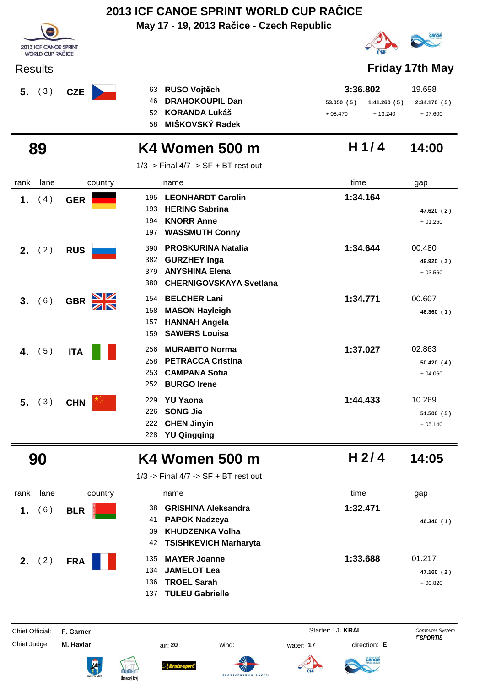| <b>2013 ICF CANOE SPRINT</b><br><b>WORLD CUP RAČICE</b> |            | May 17 - 19, 2013 Račice - Czech Republic                                                                                               |                        |                                      |                                    |
|---------------------------------------------------------|------------|-----------------------------------------------------------------------------------------------------------------------------------------|------------------------|--------------------------------------|------------------------------------|
| <b>Results</b>                                          |            |                                                                                                                                         |                        |                                      | Friday 17th May                    |
| (3)<br>5.                                               | <b>CZE</b> | <b>RUSO Vojtěch</b><br>63<br><b>DRAHOKOUPIL Dan</b><br>46<br><b>KORANDA Lukáš</b><br>52<br>MIŠKOVSKÝ Radek<br>58                        | 53.050(5)<br>$+08.470$ | 3:36.802<br>1:41.260(5)<br>$+13.240$ | 19.698<br>2:34.170(5)<br>$+07.600$ |
| 89                                                      |            | K4 Women 500 m<br>$1/3$ -> Final $4/7$ -> SF + BT rest out                                                                              |                        | H1/4                                 | 14:00                              |
| lane<br>rank                                            | country    | name                                                                                                                                    | time                   |                                      | gap                                |
| 1.<br>(4)                                               | <b>GER</b> | <b>LEONHARDT Carolin</b><br>195<br><b>HERING Sabrina</b><br>193<br><b>KNORR Anne</b><br>194<br><b>WASSMUTH Conny</b><br>197             |                        | 1:34.164                             | 47.620 (2)<br>$+01.260$            |
| <b>2.</b> $(2)$                                         | <b>RUS</b> | <b>PROSKURINA Natalia</b><br>390<br>382<br><b>GURZHEY Inga</b><br><b>ANYSHINA Elena</b><br>379<br><b>CHERNIGOVSKAYA Svetlana</b><br>380 |                        | 1:34.644                             | 00.480<br>49.920 (3)<br>$+03.560$  |
| (6)<br>3.                                               | <b>GBR</b> | <b>BELCHER Lani</b><br>154<br><b>MASON Hayleigh</b><br>158<br><b>HANNAH Angela</b><br>157<br><b>SAWERS Louisa</b><br>159                |                        | 1:34.771                             | 00.607<br>46.360 (1)               |
| (5)<br>4.                                               | <b>ITA</b> | <b>MURABITO Norma</b><br>256<br><b>PETRACCA Cristina</b><br>258<br><b>CAMPANA Sofia</b><br>253<br><b>BURGO Irene</b><br>252             |                        | 1:37.027                             | 02.863<br>50.420(4)<br>$+04.060$   |
| (3)<br>5 <sub>1</sub>                                   | <b>CHN</b> | <b>YU Yaona</b><br>229<br><b>SONG Jie</b><br>226<br><b>CHEN Jinyin</b><br>222                                                           |                        | 1:44.433                             | 10.269<br>51.500 (5)<br>$+05.140$  |

### **90 K4 Women 500 m 14:05**

**H 2/ 4**

1/3 -> Final 4/7 -> SF + BT rest out

**YU Qingqing** 228

| rank | lane | country    | name                                                                                                                  | time     | gap                               |
|------|------|------------|-----------------------------------------------------------------------------------------------------------------------|----------|-----------------------------------|
| 1.   | 6)   | <b>BLR</b> | <b>GRISHINA Aleksandra</b><br>38<br><b>PAPOK Nadzeya</b><br>41<br>KHUDZENKA Volha<br>39<br>42 TSISHKEVICH Marharyta   | 1:32.471 | 46.340 (1)                        |
| 2.   | (2)  | <b>FRA</b> | <b>MAYER Joanne</b><br>135<br><b>JAMELOT Lea</b><br>134<br><b>TROEL Sarah</b><br>136<br><b>TULEU Gabrielle</b><br>137 | 1:33.688 | 01.217<br>47.160 (2)<br>$+00.820$ |

**SPORTCEN** 

Chief Official: **F. Garner** System **Computer System** Starter: **J. KRÁL** Computer System Computer System Computer System Computer System Computer System Computer System Computer System Computer System Computer System Comput



ł









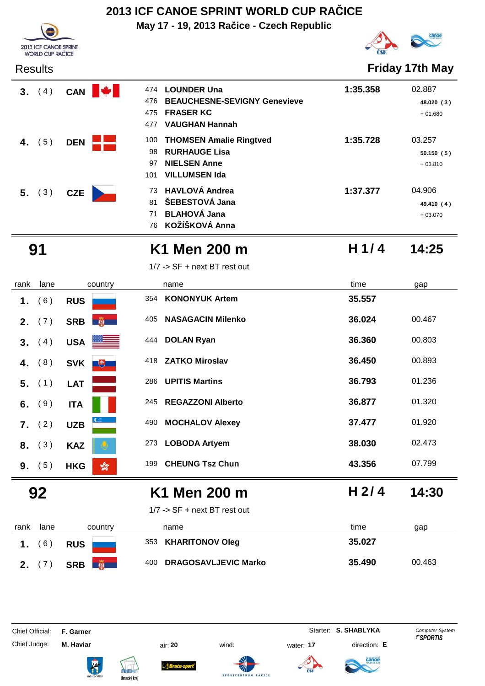**May 17 - 19, 2013 Račice - Czech Republic**



Results **Friday 17th May**

| 3. (4)   | <b>CAN</b> | 474 | <b>LOUNDER Una</b>          |
|----------|------------|-----|-----------------------------|
|          |            |     | 476 BEAUCHESNE-SEVIGNY Ge   |
|          |            | 475 | <b>FRASER KC</b>            |
|          |            |     | 477 VAUGHAN Hannah          |
| 4. $(5)$ | <b>DEN</b> |     | 100 THOMSEN Amalie Ringtved |
|          |            | 98  | <b>RURHAUGE Lisa</b>        |
|          |            | 97  | <b>NIELSEN Anne</b>         |
|          |            | 101 | VILLUMSEN Ida               |
| 5. (3)   | <b>CZE</b> |     | 73 HAVLOVÁ Andrea           |
|          |            | 81  | ŠEBESTOVÁ Jana              |
|          |            |     |                             |

| 474 | <b>LOUNDER Una</b>                  | 1:35.358 | 02.887     |
|-----|-------------------------------------|----------|------------|
| 476 | <b>BEAUCHESNE-SEVIGNY Genevieve</b> |          | 48.020 (3) |
| 475 | <b>FRASER KC</b>                    |          | $+01.680$  |
| 477 | <b>VAUGHAN Hannah</b>               |          |            |
| 100 | <b>THOMSEN Amalie Ringtved</b>      | 1:35.728 | 03.257     |
| 98. | <b>RURHAUGE Lisa</b>                |          | 50.150(5)  |
| 97  | <b>NIELSEN Anne</b>                 |          | $+03.810$  |
| 101 | <b>VILLUMSEN Ida</b>                |          |            |
|     | 73 HAVLOVÁ Andrea                   | 1:37.377 | 04.906     |
| 81  | ŠEBESTOVÁ Jana                      |          | 49.410 (4) |
| 71  | <b>BLAHOVÁ Jana</b>                 |          | $+03.070$  |



2013 ICF CANOE SPRINT WORLD CUP RAČICE

### **91 K1 Men 200 m 14:25**

**KOŽÍŠKOVÁ Anna** 76

**H 1/ 4**

1/7 -> SF + next BT rest out

| rank    | lane   | country                                                                                          | name                            | time             | gap    |
|---------|--------|--------------------------------------------------------------------------------------------------|---------------------------------|------------------|--------|
| 1.      | (6)    | <b>RUS</b>                                                                                       | <b>KONONYUK Artem</b><br>354    | 35.557           |        |
| $2_{-}$ | (7)    | <b>PERSONAL PROPERTY</b><br><b>SRB</b>                                                           | <b>NASAGACIN Milenko</b><br>405 | 36.024           | 00.467 |
| 3.      | (4)    | <b>USA</b>                                                                                       | <b>DOLAN Ryan</b><br>444        | 36.360           | 00.803 |
| 4.      | (8)    | <b>SVK</b><br>$\begin{array}{ c c c }\hline \text{+} & \text{+} & \text{+} \ \hline \end{array}$ | <b>ZATKO Miroslav</b><br>418    | 36.450           | 00.893 |
| 5.      | (1)    | <b>LAT</b>                                                                                       | <b>UPITIS Martins</b><br>286    | 36.793           | 01.236 |
| 6.      | (9)    | <b>ITA</b>                                                                                       | <b>REGAZZONI Alberto</b><br>245 | 36.877           | 01.320 |
| 7.      | (2)    | <b>UZB</b>                                                                                       | <b>MOCHALOV Alexey</b><br>490   | 37.477           | 01.920 |
| 8.      | (3)    | <b>KAZ</b>                                                                                       | <b>LOBODA Artyem</b><br>273     | 38.030           | 02.473 |
|         | 9. (5) | $\frac{1}{20}$<br><b>HKG</b>                                                                     | <b>CHEUNG Tsz Chun</b><br>199   | 43.356           | 07.799 |
|         | 92     |                                                                                                  | K1 Men 200 m                    | H <sub>2/4</sub> | 14:30  |
|         |        |                                                                                                  | $1/7$ -> SF + next BT rest out  |                  |        |
| rank    | lane   | country                                                                                          | name                            | time             | gap    |
|         |        |                                                                                                  |                                 |                  |        |



|     | name              |
|-----|-------------------|
| 353 | <b>KHARITONOV</b> |



Chief Judge: **M. Haviar** air: **20** wind: water: **17** direction: **E**











**SPORTCENT** 

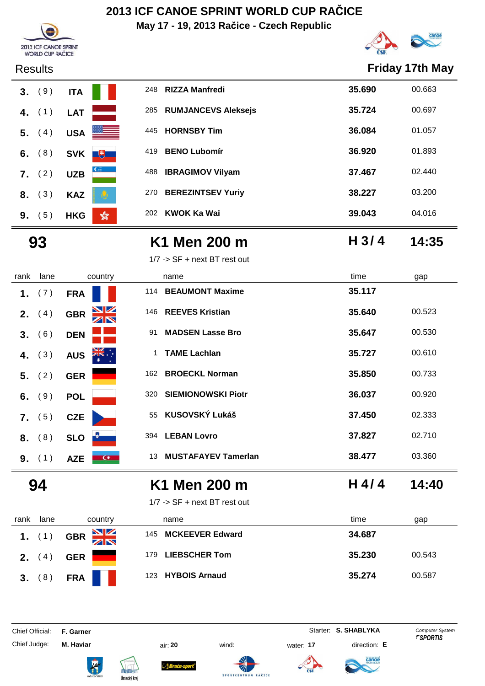**May 17 - 19, 2013 Račice - Czech Republic**



**H 3/ 4**



### Results **Friday 17th May**



### **93 K1 Men 200 m 14:35**

1/7 -> SF + next BT rest out

| rank | lane            | country                                       |     | name                       | time   | gap    |
|------|-----------------|-----------------------------------------------|-----|----------------------------|--------|--------|
| 1.   | (7)             | <b>FRA</b>                                    | 114 | <b>BEAUMONT Maxime</b>     | 35.117 |        |
|      | <b>2.</b> $(4)$ | $\frac{\mathbf{N}}{\mathbf{N}}$<br><b>GBR</b> |     | 146 REEVES Kristian        | 35.640 | 00.523 |
|      | 3. (6)          | <b>DEN</b>                                    | 91  | <b>MADSEN Lasse Bro</b>    | 35.647 | 00.530 |
| 4.   | (3)             | ्रेड्डि<br><b>AUS</b>                         | 1   | <b>TAME Lachlan</b>        | 35.727 | 00.610 |
| 5.   | (2)             | <b>GER</b>                                    | 162 | <b>BROECKL Norman</b>      | 35.850 | 00.733 |
| 6.   | (9)             | <b>POL</b>                                    | 320 | <b>SIEMIONOWSKI Piotr</b>  | 36.037 | 00.920 |
| 7.   | (5)             | <b>CZE</b>                                    | 55  | KUSOVSKÝ Lukáš             | 37.450 | 02.333 |
| 8.   | (8)             | <b>SLO</b>                                    | 394 | <b>LEBAN Lovro</b>         | 37.827 | 02.710 |
|      | 9. (1)          | $\bullet$<br><b>AZE</b>                       | 13  | <b>MUSTAFAYEV Tamerlan</b> | 38.477 | 03.360 |
|      | 94              |                                               |     | K1 Men 200 m               | H 4/4  | 14:40  |

| rank     | lane | country                | name                          | time<br>gap      |
|----------|------|------------------------|-------------------------------|------------------|
| 1. $(1)$ |      | NK<br>AR<br><b>GBR</b> | <b>MCKEEVER Edward</b><br>145 | 34.687           |
| 2.       | 4    | <b>GER</b>             | <b>LIEBSCHER Tom</b><br>179   | 35.230<br>00.543 |
| 3.       | (8)  | <b>FRA</b>             | 123 HYBOIS Arnaud             | 35.274<br>00.587 |

Chief Judge: **M. Haviar** air: **20** wind: water: **17** direction: **E**

1/7 -> SF + next BT rest out

Chief Official: **F. Garner** System **Starter: S. SHABLYKA** Computer System











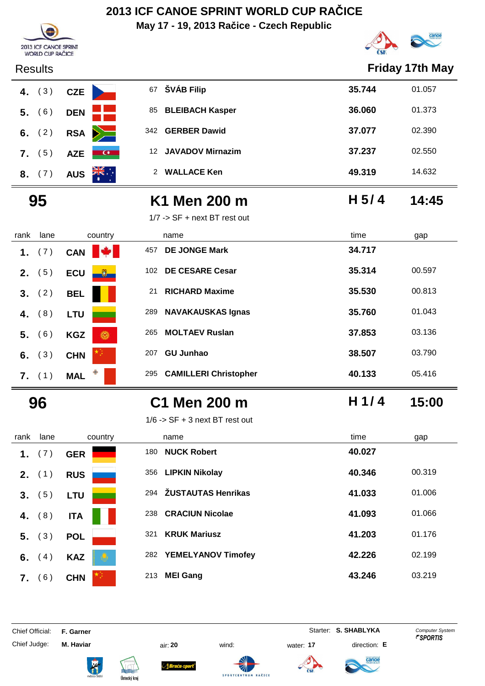**May 17 - 19, 2013 Račice - Czech Republic**



| 2013 ICF CANOE SPRINT<br><b>WORLD CUP RAČICE</b> |                        |                                     |                  | <b>CO</b>              |
|--------------------------------------------------|------------------------|-------------------------------------|------------------|------------------------|
| <b>Results</b>                                   |                        |                                     |                  | <b>Friday 17th May</b> |
| (3)<br>4.                                        | <b>CZE</b>             | 67 ŠVÁB Filip                       | 35.744           | 01.057                 |
| (6)<br>5.                                        | <b>DEN</b>             | <b>BLEIBACH Kasper</b><br>85        | 36.060           | 01.373                 |
| (2)<br>6.                                        | <b>RSA</b>             | <b>GERBER Dawid</b><br>342          | 37.077           | 02.390                 |
| (5)<br>7.                                        | <b>AZE</b><br>$\alpha$ | <b>JAVADOV Mirnazim</b><br>12       | 37.237           | 02.550                 |
| (7)<br>8.                                        | AUS <b>AK.</b>         | 2 WALLACE Ken                       | 49.319           | 14.632                 |
| 95                                               |                        | K1 Men 200 m                        | H <sub>5/4</sub> | 14:45                  |
|                                                  |                        | 1/7 -> SF + next BT rest out        |                  |                        |
| lane<br>rank                                     | country                | name                                | time             | gap                    |
| 1.<br>(7)                                        | <b>CAN</b>             | <b>DE JONGE Mark</b><br>457         | 34.717           |                        |
| (5)<br>2.                                        | <b>ECU</b>             | <b>DE CESARE Cesar</b><br>102       | 35.314           | 00.597                 |
| (2)<br>3.                                        | <b>BEL</b>             | <b>RICHARD Maxime</b><br>21         | 35.530           | 00.813                 |
| (8)<br>4.                                        | <b>LTU</b>             | <b>NAVAKAUSKAS Ignas</b><br>289     | 35.760           | 01.043                 |
| (6)<br>5.                                        | <b>KGZ</b><br>Ō        | <b>MOLTAEV Ruslan</b><br>265        | 37.853           | 03.136                 |
| (3)<br>6.                                        | <b>CHN</b>             | <b>GU Junhao</b><br>207             | 38.507           | 03.790                 |
| $7.$ (1)                                         | <b>MAL</b>             | <b>CAMILLERI Christopher</b><br>295 | 40.133           | 05.416                 |
| 96                                               |                        | C1 Men 200 m                        | H 1/4            | 15:00                  |
|                                                  |                        | $1/6$ -> SF + 3 next BT rest out    |                  |                        |
| lane<br>rank                                     | country                | name                                | time             | gap                    |
| (7)<br>1.                                        | <b>GER</b>             | 180 NUCK Robert                     | 40.027           |                        |
| 2. (1)                                           | <b>RUS</b>             | 356 LIPKIN Nikolay                  | 40.346           | 00.319                 |
| 3. (5)                                           | <b>LTU</b>             | 294 ŽUSTAUTAS Henrikas              | 41.033           | 01.006                 |
| (8)<br>4.                                        | <b>ITA</b>             | 238 CRACIUN Nicolae                 | 41.093           | 01.066                 |
| (3)<br>5.                                        | <b>POL</b>             | <b>KRUK Mariusz</b><br>321          | 41.203           | 01.176                 |
| (4)<br>6.                                        | <b>KAZ</b>             | 282 YEMELYANOV Timofey              | 42.226           | 02.199                 |
| 7. (6)                                           | <b>CHN</b>             | 213 MEI Gang                        | 43.246           | 03.219                 |

Chief Official: **F. Garner** System **Starter: S. SHABLYKA** Computer System

Chief Judge: **M. Haviar** air: **20** wind: water: **17** direction: **E**

ł









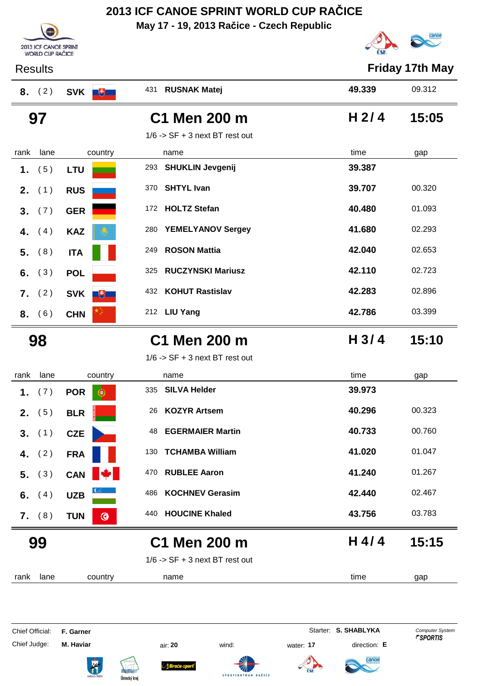**May 17 - 19, 2013 Račice - Czech Republic**

Results **Friday 17th May**





|      | 8. (2)   | SVK <b>F</b>                 | 431 RUSNAK Matej                 | 49.339           | 09.312 |
|------|----------|------------------------------|----------------------------------|------------------|--------|
|      | 97       |                              | C1 Men 200 m                     | H <sub>2/4</sub> | 15:05  |
|      |          |                              | $1/6$ -> SF + 3 next BT rest out |                  |        |
| rank | lane     | country                      | name                             | time             | gap    |
| 1.   | (5)      | <b>LTU</b>                   | <b>SHUKLIN Jevgenij</b><br>293   | 39.387           |        |
| 2.   | (1)      | <b>RUS</b>                   | <b>SHTYL Ivan</b><br>370         | 39.707           | 00.320 |
| 3.   | (7)      | <b>GER</b>                   | <b>HOLTZ Stefan</b><br>172       | 40.480           | 01.093 |
| 4.   | (4)      | <b>KAZ</b>                   | <b>YEMELYANOV Sergey</b><br>280  | 41.680           | 02.293 |
| 5.   | (8)      | <b>ITA</b>                   | <b>ROSON Mattia</b><br>249       | 42.040           | 02.653 |
| 6.   | (3)      | <b>POL</b>                   | <b>RUCZYNSKI Mariusz</b><br>325  | 42.110           | 02.723 |
| 7.   | (2)      | SVK <b>+</b>                 | <b>KOHUT Rastislav</b><br>432    | 42.283           | 02.896 |
|      | 8. (6)   | <b>CHN</b>                   | 212 LIU Yang                     | 42.786           | 03.399 |
|      | 98       |                              | C1 Men 200 m                     | H <sub>3/4</sub> | 15:10  |
|      |          |                              | $1/6$ -> SF + 3 next BT rest out |                  |        |
| rank | lane     | country                      | name                             | time             | gap    |
| 1.   | (7)      | <b>POR</b><br>G              | <b>SILVA Helder</b><br>335       | 39.973           |        |
| 2.   | (5)      | <b>BLR</b>                   | <b>KOZYR Artsem</b><br>26        | 40.296           | 00.323 |
| 3.   | (1)      | <b>CZE</b>                   | <b>EGERMAIER Martin</b><br>48    | 40.733           | 00.760 |
|      | 4. $(2)$ | <b>FRA</b>                   | <b>TCHAMBA William</b><br>130    | 41.020           | 01.047 |
|      | 5. (3)   | CAN <b>W</b>                 | <b>RUBLEE Aaron</b><br>470       | 41.240           | 01.267 |
|      |          |                              |                                  |                  |        |
| 6.   | (4)      | <b>UZB</b>                   | <b>KOCHNEV Gerasim</b><br>486    | 42.440           | 02.467 |
|      | 7. (8)   | <b>TUN</b><br>$\circledcirc$ | 440 HOUCINE Khaled               | 43.756           | 03.783 |
|      | 99       |                              | C1 Men 200 m                     | H 4/4            | 15:15  |
|      |          |                              | $1/6$ -> SF + 3 next BT rest out |                  |        |

Chief Official: **F. Garner** System **Starter: S. SHABLYKA** Computer System Chief Judge: **M. Haviar** air: **20** wind: water: **17** direction: **E**

A

Sraća-sport

SPORTCENTRUM RAČICE



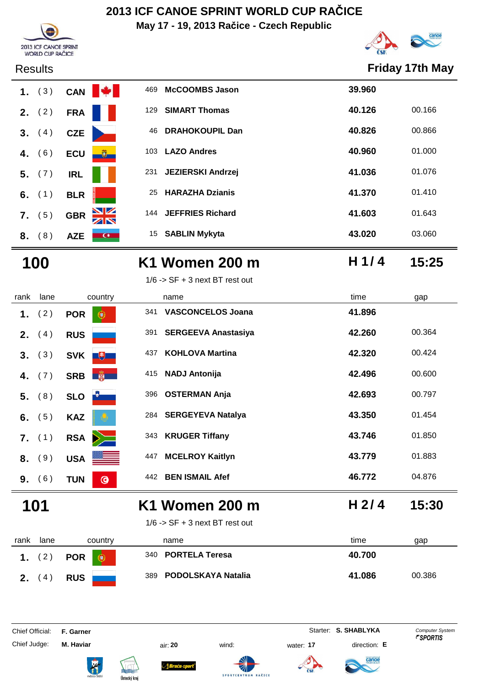**May 17 - 19, 2013 Račice - Czech Republic**





### Results **Friday 17th May**

|    | 1. $(3)$ | CAN <sup>I</sup> |
|----|----------|------------------|
|    | 2. $(2)$ | <b>FRA</b>       |
|    | 3. (4)   | <b>CZE</b>       |
|    | 4. $(6)$ | <b>ECU</b>       |
|    | $5.$ (7) | <b>IRL</b>       |
|    | 6. $(1)$ | <b>BLR</b>       |
|    | $7.$ (5) | <b>GBR</b>       |
| 8. | (8)      | AZE              |

|    | 1. $(3)$ |            | <b>CAN</b>      | 469 | <b>McCOOMBS Jason</b>    | 39.960 |        |
|----|----------|------------|-----------------|-----|--------------------------|--------|--------|
| 2. | (2)      | <b>FRA</b> |                 | 129 | <b>SIMART Thomas</b>     | 40.126 | 00.166 |
|    | 3. (4)   | <b>CZE</b> |                 | 46  | <b>DRAHOKOUPIL Dan</b>   | 40.826 | 00.866 |
| 4. | (6)      | <b>ECU</b> | <u>ig</u>       | 103 | <b>LAZO Andres</b>       | 40.960 | 01.000 |
|    | 5. (7)   | <b>IRL</b> |                 | 231 | <b>JEZIERSKI Andrzej</b> | 41.036 | 01.076 |
|    | 6. $(1)$ | <b>BLR</b> |                 | 25  | <b>HARAZHA Dzianis</b>   | 41.370 | 01.410 |
| 7. | (5)      | <b>GBR</b> | <u>NZ</u><br>ZN | 144 | <b>JEFFRIES Richard</b>  | 41.603 | 01.643 |
| 8. | (8)      | <b>AZE</b> | $\alpha$        | 15  | <b>SABLIN Mykyta</b>     | 43.020 | 03.060 |

| 100 | K1 Women 200 m | H 1/4 | 15:25 |
|-----|----------------|-------|-------|
|     |                |       |       |

1/6 -> SF + 3 next BT rest out

| rank | lane     | country               |     | name                       | time             | gap    |
|------|----------|-----------------------|-----|----------------------------|------------------|--------|
| 1.   | (2)      | <b>POR</b><br>ο       | 341 | <b>VASCONCELOS Joana</b>   | 41.896           |        |
| 2.   | (4)      | <b>RUS</b>            | 391 | <b>SERGEEVA Anastasiya</b> | 42.260           | 00.364 |
| 3.   | (3)      | <b>SVK</b><br>电子      | 437 | <b>KOHLOVA Martina</b>     | 42.320           | 00.424 |
| 4.   | (7)      | 第一<br><b>SRB</b>      | 415 | <b>NADJ Antonija</b>       | 42.496           | 00.600 |
|      | $5.$ (8) | <b>SLO</b>            | 396 | <b>OSTERMAN Anja</b>       | 42.693           | 00.797 |
| 6.   | (5)      | <b>KAZ</b>            |     | 284 SERGEYEVA Natalya      | 43.350           | 01.454 |
|      | 7. (1)   | $\geq$<br><b>RSA</b>  | 343 | <b>KRUGER Tiffany</b>      | 43.746           | 01.850 |
| 8.   | 9)       | <b>USA</b>            | 447 | <b>MCELROY Kaitlyn</b>     | 43.779           | 01.883 |
| 9.   | (6)      | $\odot$<br><b>TUN</b> | 442 | <b>BEN ISMAIL Afef</b>     | 46.772           | 04.876 |
|      | 101      |                       |     | K1 Women 200 m             | H <sub>2/4</sub> | 15:30  |



| rank             | lane | country    | name                   | time<br>gap      |
|------------------|------|------------|------------------------|------------------|
| $\overline{1}$ . | (2)  | POR        | 340 PORTELA Teresa     | 40.700           |
| 2.               | (4)  | <b>RUS</b> | 389 PODOLSKAYA Natalia | 41.086<br>00.386 |

Chief Judge: **M. Haviar** air: **20** wind: water: **17** direction: **E**

ł

**Bruću-s** 

Chief Official: **F. Garner** System **Starter: S. SHABLYKA** Computer System









**H 1/ 4**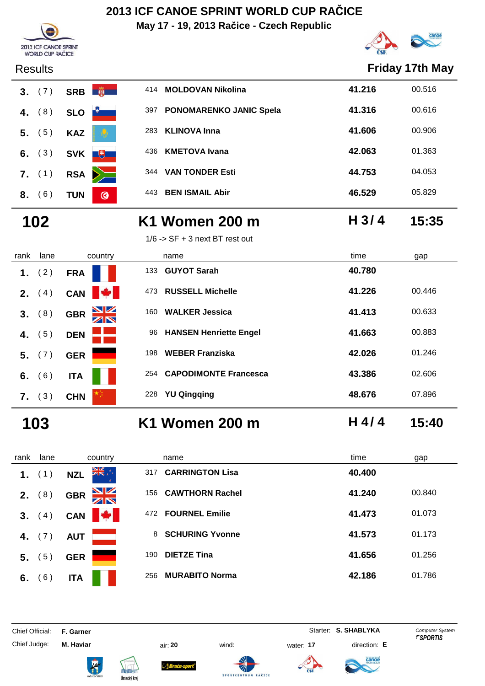**May 17 - 19, 2013 Račice - Czech Republic**



**H 3/ 4**





|                | <b>Results</b> |            |                |     |                                |        | <b>Friday 17th May</b> |
|----------------|----------------|------------|----------------|-----|--------------------------------|--------|------------------------|
| 3 <sub>1</sub> | (7)            | <b>SRB</b> | <b>RESERVE</b> | 414 | <b>MOLDOVAN Nikolina</b>       | 41.216 | 00.516                 |
| 4.             | (8)            | <b>SLO</b> |                | 397 | <b>PONOMARENKO JANIC Spela</b> | 41.316 | 00.616                 |
| 5.             | (5)            | <b>KAZ</b> | Ø              | 283 | <b>KLINOVA Inna</b>            | 41.606 | 00.906                 |
| 6.             | (3)            | <b>SVK</b> | $\overline{E}$ | 436 | <b>KMETOVA Ivana</b>           | 42.063 | 01.363                 |
|                | $7.$ (1)       | <b>RSA</b> |                | 344 | <b>VAN TONDER Esti</b>         | 44.753 | 04.053                 |
| 8.             | 6)             | <b>TUN</b> | $\bullet$      | 443 | <b>BEN ISMAIL Abir</b>         | 46.529 | 05.829                 |
|                |                |            |                |     |                                |        |                        |

### **102 K1 Women 200 m 15:35**

|      |                 |                                       | $1/6$ -> SF + 3 next BT rest out    |                  |  |
|------|-----------------|---------------------------------------|-------------------------------------|------------------|--|
| rank | lane            | country                               | name                                | time<br>gap      |  |
| 1.   | (2)             | <b>FRA</b>                            | <b>GUYOT Sarah</b><br>133           | 40.780           |  |
|      | <b>2.</b> $(4)$ | <b>Kata</b><br>CAN                    | <b>RUSSELL Michelle</b><br>473      | 41.226<br>00.446 |  |
| 3.   | (8)             | $\frac{\Delta}{\Delta}$<br><b>GBR</b> | <b>WALKER Jessica</b><br>160        | 41.413<br>00.633 |  |
| 4.   | (5)             | <b>DEN</b>                            | <b>HANSEN Henriette Engel</b><br>96 | 41.663<br>00.883 |  |
| 5.   | (7)             | <b>GER</b>                            | <b>WEBER Franziska</b><br>198       | 42.026<br>01.246 |  |
| 6.   | (6)             | <b>ITA</b>                            | <b>CAPODIMONTE Francesca</b><br>254 | 43.386<br>02.606 |  |
|      | 7. (3)          | <b>CHN</b>                            | <b>YU Qingqing</b><br>228           | 07.896<br>48.676 |  |

- 
- **103 K1 Women 200 m H 4/ 4 15:40**

rank lane country thame the name time time gap **1.** (1) **NZL**  $\frac{315}{15}$  <sup>317</sup> **CARRINGTON Lisa 40.400 2.** (8) **GBR** 156 **CAWTHORN Rachel 41.240** 00.840  **3.** (4) **CAN**  $\frac{1}{4}$  472 **FOURNEL Emilie 41.473** 01.073  **4.** (7) **AUT 8 SCHURING Yvonne 41.573** 01.173  **5.** ( 5 ) **GER**<sup>190</sup> **DIETZE Tina 41.656** 01.256 **6.** (6) **ITA ITA** 256 **MURABITO Norma ICC 12.186** 01.786

Chief Official: **F. Garner** System **Starter: S. SHABLYKA** Computer System

Chief Judge: **M. Haviar** air: **20** wind: water: **17** direction: **E**

Braca-s



**SPORTCE** 



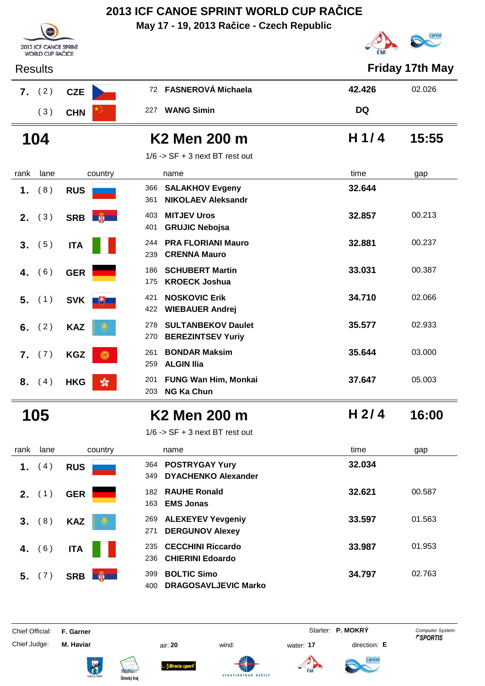**May 17 - 19, 2013 Račice - Czech Republic**



| <b>Results</b>          |                              |                                                                     |           | <b>Friday 17th May</b> |
|-------------------------|------------------------------|---------------------------------------------------------------------|-----------|------------------------|
| (2)<br>7.               | <b>CZE</b>                   | 72 FASNEROVÁ Michaela                                               | 42.426    | 02.026                 |
| (3)                     | <b>CHN</b>                   | 227 WANG Simin                                                      | <b>DQ</b> |                        |
| 104                     |                              | K2 Men 200 m                                                        | H $1/4$   | 15:55                  |
|                         |                              | $1/6$ -> SF + 3 next BT rest out                                    |           |                        |
| rank<br>lane            | country                      | name                                                                | time      | gap                    |
| (8)<br>1.               | <b>RUS</b>                   | 366 SALAKHOV Evgeny<br><b>NIKOLAEV Aleksandr</b><br>361             | 32.644    |                        |
| (3)<br>2.               | SRB <b>No. 1988</b>          | <b>MITJEV Uros</b><br>403<br><b>GRUJIC Nebojsa</b><br>401           | 32.857    | 00.213                 |
| (5)<br>3.               | <b>ITA</b>                   | <b>PRA FLORIANI Mauro</b><br>244<br><b>CRENNA Mauro</b><br>239      | 32.881    | 00.237                 |
| (6)<br>4.               | <b>GER</b>                   | <b>SCHUBERT Martin</b><br>186<br><b>KROECK Joshua</b><br>175        | 33.031    | 00.387                 |
| (1)<br>5.               | SVK <sup>#</sup>             | <b>NOSKOVIC Erik</b><br>421<br><b>WIEBAUER Andrej</b><br>422        | 34.710    | 02.066                 |
| (2)<br>6.               | <b>KAZ</b>                   | <b>SULTANBEKOV Daulet</b><br>278<br>270<br><b>BEREZINTSEV Yuriy</b> | 35.577    | 02.933                 |
| (7)<br>$\overline{7}$ . | <b>KGZ</b><br>$\odot$        | <b>BONDAR Maksim</b><br>261<br><b>ALGIN IIia</b><br>259             | 35.644    | 03.000                 |
| (4)<br>8.               | <b>HKG</b><br>$\frac{1}{20}$ | <b>FUNG Wan Him, Monkai</b><br>201<br><b>NG Ka Chun</b><br>203      | 37.647    | 05.003                 |
| 105                     |                              | K <sub>2</sub> Men 200 m                                            | $H$ 2/4   | 16:00                  |
|                         |                              | $1/6$ -> SF + 3 next BT rest out                                    |           |                        |
| lane<br>rank            | country                      | name                                                                | time      | gap                    |
| (4)<br>1.               | <b>RUS</b>                   | 364 POSTRYGAY Yury                                                  | 32.034    |                        |

Ä

| ank | lane     | country                            | name                                                            | time   | gap    |
|-----|----------|------------------------------------|-----------------------------------------------------------------|--------|--------|
| 1.  | (4)      | <b>RUS</b>                         | 364 POSTRYGAY Yury<br>349 DYACHENKO Alexander                   | 32.034 |        |
|     | 2. (1)   | <b>GER</b>                         | 182 RAUHE Ronald<br><b>EMS Jonas</b><br>163                     | 32.621 | 00.587 |
|     | 3. (8)   | <b>KAZ</b>                         | 269 ALEXEYEV Yevgeniy<br><b>DERGUNOV Alexey</b><br>271          | 33.597 | 01.563 |
|     | 4. $(6)$ | <b>ITA</b>                         | 235 CECCHINI Riccardo<br>236 CHIERINI Edoardo                   | 33.987 | 01.953 |
|     | $5.$ (7) | $\frac{1}{\sqrt{2}}$<br><b>SRB</b> | <b>BOLTIC Simo</b><br>399<br><b>DRAGOSAVLJEVIC Marko</b><br>400 | 34.797 | 02.763 |

Chief Official: **F. Garner** System **F. Garner** System **P. MOKRY** Computer System

2013 ICF CANOE SPRINT<br>WORLD CUP RAČICE

Chief Judge: **M. Haviar** air: **20** wind: water: **17** direction: **E**



Ústecký kra







SPORTCENTRUM RAČICE



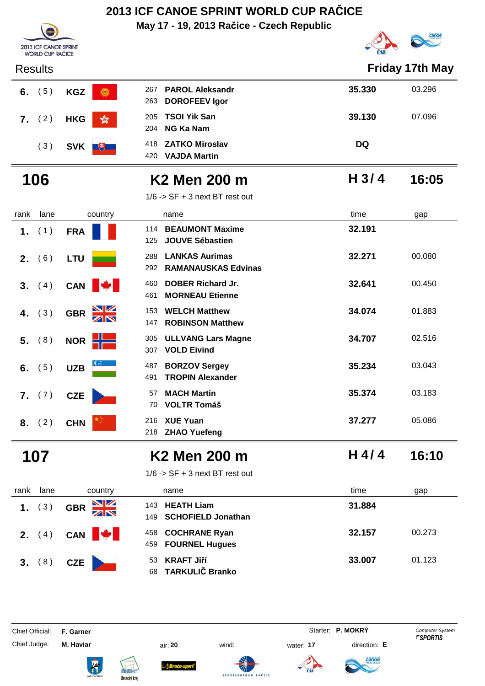**May 17 - 19, 2013 Račice - Czech Republic**



| <b>WORLD CUP RACICE</b> |                             |                                                                   | <b>USIN</b>      |        |
|-------------------------|-----------------------------|-------------------------------------------------------------------|------------------|--------|
| <b>Results</b>          |                             | <b>Friday 17th May</b>                                            |                  |        |
| (5)<br>6.               | <b>KGZ</b><br>6             | <b>PAROL Aleksandr</b><br>267<br><b>DOROFEEV Igor</b><br>263      | 35.330           | 03.296 |
| 7. (2)                  | <b>HKG</b><br>$\sqrt{2}$    | <b>TSOI Yik San</b><br>205<br><b>NG Ka Nam</b><br>204             | 39.130           | 07.096 |
| (3)                     | SVK <b>U</b>                | <b>ZATKO Miroslav</b><br>418<br><b>VAJDA Martin</b><br>420        | <b>DQ</b>        |        |
| 106                     |                             | K <sub>2</sub> Men 200 m                                          | H <sub>3/4</sub> | 16:05  |
|                         |                             | $1/6$ -> SF + 3 next BT rest out                                  |                  |        |
| lane<br>rank            | country                     | name                                                              | time             | gap    |
| (1)<br>1.               | <b>FRA</b>                  | <b>BEAUMONT Maxime</b><br>114<br><b>JOUVE Sébastien</b><br>125    | 32.191           |        |
| (6)<br>2.               | <b>LTU</b>                  | <b>LANKAS Aurimas</b><br>288<br><b>RAMANAUSKAS Edvinas</b><br>292 | 32.271           | 00.080 |
| 3. (4)                  | CAN                         | <b>DOBER Richard Jr.</b><br>460<br><b>MORNEAU Etienne</b><br>461  | 32.641           | 00.450 |
| (3)<br>4.               | $\frac{N}{N}$<br><b>GBR</b> | <b>WELCH Matthew</b><br>153<br><b>ROBINSON Matthew</b><br>147     | 34.074           | 01.883 |
| (8)<br>5.               | NOR H                       | <b>ULLVANG Lars Magne</b><br>305<br><b>VOLD Eivind</b><br>307     | 34.707           | 02.516 |
| (5)<br>6.               | <b>UZB</b>                  | <b>BORZOV Sergey</b><br>487<br><b>TROPIN Alexander</b><br>491     | 35.234           | 03.043 |
| 7. (7)                  | <b>CZE</b>                  | <b>MACH Martin</b><br>57<br><b>VOLTR Tomáš</b><br>70              | 35.374           | 03.183 |
| 8. (2)                  | <b>CHN</b>                  | 216 XUE Yuan<br>218 ZHAO Yuefeng                                  | 37.277           | 05.086 |
| 107                     |                             | <b>K2 Men 200 m</b>                                               | $H$ 4/4          | 16:10  |
|                         |                             | $1/6$ -> SF + 3 next BT rest out                                  |                  |        |
| lane<br>rank            | country                     | name                                                              | time             | gap    |
| (3)<br>1.               | VZ<br><b>GBR</b>            | <b>HEATH Liam</b><br>143<br><b>SCHOFIELD Jonathan</b><br>149      | 31.884           |        |
| <b>2.</b> $(4)$         | CAN <b>W</b>                | <b>COCHRANE Ryan</b><br>458<br><b>FOURNEL Hugues</b><br>459       | 32.157           | 00.273 |
| 3. (8)                  | CZE                         | <b>KRAFT Jiří</b><br>53                                           | 33.007           | 01.123 |

**TARKULIČ Branko** 68

Chief Official: **F. Garner** System **F. Garner** System **P. MOKRY** Computer System

2013 ICF CANOE SPRINT

Chief Judge: **M. Haviar** air: **20** wind: water: **17** direction: **E**

ł







SPORTCENTRUM

RAČICE

anod

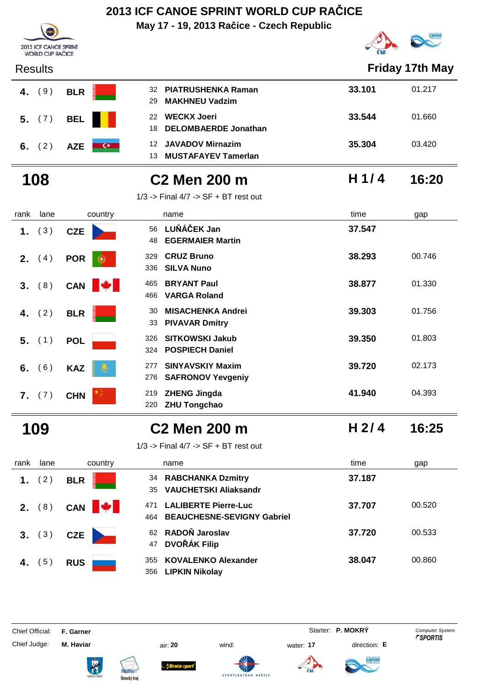**May 17 - 19, 2013 Račice - Czech Republic**



| 2013 ICF CANOE SPRINT<br><b>WORLD CUP RAČICE</b> |                        |                                                                                |                  | <b>CONTRACT</b> |
|--------------------------------------------------|------------------------|--------------------------------------------------------------------------------|------------------|-----------------|
| <b>Results</b>                                   |                        |                                                                                |                  | Friday 17th May |
| (9)<br>4.                                        | <b>BLR</b>             | <b>PIATRUSHENKA Raman</b><br>32<br><b>MAKHNEU Vadzim</b><br>29                 | 33.101           | 01.217          |
| (7)<br>5.                                        | <b>BEL</b>             | <b>WECKX Joeri</b><br>22<br><b>DELOMBAERDE Jonathan</b><br>18                  | 33.544           | 01.660          |
| (2)<br>6.                                        | $\alpha$<br><b>AZE</b> | <b>JAVADOV Mirnazim</b><br>12<br><b>MUSTAFAYEV Tamerlan</b><br>13              | 35.304           | 03.420          |
| 108                                              |                        | C <sub>2</sub> Men 200 m                                                       | H1/4             | 16:20           |
|                                                  |                        | $1/3$ -> Final $4/7$ -> SF + BT rest out                                       |                  |                 |
| rank<br>lane                                     | country                | name                                                                           | time             | gap             |
| (3)<br>1.                                        | <b>CZE</b>             | LUŇÁČEK Jan<br>56<br><b>EGERMAIER Martin</b><br>48                             | 37.547           |                 |
| 2.<br>(4)                                        | <b>POR</b><br>œ        | <b>CRUZ Bruno</b><br>329<br><b>SILVA Nuno</b><br>336                           | 38.293           | 00.746          |
| (8)<br>3.                                        | <b>A</b><br>CAN        | <b>BRYANT Paul</b><br>465<br>466<br><b>VARGA Roland</b>                        | 38.877           | 01.330          |
| (2)<br>4.                                        | <b>BLR</b>             | <b>MISACHENKA Andrei</b><br>30<br><b>PIVAVAR Dmitry</b><br>33                  | 39.303           | 01.756          |
| 5.<br>(1)                                        | <b>POL</b>             | <b>SITKOWSKI Jakub</b><br>326<br><b>POSPIECH Daniel</b><br>324                 | 39.350           | 01.803          |
| (6)<br>6.                                        | <b>KAZ</b>             | <b>SINYAVSKIY Maxim</b><br>277<br><b>SAFRONOV Yevgeniy</b><br>276              | 39.720           | 02.173          |
| 7.<br>(7)                                        | <b>CHN</b>             | <b>ZHENG Jingda</b><br>219<br>220 ZHU Tongchao                                 | 41.940           | 04.393          |
| 109                                              |                        | <b>C2 Men 200 m</b>                                                            | H <sub>2/4</sub> | 16:25           |
|                                                  |                        | $1/3$ -> Final $4/7$ -> SF + BT rest out                                       |                  |                 |
| rank<br>lane                                     | country                | name                                                                           | time             | gap             |
| (2)<br>1.                                        | <b>BLR</b>             | 34 RABCHANKA Dzmitry<br><b>VAUCHETSKI Aliaksandr</b><br>35                     | 37.187           |                 |
| (8)<br>2.                                        | CAN  <br><b>A</b>      | <b>LALIBERTE Pierre-Luc</b><br>471<br><b>BEAUCHESNE-SEVIGNY Gabriel</b><br>464 | 37.707           | 00.520          |
| (3)<br>3.                                        | <b>CZE</b>             | RADOŇ Jaroslav<br>62<br><b>DVOŘÁK Filip</b><br>47                              | 37.720           | 00.533          |
| 4. $(5)$                                         | <b>RUS</b>             | <b>KOVALENKO Alexander</b><br>355                                              | 38.047           | 00.860          |

| Chief Official: | F. Garner |  | Starter: P. MOKRY | <b>Computer System</b> |
|-----------------|-----------|--|-------------------|------------------------|

Chief Judge: **M. Haviar** air: **20** wind: water: **17** direction: **E**





ł



Braća-s

**LIPKIN Nikolay** 356





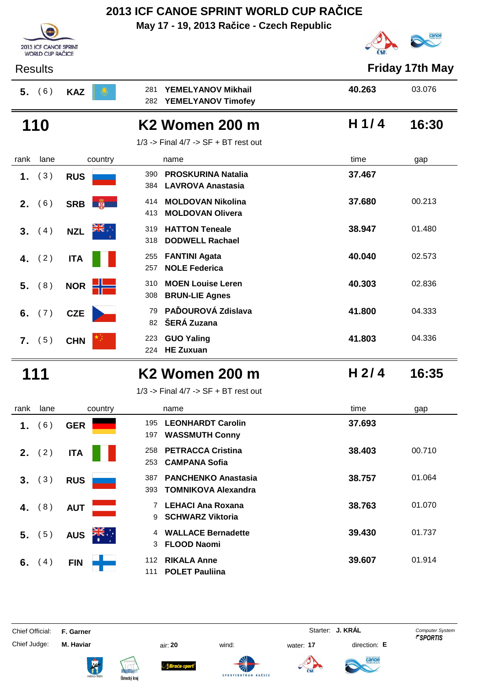**May 17 - 19, 2013 Račice - Czech Republic**





| <b>Results</b> |                             |                                                                     |                  | <b>Friday 17th May</b> |
|----------------|-----------------------------|---------------------------------------------------------------------|------------------|------------------------|
| 5. (6)         | <b>KAZ</b>                  | YEMELYANOV Mikhail<br>281<br>282<br><b>YEMELYANOV Timofey</b>       | 40.263           | 03.076                 |
| 110            |                             | <b>K2 Women 200 m</b>                                               | H $1/4$          | 16:30                  |
|                |                             | $1/3$ -> Final $4/7$ -> SF + BT rest out                            |                  |                        |
| lane<br>rank   | country                     | name                                                                | time             | gap                    |
| (3)<br>1.      | <b>RUS</b>                  | <b>PROSKURINA Natalia</b><br>390<br><b>LAVROVA Anastasia</b><br>384 | 37.467           |                        |
| (6)<br>2.      | SRB <b>嗡</b>                | <b>MOLDOVAN Nikolina</b><br>414<br><b>MOLDOVAN Olivera</b><br>413   | 37.680           | 00.213                 |
| (4)<br>3.      | $\frac{1}{2}$<br><b>NZL</b> | <b>HATTON Teneale</b><br>319<br><b>DODWELL Rachael</b><br>318       | 38.947           | 01.480                 |
| (2)<br>4.      | <b>ITA</b>                  | <b>FANTINI Agata</b><br>255<br><b>NOLE Federica</b><br>257          | 40.040           | 02.573                 |
| (8)<br>5.      | NOR H                       | <b>MOEN Louise Leren</b><br>310<br>308<br><b>BRUN-LIE Agnes</b>     | 40.303           | 02.836                 |
| 6.<br>(7)      | <b>CZE</b>                  | PAĎOUROVÁ Zdislava<br>79<br>ŠERÁ Zuzana<br>82                       | 41.800           | 04.333                 |
| 7. (5)         | <b>CHN</b>                  | 223<br><b>GUO Yaling</b><br><b>HE Zuxuan</b><br>224                 | 41.803           | 04.336                 |
| 111            |                             | <b>K2 Women 200 m</b>                                               | H <sub>2/4</sub> | 16:35                  |
|                |                             | $1/3$ -> Final $4/7$ -> SF + BT rest out                            |                  |                        |
| lane<br>rank   | country                     | name                                                                | time             | gap                    |
| 1. (6) GER     |                             | 195 LEONHARDT Carolin<br>197 WASSMUTH Conny                         | 37.693           |                        |
| 2. $(2)$       | <b>ITA</b>                  | <b>PETRACCA Cristina</b><br>258<br><b>CAMPANA Sofia</b><br>253      | 38.403           | 00.710                 |
| 3. (3)         | <b>RUS</b>                  | <b>PANCHENKO Anastasia</b><br>387<br>393 TOMNIKOVA Alexandra        | 38.757           | 01.064                 |
| (8)<br>4.      | <b>AUT</b>                  | 7 LEHACI Ana Roxana<br>9 SCHWARZ Viktoria                           | 38.763           | 01.070                 |
| 5. (5)         | <b>AUS</b>                  | 4 WALLACE Bernadette<br>3 FLOOD Naomi                               | 39.430           | 01.737                 |
| 6. $(4)$       | FIN                         | 112 RIKALA Anne                                                     | 39.607           | 01.914                 |

**POLET Pauliina** 111

Chief Judge: **M. Haviar** air: **20** wind: water: **17** direction: **E**

ł









anod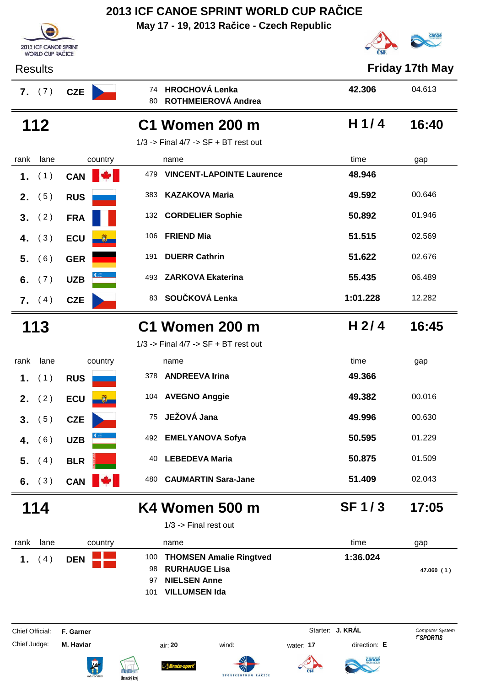**May 17 - 19, 2013 Račice - Czech Republic**





| <b>Results</b>        |            |                                                                                                                                 |                  | <b>Friday 17th May</b>                           |  |  |
|-----------------------|------------|---------------------------------------------------------------------------------------------------------------------------------|------------------|--------------------------------------------------|--|--|
| <b>7.</b> $(7)$       | <b>CZE</b> | <b>HROCHOVÁ Lenka</b><br>74<br>ROTHMEIEROVÁ Andrea<br>80                                                                        | 42.306           | 04.613                                           |  |  |
| 112                   |            | <b>C1 Women 200 m</b>                                                                                                           | $H$ 1/4          | 16:40                                            |  |  |
|                       |            | $1/3$ -> Final $4/7$ -> SF + BT rest out                                                                                        |                  |                                                  |  |  |
| lane<br>rank          | country    | name                                                                                                                            | time             | gap                                              |  |  |
| (1)<br>1.             | CAN        | 479<br><b>VINCENT-LAPOINTE Laurence</b>                                                                                         | 48.946           |                                                  |  |  |
| (5)<br>2.             | <b>RUS</b> | 383<br><b>KAZAKOVA Maria</b>                                                                                                    | 49.592           | 00.646                                           |  |  |
| (2)<br>3 <sub>1</sub> | <b>FRA</b> | <b>CORDELIER Sophie</b><br>132                                                                                                  | 50.892           | 01.946                                           |  |  |
| (3)<br>4.             | <b>ECU</b> | <b>FRIEND Mia</b><br>106                                                                                                        | 51.515           | 02.569                                           |  |  |
| 5.<br>(6)             | <b>GER</b> | <b>DUERR Cathrin</b><br>191                                                                                                     | 51.622           | 02.676                                           |  |  |
| 6.<br>(7)             | <b>UZB</b> | <b>ZARKOVA Ekaterina</b><br>493                                                                                                 | 55.435           | 06.489                                           |  |  |
| <b>7.</b> $(4)$       | <b>CZE</b> | SOUČKOVÁ Lenka<br>83                                                                                                            | 1:01.228         | 12.282                                           |  |  |
| 113                   |            | <b>C1 Women 200 m</b>                                                                                                           | H <sub>2/4</sub> | 16:45                                            |  |  |
|                       |            | $1/3$ -> Final $4/7$ -> SF + BT rest out                                                                                        |                  |                                                  |  |  |
| lane<br>rank          | country    | name                                                                                                                            | time             | gap                                              |  |  |
| (1)<br>1.             | <b>RUS</b> | <b>ANDREEVA Irina</b><br>378                                                                                                    | 49.366           |                                                  |  |  |
| (2)<br>2.             | <b>ECU</b> | <b>AVEGNO Anggie</b><br>104                                                                                                     | 49.382           | 00.016                                           |  |  |
| (5)<br>3.             | <b>CZE</b> | JEŽOVÁ Jana<br>75                                                                                                               | 49.996           | 00.630                                           |  |  |
| (6)<br>4.             | <b>UZB</b> | <b>EMELYANOVA Sofya</b><br>492                                                                                                  | 50.595           | 01.229                                           |  |  |
| (4)<br>5.             | <b>BLR</b> | <b>LEBEDEVA Maria</b><br>40                                                                                                     | 50.875           | 01.509                                           |  |  |
| (3)<br>6.             | <b>CAN</b> | <b>CAUMARTIN Sara-Jane</b><br>480                                                                                               | 51.409           | 02.043                                           |  |  |
| 114                   |            | K4 Women 500 m                                                                                                                  | <b>SF1/3</b>     | 17:05                                            |  |  |
|                       |            | $1/3$ -> Final rest out                                                                                                         |                  |                                                  |  |  |
| lane<br>rank          | country    | name                                                                                                                            | time             | gap                                              |  |  |
| (4)<br>1.             | <b>DEN</b> | <b>THOMSEN Amalie Ringtved</b><br>100<br><b>RURHAUGE Lisa</b><br>98<br><b>NIELSEN Anne</b><br>97<br><b>VILLUMSEN Ida</b><br>101 | 1:36.024         | 47.060 (1)                                       |  |  |
| Chief Official:       | F. Garner  |                                                                                                                                 | Starter: J. KRÁL | <b>Computer System</b><br><b><i>FSPORTIS</i></b> |  |  |
| Chief Judge:          | M. Haviar  | wind:<br>air: 20<br>water: 17                                                                                                   | direction: E     |                                                  |  |  |
|                       |            | <b>Brucu-s</b><br>Ústecký kraj                                                                                                  | canoe            |                                                  |  |  |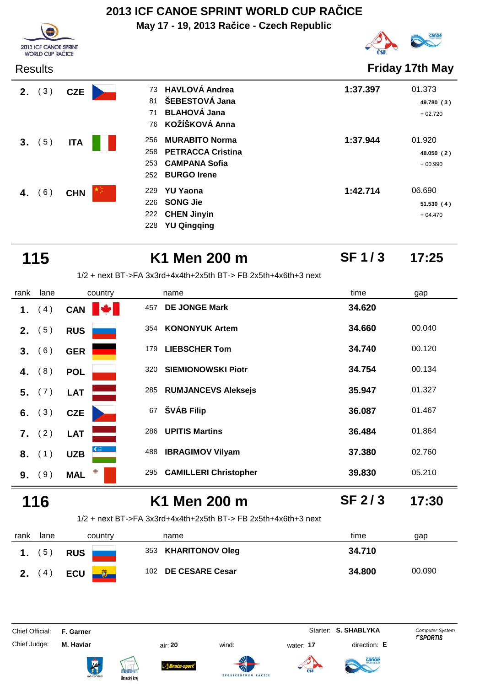**May 17 - 19, 2013 Račice - Czech Republic**



# canoe

| <b>Results</b> |            |                          |                                                                                                 |          | Friday 17th May                   |
|----------------|------------|--------------------------|-------------------------------------------------------------------------------------------------|----------|-----------------------------------|
| (3)<br>2.      | <b>CZE</b> | 81<br>71<br>76           | 73 HAVLOVÁ Andrea<br>ŠEBESTOVÁ Jana<br><b>BLAHOVÁ Jana</b><br>KOŽÍŠKOVÁ Anna                    | 1:37.397 | 01.373<br>49.780 (3)<br>$+02.720$ |
| (5)<br>3.      | <b>ITA</b> | 256<br>258<br>253<br>252 | <b>MURABITO Norma</b><br><b>PETRACCA Cristina</b><br><b>CAMPANA Sofia</b><br><b>BURGO Irene</b> | 1:37.944 | 01.920<br>48.050 (2)<br>$+00.990$ |
| 6)<br>4.       | <b>CHN</b> | 229<br>226<br>222<br>228 | <b>YU Yaona</b><br><b>SONG Jie</b><br><b>CHEN Jinyin</b><br><b>YU Qingqing</b>                  | 1:42.714 | 06.690<br>51.530(4)<br>$+04.470$  |

| 115            |                   | K1 Men 200 m                                                     | <b>SF1/3</b>      | 17:25  |
|----------------|-------------------|------------------------------------------------------------------|-------------------|--------|
|                |                   | $1/2$ + next BT->FA 3x3rd+4x4th+2x5th BT-> FB 2x5th+4x6th+3 next |                   |        |
| rank<br>lane   | country           | name                                                             | time              | gap    |
| (4)<br>1.      | <b>TAN</b><br>CAN | <b>DE JONGE Mark</b><br>457                                      | 34.620            |        |
| (5)<br>2.      | <b>RUS</b>        | 354 KONONYUK Artem                                               | 34.660            | 00.040 |
| (6)<br>$3_{-}$ | <b>GER</b>        | <b>LIEBSCHER Tom</b><br>179                                      | 34.740            | 00.120 |
| (8)<br>4.      | <b>POL</b>        | <b>SIEMIONOWSKI Piotr</b><br>320                                 | 34.754            | 00.134 |
| (7)<br>5.      | <b>LAT</b>        | <b>RUMJANCEVS Aleksejs</b><br>285                                | 35.947            | 01.327 |
| 6. $(3)$       | <b>CZE</b>        | ŠVÁB Filip<br>67                                                 | 36.087            | 01.467 |
| 7. (2)         | <b>LAT</b>        | <b>UPITIS Martins</b><br>286                                     | 36.484            | 01.864 |
| 8. (1)         | <b>UZB</b>        | <b>IBRAGIMOV Vilyam</b><br>488                                   | 37.380            | 02.760 |
| (9)<br>9.      | <b>MAL</b>        | <b>CAMILLERI Christopher</b><br>295                              | 39.830            | 05.210 |
| 6              |                   | K1 Men 200 m                                                     | SF <sub>2/3</sub> | 17:30  |

### 1/2 + next BT->FA 3x3rd+4x4th+2x5th BT-> FB 2x5th+4x6th+3 next

| rank | lane        | country    | name                | time<br>gap      |
|------|-------------|------------|---------------------|------------------|
|      | $5^{\circ}$ | <b>RUS</b> | 353 KHARITONOV Oleg | 34.710           |
|      | 4           | <b>ECU</b> | 102 DE CESARE Cesar | 34.800<br>00.090 |

Chief Official: **F. Garner** System **Starter: S. SHABLYKA** Computer System

Chief Judge: **M. Haviar** air: **20** wind: water: **17** direction: **E**

anod





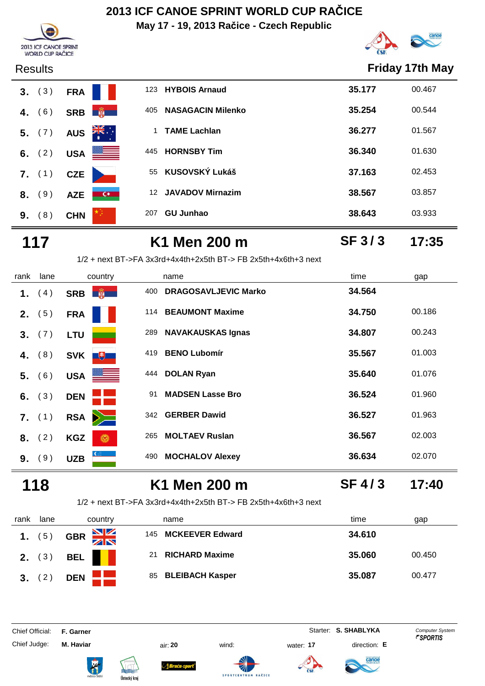**May 17 - 19, 2013 Račice - Czech Republic**



**SF 3 / 3**



| <b>Results</b> |                                        |                 |                          |        | <b>Friday 17th May</b> |
|----------------|----------------------------------------|-----------------|--------------------------|--------|------------------------|
| (3)<br>3.      | <b>FRA</b>                             |                 | 123 HYBOIS Arnaud        | 35.177 | 00.467                 |
| (6)<br>4.      | SRB <b>No. 1</b>                       | 405             | <b>NASAGACIN Milenko</b> | 35.254 | 00.544                 |
| 5. (7)         | $\sum_{k=1}^{N}$<br><b>AUS</b>         |                 | <b>TAME Lachlan</b>      | 36.277 | 01.567                 |
| 6. $(2)$       | <u> a s</u><br><b>USA</b>              |                 | 445 HORNSBY Tim          | 36.340 | 01.630                 |
| 7. (1)         | <b>CZE</b>                             |                 | 55 KUSOVSKÝ Lukáš        | 37.163 | 02.453                 |
| (9)<br>8.      | $\overline{\phantom{a}}$<br><b>AZE</b> | 12 <sup>°</sup> | <b>JAVADOV Mirnazim</b>  | 38.567 | 03.857                 |
| (8)<br>9.      | <b>CHN</b>                             | 207             | <b>GU Junhao</b>         | 38.643 | 03.933                 |
|                |                                        |                 |                          |        |                        |

**117 K1 Men 200 m 17:35** 1/2 + next BT->FA 3x3rd+4x4th+2x5th BT-> FB 2x5th+4x6th+3 next

rank lane country thame the name time time gap 1. (4) **SRB**  $\frac{1}{20}$  400 DRAGOSAVLJEVIC Marko 34.564 **2.** (5) **FRA**<sup>114</sup> **BEAUMONT Maxime 34.750** 00.186 **3.** (7) LTU 289 NAVAKAUSKAS Ignas 34.807 00.243  **4.** (8) **SVK**<sup>+</sup> **5.** (6) USA **1999 USA 1444 DOLAN Ryan 1.076** 25.640 01.076 **6.** (3) **DEN 1 1 1 1 1 1 1 1.960 1.960 7.** (1) **RSA**<sup>3</sup> 342 **GERBER Dawid 36.527** 01.963 **8.** (2) **KGZ 6 265 MOLTAEV Ruslan 36.567** 02.003 **9.** (9) UZB 490 MOCHALOV Alexey 36.634 02.070

### **118 K1 Men 200 m 17:40 SF 4 / 3**

1/2 + next BT->FA 3x3rd+4x4th+2x5th BT-> FB 2x5th+4x6th+3 next

| rank           | lane | country              | name                        | time<br>gap      |
|----------------|------|----------------------|-----------------------------|------------------|
| $1.$ (5)       |      | $\frac{N}{N}$<br>GBR | 145 MCKEEVER Edward         | 34.610           |
| 2.             | (3)  | BEL                  | <b>RICHARD Maxime</b><br>21 | 35.060<br>00.450 |
| 3 <sub>1</sub> | (2)  | <b>DEN</b>           | 85 BLEIBACH Kasper          | 35.087<br>00.477 |

Chief Official: **F. Garner** System **Starter: S. SHABLYKA** Computer System







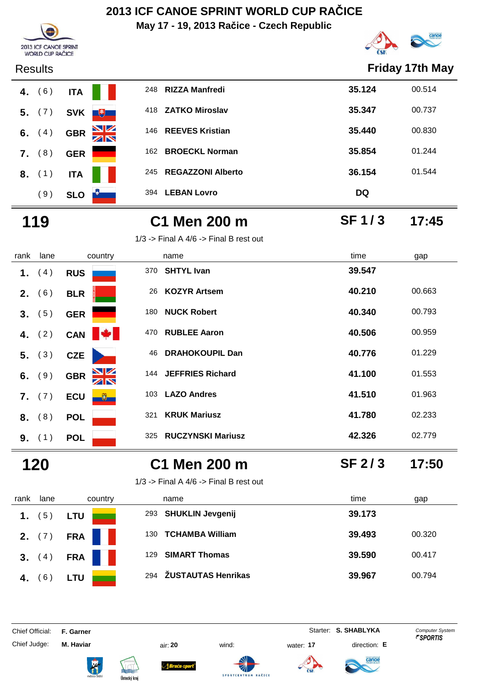**May 17 - 19, 2013 Račice - Czech Republic**



|                | <b>COMMON CONTROL OF METER</b><br><b>WORLD CUP RAČICE</b> |                         |     |                                            | $\frac{1}{2}$     |                       |
|----------------|-----------------------------------------------------------|-------------------------|-----|--------------------------------------------|-------------------|-----------------------|
| <b>Results</b> |                                                           |                         |     |                                            |                   | <b>Friday 17th Ma</b> |
| 4. $(6)$       | <b>ITA</b>                                                |                         | 248 | <b>RIZZA Manfredi</b>                      | 35.124            | 00.514                |
| 5.             | (7)<br><b>SVK</b>                                         | $\overline{1}$          |     | 418 ZATKO Miroslav                         | 35.347            | 00.737                |
| 6. $(4)$       | <b>GBR</b>                                                | $\frac{\sum x}{\sum x}$ |     | 146 REEVES Kristian                        | 35.440            | 00.830                |
| $7.$ (8)       | <b>GER</b>                                                |                         |     | 162 BROECKL Norman                         | 35.854            | 01.244                |
| 8. (1)         | <b>ITA</b>                                                |                         | 245 | <b>REGAZZONI Alberto</b>                   | 36.154            | 01.544                |
|                | (9)<br><b>SLO</b>                                         |                         |     | 394 LEBAN Lovro                            | <b>DQ</b>         |                       |
| 119            |                                                           |                         |     | C1 Men 200 m                               | SF <sub>1/3</sub> | 17:45                 |
|                |                                                           |                         |     | $1/3$ -> Final A $4/6$ -> Final B rest out |                   |                       |
| rank           | lane                                                      | country                 |     | name                                       | time              | gap                   |

| <b>Results</b> |     |            |                                 |     |                          |           | Friday 17th May |
|----------------|-----|------------|---------------------------------|-----|--------------------------|-----------|-----------------|
| 4. $(6)$       |     | <b>ITA</b> |                                 | 248 | <b>RIZZA Manfredi</b>    | 35.124    | 00.514          |
| 5.             | (7) | <b>SVK</b> | $+$                             | 418 | <b>ZATKO Miroslav</b>    | 35.347    | 00.737          |
| 6. $(4)$       |     | <b>GBR</b> | $\frac{\mathbf{N}}{\mathbf{N}}$ | 146 | <b>REEVES Kristian</b>   | 35.440    | 00.830          |
| 7.             | (8) | <b>GER</b> |                                 | 162 | <b>BROECKL Norman</b>    | 35.854    | 01.244          |
| $8.$ (1)       |     | <b>ITA</b> |                                 | 245 | <b>REGAZZONI Alberto</b> | 36.154    | 01.544          |
|                | (9) | <b>SLO</b> |                                 | 394 | <b>LEBAN Lovro</b>       | <b>DQ</b> |                 |

| rank | lane     | country                    | name                            | time   | gap    |
|------|----------|----------------------------|---------------------------------|--------|--------|
| 1.   | (4)      | <b>RUS</b>                 | <b>SHTYL Ivan</b><br>370        | 39.547 |        |
| 2.   | (6)      | <b>BLR</b>                 | <b>KOZYR Artsem</b><br>26       | 40.210 | 00.663 |
| 3.   | (5)      | <b>GER</b>                 | <b>NUCK Robert</b><br>180       | 40.340 | 00.793 |
|      | 4. $(2)$ | <b>PA</b><br>CAN           | <b>RUBLEE Aaron</b><br>470      | 40.506 | 00.959 |
|      | 5. (3)   | <b>CZE</b>                 | <b>DRAHOKOUPIL Dan</b><br>46    | 40.776 | 01.229 |
| 6.   | (9)      | <u>NZ</u><br><b>GBR</b>    | JEFFRIES Richard<br>144         | 41.100 | 01.553 |
| 7.   | (7)      | <b>ECU</b><br>$\mathbf{U}$ | <b>LAZO Andres</b><br>103       | 41.510 | 01.963 |
| 8.   | (8)      | <b>POL</b>                 | <b>KRUK Mariusz</b><br>321      | 41.780 | 02.233 |
| 9.   | (1)      | <b>POL</b>                 | <b>RUCZYNSKI Mariusz</b><br>325 | 42.326 | 02.779 |

### **120 C1 Men 200 m 17:50**

1/3 -> Final A  $4/6$  -> Final B rest out



| 1/3 -> Final A 4/6 -> Final B rest ou |
|---------------------------------------|
|                                       |

| rank | lane | country    | name                          | time<br>gap    |
|------|------|------------|-------------------------------|----------------|
|      | 65   |            | 293 SHUKLIN Jevgenij          | 39.173         |
|      |      | <b>CDA</b> | <b>TCHAMBA William</b><br>130 | 00.3<br>39.493 |

Chief Official: **F. Garner** System **Starter: S. SHABLYKA** Computer System













**SF 2 / 3**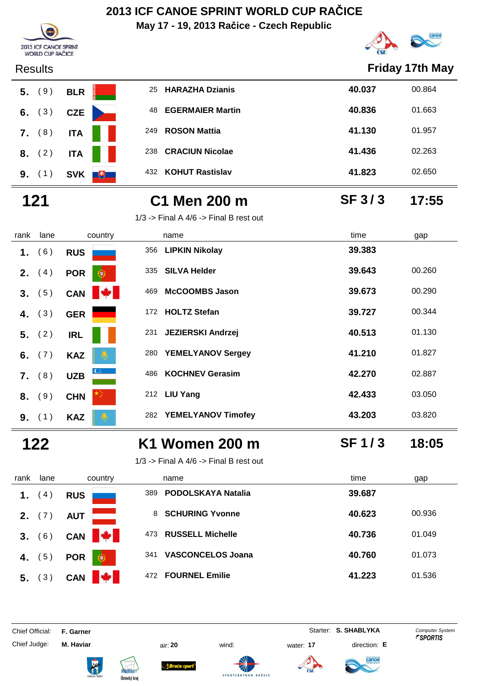**May 17 - 19, 2013 Račice - Czech Republic**



| Results  |            |  |
|----------|------------|--|
| 5. (9)   | <b>BLR</b> |  |
| 6. $(3)$ | <b>CZE</b> |  |
| $7.$ (8) | <b>ITA</b> |  |
| 8. (2)   | <b>ITA</b> |  |
|          | 9. (1) SVK |  |
|          |            |  |

| <b>Results</b> |                   |                               | <b>Friday 17th May</b> |        |
|----------------|-------------------|-------------------------------|------------------------|--------|
| $5.$ (9)       | <b>BLR</b>        | <b>HARAZHA Dzianis</b><br>25  | 40.037                 | 00.864 |
| 6. $(3)$       | <b>CZE</b>        | <b>EGERMAIER Martin</b><br>48 | 40.836                 | 01.663 |
| 7. (8)         | <b>ITA</b>        | <b>ROSON Mattia</b><br>249    | 41.130                 | 01.957 |
| 8. (2)         | <b>ITA</b>        | <b>CRACIUN Nicolae</b><br>238 | 41.436                 | 02.263 |
| 9.<br>(1)      | $+$<br><b>SVK</b> | <b>KOHUT Rastislav</b><br>432 | 41.823                 | 02.650 |
|                |                   |                               |                        |        |

**SF 3 / 3**

2013 ICE CANOE SPRINT **WORLD CUP RAČICE** 

# **121 C1 Men 200 m 17:55**

rank lane country thame the name time time gap 1/3 -> Final A  $4/6$  -> Final B rest out  **1.** ( 6 ) **RUS**<sup>356</sup> **LIPKIN Nikolay 39.383 2.** (4) **POR 335 SILVA Helder 39.643** 00.260 **3.** (5) **CAN**  $\frac{1}{4}$  469 McCOOMBS Jason **39.673** 00.290  **4.** (3) **GER 172 HOLTZ Stefan 179 100.344 5.** ( 2 ) **JEZIERSKI Andrzej IRL**<sup>231</sup> **40.513** 01.130 **6.** (7) **KAZ 8 280 YEMELYANOV Sergey 41.210** 01.827 **7.** (8) UZB 486 KOCHNEV Gerasim 42.270 02.887 **8.** (9) **CHN**<sup> $\star$ 3</sup> **42.433** 03.050 **9.** (1) KAZ 382 YEMELYANOV Timofey 43.203 03.820

### **122 K1 Women 200 m 18:05**

1/3 -> Final A  $4/6$  -> Final B rest out

| rank           | lane | country                  | name                             | time   | gap    |
|----------------|------|--------------------------|----------------------------------|--------|--------|
| 1.             | 4)   | <b>RUS</b>               | <b>PODOLSKAYA Natalia</b><br>389 | 39.687 |        |
| 2. (7)         |      | <b>AUT</b>               | <b>SCHURING Yvonne</b><br>8      | 40.623 | 00.936 |
| 3 <sub>1</sub> | (6)  | <b>M</b><br><b>CAN</b>   | <b>RUSSELL Michelle</b><br>473   | 40.736 | 01.049 |
| 4.             | (5)  | $\bigcirc$<br><b>POR</b> | <b>VASCONCELOS Joana</b><br>341  | 40.760 | 01.073 |
| 5.             | (3)  | <b>CAN</b>               | <b>FOURNEL Emilie</b><br>472     | 41.223 | 01.536 |

Chief Official: **F. Garner** System **Starter: S. SHABLYKA** Computer System

Chief Judge: **M. Haviar** air: **20** wind: water: **17** direction: **E**





**SPOR** 





**SF 1 / 3**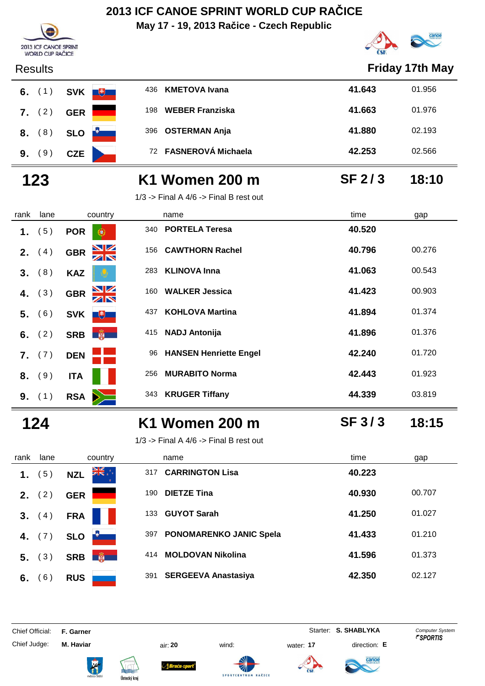**May 17 - 19, 2013 Račice - Czech Republic**



|      | 2013 ICF CANOE SPRINT<br><b>WORLD CUP RAČICE</b> |                                                              |      |                                            |                   | <b>CONSTRUCTION OF REAL PROPERTY</b> |
|------|--------------------------------------------------|--------------------------------------------------------------|------|--------------------------------------------|-------------------|--------------------------------------|
|      | <b>Results</b>                                   |                                                              |      |                                            |                   | Friday 17th May                      |
| 6.   | (1)                                              | <b>SVK</b><br>$\begin{array}{c} \hline \text{H} \end{array}$ | 436  | <b>KMETOVA Ivana</b>                       | 41.643            | 01.956                               |
| 7.   | (2)                                              | <b>GER</b>                                                   | 198  | <b>WEBER Franziska</b>                     | 41.663            | 01.976                               |
| 8.   | (8)                                              | <b>SLO</b>                                                   | 396  | <b>OSTERMAN Anja</b>                       | 41.880            | 02.193                               |
| 9.   | (9)                                              | <b>CZE</b>                                                   | 72   | <b>FASNEROVÁ Michaela</b>                  | 42.253            | 02.566                               |
|      | 123                                              |                                                              |      | K1 Women 200 m                             | <b>SF 2/3</b>     | 18:10                                |
|      |                                                  |                                                              |      | $1/3$ -> Final A $4/6$ -> Final B rest out |                   |                                      |
| rank | lane                                             | country                                                      | name |                                            | time              | gap                                  |
| 1.   | (5)                                              | <b>POR</b><br>G.                                             | 340  | <b>PORTELA Teresa</b>                      | 40.520            |                                      |
| 2.   | (4)                                              | $\frac{\Delta}{\Delta}$<br><b>GBR</b>                        | 156  | <b>CAWTHORN Rachel</b>                     | 40.796            | 00.276                               |
| 3.   | (8)                                              | <b>KAZ</b>                                                   | 283  | <b>KLINOVA Inna</b>                        | 41.063            | 00.543                               |
| 4.   | (3)                                              | NK<br>AR<br><b>GBR</b>                                       | 160  | <b>WALKER Jessica</b>                      | 41.423            | 00.903                               |
| 5.   | (6)                                              | <b>SVK</b><br>飞                                              | 437  | <b>KOHLOVA Martina</b>                     | 41.894            | 01.374                               |
| 6.   | (2)                                              | <b>SRB</b><br><b>AR</b>                                      | 415  | <b>NADJ Antonija</b>                       | 41.896            | 01.376                               |
| 7.   | (7)                                              | <b>DEN</b>                                                   | 96   | <b>HANSEN Henriette Engel</b>              | 42.240            | 01.720                               |
| 8.   | (9)                                              | <b>ITA</b>                                                   | 256  | <b>MURABITO Norma</b>                      | 42.443            | 01.923                               |
| 9.   | (1)                                              | <b>RSA</b>                                                   | 343  | <b>KRUGER Tiffany</b>                      | 44.339            | 03.819                               |
|      | 124                                              |                                                              |      | K1 Women 200 m                             | SF <sub>3/3</sub> | 18:15                                |
|      |                                                  |                                                              |      | $1/3$ -> Final A $4/6$ -> Final B rest out |                   |                                      |
| rank | lane                                             | country                                                      | name |                                            | time              | gap                                  |
| 1.   | (5)                                              | ▓▓<br><b>NZL</b>                                             | 317  | <b>CARRINGTON Lisa</b>                     | 40.223            |                                      |
| 2.   | (2)                                              | <b>GER</b>                                                   | 190  | <b>DIETZE Tina</b>                         | 40.930            | 00.707                               |
| 3.   | (4)                                              | <b>FRA</b>                                                   | 133  | <b>GUYOT Sarah</b>                         | 41.250            | 01.027                               |
| 4.   | (7)                                              | <b>SLO</b>                                                   | 397  | PONOMARENKO JANIC Spela                    | 41.433            | 01.210                               |
| 5.   | (3)                                              | 爵<br><b>SRB</b>                                              | 414  | <b>MOLDOVAN Nikolina</b>                   | 41.596            | 01.373                               |
|      | 6. $(6)$                                         | <b>RUS</b>                                                   | 391  | <b>SERGEEVA Anastasiya</b>                 | 42.350            | 02.127                               |

Chief Official: **F. Garner** System **Starter: S. SHABLYKA** Computer System

Chief Judge: **M. Haviar** air: **20** wind: water: **17** direction: **E**



ł









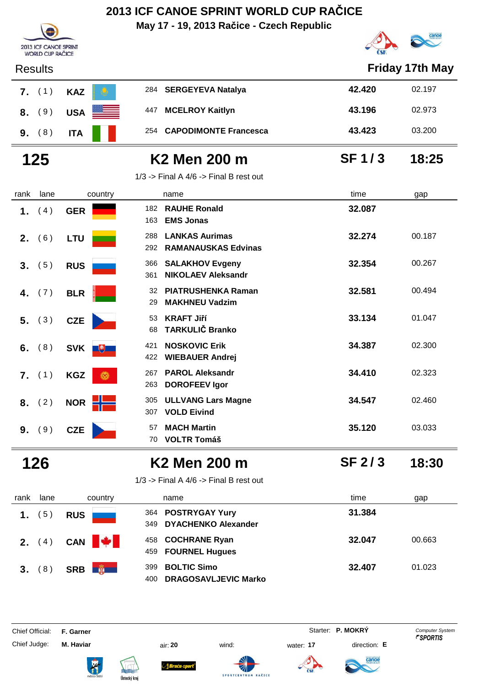**May 17 - 19, 2013 Račice - Czech Republic**



| <b>Results</b>          | Friday 17th May  |                                                                   |              |        |  |
|-------------------------|------------------|-------------------------------------------------------------------|--------------|--------|--|
| $7.$ (1)                | <b>KAZ</b>       | 284 SERGEYEVA Natalya                                             | 42.420       | 02.197 |  |
| (9)<br>8.               | <b>USA</b>       | <b>MCELROY Kaitlyn</b><br>447                                     | 43.196       | 02.973 |  |
| 9. (8)                  | <b>ITA</b>       | 254<br><b>CAPODIMONTE Francesca</b>                               | 43.423       | 03.200 |  |
| 125                     |                  | K <sub>2</sub> Men 200 m                                          | <b>SF1/3</b> | 18:25  |  |
|                         |                  | $1/3$ -> Final A $4/6$ -> Final B rest out                        |              |        |  |
| lane<br>rank            | country          | name                                                              | time         | gap    |  |
| (4)<br>1.               | <b>GER</b>       | <b>RAUHE Ronald</b><br>182<br><b>EMS Jonas</b><br>163             | 32.087       |        |  |
| (6)<br>2.               | <b>LTU</b>       | <b>LANKAS Aurimas</b><br>288<br><b>RAMANAUSKAS Edvinas</b><br>292 | 32.274       | 00.187 |  |
| (5)<br>3.               | <b>RUS</b>       | <b>SALAKHOV Evgeny</b><br>366<br><b>NIKOLAEV Aleksandr</b><br>361 | 32.354       | 00.267 |  |
| (7)<br>4.               | <b>BLR</b>       | <b>PIATRUSHENKA Raman</b><br>32<br><b>MAKHNEU Vadzim</b><br>29    | 32.581       | 00.494 |  |
| (3)<br>5.               | <b>CZE</b>       | <b>KRAFT Jiří</b><br>53<br><b>TARKULIČ Branko</b><br>68           | 33.134       | 01.047 |  |
| (8)<br>6.               | SVK <b>U</b>     | <b>NOSKOVIC Erik</b><br>421<br><b>WIEBAUER Andrej</b><br>422      | 34.387       | 02.300 |  |
| (1)<br>$\overline{7}$ . | <b>KGZ</b><br>Ö. | <b>PAROL Aleksandr</b><br>267<br><b>DOROFEEV Igor</b><br>263      | 34.410       | 02.323 |  |
| (2)<br>8.               | <b>NOR</b>       | <b>ULLVANG Lars Magne</b><br>305<br><b>VOLD Eivind</b><br>307     | 34.547       | 02.460 |  |
| (9)<br>9.               | <b>CZE</b>       | <b>MACH Martin</b><br>57<br><b>VOLTR Tomáš</b><br>70              | 35.120       | 03.033 |  |

2013 ICF CANOE SPRINT WORLD CUP RAČICE

### **126 K2 Men 200 m 18:30**

**SF 2 / 3**

1/3 -> Final A  $4/6$  -> Final B rest out

| rank | lane         | country                     | name                         |
|------|--------------|-----------------------------|------------------------------|
|      | 1. $(5)$ RUS |                             | 364 POSTRYGAY Yury           |
|      |              |                             | <b>DYACHENKO Alex</b><br>349 |
|      |              | 2. $(4)$ CAN $\blacksquare$ | 458 COCHRANE Ryan            |
|      |              |                             | 459 FOURNEL Hugues           |
|      |              | 3. (8) SRB $\frac{2}{3}$    | <b>BOLTIC Simo</b><br>399    |
|      |              |                             | <b>DRAGOSAVLJEVK</b><br>400  |

| rank            | lane | country          | name                                                            | time   | gap    |
|-----------------|------|------------------|-----------------------------------------------------------------|--------|--------|
| 1 <sub>1</sub>  | (5)  | <b>RUS</b>       | 364 POSTRYGAY Yury<br><b>DYACHENKO Alexander</b><br>349         | 31.384 |        |
| <b>2.</b> $(4)$ |      | CAN <b>W</b>     | 458 COCHRANE Ryan<br>459 FOURNEL Hugues                         | 32.047 | 00.663 |
| 3. (8)          |      | 第一<br><b>SRB</b> | <b>BOLTIC Simo</b><br>399<br><b>DRAGOSAVLJEVIC Marko</b><br>400 | 32.407 | 01.023 |

Chief Official: **F. Garner** System **F. Garner** System **P. MOKRY** Computer System

Chief Judge: **M. Haviar** air: **20** wind: water: **17** direction: **E**













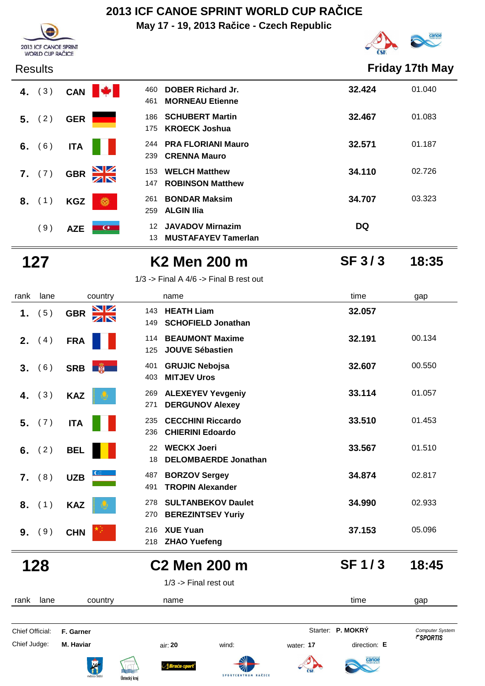**May 17 - 19, 2013 Račice - Czech Republic**



| <b>Results</b>  |                                       |                                                                     |                   | <b>Friday 17th May</b> |
|-----------------|---------------------------------------|---------------------------------------------------------------------|-------------------|------------------------|
| (3)<br>4.       | CAN W                                 | <b>DOBER Richard Jr.</b><br>460<br><b>MORNEAU Etienne</b><br>461    | 32.424            | 01.040                 |
| (2)<br>5.       | <b>GER</b>                            | <b>SCHUBERT Martin</b><br>186<br><b>KROECK Joshua</b><br>175        | 32.467            | 01.083                 |
| (6)<br>6.       | <b>ITA</b>                            | <b>PRA FLORIANI Mauro</b><br>244<br><b>CRENNA Mauro</b><br>239      | 32.571            | 01.187                 |
| (7)<br>7.       | <b>GBR</b><br>ZN                      | <b>WELCH Matthew</b><br>153<br><b>ROBINSON Matthew</b><br>147       | 34.110            | 02.726                 |
| (1)<br>8.       | <b>KGZ</b><br>6                       | <b>BONDAR Maksim</b><br>261<br><b>ALGIN IIia</b><br>259             | 34.707            | 03.323                 |
| (9)             | <b>AZE</b><br>$\overline{a}$          | <b>JAVADOV Mirnazim</b><br>12<br><b>MUSTAFAYEV Tamerlan</b><br>13   | DQ                |                        |
| 127             |                                       | K2 Men 200 m                                                        | <b>SF 3/3</b>     | 18:35                  |
|                 |                                       | $1/3$ -> Final A $4/6$ -> Final B rest out                          |                   |                        |
| rank<br>lane    | country                               | name                                                                | time              | gap                    |
| (5)<br>1.       | $\frac{\Delta}{\Delta}$<br><b>GBR</b> | <b>HEATH Liam</b><br>143<br><b>SCHOFIELD Jonathan</b><br>149        | 32.057            |                        |
| (4)<br>2.       | <b>FRA</b>                            | <b>BEAUMONT Maxime</b><br>114<br><b>JOUVE Sébastien</b><br>125      | 32.191            | 00.134                 |
| (6)<br>3.       | SRB <b>蘭</b>                          | <b>GRUJIC Nebojsa</b><br>401<br><b>MITJEV Uros</b><br>403           | 32.607            | 00.550                 |
| (3)<br>4.       | <b>KAZ</b>                            | <b>ALEXEYEV Yevgeniy</b><br>269<br><b>DERGUNOV Alexey</b><br>271    | 33.114            | 01.057                 |
| (7)<br>5.       | <b>ITA</b>                            | 235<br><b>CECCHINI Riccardo</b><br>236<br><b>CHIERINI Edoardo</b>   | 33.510            | 01.453                 |
| 6. $(2)$        | <b>BEL</b>                            | <b>WECKX Joeri</b><br>22<br><b>DELOMBAERDE Jonathan</b><br>18       | 33.567            | 01.510                 |
| 7. (8)          | <b>UZB</b>                            | <b>BORZOV Sergey</b><br>487<br><b>TROPIN Alexander</b><br>491       | 34.874            | 02.817                 |
| (1)<br>8.       | <b>KAZ</b>                            | <b>SULTANBEKOV Daulet</b><br>278<br>270<br><b>BEREZINTSEV Yuriy</b> | 34.990            | 02.933                 |
| (9)<br>9.       | <b>CHN</b>                            | <b>XUE Yuan</b><br>216<br>218 ZHAO Yuefeng                          | 37.153            | 05.096                 |
| 128             |                                       | <b>C2 Men 200 m</b>                                                 | <b>SF1/3</b>      | 18:45                  |
|                 |                                       | $1/3$ -> Final rest out                                             |                   |                        |
| lane<br>rank    | country                               | name                                                                | time              | gap                    |
| Chief Official: | F. Garner                             |                                                                     | Starter: P. MOKRÝ | <b>Computer System</b> |

**2013 ICF CANOE SPRINT**<br>WORLD CUP RAČICE









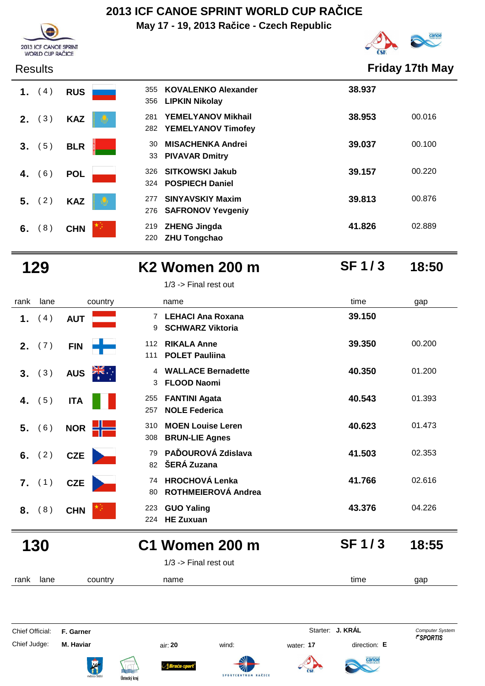**May 17 - 19, 2013 Račice - Czech Republic**



| <b>Results</b> |
|----------------|
|----------------|

2013 ICF CANOE SPRINT WORLD CUP RAČICE

| 1. (4) RUS |  |     | 355 KOVALENKO A    |
|------------|--|-----|--------------------|
|            |  |     | 356 LIPKIN Nikolay |
| 2. (3) KAZ |  | 281 | YEMELYANOV         |
|            |  |     | 282 YEMELYANOV     |
| 3. (5) BLR |  | 30  | <b>MISACHENKA</b>  |
|            |  |     | 33 PIVAVAR Dmit    |
| 4. (6) POL |  |     | 326 SITKOWSKI Ja   |
|            |  |     | 324 POSPIECH Dar   |
| 5. (2) KAZ |  |     | 277 SINYAVSKIY M   |
|            |  | 276 | <b>SAFRONOV Ye</b> |
| 6. (8) CHN |  |     | 219 ZHENG Jingda   |
|            |  |     | 220 ZHU Tongchao   |

**Friday 17th May** 

| 1. | (4)    | <b>RUS</b> | 355<br>356 | <b>KOVALENKO Alexander</b><br><b>LIPKIN Nikolay</b>    | 38.937 |        |
|----|--------|------------|------------|--------------------------------------------------------|--------|--------|
| 2. | (3)    | <b>KAZ</b> | 281<br>282 | <b>YEMELYANOV Mikhail</b><br><b>YEMELYANOV Timofey</b> | 38.953 | 00.016 |
|    | 3. (5) | <b>BLR</b> | 30         | <b>MISACHENKA Andrei</b><br>33 PIVAVAR Dmitry          | 39.037 | 00.100 |
| 4. | (6)    | <b>POL</b> | 326<br>324 | <b>SITKOWSKI Jakub</b><br><b>POSPIECH Daniel</b>       | 39.157 | 00.220 |
|    | 5. (2) | <b>KAZ</b> | 277<br>276 | <b>SINYAVSKIY Maxim</b><br><b>SAFRONOV Yevgeniy</b>    | 39.813 | 00.876 |
| 6. | (8)    | <b>CHN</b> | 219<br>220 | <b>ZHENG Jingda</b><br><b>ZHU Tongchao</b>             | 41.826 | 02.889 |

### **129 K2 Women 200 m 18:50** 1/3 -> Final rest out

**SF 1 / 3**

| rank | lane | country    | name                                                      | time<br>gap               |
|------|------|------------|-----------------------------------------------------------|---------------------------|
|      | 4    | <b>AUT</b> | LEHACI Ana Roxana<br>$\overline{7}$<br>9 SCHWARZ Viktoria | 39.150                    |
|      |      |            | $\cdots$ $\cdots$                                         | $\sim$ $\sim$<br>$\cdots$ |

| 1. $(4)$  | <b>AUT</b> | 9                     | <b>LEHACI Ana Roxana</b><br><b>SCHWARZ Viktoria</b> | 39.150 |        |
|-----------|------------|-----------------------|-----------------------------------------------------|--------|--------|
| 2. $(7)$  | <b>FIN</b> | 112<br>111            | <b>RIKALA Anne</b><br><b>POLET Pauliina</b>         | 39.350 | 00.200 |
| 3. (3)    | <b>AUS</b> | $\frac{2k}{\pi}$<br>3 | 4 WALLACE Bernadette<br><b>FLOOD Naomi</b>          | 40.350 | 01.200 |
| 4. $(5)$  | <b>ITA</b> | 255<br>257            | <b>FANTINI Agata</b><br><b>NOLE Federica</b>        | 40.543 | 01.393 |
| 5. (6)    | <b>NOR</b> | 310                   | <b>MOEN Louise Leren</b><br>308 BRUN-LIE Agnes      | 40.623 | 01.473 |
| 6. $(2)$  | <b>CZE</b> | 79                    | PAĎOUROVÁ Zdislava<br>82 ŠERÁ Zuzana                | 41.503 | 02.353 |
| $7.$ (1)  | <b>CZE</b> | 80                    | 74 HROCHOVÁ Lenka<br><b>ROTHMEIEROVÁ Andrea</b>     | 41.766 | 02.616 |
| (8)<br>8. | <b>CHN</b> | 223<br>224            | <b>GUO Yaling</b><br><b>HE Zuxuan</b>               | 43.376 | 04.226 |

### **130 C1 Women 200 m 18:55**

1/3 -> Final rest out

rank lane country thame the name time time gap

**SPORTCEM** 

Chief Official: **F. Garner** System **F. Garner** Starter: **J. KRÁL** Computer System Chief Judge: **M. Haviar** air: **20** wind: water: **17** direction: **E**



anoe

**SF 1 / 3**









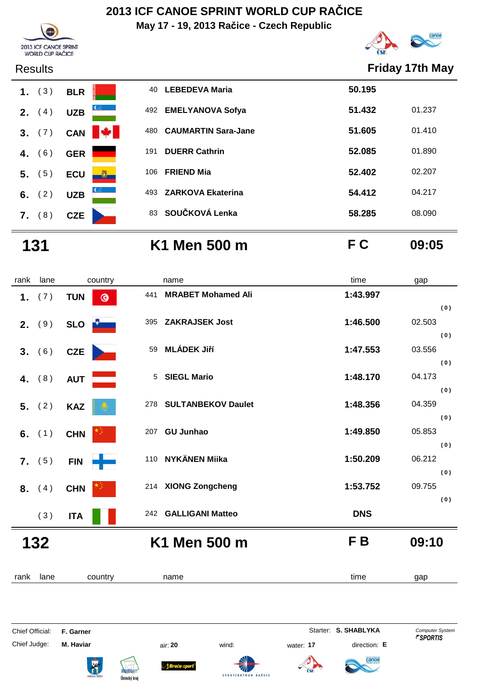**May 17 - 19, 2013 Račice - Czech Republic**





### Results **Friday 17th May**



### **131 K1 Men 500 m F C 09:05**

| rank | lane     | country                 | name                             | time       | gap    |
|------|----------|-------------------------|----------------------------------|------------|--------|
|      | 1. $(7)$ | <b>TUN</b><br>$\bullet$ | <b>MRABET Mohamed Ali</b><br>441 | 1:43.997   |        |
|      |          |                         |                                  |            | (0)    |
|      | 2. (9)   | SLO <b>DELL</b>         | 395 ZAKRAJSEK Jost               | 1:46.500   | 02.503 |
|      |          |                         |                                  |            | (0)    |
|      | 3. (6)   | CZE                     | <b>MLÁDEK Jiří</b><br>59         | 1:47.553   | 03.556 |
|      |          |                         |                                  |            | (0)    |
|      | 4. $(8)$ | <b>AUT</b>              | 5 SIEGL Mario                    | 1:48.170   | 04.173 |
|      |          |                         |                                  |            | (0)    |
|      | 5. (2)   | <b>KAZ</b>              | 278 SULTANBEKOV Daulet           | 1:48.356   | 04.359 |
|      |          |                         |                                  |            | (0)    |
|      | 6. $(1)$ | <b>CHN</b>              | 207 GU Junhao                    | 1:49.850   | 05.853 |
|      |          |                         |                                  |            | (0)    |
|      | 7. (5)   | <b>FIN</b><br>÷         | 110 NYKÄNEN Miika                | 1:50.209   | 06.212 |
|      |          |                         |                                  |            | (0)    |
|      | 8. (4)   | <b>CHN</b>              | 214 XIONG Zongcheng              | 1:53.752   | 09.755 |
|      |          |                         |                                  |            | (0)    |
|      | (3)      | <b>ITA</b>              | 242 GALLIGANI Matteo             | <b>DNS</b> |        |
| 132  |          |                         | K1 Men 500 m                     | F B        | 09:10  |
|      |          |                         |                                  |            |        |
|      |          |                         |                                  |            |        |
| rank | lane     | country                 | name                             | time       | gap    |

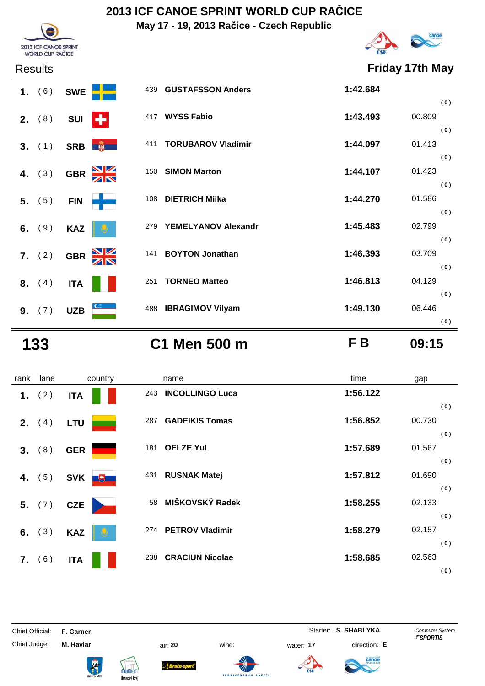**May 17 - 19, 2013 Račice - Czech Republic**



Results **Friday 17th May**

|    | 1. (6)          | <b>SWE</b> |               | 439 | <b>GUSTAFSSON Anders</b>  | 1:42.684 |        |     |
|----|-----------------|------------|---------------|-----|---------------------------|----------|--------|-----|
|    | <b>2.</b> $(8)$ | <b>SUI</b> | Н             | 417 | <b>WYSS Fabio</b>         | 1:43.493 | 00.809 | (0) |
|    |                 |            |               |     |                           |          |        | (0) |
|    | 3. (1)          |            | SRB <b>南</b>  | 411 | <b>TORUBAROV Vladimir</b> | 1:44.097 | 01.413 |     |
|    |                 |            |               |     |                           |          |        | (0) |
| 4. | (3)             | <b>GBR</b> | $\frac{N}{N}$ | 150 | <b>SIMON Marton</b>       | 1:44.107 | 01.423 |     |
|    |                 |            |               |     |                           |          |        | (0) |
|    | 5. (5)          | <b>FIN</b> |               | 108 | <b>DIETRICH Miika</b>     | 1:44.270 | 01.586 |     |
|    |                 |            |               |     |                           |          |        | (0) |
|    | 6. $(9)$        | <b>KAZ</b> |               | 279 | YEMELYANOV Alexandr       | 1:45.483 | 02.799 |     |
|    |                 |            |               |     |                           |          |        | (0) |
|    | 7. (2)          | <b>GBR</b> | $\frac{N}{N}$ | 141 | <b>BOYTON Jonathan</b>    | 1:46.393 | 03.709 |     |
|    |                 |            |               |     |                           |          |        | (0) |
|    | <b>8.</b> $(4)$ | <b>ITA</b> |               | 251 | <b>TORNEO Matteo</b>      | 1:46.813 | 04.129 |     |
|    |                 |            |               |     |                           |          |        | (0) |
|    | 9. (7)          | <b>UZB</b> |               |     | 488 IBRAGIMOV Vilyam      | 1:49.130 | 06.446 |     |
|    |                 |            |               |     |                           |          |        | (0) |

**133 C1 Men 500 m F B 09:15**

rank lane country thame the name time time gap  **1.** (2) **ITA I** 243 **INCOLLINGO Luca 1:56.122 ( 0 ) 2.** (4) LTU 287 GADEIKIS Tomas 1:56.852 00.730 **( 0 ) 3.** (8) **GER 181 <b>OELZE Yul 1:57.689** 01.567 **( 0 ) 4.** (5) **SVK**<sup>+</sup> **( 0 ) 5.** ( 7 ) **CZE**<sup>58</sup> **MIŠKOVSKÝ Radek 1:58.255** 02.133 **( 0 ) 6.** ( 3 ) **KAZ**<sup>274</sup> **PETROV Vladimir 1:58.279** 02.157 **( 0 ) 7.** (6) ITA **ITA** 238 **CRACIUN Nicolae III 1:58.685** 02.563 **( 0 )**

Chief Official: **F. Garner** System **Starter: S. SHABLYKA** Computer System

Chief Judge: **M. Haviar** air: **20** wind: water: **17** direction: **E**













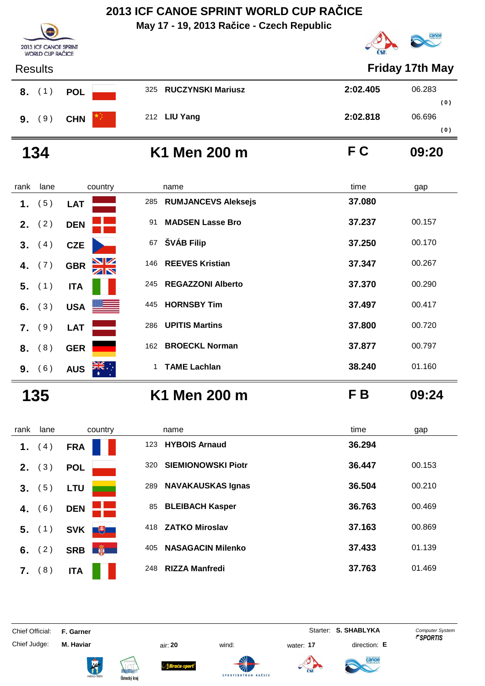**May 17 - 19, 2013 Račice - Czech Republic**



17th May

**( 0 )**

**( 0 )**

| <b>2013 ICF CANOE SPRINT</b><br><b>WORLD CUP RAČICE</b> |                       |                    |  |  |
|---------------------------------------------------------|-----------------------|--------------------|--|--|
| <b>Results</b>                                          |                       | Friday 17th N      |  |  |
| 8. (1)<br><b>POL</b>                                    | 325 RUCZYNSKI Mariusz | 2:02.405<br>06.283 |  |  |
| (9)<br><b>CHN</b><br>9.                                 | 212 LIU Yang          | 2:02.818<br>06.696 |  |  |

**134 K1 Men 200 m F C 09:20**

| rank | lane            | country                | name                              | time<br>gap      |
|------|-----------------|------------------------|-----------------------------------|------------------|
| 1.   | 5)              | <b>LAT</b>             | <b>RUMJANCEVS Aleksejs</b><br>285 | 37.080           |
|      | <b>2.</b> $(2)$ | <b>DEN</b>             | <b>MADSEN Lasse Bro</b><br>91     | 37.237<br>00.157 |
| 3.   | (4)             | <b>CZE</b>             | ŠVÁB Filip<br>67                  | 37.250<br>00.170 |
| 4.   | (7)             | NK<br>AR<br><b>GBR</b> | 146 REEVES Kristian               | 37.347<br>00.267 |
|      | $5.$ (1)        | <b>ITA</b>             | <b>REGAZZONI Alberto</b><br>245   | 37.370<br>00.290 |
| 6.   | (3)             | USA <b>NEWS</b>        | <b>HORNSBY Tim</b><br>445         | 37.497<br>00.417 |
|      | 7. (9)          | <b>LAT</b>             | <b>UPITIS Martins</b><br>286      | 37.800<br>00.720 |
|      | 8. (8)          | <b>GER</b>             | <b>BROECKL Norman</b><br>162      | 37.877<br>00.797 |
| 9.   | (6)             | <b>AUS</b>             | <b>TAME Lachlan</b><br>1.         | 38.240<br>01.160 |

**135 K1 Men 200 m F B 09:24**

| rank | lane             | country                                                | name                             | time   | gap    |
|------|------------------|--------------------------------------------------------|----------------------------------|--------|--------|
| 1.   | 4)               | <b>FRA</b>                                             | <b>HYBOIS Arnaud</b><br>123      | 36.294 |        |
| 2.   | (3)              | <b>POL</b>                                             | <b>SIEMIONOWSKI Piotr</b><br>320 | 36.447 | 00.153 |
| 3.   | (5)              | <b>LTU</b>                                             | <b>NAVAKAUSKAS Ignas</b><br>289  | 36.504 | 00.210 |
| 4.   | (6)              | <b>DEN</b>                                             | <b>BLEIBACH Kasper</b><br>85     | 36.763 | 00.469 |
| 5.   | (1)              | $+$<br><b>SVK</b>                                      | <b>ZATKO Miroslav</b><br>418     | 37.163 | 00.869 |
| 6.   | (2)              | $\mathbf{g}$<br><b>SRB</b><br>$\overline{\phantom{a}}$ | <b>NASAGACIN Milenko</b><br>405  | 37.433 | 01.139 |
| 7.   | $\left(8\right)$ | <b>ITA</b>                                             | <b>RIZZA Manfredi</b><br>248     | 37.763 | 01.469 |

Chief Official: **F. Garner** System **Starter: S. SHABLYKA** Computer System

Chief Judge: **M. Haviar** air: **20** wind: water: **17** direction: **E**









**SPORTCENT** 



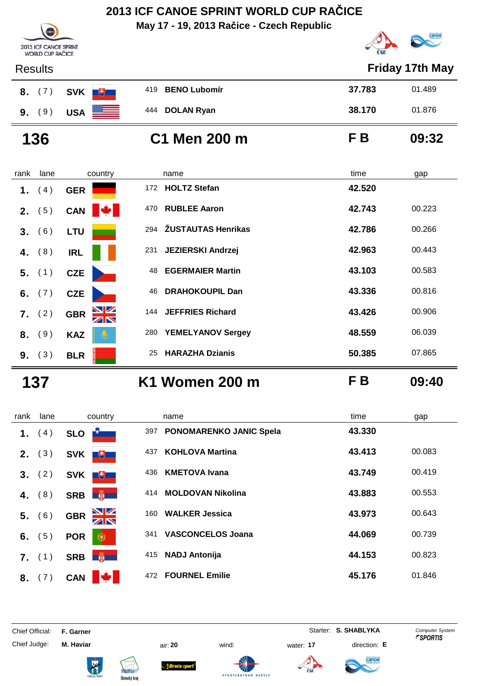**May 17 - 19, 2013 Račice - Czech Republic**





|                | <b>Results</b> |                                       |                                 | <b>Friday 17th May</b> |
|----------------|----------------|---------------------------------------|---------------------------------|------------------------|
| 8.             | (7)            | <b>SVK</b><br>$+$                     | <b>BENO Lubomír</b><br>419      | 37.783<br>01.489       |
|                | 9. (9)         | <b>USA</b>                            | 444 DOLAN Ryan                  | 38.170<br>01.876       |
|                | 136            |                                       | C1 Men 200 m                    | F B<br>09:32           |
| rank           | lane           | country                               | name                            | time<br>gap            |
| 1.             | (4)            | <b>GER</b>                            | <b>HOLTZ Stefan</b><br>172      | 42.520                 |
|                | 2. (5)         | CAN                                   | <b>RUBLEE Aaron</b><br>470      | 42.743<br>00.223       |
| 3 <sub>1</sub> | (6)            | <b>LTU</b>                            | ŽUSTAUTAS Henrikas<br>294       | 42.786<br>00.266       |
| 4.             | (8)            | <b>IRL</b>                            | <b>JEZIERSKI Andrzej</b><br>231 | 42.963<br>00.443       |
|                | 5. (1)         | <b>CZE</b>                            | <b>EGERMAIER Martin</b><br>48   | 43.103<br>00.583       |
| 6.             | (7)            | <b>CZE</b>                            | <b>DRAHOKOUPIL Dan</b><br>46    | 43.336<br>00.816       |
| 7.             | (2)            | $\frac{\Delta}{\Delta}$<br><b>GBR</b> | <b>JEFFRIES Richard</b><br>144  | 43.426<br>00.906       |
| 8.             | (9)            | <b>KAZ</b>                            | <b>YEMELYANOV Sergey</b><br>280 | 06.039<br>48.559       |

**137 K1 Women 200 m F B 09:40**

| rank | lane   | country                          | name                                  | time   | gap    |
|------|--------|----------------------------------|---------------------------------------|--------|--------|
| 1.   | (4)    | <b>SLO</b>                       | <b>PONOMARENKO JANIC Spela</b><br>397 | 43.330 |        |
| 2.   | (3)    | <b>SVK</b><br>$+$                | <b>KOHLOVA Martina</b><br>437         | 43.413 | 00.083 |
|      | 3. (2) | 电<br><b>SVK</b>                  | <b>KMETOVA Ivana</b><br>436           | 43.749 | 00.419 |
| 4.   | (8)    | <b>DESCRIPTION</b><br><b>SRB</b> | <b>MOLDOVAN Nikolina</b><br>414       | 43.883 | 00.553 |
| 5.   | (6)    | <u>NZ</u><br><b>GBR</b><br>ZN    | <b>WALKER Jessica</b><br>160          | 43.973 | 00.643 |
| 6.   | (5)    | <b>POR</b><br>$\bullet$          | <b>VASCONCELOS Joana</b><br>341       | 44.069 | 00.739 |
| 7.   | (1)    | <b>DESCRIPTION</b><br><b>SRB</b> | <b>NADJ Antonija</b><br>415           | 44.153 | 00.823 |
| 8.   | (7)    | <b>CAN</b>                       | <b>FOURNEL Emilie</b><br>472          | 45.176 | 01.846 |

 **9.** ( 3 ) **BLR**<sup>25</sup> **HARAZHA Dzianis 50.385** 07.865

Chief Official: **F. Garner** System **Starter: S. SHABLYKA** Computer System

Chief Judge: **M. Haviar** air: **20** wind: water: **17** direction: **E**











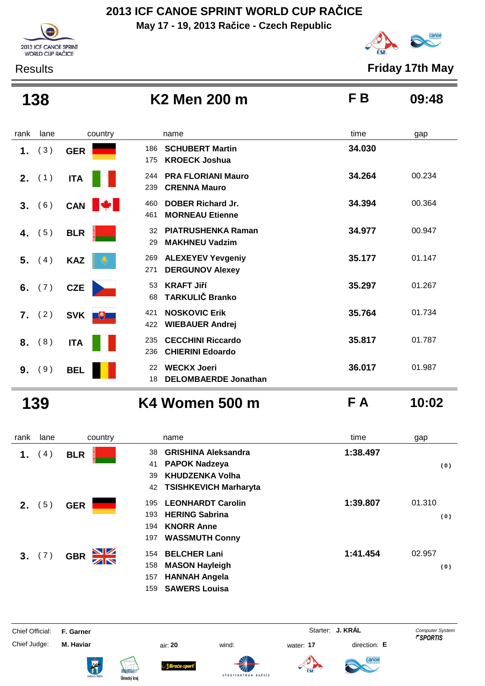**May 17 - 19, 2013 Račice - Czech Republic**





Results **Friday 17th May**

| 138  |                 |              | K <sub>2</sub> Men 200 m                                          | F <sub>B</sub> | 09:48  |
|------|-----------------|--------------|-------------------------------------------------------------------|----------------|--------|
| rank | lane            | country      | name                                                              | time           | gap    |
| 1.   | (3)             | <b>GER</b>   | <b>SCHUBERT Martin</b><br>186<br><b>KROECK Joshua</b><br>175      | 34.030         |        |
|      | <b>2.</b> $(1)$ | <b>ITA</b>   | <b>PRA FLORIANI Mauro</b><br>244<br><b>CRENNA Mauro</b><br>239    | 34.264         | 00.234 |
| 3.   | (6)             | CAN <b>W</b> | <b>DOBER Richard Jr.</b><br>460<br><b>MORNEAU Etienne</b><br>461  | 34.394         | 00.364 |
| 4.   | (5)             | <b>BLR</b>   | <b>PIATRUSHENKA Raman</b><br>32<br><b>MAKHNEU Vadzim</b><br>29    | 34.977         | 00.947 |
| 5.   | (4)             | <b>KAZ</b>   | <b>ALEXEYEV Yevgeniy</b><br>269<br>271<br><b>DERGUNOV Alexey</b>  | 35.177         | 01.147 |
| 6.   | (7)             | <b>CZE</b>   | <b>KRAFT Jiří</b><br>53<br><b>TARKULIČ Branko</b><br>68           | 35.297         | 01.267 |
| 7.   | (2)             | SVK <b>F</b> | <b>NOSKOVIC Erik</b><br>421<br><b>WIEBAUER Andrej</b><br>422      | 35.764         | 01.734 |
|      | 8. (8)          | <b>ITA</b>   | <b>CECCHINI Riccardo</b><br>235<br><b>CHIERINI Edoardo</b><br>236 | 35.817         | 01.787 |
| 9.   | (9)             | <b>BEL</b>   | <b>WECKX Joeri</b><br>22<br><b>DELOMBAERDE Jonathan</b><br>18     | 36.017         | 01.987 |

**139 K4 Women 500 m F A 10:02**

| rank    | lane | country                       | name                                                                                                                                                              | time     | gap           |
|---------|------|-------------------------------|-------------------------------------------------------------------------------------------------------------------------------------------------------------------|----------|---------------|
| 1.      | 4)   | <b>BLR</b>                    | <b>GRISHINA Aleksandra</b><br>38<br><b>PAPOK Nadzeya</b><br>41<br><b>KHUDZENKA Volha</b><br>39                                                                    | 1:38.497 | (0)           |
| $2_{-}$ | 5)   | <b>GER</b>                    | <b>TSISHKEVICH Marharyta</b><br>42<br><b>LEONHARDT Carolin</b><br>195<br><b>HERING Sabrina</b><br>193<br><b>KNORR Anne</b><br>194<br><b>WASSMUTH Conny</b><br>197 | 1:39.807 | 01.310<br>(0) |
| 3.      | (7)  | <u>NZ</u><br><b>GBR</b><br>ZN | <b>BELCHER Lani</b><br>154<br><b>MASON Hayleigh</b><br>158<br><b>HANNAH Angela</b><br>157<br><b>SAWERS Louisa</b><br>159                                          | 1:41.454 | 02.957<br>(0) |

ł

Chief Judge: **M. Haviar** air: **20** wind: water: **17** direction: **E**



anod







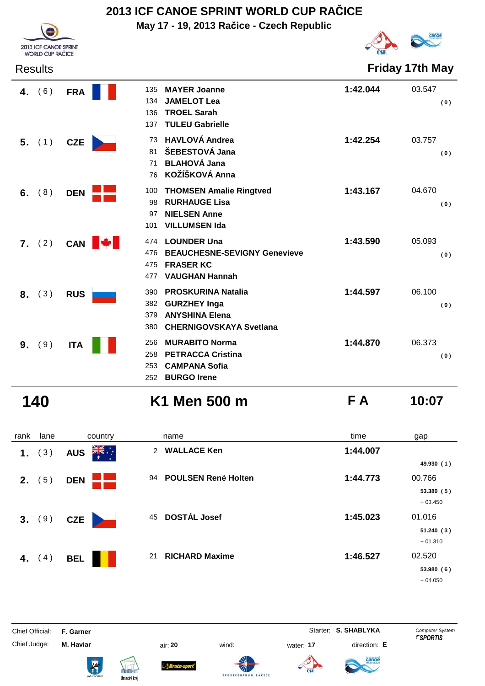**May 17 - 19, 2013 Račice - Czech Republic**



Results **Friday 17th May**

|    | 4. $(6)$ | <b>FRA</b> | 135<br>134<br>136<br>137 | <b>MAYER Joanne</b><br><b>JAMELOT Lea</b><br><b>TROEL Sarah</b><br><b>TULEU Gabrielle</b>                   | 1:42.044 | 03.547<br>(0) |
|----|----------|------------|--------------------------|-------------------------------------------------------------------------------------------------------------|----------|---------------|
|    | $5.$ (1) | <b>CZE</b> | 73<br>81<br>71<br>76     | <b>HAVLOVÁ Andrea</b><br>ŠEBESTOVÁ Jana<br><b>BLAHOVÁ Jana</b><br>KOŽÍŠKOVÁ Anna                            | 1:42.254 | 03.757<br>(0) |
| 6. | (8)      | <b>DEN</b> | 100<br>98<br>97<br>101   | <b>THOMSEN Amalie Ringtved</b><br><b>RURHAUGE Lisa</b><br><b>NIELSEN Anne</b><br><b>VILLUMSEN Ida</b>       | 1:43.167 | 04.670<br>(0) |
| 7. | (2)      | <b>CAN</b> | 474<br>476<br>475<br>477 | <b>LOUNDER Una</b><br><b>BEAUCHESNE-SEVIGNY Genevieve</b><br><b>FRASER KC</b><br><b>VAUGHAN Hannah</b>      | 1:43.590 | 05.093<br>(0) |
| 8. | (3)      | <b>RUS</b> | 390<br>382<br>379<br>380 | <b>PROSKURINA Natalia</b><br><b>GURZHEY Inga</b><br><b>ANYSHINA Elena</b><br><b>CHERNIGOVSKAYA Svetlana</b> | 1:44.597 | 06.100<br>(0) |
| 9. | (9)      | <b>ITA</b> | 256<br>258<br>253<br>252 | <b>MURABITO Norma</b><br><b>PETRACCA Cristina</b><br><b>CAMPANA Sofia</b><br><b>BURGO Irene</b>             | 1:44.870 | 06.373<br>(0) |

2013 ICF CANOE SPRINT WORLD CUP RAČICE

**140 K1 Men 500 m F A 10:07**

rank lane country thame the name time time gap **1.** (3) **AUS EXECUTE 2 WALLACE Ken 1:44.007 49.930 ( 1 ) 2.** (5) **DEN POULSEN René Holten 1:44.773** 00.766 **53.380 ( 5 )** + 03.450

 **3.** ( 9 ) **CZE**<sup>45</sup> **DOSTÁL Josef 1:45.023** 01.016 **51.240 ( 3 )** + 01.310  **4.** ( 4 ) **BEL**<sup>21</sup> **RICHARD Maxime 1:46.527** 02.520 **53.980 ( 6 )** + 04.050

Chief Judge: **M. Haviar** air: **20** wind: water: **17** direction: **E**

Braća-s







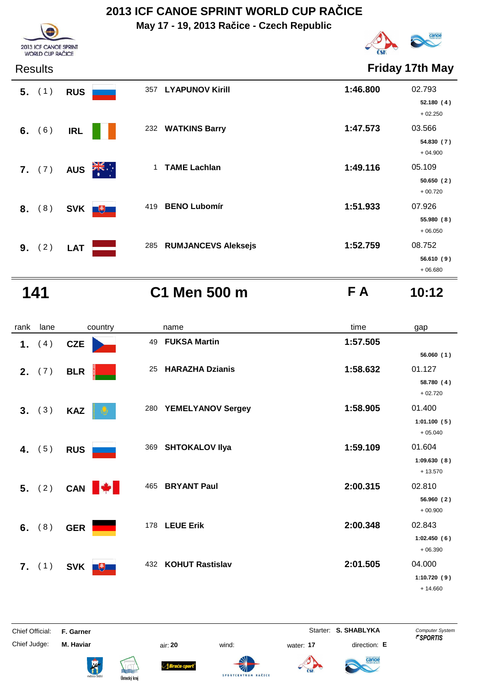**May 17 - 19, 2013 Račice - Czech Republic**



Results **Friday 17th May**

| 2013 ICF CANOE SPRINT<br><b>WORLD CUP RAČI</b><br>∵F |
|------------------------------------------------------|

| $5.$ (1) | <b>RUS</b> |                      |     | 357 LYAPUNOV Kirill     | 1:46.800 | 02.793                  |
|----------|------------|----------------------|-----|-------------------------|----------|-------------------------|
|          |            |                      |     |                         |          | 52.180 (4)<br>$+02.250$ |
| 6. $(6)$ | <b>IRL</b> |                      |     | 232 WATKINS Barry       | 1:47.573 | 03.566                  |
|          |            |                      |     |                         |          | 54.830 (7)<br>$+04.900$ |
| 7. (7)   | <b>AUS</b> | $\frac{1}{\sqrt{K}}$ |     | <b>TAME Lachlan</b>     | 1:49.116 | 05.109                  |
|          |            |                      |     |                         |          | 50.650(2)<br>$+00.720$  |
| 8. (8)   |            | SVK +                | 419 | <b>BENO Lubomír</b>     | 1:51.933 | 07.926                  |
|          |            |                      |     |                         |          | 55.980(8)<br>$+06.050$  |
| 9. (2)   | <b>LAT</b> |                      |     | 285 RUMJANCEVS Aleksejs | 1:52.759 | 08.752                  |
|          |            |                      |     |                         |          | 56.610(9)               |
|          |            |                      |     |                         |          | $+06.680$               |

**141 C1 Men 500 m F A 10:12**

| rank | lane     | country           | name                            | time     | gap                                             |
|------|----------|-------------------|---------------------------------|----------|-------------------------------------------------|
|      | 1. $(4)$ | <b>CZE</b>        | <b>FUKSA Martin</b><br>49       | 1:57.505 |                                                 |
|      | 2. (7)   | <b>BLR</b>        | <b>HARAZHA Dzianis</b><br>25    | 1:58.632 | 56.060 (1)<br>01.127<br>58.780 (4)              |
|      | 3. (3)   | <b>KAZ</b>        | <b>YEMELYANOV Sergey</b><br>280 | 1:58.905 | $+02.720$<br>01.400<br>1:01.100(5)              |
|      | 4. $(5)$ | <b>RUS</b>        | <b>SHTOKALOV IIya</b><br>369    | 1:59.109 | $+05.040$<br>01.604<br>1:09.630(8)              |
|      | 5. (2)   | CAN <b>W</b>      | 465<br><b>BRYANT Paul</b>       | 2:00.315 | $+13.570$<br>02.810<br>56.960(2)                |
|      | 6. $(8)$ | <b>GER</b>        | 178 LEUE Erik                   | 2:00.348 | $+00.900$<br>02.843<br>1:02.450(6)<br>$+06.390$ |
|      | 7. (1)   | <b>SVK</b><br>$+$ | 432 KOHUT Rastislav             | 2:01.505 | 04.000<br>1:10.720(9)<br>$+ 14.660$             |

ł











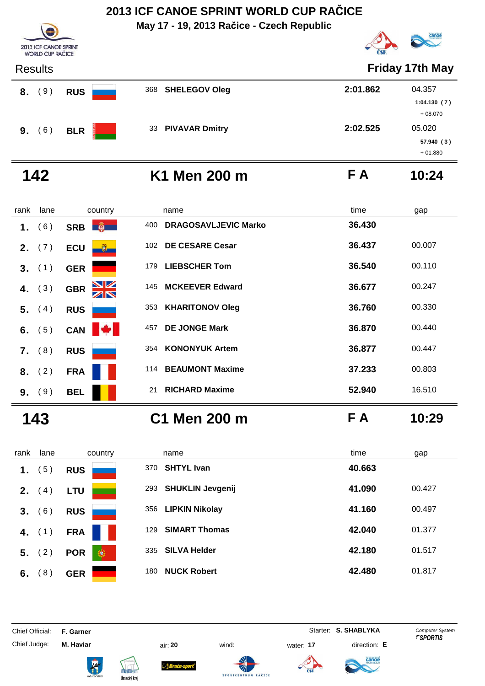**May 17 - 19, 2013 Račice - Czech Republic**



+ 01.880

| 2013 ICF CANOE SPRINT<br><b>WORLD CUP RAČICE</b> |            |                   | Federation               |
|--------------------------------------------------|------------|-------------------|--------------------------|
| <b>Results</b>                                   |            |                   | <b>Friday 17th May</b>   |
| (9)<br>8.                                        | <b>RUS</b> | 368 SHELEGOV Oleg | 2:01.862<br>04.357       |
|                                                  |            |                   | 1:04.130(7)<br>$+08.070$ |
|                                                  |            | 33 PIVAVAR Dmitry | 2:02.525<br>05.020       |
| 6)<br>9.                                         | <b>BLR</b> |                   | 57.940 (3)               |

O

# **142 K1 Men 200 m F A 10:24**

| rank | lane     | country                    | name                                       | time   | gap    |
|------|----------|----------------------------|--------------------------------------------|--------|--------|
| 1.   | 6)       | SRB <b>B</b>               | <b>DRAGOSAVLJEVIC Marko</b><br>400         | 36.430 |        |
| 2.   | (7)      | <b>ECU</b><br>$\mathbf{U}$ | <b>DE CESARE Cesar</b><br>102 <sub>1</sub> | 36.437 | 00.007 |
|      | 3. (1)   | <b>GER</b>                 | <b>LIEBSCHER Tom</b><br>179                | 36.540 | 00.110 |
| 4.   | (3)      | NK<br>AR<br><b>GBR</b>     | <b>MCKEEVER Edward</b><br>145              | 36.677 | 00.247 |
| 5.   | (4)      | <b>RUS</b>                 | <b>KHARITONOV Oleg</b><br>353              | 36.760 | 00.330 |
|      | 6. $(5)$ | <b>CAN</b>                 | <b>DE JONGE Mark</b><br>457                | 36.870 | 00.440 |
|      | $7.$ (8) | <b>RUS</b>                 | <b>KONONYUK Artem</b><br>354               | 36,877 | 00.447 |
| 8.   | (2)      | <b>FRA</b>                 | <b>BEAUMONT Maxime</b><br>114              | 37.233 | 00.803 |
| 9.   | (9)      | <b>BEL</b>                 | <b>RICHARD Maxime</b><br>21                | 52.940 | 16.510 |
|      |          |                            |                                            |        |        |

# **143 C1 Men 200 m F A 10:29**

| rank | lane           | country                    | name                           | time   | gap    |
|------|----------------|----------------------------|--------------------------------|--------|--------|
| 1.   | 5)             | <b>RUS</b>                 | <b>SHTYL Ivan</b><br>370       | 40.663 |        |
| 2.   | (4)            | <b>LTU</b>                 | <b>SHUKLIN Jevgenij</b><br>293 | 41.090 | 00.427 |
| 3.   | 6)             | <b>RUS</b>                 | <b>LIPKIN Nikolay</b><br>356   | 41.160 | 00.497 |
| 4.   | (1)            | <b>FRA</b>                 | <b>SIMART Thomas</b><br>129    | 42.040 | 01.377 |
| 5.   | (2)            | $^\circledR$<br><b>POR</b> | <b>SILVA Helder</b><br>335     | 42.180 | 01.517 |
| 6.   | 8 <sup>2</sup> | <b>GER</b>                 | <b>NUCK Robert</b><br>180      | 42.480 | 01.817 |

Chief Official: **F. Garner** System **Starter: S. SHABLYKA** Computer System

Chief Judge: **M. Haviar** air: **20** wind: water: **17** direction: **E**

ł







**SPORTCENTRU** 



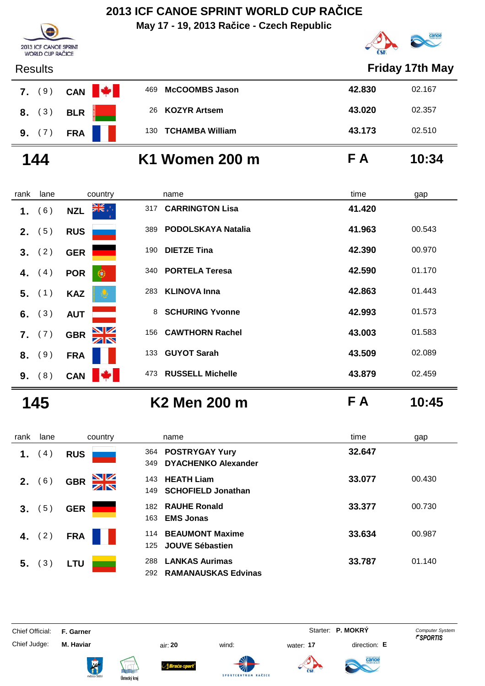**May 17 - 19, 2013 Račice - Czech Republic**





| <b>Results</b>        |        |                           |     |                        |        | <b>Friday 17th May</b> |
|-----------------------|--------|---------------------------|-----|------------------------|--------|------------------------|
| 7.                    | (9)    | <b>Base</b><br><b>CAN</b> | 469 | <b>McCOOMBS Jason</b>  | 42.830 | 02.167                 |
| 8.                    | (3)    | <b>BLR</b>                | 26  | <b>KOZYR Artsem</b>    | 43.020 | 02.357                 |
|                       | 9. (7) | <b>FRA</b>                | 130 | <b>TCHAMBA William</b> | 43.173 | 02.510                 |
| 144<br>K1 Women 200 m |        |                           | F A | 10:34                  |        |                        |
| rank                  | lane   | country                   |     | name                   | time   | gap                    |
| 1.                    | (6)    | ▓▓<br><b>NZL</b>          | 317 | <b>CARRINGTON Lisa</b> | 41.420 |                        |
| 2.                    | (5)    | <b>RUS</b>                | 389 | PODOLSKAYA Natalia     | 41.963 | 00.543                 |
| 3.                    | (2)    | <b>GER</b>                | 190 | <b>DIETZE Tina</b>     | 42.390 | 00.970                 |
| 4.                    | (4)    | <b>POR</b><br>$\bullet$   | 340 | <b>PORTELA Teresa</b>  | 42.590 | 01.170                 |
| 5.                    | (1)    | <b>KAZ</b>                | 283 | <b>KLINOVA Inna</b>    | 42.863 | 01.443                 |
| 6.                    | (3)    | <b>AUT</b>                | 8   | <b>SCHURING Yvonne</b> | 42.993 | 01.573                 |

**7.** (7) **GBR**  $\frac{1}{2}$  **156 CAWTHORN Rachel 43.003** 01.583

**8.** (9) FRA**143.509** 02.089

**9.** (8) **CAN**  $\frac{1}{4}$  473 RUSSELL Michelle **43.879** 02.459

**145 K2 Men 200 m F A 10:45**

| rank | lane | country                | name                                                              | time   | gap    |
|------|------|------------------------|-------------------------------------------------------------------|--------|--------|
| 1.   | 4)   | <b>RUS</b>             | 364 POSTRYGAY Yury<br><b>DYACHENKO Alexander</b><br>349           | 32.647 |        |
| 2.   | 6)   | NK<br>AR<br><b>GBR</b> | 143 HEATH Liam<br><b>SCHOFIELD Jonathan</b><br>149                | 33.077 | 00.430 |
| 3.   | (5)  | <b>GER</b>             | 182 RAUHE Ronald<br><b>EMS Jonas</b><br>163                       | 33.377 | 00.730 |
| 4.   | (2)  | <b>FRA</b>             | <b>BEAUMONT Maxime</b><br>114<br><b>JOUVE Sébastien</b><br>125    | 33.634 | 00.987 |
| 5.   | (3)  | LTU                    | <b>LANKAS Aurimas</b><br>288<br><b>RAMANAUSKAS Edvinas</b><br>292 | 33.787 | 01.140 |

Chief Judge: **M. Haviar** air: **20** wind: water: **17** direction: **E**

Chief Official: **F. Garner** System **F. Garner** System **P. MOKRY** Computer System















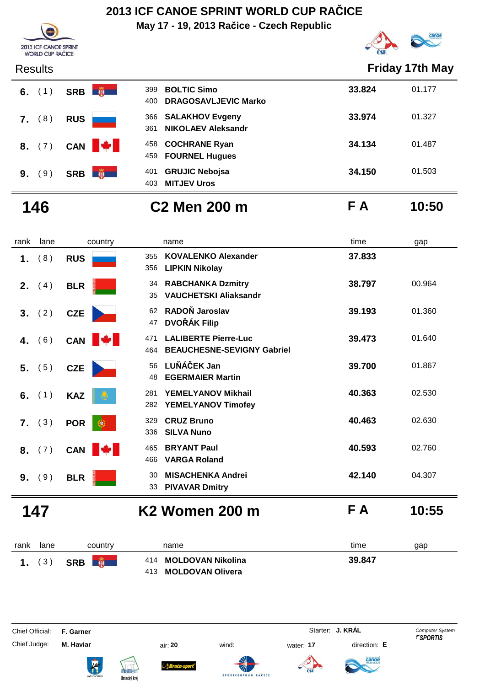**May 17 - 19, 2013 Račice - Czech Republic**



| 2013 ICF CANOE SPRINT<br><b>WORLD CUP RAČICE</b> |
|--------------------------------------------------|

### Results **Friday 17th May**

| 6. $(1)$       |     | SRB        | 福<br>399<br>400  | <b>BOLTIC Simo</b><br><b>DRAGOSAVLJEVIC Marko</b> | 33.824 | 01.177 |
|----------------|-----|------------|------------------|---------------------------------------------------|--------|--------|
| 7.             | (8) | <b>RUS</b> | 361              | 366 SALAKHOV Evgeny<br><b>NIKOLAEV Aleksandr</b>  | 33.974 | 01.327 |
| 8. (7)         |     |            | CAN <b>W</b>     | 458 COCHRANE Ryan<br>459 FOURNEL Hugues           | 34.134 | 01.487 |
| 9 <sub>1</sub> | 9)  | SRB        | 第一<br>401<br>403 | <b>GRUJIC Nebojsa</b><br><b>MITJEV Uros</b>       | 34.150 | 01.503 |

# **146 C2 Men 200 m F A 10:50**

rank lane country thame the name time time gap 1. (8) RUS 355 **KOVALENKO Alexander** 37.833 **LIPKIN Nikolay** 356 **2.** (4) **BLR RABCHANKA Dzmitry** 38.797 00.964 **VAUCHETSKI Aliaksandr** 35  **3.** ( 2 ) **CZE 82 RADON Jaroslav 89.193** 01.360 **DVOŘÁK Filip** 47 **4.** (6) **CAN E LALIBERTE Pierre-Luc 39.473** 01.640 **BEAUCHESNE-SEVIGNY Gabriel** 464  **5.** ( 5 ) **CZE LUŇÁČEK Jan** 56 **39.700** 01.867 **EGERMAIER Martin** 48 **6.** (1) **KAZ 81 YEMELYANOV Mikhail 40.363** 02.530 **YEMELYANOV Timofey** 282 **7.** (3) **POR CRUZ Bruno 40.463** 02.630 **SILVA Nuno** 336 **8.** (7) **CAN CAN** 465 **BRYANT Paul** 40.593 02.760 **VARGA Roland** 466

**PIVAVAR Dmitry** 33

**147 K2 Women 200 m F A 10:55**

| rank | lane | country                     | name                                          | time<br>gap |
|------|------|-----------------------------|-----------------------------------------------|-------------|
|      | (3)  | <b>DESCRIPTION</b><br>SRB I | 414 MOLDOVAN Nikolina<br>413 MOLDOVAN Olivera | 39.847      |

**9.** (9) BLR **MISACHENKA Andrei 42.140** 04.307

Chief Official: **F. Garner** System **F. Garner** Starter: **J. KRÁL** Computer System

Chief Judge: **M. Haviar** air: **20** wind: water: **17** direction: **E**

**Braca**-s











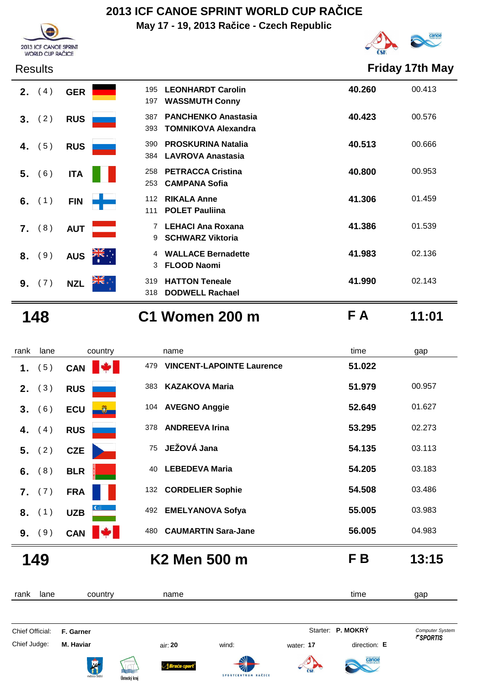**May 17 - 19, 2013 Račice - Czech Republic**





2013 ICF CANOE SPRINT

### Results **Friday 17th May**



| 197                 | 195 LEONHARDT Carolin<br><b>WASSMUTH Conny</b>           | 40.260 | 00.413 |
|---------------------|----------------------------------------------------------|--------|--------|
| 387<br>393          | <b>PANCHENKO Anastasia</b><br><b>TOMNIKOVA Alexandra</b> | 40.423 | 00.576 |
| 390                 | <b>PROSKURINA Natalia</b><br>384 LAVROVA Anastasia       | 40.513 | 00.666 |
|                     | 258 PETRACCA Cristina<br>253 CAMPANA Sofia               | 40.800 | 00.953 |
|                     | 112 RIKALA Anne<br>111 POLET Pauliina                    | 41.306 | 01.459 |
| 9                   | 7 LEHACI Ana Roxana<br><b>SCHWARZ Viktoria</b>           | 41.386 | 01.539 |
| $\overline{4}$<br>3 | <b>WALLACE Bernadette</b><br><b>FLOOD Naomi</b>          | 41.983 | 02.136 |
| 319<br>318          | <b>HATTON Teneale</b><br><b>DODWELL Rachael</b>          | 41.990 | 02.143 |

## **148 C1 Women 200 m F A 11:01**

| rank | lane   | country            | name                         | time                                       | gap    |
|------|--------|--------------------|------------------------------|--------------------------------------------|--------|
| 1.   | (5)    | IV I<br><b>CAN</b> | 479                          | 51.022<br><b>VINCENT-LAPOINTE Laurence</b> |        |
| 2.   | (3)    | <b>RUS</b>         | <b>KAZAKOVA Maria</b><br>383 | 51.979                                     | 00.957 |
| 3.   | (6)    | <b>ECU</b><br>U.   | 104 AVEGNO Anggie            | 52.649                                     | 01.627 |
| 4.   | (4)    | <b>RUS</b>         | <b>ANDREEVA Irina</b><br>378 | 53.295                                     | 02.273 |
| 5.   | (2)    | <b>CZE</b>         | JEŽOVÁ Jana<br>75            | 54.135                                     | 03.113 |
| 6.   | (8)    | <b>BLR</b>         | <b>LEBEDEVA Maria</b><br>40  | 54.205                                     | 03.183 |
|      | 7. (7) | <b>FRA</b>         | 132 CORDELIER Sophie         | 54.508                                     | 03.486 |
| 8.   | (1)    | <b>UZB</b>         | 492 EMELYANOVA Sofya         | 55,005                                     | 03.983 |
|      | 9. (9) | <b>CAN</b>         | 480                          | 56.005<br><b>CAUMARTIN Sara-Jane</b>       | 04.983 |

**149 K2 Men 500 m F B 13:15**

Ústecký kraj

| lane<br>rank    | country          | name                                       |                     |           | time              | gap                    |
|-----------------|------------------|--------------------------------------------|---------------------|-----------|-------------------|------------------------|
| Chief Official: | F. Garner        |                                            |                     |           | Starter: P. MOKRY | <b>Computer System</b> |
| Chief Judge:    | M. Haviar        | air: 20                                    | wind:               | water: 17 | direction: E      | <i><b>FSPORTIS</b></i> |
|                 | <b>The State</b> | Sraća-sport<br><b>REAL</b><br>Ústoský kraj | SPORTCENTRUM RAČICE |           | <b>Canoe</b>      |                        |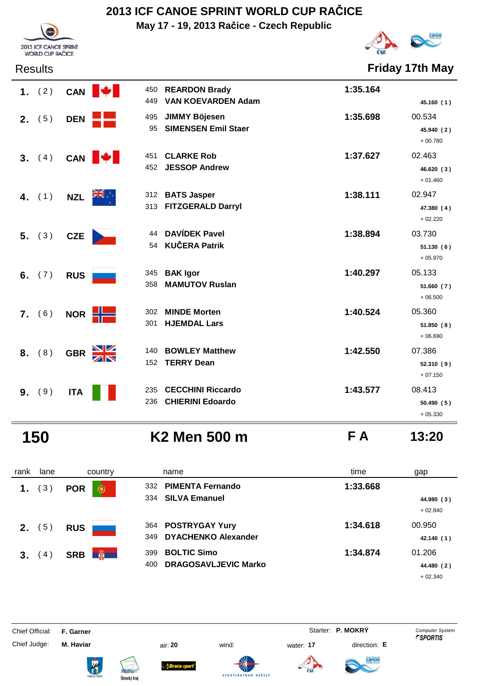**May 17 - 19, 2013 Račice - Czech Republic**



Results **Friday 17th May**

|                | 1. $(2)$ |            | CAN <b>W</b>                       | 450 REARDON Brady<br>449 VAN KOEVARDEN Adam   | 1:35.164 | 45.160 (1)                        |
|----------------|----------|------------|------------------------------------|-----------------------------------------------|----------|-----------------------------------|
|                | 2. (5)   | DEN        |                                    | 495 JIMMY Böjesen<br>95 SIMENSEN Emil Staer   | 1:35.698 | 00.534<br>45.940 (2)<br>$+00.780$ |
|                |          |            | 3. $(4)$ CAN $\blacktriangleright$ | 451 CLARKE Rob<br>452 JESSOP Andrew           | 1:37.627 | 02.463<br>46.620 (3)<br>$+01.460$ |
|                | 4. $(1)$ | <b>NZL</b> | त्रँह√                             | 312 BATS Jasper<br>313 FITZGERALD Darryl      | 1:38.111 | 02.947<br>47.380 (4)<br>$+02.220$ |
|                | 5. (3)   | <b>CZE</b> |                                    | 44 DAVÍDEK Pavel<br>54 KUČERA Patrik          | 1:38.894 | 03.730<br>51.130(6)<br>$+05.970$  |
|                | 6. $(7)$ | <b>RUS</b> |                                    | 345 BAK Igor<br>358 MAMUTOV Ruslan            | 1:40.297 | 05.133<br>51.660 (7)<br>$+06.500$ |
|                | 7. (6)   |            | NOR <b>HIME</b><br>301             | 302 MINDE Morten<br><b>HJEMDAL Lars</b>       | 1:40.524 | 05.360<br>51.850(8)<br>$+06.690$  |
|                | 8. (8)   | <b>GBR</b> | $\frac{N}{N}$                      | 140 BOWLEY Matthew<br>152 TERRY Dean          | 1:42.550 | 07.386<br>52.310 (9)<br>$+07.150$ |
| 9 <sub>1</sub> | (9)      | <b>ITA</b> |                                    | 235 CECCHINI Riccardo<br>236 CHIERINI Edoardo | 1:43.577 | 08.413<br>50.490 (5)              |

2013 ICF CANOE SPRINT WORLD CUP RAČICE

**150 K2 Men 500 m F A 13:20**

+ 05.330

| rank | lane             | country                     | name                                                            | time     | gap                               |
|------|------------------|-----------------------------|-----------------------------------------------------------------|----------|-----------------------------------|
| 1.   | $\left(3\right)$ | <b>POR</b><br>۷             | 332 PIMENTA Fernando<br>334 SILVA Emanuel                       | 1:33.668 | 44.980 (3)<br>$+02.840$           |
| 2.   | 5)               | <b>RUS</b>                  | 364 POSTRYGAY Yury<br><b>DYACHENKO Alexander</b><br>349         | 1:34.618 | 00.950<br>42.140 (1)              |
| 3.   | 4)               | $\frac{1}{2}$<br><b>SRB</b> | <b>BOLTIC Simo</b><br>399<br><b>DRAGOSAVLJEVIC Marko</b><br>400 | 1:34.874 | 01.206<br>44.480 (2)<br>$+02.340$ |

Chief Official: **F. Garner** System **F. Garner** System **P. MOKRY** Computer System

Chief Judge: **M. Haviar** air: **20** wind: water: **17** direction: **E**

ł











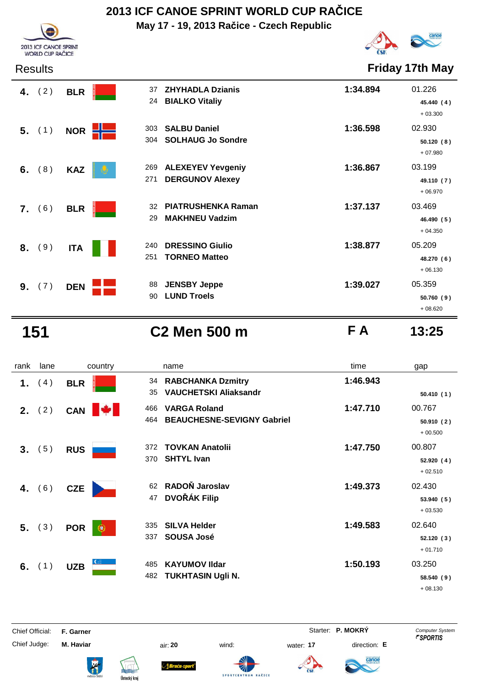**May 17 - 19, 2013 Račice - Czech Republic**



Results **Friday 17th May**

|    | 4. $(2)$ | <b>BLR</b> | 37<br>24         | <b>ZHYHADLA Dzianis</b><br><b>BIALKO Vitaliy</b>   | 1:34.894 | 01.226<br>45.440 (4)<br>$+03.300$ |
|----|----------|------------|------------------|----------------------------------------------------|----------|-----------------------------------|
|    | 5. (1)   | <b>NOR</b> | ╉═<br>303<br>304 | <b>SALBU Daniel</b><br><b>SOLHAUG Jo Sondre</b>    | 1:36.598 | 02.930<br>50.120(8)<br>$+07.980$  |
|    | 6. $(8)$ | <b>KAZ</b> | 269<br>271       | <b>ALEXEYEV Yevgeniy</b><br><b>DERGUNOV Alexey</b> | 1:36.867 | 03.199<br>49.110 (7)<br>$+06.970$ |
|    | 7. (6)   | <b>BLR</b> | 32<br>29         | <b>PIATRUSHENKA Raman</b><br><b>MAKHNEU Vadzim</b> | 1:37.137 | 03.469<br>46.490 (5)<br>$+04.350$ |
| 8. | (9)      | <b>ITA</b> | 240<br>251       | <b>DRESSINO Giulio</b><br><b>TORNEO Matteo</b>     | 1:38.877 | 05.209<br>48.270 (6)<br>$+06.130$ |
| 9. | (7)      | <b>DEN</b> | 88<br>90         | <b>JENSBY Jeppe</b><br><b>LUND Troels</b>          | 1:39.027 | 05.359<br>50.760(9)<br>$+08.620$  |

2013 ICF CANOE SPRINT<br>WORLD CUP RAČICE

**151 C2 Men 500 m F A 13:25**

| rank | lane     | country                         | name                                                                   | time     | gap                               |
|------|----------|---------------------------------|------------------------------------------------------------------------|----------|-----------------------------------|
| 1.   | (4)      | <b>BLR</b>                      | 34 RABCHANKA Dzmitry<br><b>VAUCHETSKI Aliaksandr</b><br>35             | 1:46.943 | 50.410(1)                         |
| 2.   | (2)      | <b>TAP</b><br><b>CAN</b>        | <b>VARGA Roland</b><br>466<br><b>BEAUCHESNE-SEVIGNY Gabriel</b><br>464 | 1:47.710 | 00.767<br>50.910(2)<br>$+00.500$  |
| 3.   | (5)      | <b>RUS</b>                      | <b>TOVKAN Anatolii</b><br>372<br><b>SHTYL Ivan</b><br>370              | 1:47.750 | 00.807<br>52.920(4)<br>$+02.510$  |
|      | 4. $(6)$ | <b>CZE</b>                      | RADOŇ Jaroslav<br>62<br><b>DVOŘÁK Filip</b><br>47                      | 1:49.373 | 02.430<br>53.940(5)<br>$+03.530$  |
| 5.   | (3)      | <b>POR</b><br>$_{\circledcirc}$ | <b>SILVA Helder</b><br>335<br><b>SOUSA José</b><br>337                 | 1:49.583 | 02.640<br>52.120(3)<br>$+01.710$  |
| 6.   | (1)      | <b>UZB</b>                      | <b>KAYUMOV Ildar</b><br>485<br><b>TUKHTASIN Ugli N.</b><br>482         | 1:50.193 | 03.250<br>58.540 (9)<br>$+08.130$ |

Chief Judge: **M. Haviar** air: **20** wind: water: **17** direction: **E**

Chief Official: **F. Garner** System **F. Garner** System **P. MOKRY** Computer System





ł









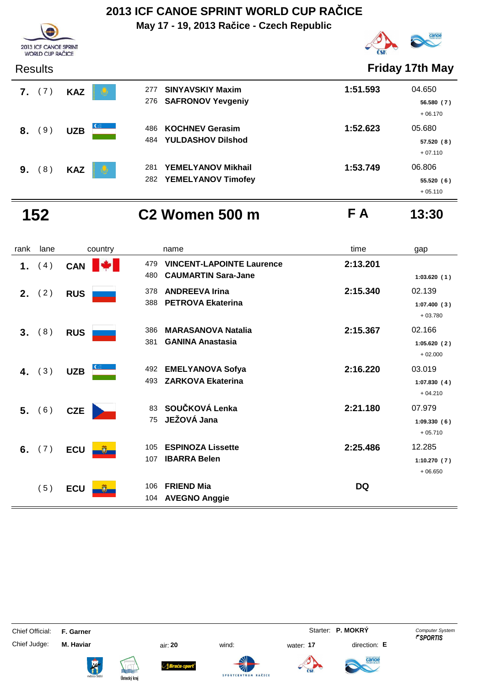**May 17 - 19, 2013 Račice - Czech Republic**





|    | <b>Results</b> |            |                                |                                                        |          | <b>Friday 17th May</b>            |
|----|----------------|------------|--------------------------------|--------------------------------------------------------|----------|-----------------------------------|
| 7. | (7)            | <b>KAZ</b> | 277                            | <b>SINYAVSKIY Maxim</b><br>276 SAFRONOV Yevgeniy       | 1:51.593 | 04.650<br>56.580 (7)<br>$+06.170$ |
| 8. | (9)            | <b>UZB</b> | $C_{\text{max}}$<br>486<br>484 | <b>KOCHNEV Gerasim</b><br><b>YULDASHOV Dilshod</b>     | 1:52.623 | 05.680<br>57.520(8)<br>$+07.110$  |
| 9. | (8)            | <b>KAZ</b> | 281<br>v<br>282                | <b>YEMELYANOV Mikhail</b><br><b>YEMELYANOV Timofey</b> | 1:53.749 | 06.806<br>55.520(6)<br>$+05.110$  |

### **152 C2 Women 500 m F A 13:30**

rank lane country thame country time gap **1.** (4) CAN **VINCENT-LAPOINTE Laurence** 2:13.201 **CAUMARTIN Sara-Jane** 480 **1:03.620 ( 1 ) 2.** (2) RUS 378 ANDREEVA Irina 2:15.340 02.139 **PETROVA Ekaterina** 388 **1:07.400 ( 3 )** + 03.780 **3.** (8) RUS 386 MARASANOVA Natalia 2:15.367 02.166 **GANINA Anastasia** 381 **1:05.620 ( 2 )** + 02.000 **4.** (3) UZB 492 **EMELYANOVA Sofya 2:16.220** 03.019 **ZARKOVA Ekaterina** 493 **1:07.830 ( 4 )** + 04.210 **5.** (6) **CZE SOUČKOVÁ Lenka 83 <b>2:21.180** 07.979 **JEŽOVÁ Jana** 75 **1:09.330 ( 6 )** + 05.710 **6.** (7) **ECU i i 105 ESPINOZA Lissette 12.285 12.285 IBARRA Belen** 107 **1:10.270 ( 7 )** + 06.650 ( 5 ) **ECU FRIEND Mia** 106 **DQ** 104 AVEGNO Anggie

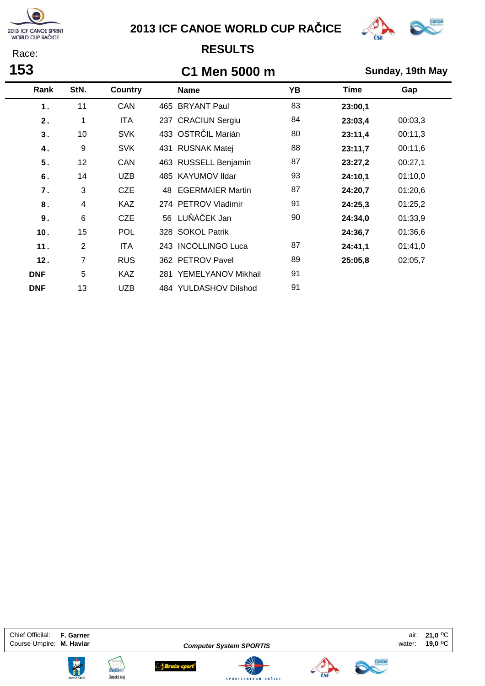

**153** Race:

### **2013 ICF CANOE WORLD CUP RAČICE**



### **RESULTS**

### **C1 Men 5000 m Sunday, 19th May**

| Rank            | StN.           | <b>Country</b> | <b>Name</b>                   | ΥB | Time    | Gap     |
|-----------------|----------------|----------------|-------------------------------|----|---------|---------|
| 1.              | 11             | CAN            | 465 BRYANT Paul               | 83 | 23:00,1 |         |
| 2.              | 1              | <b>ITA</b>     | 237 CRACIUN Sergiu            | 84 | 23:03,4 | 00:03,3 |
| 3.              | 10             | <b>SVK</b>     | 433 OSTRČIL Marián            | 80 | 23:11,4 | 00:11,3 |
| 4.              | 9              | <b>SVK</b>     | 431 RUSNAK Matej              | 88 | 23:11,7 | 00:11,6 |
| 5.              | 12             | CAN            | 463 RUSSELL Benjamin          | 87 | 23:27,2 | 00:27,1 |
| 6.              | 14             | <b>UZB</b>     | 485 KAYUMOV Ildar             | 93 | 24:10,1 | 01:10,0 |
| 7.              | 3              | <b>CZE</b>     | <b>EGERMAIER Martin</b><br>48 | 87 | 24:20,7 | 01:20,6 |
| 8.              | $\overline{4}$ | <b>KAZ</b>     | 274 PETROV Vladimir           | 91 | 24:25,3 | 01:25,2 |
| 9.              | 6              | <b>CZE</b>     | 56 LUŇÁČEK Jan                | 90 | 24:34,0 | 01:33,9 |
| 10 <sub>1</sub> | 15             | <b>POL</b>     | 328 SOKOL Patrik              |    | 24:36,7 | 01:36,6 |
| 11.             | 2              | <b>ITA</b>     | 243 INCOLLINGO Luca           | 87 | 24:41,1 | 01:41,0 |
| 12.             | 7              | <b>RUS</b>     | 362 PETROV Pavel              | 89 | 25:05,8 | 02:05,7 |
| <b>DNF</b>      | 5              | <b>KAZ</b>     | 281 YEMELYANOV Mikhail        | 91 |         |         |
| <b>DNF</b>      | 13             | <b>UZB</b>     | 484 YULDASHOV Dilshod         | 91 |         |         |

Chief Officilal: **F. Garner 21,0** oC Course Umpire: **M. Haviar Computer System SPORTIS Course Umpire: M. Haviar** occurse 1999





**Computer System SPORTIS**

Sraća-sport®





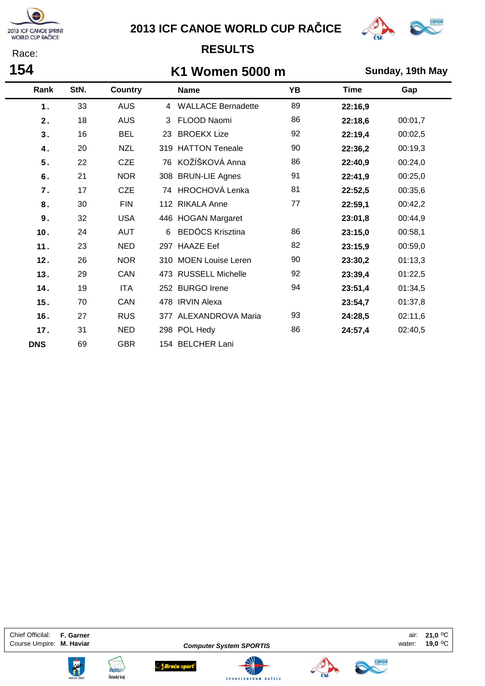

**154** Race:

### **2013 ICF CANOE WORLD CUP RAČICE**



### **RESULTS**

### **K1 Women 5000 m Sunday, 19th May**

|            | Rank | StN. | <b>Country</b> |     | <b>Name</b>             | YB | <b>Time</b> | Gap     |
|------------|------|------|----------------|-----|-------------------------|----|-------------|---------|
|            | 1.   | 33   | <b>AUS</b>     |     | 4 WALLACE Bernadette    | 89 | 22:16,9     |         |
|            | 2.   | 18   | <b>AUS</b>     | 3   | FLOOD Naomi             | 86 | 22:18,6     | 00:01,7 |
|            | 3.   | 16   | <b>BEL</b>     | 23  | <b>BROEKX Lize</b>      | 92 | 22:19,4     | 00:02,5 |
|            | 4.   | 20   | <b>NZL</b>     | 319 | <b>HATTON Teneale</b>   | 90 | 22:36,2     | 00:19,3 |
|            | 5.   | 22   | <b>CZE</b>     |     | 76 KOŽÍŠKOVÁ Anna       | 86 | 22:40,9     | 00:24,0 |
|            | 6.   | 21   | <b>NOR</b>     |     | 308 BRUN-LIE Agnes      | 91 | 22:41,9     | 00:25,0 |
|            | 7.   | 17   | <b>CZE</b>     |     | 74 HROCHOVÁ Lenka       | 81 | 22:52,5     | 00:35,6 |
|            | 8.   | 30   | <b>FIN</b>     |     | 112 RIKALA Anne         | 77 | 22:59,1     | 00:42,2 |
|            | 9.   | 32   | <b>USA</b>     |     | 446 HOGAN Margaret      |    | 23:01,8     | 00:44,9 |
|            | 10.  | 24   | <b>AUT</b>     | 6   | <b>BEDÖCS Krisztina</b> | 86 | 23:15,0     | 00:58,1 |
|            | 11.  | 23   | <b>NED</b>     |     | 297 HAAZE Eef           | 82 | 23:15,9     | 00:59,0 |
|            | 12.  | 26   | <b>NOR</b>     |     | 310 MOEN Louise Leren   | 90 | 23:30,2     | 01:13,3 |
|            | 13.  | 29   | CAN            |     | 473 RUSSELL Michelle    | 92 | 23:39,4     | 01:22,5 |
|            | 14.  | 19   | <b>ITA</b>     |     | 252 BURGO Irene         | 94 | 23:51,4     | 01:34,5 |
|            | 15.  | 70   | CAN            |     | 478 IRVIN Alexa         |    | 23:54,7     | 01:37,8 |
|            | 16.  | 27   | <b>RUS</b>     |     | 377 ALEXANDROVA Maria   | 93 | 24:28,5     | 02:11,6 |
|            | 17.  | 31   | <b>NED</b>     |     | 298 POL Hedy            | 86 | 24:57,4     | 02:40,5 |
| <b>DNS</b> |      | 69   | <b>GBR</b>     |     | 154 BELCHER Lani        |    |             |         |

Chief Officilal: **F. Garner 21,0** oC Course Umpire: M. Haviar **Computer System SPORTIS Course Umpire: M. Haviar** occurse valuer:





**Computer System SPORTIS**

Sraća-sport®